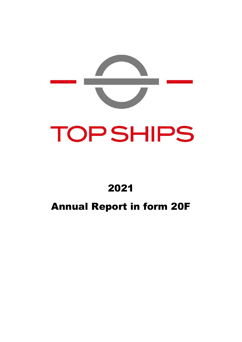

# 2021

# Annual Report in form 20F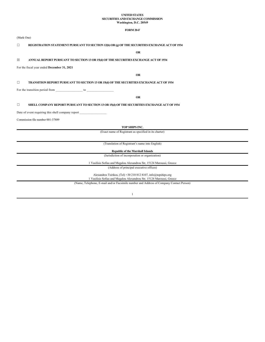# **UNITED STATES SECURITIES AND EXCHANGE COMMISSION Washington, D.C. 20549**

# **FORM 20-F**

# (Mark One)

# ☐ **REGISTRATION STATEMENT PURSUANT TO SECTION 12(b) OR (g) OF THE SECURITIES EXCHANGE ACT OF 1934**

**OR**

# ☒ **ANNUAL REPORT PURSUANT TO SECTION 13 OR 15(d) OF THE SECURITIES EXCHANGE ACT OF 1934**

For the fiscal year ended **December 31, 2021**

**OR**

# ☐ **TRANSITION REPORT PURSUANT TO SECTION 13 OR 15(d) OF THE SECURITIES EXCHANGE ACT OF 1934**

For the transition period from \_\_\_\_\_\_\_\_\_\_\_\_\_\_\_\_\_ to \_\_\_\_\_\_\_\_\_\_\_\_\_\_\_\_\_

**OR**

# ☐ **SHELL COMPANY REPORT PURSUANT TO SECTION 13 OR 15(d) OF THE SECURITIES EXCHANGE ACT OF 1934**

Date of event requiring this shell company report \_\_\_\_\_\_\_\_\_\_\_\_\_\_\_\_\_\_\_\_\_\_\_\_\_\_\_\_\_\_\_

Commission file number 001-37889

**TOP SHIPS INC.**

(Exact name of Registrant as specified in its charter)

(Translation of Registrant's name into English)

**Republic of the Marshall Islands**

(Jurisdiction of incorporation or organization)

1 Vasilisis Sofias and Megalou Alexandrou Str, 15124 Maroussi, Greece

(Address of principal executive offices)

Alexandros Tsirikos, (Tel) +30 210 812 8107, info@topships.org

1 Vasilisis Sofias and Megalou Alexandrou Str, 15124 Maroussi, Greece

(Name, Telephone, E-mail and/or Facsimile number and Address of Company Contact Person)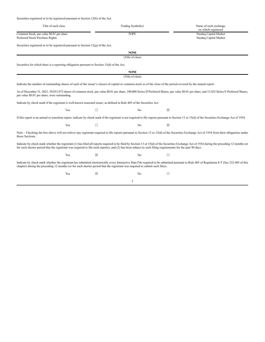Securities registered or to be registered pursuant to Section 12(b) of the Act.

| Title of each class                                                                                                                                        |   | Trading Symbol(s) | Name of each exchange<br>on which registered                                                                                                                                                       |
|------------------------------------------------------------------------------------------------------------------------------------------------------------|---|-------------------|----------------------------------------------------------------------------------------------------------------------------------------------------------------------------------------------------|
| Common Stock, par value \$0.01 per share<br>Preferred Stock Purchase Rights                                                                                |   | <b>TOPS</b>       | Nasdaq Capital Market<br>Nasdaq Capital Market                                                                                                                                                     |
| Securities registered or to be registered pursuant to Section $12(g)$ of the Act.                                                                          |   |                   |                                                                                                                                                                                                    |
|                                                                                                                                                            |   | <b>NONE</b>       |                                                                                                                                                                                                    |
|                                                                                                                                                            |   | (Title of class)  |                                                                                                                                                                                                    |
| Securities for which there is a reporting obligation pursuant to Section $15(d)$ of the Act.                                                               |   |                   |                                                                                                                                                                                                    |
|                                                                                                                                                            |   | <b>NONE</b>       |                                                                                                                                                                                                    |
|                                                                                                                                                            |   | (Title of class)  |                                                                                                                                                                                                    |
|                                                                                                                                                            |   |                   | Indicate the number of outstanding shares of each of the issuer's classes of capital or common stock as of the close of the period covered by the annual report.                                   |
| par value \$0.01 per share, were outstanding.                                                                                                              |   |                   | As of December 31, 2021, 39,831,972 shares of common stock, par value \$0.01 per share, 100,000 Series D Preferred Shares, par value \$0.01 per share, and 13,452 Series E Preferred Shares,       |
| Indicate by check mark if the registrant is well-known seasoned issuer, as defined in Rule 405 of the Securities Act.                                      |   |                   |                                                                                                                                                                                                    |
| Yes                                                                                                                                                        | □ | No                | ⊠                                                                                                                                                                                                  |
|                                                                                                                                                            |   |                   | If this report is an annual or transition report, indicate by check mark if the registrant is not required to file reports pursuant to Section 13 or 15(d) of the Securities Exchange Act of 1934. |
| Yes                                                                                                                                                        | □ | No                | ⊠                                                                                                                                                                                                  |
| those Sections.                                                                                                                                            |   |                   | Note – Checking the box above will not relieve any registrant required to file reports pursuant to Section 13 or 15(d) of the Securities Exchange Act of 1934 from their obligations under         |
| for such shorter period that the registrant was required to file such reports), and (2) has been subject to such filing requirements for the past 90 days. |   |                   | Indicate by check mark whether the registrant (1) has filed all reports required to be filed by Section 13 or 15(d) of the Securities Exchange Act of 1934 during the preceding 12 months (or      |
| Yes                                                                                                                                                        | ⊠ | No                | □                                                                                                                                                                                                  |
| chapter) during the preceding 12 months (or for such shorter period that the registrant was required to submit such files).                                |   |                   | Indicate by check mark whether the registrant has submitted electronically every Interactive Data File required to be submitted pursuant to Rule 405 of Regulation S-T (Sec.232.405 of this        |
| Yes                                                                                                                                                        | ⊠ | No                | □                                                                                                                                                                                                  |
|                                                                                                                                                            |   | $\overline{2}$    |                                                                                                                                                                                                    |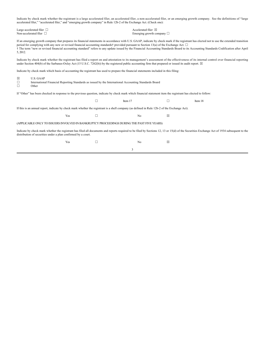Indicate by check mark whether the registrant is a large accelerated filer, an accelerated filer, a non-accelerated filer, or an emerging growth company. See the definitions of "large accelerated filer," "accelerated filer," and "emerging growth company" in Rule 12b-2 of the Exchange Act. (Check one):

| Large accelerated filer $\Box$<br>Non-accelerated filer $\Box$                                                                                                                                                                                                                                                                                                                                                                                                                                                                                    |                                                                                                                                    |     |   |                | Accelerated filer $\boxtimes$<br>Emerging growth company $\Box$ |         |  |  |  |
|---------------------------------------------------------------------------------------------------------------------------------------------------------------------------------------------------------------------------------------------------------------------------------------------------------------------------------------------------------------------------------------------------------------------------------------------------------------------------------------------------------------------------------------------------|------------------------------------------------------------------------------------------------------------------------------------|-----|---|----------------|-----------------------------------------------------------------|---------|--|--|--|
| If an emerging growth company that prepares its financial statements in accordance with U.S. GAAP, indicate by check mark if the registrant has elected not to use the extended transition<br>period for complying with any new or revised financial accounting standards provided pursuant to Section 13(a) of the Exchange Act. $\square$<br>† The term "new or revised financial accounting standard" refers to any update issued by the Financial Accounting Standards Board to its Accounting Standards Codification after April<br>5, 2012. |                                                                                                                                    |     |   |                |                                                                 |         |  |  |  |
| Indicate by check mark whether the registrant has filed a report on and attestation to its management's assessment of the effectiveness of its internal control over financial reporting<br>under Section 404(b) of the Sarbanes-Oxley Act (15 U.S.C. 7262(b)) by the registered public accounting firm that prepared or issued its audit report. $\boxtimes$                                                                                                                                                                                     |                                                                                                                                    |     |   |                |                                                                 |         |  |  |  |
| Indicate by check mark which basis of accounting the registrant has used to prepare the financial statements included in this filing:                                                                                                                                                                                                                                                                                                                                                                                                             |                                                                                                                                    |     |   |                |                                                                 |         |  |  |  |
| ⊠<br>$\Box$<br>П                                                                                                                                                                                                                                                                                                                                                                                                                                                                                                                                  | <b>U.S. GAAP</b><br>International Financial Reporting Standards as issued by the International Accounting Standards Board<br>Other |     |   |                |                                                                 |         |  |  |  |
| If "Other" has been checked in response to the previous question, indicate by check mark which financial statement item the registrant has elected to follow:                                                                                                                                                                                                                                                                                                                                                                                     |                                                                                                                                    |     |   |                |                                                                 |         |  |  |  |
|                                                                                                                                                                                                                                                                                                                                                                                                                                                                                                                                                   |                                                                                                                                    |     | □ | Item 17        | □                                                               | Item 18 |  |  |  |
| If this is an annual report, indicate by check mark whether the registrant is a shell company (as defined in Rule 12b-2 of the Exchange Act).                                                                                                                                                                                                                                                                                                                                                                                                     |                                                                                                                                    |     |   |                |                                                                 |         |  |  |  |
|                                                                                                                                                                                                                                                                                                                                                                                                                                                                                                                                                   |                                                                                                                                    | Yes | □ | No             | ⊠                                                               |         |  |  |  |
| (APPLICABLE ONLY TO ISSUERS INVOLVED IN BANKRUPTCY PROCEEDINGS DURING THE PAST FIVE YEARS)                                                                                                                                                                                                                                                                                                                                                                                                                                                        |                                                                                                                                    |     |   |                |                                                                 |         |  |  |  |
| Indicate by check mark whether the registrant has filed all documents and reports required to be filed by Sections 12, 13 or 15(d) of the Securities Exchange Act of 1934 subsequent to the<br>distribution of securities under a plan confirmed by a court.                                                                                                                                                                                                                                                                                      |                                                                                                                                    |     |   |                |                                                                 |         |  |  |  |
|                                                                                                                                                                                                                                                                                                                                                                                                                                                                                                                                                   |                                                                                                                                    | Yes | □ | N <sub>o</sub> | ⊠                                                               |         |  |  |  |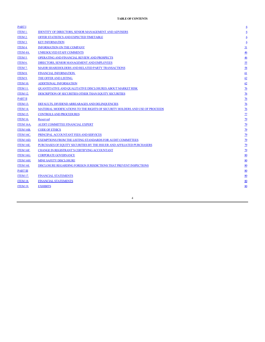| <b>PARTI</b>        |                                                                              | $6 \overline{6}$         |
|---------------------|------------------------------------------------------------------------------|--------------------------|
| ITEM 1.             | <b>IDENTITY OF DIRECTORS, SENIOR MANAGEMENT AND ADVISERS</b>                 | $6 \overline{6}$         |
| ITEM 2.             | OFFER STATISTICS AND EXPECTED TIMETABLE                                      | $6 \overline{6}$         |
| ITEM <sub>3</sub> . | <b>KEY INFORMATION</b>                                                       | $6\overline{6}$          |
| ITEM 4.             | <b>INFORMATION ON THE COMPANY</b>                                            | $\overline{31}$          |
| ITEM 4A.            | <b>UNRESOLVED STAFF COMMENTS</b>                                             | $\frac{46}{5}$           |
| ITEM 5.             | OPERATING AND FINANCIAL REVIEW AND PROSPECTS                                 | $\frac{46}{5}$           |
| ITEM 6.             | DIRECTORS, SENIOR MANAGEMENT AND EMPLOYEES                                   | 55                       |
| ITEM 7.             | MAJOR SHAREHOLDERS AND RELATED PARTY TRANSACTIONS                            | 58                       |
| ITEM 8.             | <b>FINANCIAL INFORMATION.</b>                                                | 61                       |
| ITEM 9.             | THE OFFER AND LISTING.                                                       | 62                       |
| <b>ITEM 10.</b>     | <b>ADDITIONAL INFORMATION</b>                                                | 62                       |
| <b>ITEM 11.</b>     | <b>QUANTITATIVE AND QUALITATIVE DISCLOSURES ABOUT MARKET RISK</b>            | $\frac{76}{5}$           |
| <b>ITEM 12.</b>     | DESCRIPTION OF SECURITIES OTHER THAN EQUITY SECURITIES                       | $\overline{26}$          |
| <b>PART II</b>      |                                                                              | $\frac{76}{2}$           |
| <b>ITEM 13.</b>     | DEFAULTS, DIVIDEND ARREARAGES AND DELINQUENCIES                              | $\frac{76}{6}$           |
| <b>ITEM 14.</b>     | MATERIAL MODIFICATIONS TO THE RIGHTS OF SECURITY HOLDERS AND USE OF PROCEEDS | $\overline{16}$          |
| <b>ITEM 15.</b>     | <b>CONTROLS AND PROCEDURES</b>                                               | $\overline{\mathcal{L}}$ |
| <b>ITEM 16.</b>     | Reserved                                                                     | $\overline{19}$          |
| ITEM 16A.           | AUDIT COMMITTEE FINANCIAL EXPERT                                             | $\overline{29}$          |
| ITEM 16B.           | <b>CODE OF ETHICS</b>                                                        | $\overline{29}$          |
| ITEM 16C.           | PRINCIPAL ACCOUNTANT FEES AND SERVICES                                       | $\overline{29}$          |
| ITEM 16D.           | EXEMPTIONS FROM THE LISTING STANDARDS FOR AUDIT COMMITTEES                   | $\overline{29}$          |
| ITEM 16E.           | PURCHASES OF EQUITY SECURITIES BY THE ISSUER AND AFFILIATED PURCHASERS       | $\overline{29}$          |
| ITEM 16F.           | <b>CHANGE IN REGISTRANT'S CERTIFYING ACCOUNTANT</b>                          | $\overline{29}$          |
| ITEM 16G.           | <b>CORPORATE GOVERNANCE</b>                                                  | <u>80</u>                |
| ITEM 16H.           | <b>MINE SAFETY DISCLOSURE</b>                                                | 80                       |
| <b>ITEM 16I.</b>    | DISCLOSURE REGARDING FOREIGN JURISDICTIONS THAT PREVENT INSPECTIONS          | 80                       |
| <b>PART III</b>     |                                                                              | 80                       |
| <b>ITEM 17.</b>     | <b>FINANCIAL STATEMENTS</b>                                                  | 80                       |
| <b>ITEM 18.</b>     | <b>FINANCIAL STATEMENTS</b>                                                  | 80                       |
| <b>ITEM 19.</b>     | <b>EXHIBITS</b>                                                              | 80                       |
|                     |                                                                              |                          |

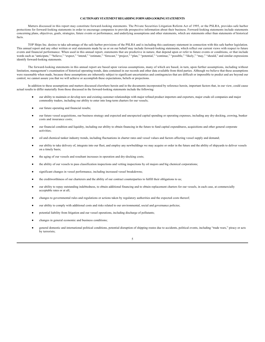#### **CAUTIONARY STATEMENT REGARDING FORWARD-LOOKING STATEMENTS**

Matters discussed in this report may constitute forward-looking statements. The Private Securities Litigation Reform Act of 1995, or the PSLRA, provides safe harbor protections for forward-looking statements in order to encourage companies to provide prospective information about their business. Forward-looking statements include statements concerning plans, objectives, goals, strategies, future events or performance, and underlying assumptions and other statements, which are statements other than statements of historical facts.

TOP Ships Inc. desires to take advantage of the safe harbor provisions of the PSLRA and is including this cautionary statement in connection with this safe harbor legislation. This annual report and any other written or oral statements made by us or on our behalf may include forward-looking statements, which reflect our current views with respect to future events and financial performance. When used in this annual report, statements that are predictive in nature, that depend upon or refer to future events or conditions, or that include words such as "anticipate," "believe," "expect," "intend," "estimate," "forecast," "project," "plan," "potential," "continue," "possible," "likely," "may," "should," and similar expressions identify forward-looking statements.

The forward-looking statements in this annual report are based upon various assumptions, many of which are based, in turn, upon further assumptions, including without limitation, management's examination of historical operating trends, data contained in our records and other data available from third parties. Although we believe that these assumptions were reasonable when made, because these assumptions are inherently subject to significant uncertainties and contingencies that are difficult or impossible to predict and are beyond our control, we cannot assure you that we will achieve or accomplish these expectations, beliefs or projections.

In addition to these assumptions and matters discussed elsewhere herein and in the documents incorporated by reference herein, important factors that, in our view, could cause actual results to differ materially from those discussed in the forward-looking statements include the following:

- our ability to maintain or develop new and existing customer relationships with major refined product importers and exporters, major crude oil companies and major commodity traders, including our ability to enter into long-term charters for our vessels;
- our future operating and financial results;
- our future vessel acquisitions, our business strategy and expected and unexpected capital spending or operating expenses, including any dry-docking, crewing, bunker costs and insurance costs;
- our financial condition and liquidity, including our ability to obtain financing in the future to fund capital expenditures, acquisitions and other general corporate activities;
- oil and chemical tanker industry trends, including fluctuations in charter rates and vessel values and factors affecting vessel supply and demand;
- our ability to take delivery of, integrate into our fleet, and employ any newbuildings we may acquire or order in the future and the ability of shipyards to deliver vessels on a timely basis;
- the aging of our vessels and resultant increases in operation and dry-docking costs;
- the ability of our vessels to pass classification inspections and vetting inspections by oil majors and big chemical corporations;
- significant changes in vessel performance, including increased vessel breakdowns;
- the creditworthiness of our charterers and the ability of our contract counterparties to fulfill their obligations to us;
- our ability to repay outstanding indebtedness, to obtain additional financing and to obtain replacement charters for our vessels, in each case, at commercially acceptable rates or at all;
- changes to governmental rules and regulations or actions taken by regulatory authorities and the expected costs thereof;
- our ability to comply with additional costs and risks related to our environmental, social and governance policies;
- potential liability from litigation and our vessel operations, including discharge of pollutants;
- changes in general economic and business conditions;
- general domestic and international political conditions, potential disruption of shipping routes due to accidents, political events, including "trade wars," piracy or acts by terrorists;

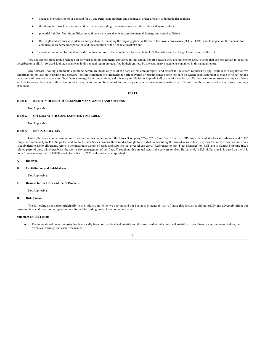- changes in production of or demand for oil and petroleum products and chemicals, either globally or in particular regions;
- the strength of world economies and currencies, including fluctuations in charterhire rates and vessel values;
- potential liability from future litigation and potential costs due to any environmental damage and vessel collisions;
- the length and severity of epidemics and pandemics, including the ongoing global outbreak of the novel coronavirus ("COVID-19") and its impact on the demand for commercial seaborne transportation and the condition of the financial markets; and
- and other important factors described from time to time in the reports filed by us with the U.S. Securities and Exchange Commission, or the SEC.

You should not place undue reliance on forward-looking statements contained in this annual report because they are statements about events that are not certain to occur as described or at all. All forward-looking statements in this annual report are qualified in their entirety by the cautionary statements contained in this annual report.

Any forward-looking statements contained herein are made only as of the date of this annual report, and except to the extent required by applicable law or regulation we undertake no obligation to update any forward-looking statement or statements to reflect events or circumstances after the date on which such statement is made or to reflect the occurrence of unanticipated events. New factors emerge from time to time, and it is not possible for us to predict all or any of these factors. Further, we cannot assess the impact of each such factor on our business or the extent to which any factor, or combination of factors, may cause actual results to be materially different from those contained in any forward-looking statement.

<span id="page-6-0"></span>**PART I**

## <span id="page-6-1"></span>**ITEM 1. IDENTITY OF DIRECTORS, SENIOR MANAGEMENT AND ADVISERS**

Not Applicable.

# <span id="page-6-2"></span>**ITEM 2. OFFER STATISTICS AND EXPECTED TIMETABLE**

Not Applicable.

# <span id="page-6-3"></span>**ITEM 3. KEY INFORMATION**

Unless the context otherwise requires, as used in this annual report, the terms "Company," "we," "us," and "our" refer to TOP Ships Inc. and all of its subsidiaries, and "TOP Ships Inc." refers only to TOP Ships Inc. and not to its subsidiaries. We use the term deadweight ton, or dwt, in describing the size of vessels. Dwt, expressed in metric tons each of which is equivalent to 1,000 kilograms, refers to the maximum weight of cargo and supplies that a vessel can carry. References to our "Fleet Manager" or "CSI" are to Central Shipping Inc, a related party of ours, which performs the day-to-day management of our fleet. Throughout this annual report, the conversion from Euros, or €, to U.S. dollars, or \$, is based on the U.S. dollar/Euro exchange rate of 0.8794 as of December 31, 2021, unless otherwise specified.

#### **A. Reserved**

**B. Capitalization and Indebtedness**

Not Applicable.

**C. Reasons for the Offer and Use of Proceeds**

Not Applicable.

#### **D. Risk Factors**

The following risks relate principally to the industry in which we operate and our business in general. Any of these risk factors could materially and adversely affect our business, financial condition or operating results and the trading price of our common shares.

#### **Summary of Risk Factors**

The international tanker industry has historically been both cyclical and volatile and this may lead to reductions and volatility in our charter rates, our vessel values, our revenues, earnings and cash flow results.

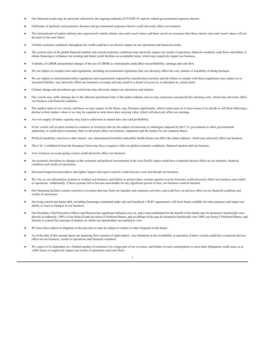- Our financial results may be adversely affected by the ongoing outbreak of COVID-19, and the related governmental responses thereto.
- Outbreaks of epidemic and pandemic diseases and governmental responses thereto could adversely affect our business
- The international oil tanker industry has experienced volatile charter rates and vessel values and there can be no assurance that these charter rates and vessel values will not decrease in the near future.
- Volatile economic conditions throughout the world could have an adverse impact on our operations and financial results.
- The current state of the global financial markets and current economic conditions may adversely impact our results of operation, financial condition, cash flows and ability to obtain financing or refinance our existing and future credit facilities on acceptable terms, which may negatively impact our business.
- Volatility of LIBOR and potential changes of the use of LIBOR as a benchmark could affect our profitability, earnings and cash flow.
- We are subject to complex laws and regulations, including environmental regulations that can adversely affect the cost, manner or feasibility of doing business.
- We are subject to international safety regulations and requirements imposed by classification societies and the failure to comply with these regulations may subject us to increased liability, may adversely affect our insurance coverage and may result in a denial of access to, or detention in, certain ports.
- Climate change and greenhouse gas restrictions may adversely impact our operations and markets.
- Our vessels may suffer damage due to the inherent operational risks of the tanker industry and we may experience unexpected dry-docking costs, which may adversely affect our business and financial condition.
- The market value of our vessels, and those we may acquire in the future, may fluctuate significantly, which could cause us to incur losses if we decide to sell them following a decline in their market values or we may be required to write down their carrying value, which will adversely affect our earnings.
- An over-supply of tanker capacity may lead to reductions in charter hire rates and profitability.
- If our vessels call on ports located in countries or territories that are the subject of sanctions or embargoes imposed by the U.S. government or other governmental authorities, it could lead to monetary fines or adversely affect our business, reputation and the market for our common shares.
- Political instability, terrorist or other attacks, war, international hostilities and public health threats can affect the tanker industry, which may adversely affect our business.
- The U.K.'s withdrawal from the European Union may have a negative effect on global economic conditions, financial markets and our business.
- Acts of piracy on ocean-going vessels could adversely affect our business.
- An economic slowdown or changes in the economic and political environment in the Asia Pacific region could have a material adverse effect on our business, financial condition and results of operations.
- Increased inspection procedures and tighter import and export controls could increase costs and disrupt our business.
- We rely on our information systems to conduct our business, and failure to protect these systems against security breaches could adversely affect our business and results of operations. Additionally, if these systems fail or become unavailable for any significant period of time, our business could be harmed.
- Our financing facilities contain restrictive covenants that may limit our liquidity and corporate activities, and could have an adverse effect on our financial condition and results of operations.
- Servicing current and future debt, including financings committed under sale and leaseback ("SLB") agreements, will limit funds available for other purposes and impair our ability to react to changes in our business.
- Our President, Chief Executive Officer and Director has significant influence over us, and a trust established for the benefit of his family may be deemed to beneficially own, directly or indirectly, 100% of our Series D and our Series E Preferred Shares, and an affiliate of his may be deemed to beneficially own 100% our Series F Preferred Shares, and thereby to control the outcome of matters on which our shareholders are entitled to vote.
- We have been subject to litigation in the past and we may be subject to similar or other litigation in the future.
- As of the date of this annual report our operating fleet consists of eight tankers. Any limitation in the availability or operation of these vessels could have a material adverse effect on our business, results of operations and financial condition.
- We expect to be dependent on a limited number of customers for a large part of our revenues, and failure of such counterparties to meet their obligations could cause us to suffer losses or negatively impact our results of operations and cash flows.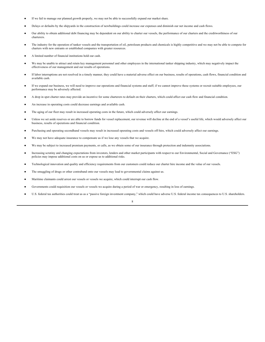- If we fail to manage our planned growth properly, we may not be able to successfully expand our market share.
- Delays or defaults by the shipyards in the construction of newbuildings could increase our expenses and diminish our net income and cash flows.
- Our ability to obtain additional debt financing may be dependent on our ability to charter our vessels, the performance of our charters and the creditworthiness of our charterers.
- The industry for the operation of tanker vessels and the transportation of oil, petroleum products and chemicals is highly competitive and we may not be able to compete for charters with new entrants or established companies with greater resources.
- A limited number of financial institutions hold our cash.
- We may be unable to attract and retain key management personnel and other employees in the international tanker shipping industry, which may negatively impact the effectiveness of our management and our results of operations.
- If labor interruptions are not resolved in a timely manner, they could have a material adverse effect on our business, results of operations, cash flows, financial condition and available cash.
- If we expand our business, we will need to improve our operations and financial systems and staff; if we cannot improve these systems or recruit suitable employees, our performance may be adversely affected.
- A drop in spot charter rates may provide an incentive for some charterers to default on their charters, which could affect our cash flow and financial condition.
- An increase in operating costs could decrease earnings and available cash.
- The aging of our fleet may result in increased operating costs in the future, which could adversely affect our earnings.
- Unless we set aside reserves or are able to borrow funds for vessel replacement, our revenue will decline at the end of a vessel's useful life, which would adversely affect our business, results of operations and financial condition.
- Purchasing and operating secondhand vessels may result in increased operating costs and vessels off-hire, which could adversely affect our earnings.
- We may not have adequate insurance to compensate us if we lose any vessels that we acquire.
- We may be subject to increased premium payments, or calls, as we obtain some of our insurance through protection and indemnity associations.
- Increasing scrutiny and changing expectations from investors, lenders and other market participants with respect to our Environmental, Social and Governance ("ESG") policies may impose additional costs on us or expose us to additional risks.
- Technological innovation and quality and efficiency requirements from our customers could reduce our charter hire income and the value of our vessels.
- The smuggling of drugs or other contraband onto our vessels may lead to governmental claims against us.
- Maritime claimants could arrest our vessels or vessels we acquire, which could interrupt our cash flow.
- Governments could requisition our vessels or vessels we acquire during a period of war or emergency, resulting in loss of earnings.
- U.S. federal tax authorities could treat us as a "passive foreign investment company," which could have adverse U.S. federal income tax consequences to U.S. shareholders.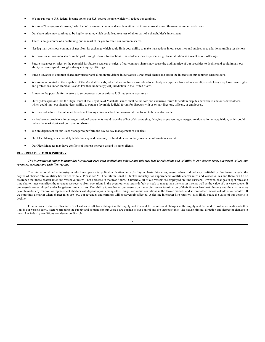- We are subject to U.S. federal income tax on our U.S. source income, which will reduce our earnings.
- We are a "foreign private issuer," which could make our common shares less attractive to some investors or otherwise harm our stock price.
- Our share price may continue to be highly volatile, which could lead to a loss of all or part of a shareholder's investment.
- There is no guarantee of a continuing public market for you to resell our common shares.
- Nasdaq may delist our common shares from its exchange which could limit your ability to make transactions in our securities and subject us to additional trading restrictions.
- We have issued common shares in the past through various transactions. Shareholders may experience significant dilution as a result of our offerings.
- Future issuances or sales, or the potential for future issuances or sales, of our common shares may cause the trading price of our securities to decline and could impair our ability to raise capital through subsequent equity offerings.
- Future issuance of common shares may trigger anti-dilution provisions in our Series E Preferred Shares and affect the interests of our common shareholders.
- We are incorporated in the Republic of the Marshall Islands, which does not have a well-developed body of corporate law and as a result, shareholders may have fewer rights and protections under Marshall Islands law than under a typical jurisdiction in the United States.
- It may not be possible for investors to serve process on or enforce U.S. judgments against us.
- Our By-laws provide that the High Court of the Republic of Marshall Islands shall be the sole and exclusive forum for certain disputes between us and our shareholders, which could limit our shareholders' ability to obtain a favorable judicial forum for disputes with us or our directors, officers, or employees.
- We may not achieve the intended benefits of having a forum selection provision if it is found to be unenforceable.
- Anti-takeover provisions in our organizational documents could have the effect of discouraging, delaying or preventing a merger, amalgamation or acquisition, which could reduce the market price of our common shares.
- We are dependent on our Fleet Manager to perform the day-to-day management of our fleet.
- Our Fleet Manager is a privately held company and there may be limited or no publicly available information about it.
- Our Fleet Manager may have conflicts of interest between us and its other clients.

# **RISKS RELATED TO OUR INDUSTRY**

*The international tanker industry has historically been both cyclical and volatile and this may lead to reductions and volatility in our charter rates, our vessel values, our revenues, earnings and cash flow results.*

The international tanker industry in which we operate is cyclical, with attendant volatility in charter hire rates, vessel values and industry profitability. For tanker vessels, the degree of charter rate volatility has varied widely. Please see "—The international oil tanker industry has experienced volatile charter rates and vessel values and there can be no assurance that these charter rates and vessel values will not decrease in the near future." Currently, all of our vessels are employed on time charters. However, changes in spot rates and time charter rates can affect the revenues we receive from operations in the event our charterers default or seek to renegotiate the charter hire, as well as the value of our vessels, even if our vessels are employed under long-term time charters. Our ability to re-charter our vessels on the expiration or termination of their time or bareboat charters and the charter rates payable under any renewal or replacement charters will depend upon, among other things, economic conditions in the tanker markets and several other factors outside of our control. If we enter into a charter when charter rates are low, our revenues and earnings will be adversely affected. A decline in charter hire rates will also likely cause the value of our vessels to decline.

Fluctuations in charter rates and vessel values result from changes in the supply and demand for vessels and changes in the supply and demand for oil, chemicals and other liquids our vessels carry. Factors affecting the supply and demand for our vessels are outside of our control and are unpredictable. The nature, timing, direction and degree of changes in the tanker industry conditions are also unpredictable.

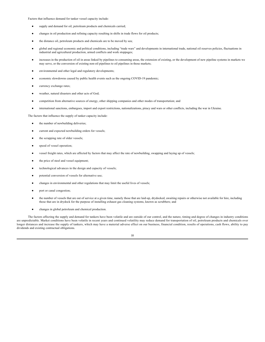Factors that influence demand for tanker vessel capacity include:

- supply and demand for oil, petroleum products and chemicals carried;
- changes in oil production and refining capacity resulting in shifts in trade flows for oil products;
- the distance oil, petroleum products and chemicals are to be moved by sea;
- global and regional economic and political conditions, including "trade wars" and developments in international trade, national oil reserves policies, fluctuations in industrial and agricultural production, armed conflicts and work stoppages;
- increases in the production of oil in areas linked by pipelines to consuming areas, the extension of existing, or the development of new pipeline systems in markets we may serve, or the conversion of existing non-oil pipelines to oil pipelines in those markets;
- environmental and other legal and regulatory developments;
- economic slowdowns caused by public health events such as the ongoing COVID-19 pandemic;
- currency exchange rates;
- weather, natural disasters and other acts of God;
- competition from alternative sources of energy, other shipping companies and other modes of transportation; and
- international sanctions, embargoes, import and export restrictions, nationalizations, piracy and wars or other conflicts, including the war in Ukraine.

The factors that influence the supply of tanker capacity include:

- the number of newbuilding deliveries;
- current and expected newbuilding orders for vessels;
- the scrapping rate of older vessels;
- speed of vessel operation;
- vessel freight rates, which are affected by factors that may affect the rate of newbuilding, swapping and laying up of vessels;
- the price of steel and vessel equipment;
- technological advances in the design and capacity of vessels;
- potential conversion of vessels for alternative use;
- changes in environmental and other regulations that may limit the useful lives of vessels;
- port or canal congestion;
- the number of vessels that are out of service at a given time, namely those that are laid-up, drydocked, awaiting repairs or otherwise not available for hire, including those that are in drydock for the purpose of installing exhaust gas cleaning systems, known as scrubbers; and
- changes in global petroleum and chemical production.

The factors affecting the supply and demand for tankers have been volatile and are outside of our control, and the nature, timing and degree of changes in industry conditions are unpredictable. Market conditions have been volatile in recent years and continued volatility may reduce demand for transportation of oil, petroleum products and chemicals over longer distances and increase the supply of tankers, which may have a material adverse effect on our business, financial condition, results of operations, cash flows, ability to pay dividends and existing contractual obligations.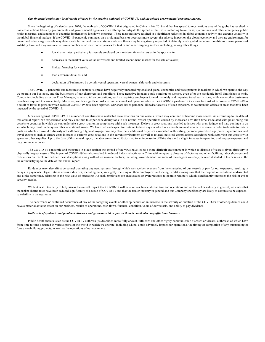# *Our financial results may be adversely affected by the ongoing outbreak of COVID-19, and the related governmental responses thereto.*

Since the beginning of calendar year 2020, the outbreak of COVID-19 that originated in China in late 2019 and that has spread to most nations around the globe has resulted in numerous actions taken by governments and governmental agencies in an attempt to mitigate the spread of the virus, including travel bans, quarantines, and other emergency public health measures, and a number of countries implemented lockdown measures. These measures have resulted in a significant reduction in global economic activity and extreme volatility in the global financial markets. If the COVID-19 pandemic continues on a prolonged basis or becomes more severe, the adverse impact on the global economy and the rate environment for tanker and other cargo vessels may deteriorate further and our operations and cash flows may be negatively impacted. Relatively weak global economic conditions during periods of volatility have and may continue to have a number of adverse consequences for tanker and other shipping sectors, including, among other things:

- low charter rates, particularly for vessels employed on short-term time charters or in the spot market;
- decreases in the market value of tanker vessels and limited second-hand market for the sale of vessels;
- limited financing for vessels;
- loan covenant defaults; and
- declaration of bankruptcy by certain vessel operators, vessel owners, shipyards and charterers.

The COVID-19 pandemic and measures to contain its spread have negatively impacted regional and global economies and trade patterns in markets in which we operate, the way we operate our business, and the businesses of our charterers and suppliers. These negative impacts could continue or worsen, even after the pandemic itself diminishes or ends. Companies, including us or our Fleet Manager, have also taken precautions, such as requiring employees to work remotely and imposing travel restrictions, while some other businesses have been required to close entirely. Moreover, we face significant risks to our personnel and operations due to the COVID-19 pandemic. Our crews face risk of exposure to COVID-19 as a result of travel to ports in which cases of COVID-19 have been reported. Our shore-based personnel likewise face risk of such exposure, as we maintain offices in areas that have been impacted by the spread of COVID-19.

Measures against COVID-19 in a number of countries have restricted crew rotations on our vessels, which may continue or become more severe. As a result up to the date of this annual report, we experienced and may continue to experience disruptions to our normal vessel operations caused by increased deviation time associated with positioning our vessels to countries in which we can undertake a crew rotation in compliance with such measures. Delays in crew rotations have led to issues with crew fatigue and may continue to do so, which may result in delays or other operational issues. We have had and expect to continue to have days in which our vessels are unable to earn revenue in order to deviate to certain ports on which we would ordinarily not call during a typical voyage. We may also incur additional expenses associated with testing, personal protective equipment, quarantines, and travel expenses such as airfare costs in order to perform crew rotations in the current environment as well as related logistical complications associated with supplying our vessels with spares or other supplies. Up to the date of this annual report, the above-mentioned factors led to an increase in off-hire days and a slight increase in operating and voyage expenses and may continue to do so.

The COVID-19 pandemic and measures in place against the spread of the virus have led to a more difficult environment in which to dispose of vessels given difficulty to physically inspect vessels. The impact of COVID-19 has also resulted in reduced industrial activity in China with temporary closures of factories and other facilities, labor shortages and restrictions on travel. We believe these disruptions along with other seasonal factors, including lower demand for some of the cargoes we carry, have contributed to lower rates in the tanker industry up to the date of this annual report.

Epidemics may also affect personnel operating payment systems through which we receive revenues from the chartering of our vessels or pay for our expenses, resulting in delays in payments. Organizations across industries, including ours, are rightly focusing on their employees' well-being, whilst making sure that their operations continue undisrupted and at the same time, adapting to the new ways of operating. As such employees are encouraged or even required to operate remotely which significantly increases the risk of cyber security attacks.

While it is still too early to fully assess the overall impact that COVID-19 will have on our financial condition and operations and on the tanker industry in general, we assess that the tanker charter rates have been reduced significantly as a result of COVID-19 and that the tanker industry in general and our Company specifically are likely to continue to be exposed to volatility in the near term.

The occurrence or continued occurrence of any of the foregoing events or other epidemics or an increase in the severity or duration of the COVID-19 or other epidemics could have a material adverse effect on our business, results of operations, cash flows, financial condition, value of our vessels, and ability to pay dividends.

# *Outbreaks of epidemic and pandemic diseases and governmental responses thereto could adversely affect our business*

Public health threats, such as the COVID-19 outbreak (as described more fully above), influenza and other highly communicable diseases or viruses, outbreaks of which have from time to time occurred in various parts of the world in which we operate, including China, could adversely impact our operations, the timing of completion of any outstanding or future newbuilding projects, as well as the operations of our customers.

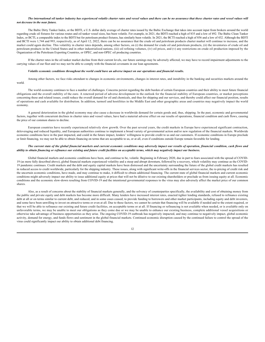## *The international oil tanker industry has experienced volatile charter rates and vessel values and there can be no assurance that these charter rates and vessel values will not decrease in the near future.*

The Baltic Dirty Tanker Index, or the BDTI, a U.S. dollar daily average of charter rates issued by the Baltic Exchange that takes into account input from brokers around the world regarding crude oil fixtures for various routes and oil tanker vessel sizes, has been volatile. For example, in 2021, the BDTI reached a high of 835 and a low of 492. The Baltic Clean Tanker Index, or BCTI, a comparable index to the BDTI but for petroleum product fixtures, has similarly been volatile. In 2021, the BCTI reached a high of 856 and a low of 432. Although the BDTI and BCTI were 1,744 and 993, respectively, as of April 12, 2022, there can be no assurance that the crude oil and petroleum products charter market will continue to increase, and the market could again decline. This volatility in charter rates depends, among other factors, on (i) the demand for crude oil and petroleum products, (ii) the inventories of crude oil and petroleum products in the United States and in other industrialized nations, (iii) oil refining volumes, (iv) oil prices, and (v) any restrictions on crude oil production imposed by the Organization of the Petroleum Exporting Countries, or OPEC, and non-OPEC oil producing countries.

If the charter rates in the oil tanker market decline from their current levels, our future earnings may be adversely affected, we may have to record impairment adjustments to the carrying values of our fleet and we may not be able to comply with the financial covenants in our loan agreements.

#### *Volatile economic conditions throughout the world could have an adverse impact on our operations and financial results.*

Among other factors, we face risks attendant to changes in economic environments, changes in interest rates, and instability in the banking and securities markets around the world.

The world economy continues to face a number of challenges. Concerns persist regarding the debt burden of certain European countries and their ability to meet future financial obligations and the overall stability of the euro. A renewed period of adverse development in the outlook for the financial stability of European countries, or market perceptions concerning these and related issues, could reduce the overall demand for oil and chemicals, and thus for shipping and our services, and thereby could affect our financial position, results of operations and cash available for distribution. In addition, turmoil and hostilities in the Middle East and other geographic areas and countries may negatively impact the world economy.

A general deterioration in the global economy may also cause a decrease in worldwide demand for certain goods and, thus, shipping. In the past, economic and governmental factors, together with concurrent declines in charter rates and vessel values, have had a material adverse effect on our results of operations, financial condition and cash flows, causing the price of our common shares to decline.

European countries have recently experienced relatively slow growth. Over the past several years, the credit markets in Europe have experienced significant contraction, deleveraging and reduced liquidity, and European authorities continue to implement a broad variety of governmental action and/or new regulation of the financial markets. Worldwide economic conditions have in the past impacted, and could in the future impact, lenders' willingness to provide credit to us and our customers. If economic conditions in Europe preclude or limit financing, we may not be able to obtain financing on terms that are acceptable to us, or at all, even if conditions outside Europe remain favorable for lending.

#### *The current state of the global financial markets and current economic conditions may adversely impact our results of operation, financial condition, cash flows and ability to obtain financing or refinance our existing and future credit facilities on acceptable terms, which may negatively impact our business.*

Global financial markets and economic conditions have been, and continue to be, volatile. Beginning in February 2020, due in part to fears associated with the spread of COVID-19 (as more fully described above), global financial markets experienced volatility and a steep and abrupt downturn, followed by a recovery, which volatility may continue as the COVID-19 pandemic continues. Credit markets and the debt and equity capital markets have been distressed and the uncertainty surrounding the future of the global credit markets has resulted in reduced access to credit worldwide, particularly for the shipping industry. These issues, along with significant write-offs in the financial services sector, the re-pricing of credit risk and the uncertain economic conditions, have made, and may continue to make, it difficult to obtain additional financing. The current state of global financial markets and current economic conditions might adversely impact our ability to issue additional equity at prices that will not be dilutive to our existing shareholders or preclude us from issuing equity at all. Economic conditions and the economic slow-down resulting from COVID-19 and the intentional governmental responses to the virus may also adversely affect the market price of our common shares.

Also, as a result of concerns about the stability of financial markets generally, and the solvency of counterparties specifically, the availability and cost of obtaining money from the public and private equity and debt markets has become more difficult. Many lenders have increased interest rates, enacted tighter lending standards, refused to refinance existing debt at all or on terms similar to current debt, and reduced, and in some cases ceased, to provide funding to borrowers and other market participants, including equity and debt investors, and some have been unwilling to invest on attractive terms or even at all. Due to these factors, we cannot be certain that financing will be available if needed and to the extent required, or that we will be able to refinance our existing and future credit facilities, on acceptable terms or at all. If financing or refinancing is not available when needed, or is available only on unfavorable terms, we may be unable to meet our obligations as they come due or we may be unable to enhance our existing business, complete additional vessel acquisitions or otherwise take advantage of business opportunities as they arise. The ongoing COVID-19 outbreak has negatively impacted, and may continue to negatively impact, global economic activity, demand for energy, and funds flows and sentiment in the global financial markets. Continued economic disruption caused by the continued failure to control the spread of the virus could significantly impact our ability to obtain additional debt financing.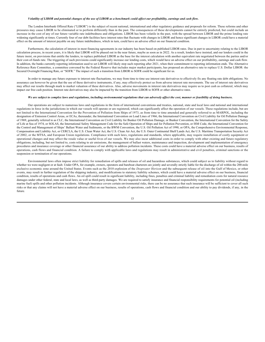# *Volatility of LIBOR and potential changes of the use of LIBOR as a benchmark could affect our profitability, earnings and cash flow.*

The London Interbank Offered Rate ("LIBOR") is the subject of recent national, international and other regulatory guidance and proposals for reform. These reforms and other pressures may cause LIBOR to be eliminated or to perform differently than in the past. The consequences of these developments cannot be entirely predicted, but could include an increase in the cost of any of our future variable rate indebtedness and obligations. LIBOR has been volatile in the past, with the spread between LIBOR and the prime lending rate widening significantly at times. Currently four of our debt facilities have interest rates that fluctuate with changes in LIBOR and hence significant changes in LIBOR could have a material effect on the amount of interest payable on any future indebtedness, which in turn, could have an adverse effect on our financial condition.

Furthermore, the calculation of interest in most financing agreements in our industry has been based on published LIBOR rates. Due in part to uncertainty relating to the LIBOR calculation process, in recent years, it is likely that LIBOR will be phased out in the near future, maybe as soon as in 2022. As a result, lenders have insisted, and our lenders could in the future insist, on provisions that entitle the lenders, to replace published LIBOR as the base for the interest calculation with another equivalent rate negotiated between the parties and/or their cost-of-funds rate. The triggering of such provisions could significantly increase our lending costs, which would have an adverse effect on our profitability, earnings and cash flow. In addition, the banks currently reporting information used to set LIBOR will likely stop such reporting after 2021, when their commitment to reporting information ends. The Alternative Reference Rate Committee, a committee convened by the Federal Reserve that includes major market participants, has proposed an alternative rate to replace U.S. Dollar LIBOR: the Secured Overnight Financing Rate, or "SOFR." The impact of such a transition from LIBOR to SOFR could be significant for us.

In order to manage any future exposure to interest rate fluctuations, we may from time to time use interest rate derivatives to effectively fix any floating rate debt obligations. No assurance can however be given that the use of these derivative instruments, if any, may effectively protect us from adverse interest rate movements. The use of interest rate derivatives may affect our results through mark to market valuation of these derivatives. Also, adverse movements in interest rate derivatives may require us to post cash as collateral, which may impact our free cash position. Interest rate derivatives may also be impacted by the transition from LIBOR to SOFR or other alternative rates.

#### *We are subject to complex laws and regulations, including environmental regulations that can adversely affect the cost, manner or feasibility of doing business.*

Our operations are subject to numerous laws and regulations in the form of international conventions and treaties, national, state and local laws and national and international regulations in force in the jurisdictions in which our vessels will operate or are registered, which can significantly affect the operation of our vessels. These regulations include, but are not limited to the International Convention for the Prevention of Pollution from Ships of 1973, as from time to time amended and generally referred to as MARPOL, including the designation of Emission Control Areas, or ECAs, thereunder, the International Convention on Load Lines of 1966, the International Convention on Civil Liability for Oil Pollution Damage of 1969, generally referred to as CLC, the International Convention on Civil Liability for Bunker Oil Pollution Damage, or Bunker Convention, the International Convention for the Safety of Life at Sea of 1974, or SOLAS, the International Safety Management Code for the Safe Operation of Ships and for Pollution Prevention, or ISM Code, the International Convention for the Control and Management of Ships' Ballast Water and Sediments, or the BWM Convention, the U.S. Oil Pollution Act of 1990, or OPA, the Comprehensive Environmental Response, Compensation and Liability Act, or CERCLA, the U.S. Clean Water Act, the U.S. Clean Air Act, the U.S. Outer Continental Shelf Lands Act, the U.S. Maritime Transportation Security Act of 2002, or the MTSA, and European Union regulations. Compliance with such laws, regulations and standards, where applicable, may require installation of costly equipment or operational changes and may affect the resale value or useful lives of our vessels. We may also incur additional costs in order to comply with other existing and future regulatory obligations, including, but not limited to, costs relating to air emissions, the management of ballast waters, maintenance and inspection, development and implementation of emergency procedures and insurance coverage or other financial assurance of our ability to address pollution incidents. These costs could have a material adverse effect on our business, results of operations, cash flows and financial condition. A failure to comply with applicable laws and regulations may result in administrative and civil penalties, criminal sanctions or the suspension or termination of our operations.

Environmental laws often impose strict liability for remediation of spills and releases of oil and hazardous substances, which could subject us to liability without regard to whether we were negligent or at fault. Under OPA, for example, owners, operators and bareboat charterers are jointly and severally strictly liable for the discharge of oil within the 200-mile exclusive economic zone around the United States. Events such as the 2010 explosion of the *Deepwater Horizon* and the subsequent release of oil into the Gulf of Mexico, or other events, may result in further regulation of the shipping industry, and modifications to statutory liability schemes, which could have a material adverse effect on our business, financial condition, results of operations and cash flows. An oil spill could result in significant liability, including fines, penalties and criminal liability and remediation costs for natural resource damages under other federal, state and local laws, as well as third-party damages. We are required to satisfy insurance and financial responsibility requirements for potential oil (including marine fuel) spills and other pollution incidents. Although insurance covers certain environmental risks, there can be no assurance that such insurance will be sufficient to cover all such risks or that any claims will not have a material adverse effect on our business, results of operations, cash flows and financial condition and our ability to pay dividends, if any, in the future.

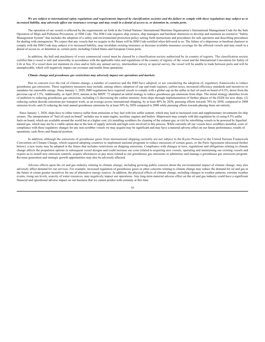## *We are subject to international safety regulations and requirements imposed by classification societies and the failure to comply with these regulations may subject us to increased liability, may adversely affect our insurance coverage and may result in a denial of access to, or detention in, certain ports.*

The operation of our vessels is affected by the requirements set forth in the United Nations' International Maritime Organization's International Management Code for the Safe Operation of Ships and Pollution Prevention, or ISM Code. The ISM Code requires ship owners, ship managers and bareboat charterers to develop and maintain an extensive "Safety Management System" that includes the adoption of a safety and environmental protection policy setting forth instructions and procedures for safe operation and describing procedures for dealing with emergencies. We expect that any vessels that we acquire in the future will be ISM Code-certified when delivered to us. The failure of a shipowner or bareboat charterer to comply with the ISM Code may subject it to increased liability, may invalidate existing insurance or decrease available insurance coverage for the affected vessels and may result in a denial of access to, or detention in, certain ports, including United States and European Union ports.

In addition, the hull and machinery of every commercial vessel must be classed by a classification society authorized by its country of registry. The classification society certifies that a vessel is safe and seaworthy in accordance with the applicable rules and regulations of the country of registry of the vessel and the International Convention for Safety of Life at Sea. If a vessel does not maintain its class and/or fails any annual survey, intermediate survey or special survey, the vessel will be unable to trade between ports and will be unemployable, which will negatively impact our revenues and results from operations.

#### *Climate change and greenhouse gas restrictions may adversely impact our operations and markets.*

Due to concern over the risk of climate change, a number of countries and the IMO have adopted, or are considering the adoption of, regulatory frameworks to reduce greenhouse gas emissions. These regulatory measures may include, among others, adoption of cap and trade regimes, carbon taxes, increased efficiency standards and incentives or mandates for renewable energy. Since January 1, 2020, IMO regulations have required vessels to comply with a global cap on the sulfur in fuel oil used on board of 0.5%, down from the previous cap of 3.5%. Additionally, in April 2018, nations at the MEPC 72 adopted an initial strategy to reduce greenhouse gas emissions from ships. The initial strategy identifies levels of ambition to reducing greenhouse gas emissions, including (1) decreasing the carbon intensity from ships through implementation of further phases of the EEDI for new ships; (2) reducing carbon dioxide emissions per transport work, as an average across international shipping, by at least 40% by 2030, pursuing efforts towards 70% by 2050, compared to 2008 emission levels; and (3) reducing the total annual greenhouse emissions by at least 50% by 2050 compared to 2008 while pursuing efforts towards phasing them out entirely.

Since January 1, 2020, ships have to either remove sulfur from emissions or buy fuel with low sulfur content, which may lead to increased costs and supplementary investments for ship owners. The interpretation of "fuel oil used on board" includes use in main engine, auxiliary engines and boilers. Shipowners may comply with this regulation by (i) using 0.5% sulfur fuels on board, which are available around the world but at a higher cost; (ii) installing scrubbers for cleaning of the exhaust gas; or (iii) by retrofitting vessels to be powered by liquefied natural gas, which may not be a viable option due to the lack of supply network and high costs involved in this process. While currently all our vessels have scrubbers installed, costs of compliance with these regulatory changes for any non-scrubber vessels we may acquire may be significant and may have a material adverse effect on our future performance, results of operations, cash flows and financial position.

In addition, although the emissions of greenhouse gases from international shipping currently are not subject to the Kyoto Protocol to the United Nations Framework Convention on Climate Change, which required adopting countries to implement national programs to reduce emissions of certain gases, or the Paris Agreement (discussed further below), a new treaty may be adopted in the future that includes restrictions on shipping emissions. Compliance with changes in laws, regulations and obligations relating to climate change affects the propulsion options in subsequent vessel designs and could increase our costs related to acquiring new vessels, operating and maintaining our existing vessels and require us to install new emission controls, acquire allowances or pay taxes related to our greenhouse gas emissions or administer and manage a greenhouse gas emissions program. Revenue generation and strategic growth opportunities may also be adversely affected.

Adverse effects upon the oil and gas industry relating to climate change, including growing public concern about the environmental impact of climate change, may also adversely affect demand for our services. For example, increased regulation of greenhouse gases or other concerns relating to climate change may reduce the demand for oil and gas in the future or create greater incentives for use of alternative energy sources. In addition, the physical effects of climate change, including changes in weather patterns, extreme weather events, rising sea levels, scarcity of water resources, may negatively impact our operations. Any long-term material adverse effect on the oil and gas industry could have a significant financial and operational adverse impact on our business that we cannot predict with certainty at this time.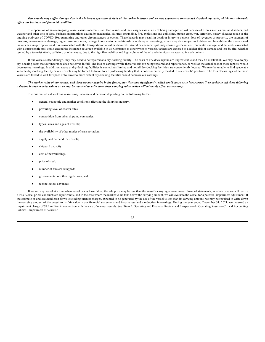# *Our vessels may suffer damage due to the inherent operational risks of the tanker industry and we may experience unexpected dry-docking costs, which may adversely affect our business and financial condition.*

The operation of an ocean-going vessel carries inherent risks. Our vessels and their cargoes are at risk of being damaged or lost because of events such as marine disasters, bad weather and other acts of God, business interruptions caused by mechanical failures, grounding, fire, explosions and collisions, human error, war, terrorism, piracy, diseases (such as the ongoing outbreak of COVID-19), quarantine and other circumstances or events. These hazards may result in death or injury to persons, loss of revenues or property, the payment of ransoms, environmental damage, higher insurance rates, damage to our customer relationships or delay or re-routing, which may also subject us to litigation. In addition, the operation of tankers has unique operational risks associated with the transportation of oil or chemicals. An oil or chemical spill may cause significant environmental damage, and the costs associated with a catastrophic spill could exceed the insurance coverage available to us. Compared to other types of vessels, tankers are exposed to a higher risk of damage and loss by fire, whether ignited by a terrorist attack, collision, or other cause, due to the high flammability and high volume of the oil and chemicals transported in such tankers.

If our vessels suffer damage, they may need to be repaired at a dry-docking facility. The costs of dry-dock repairs are unpredictable and may be substantial. We may have to pay dry-docking costs that our insurance does not cover in full. The loss of earnings while these vessels are being repaired and repositioned, as well as the actual cost of these repairs, would decrease our earnings. In addition, space at dry-docking facilities is sometimes limited and not all dry-docking facilities are conveniently located. We may be unable to find space at a suitable dry-docking facility or our vessels may be forced to travel to a dry-docking facility that is not conveniently located to our vessels' positions. The loss of earnings while these vessels are forced to wait for space or to travel to more distant dry-docking facilities would decrease our earnings.

### *The market value of our vessels, and those we may acquire in the future, may fluctuate significantly, which could cause us to incur losses if we decide to sell them following a decline in their market values or we may be required to write down their carrying value, which will adversely affect our earnings.*

The fair market value of our vessels may increase and decrease depending on the following factors:

- general economic and market conditions affecting the shipping industry;
- prevailing level of charter rates;
- competition from other shipping companies;
- types, sizes and ages of vessels;
- the availability of other modes of transportation;
- supply and demand for vessels;
- shipyard capacity:
- cost of newbuildings;
- price of steel;
- number of tankers scrapped;
- governmental or other regulations; and
- technological advances.

If we sell any vessel at a time when vessel prices have fallen, the sale price may be less than the vessel's carrying amount in our financial statements, in which case we will realize a loss. Vessel prices can fluctuate significantly, and in the case where the market value falls below the carrying amount, we will evaluate the vessel for a potential impairment adjustment. If the estimate of undiscounted cash flows, excluding interest charges, expected to be generated by the use of the vessel is less than its carrying amount, we may be required to write down the carrying amount of the vessel to its fair value in our financial statements and incur a loss and a reduction in earnings. During the year ended December 31, 2021, we incurred an impairment charge of \$1.2 million in connection with the sale of one our vessels. See "Item 5. Operating and Financial Review and Prospects—A. Operating Results—Critical Accounting Policies—Impairment of Vessels."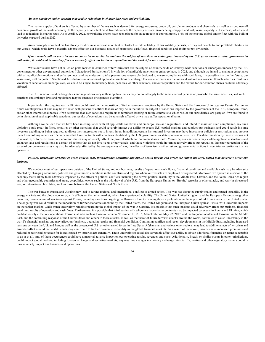#### *An over-supply of tanker capacity may lead to reductions in charter hire rates and profitability.*

The market supply of tankers is affected by a number of factors such as demand for energy resources, crude oil, petroleum products and chemicals, as well as strong overall economic growth of the world economy. If the capacity of new tankers delivered exceeds the capacity of such tankers being scrapped and lost, vessel capacity will increase, which could lead to reductions in charter rates. As of April 8, 2022, newbuilding orders have been placed for an aggregate of approximately 6.4% of the existing global tanker fleet with the bulk of deliveries expected during 2022.

An over-supply of oil tankers has already resulted in an increase in oil tanker charter hire rate volatility. If this volatility persists, we may not be able to find profitable charters for our vessels, which could have a material adverse effect on our business, results of operations, cash flows, financial condition and ability to pay dividends.

#### *If our vessels call on ports located in countries or territories that are the subject of sanctions or embargoes imposed by the U.S. government or other governmental authorities, it could lead to monetary fines or adversely affect our business, reputation and the market for our common shares.*

While our vessels have not called on ports located in countries or territories that are the subject of country-wide or territory-wide sanctions or embargoes imposed by the U.S. government or other governmental authorities ("Sanctioned Jurisdictions") in violation of applicable sanctions or embargo laws, in 2021, and although we intend to maintain compliance with all applicable sanctions and embargo laws, and we endeavor to take precautions reasonably designed to ensure compliance with such laws, it is possible that, in the future, our vessels may call on ports in Sanctioned Jurisdictions in violation of applicable sanctions or embargo laws on charterers' instructions and without our consent. If such activities result in a violation of sanctions or embargo laws, we could be subject to monetary fines, penalties, or other sanctions, and our reputation and the market for our common shares could be adversely affected.

The U.S. sanctions and embargo laws and regulations vary in their application, as they do not all apply to the same covered persons or proscribe the same activities, and such sanctions and embargo laws and regulations may be amended or expanded over time.

In particular, the ongoing war in Ukraine could result in the imposition of further economic sanctions by the United States and the European Union against Russia. Current or future counterparties of ours may be affiliated with persons or entities that are or may be in the future the subject of sanctions imposed by the governments of the U.S., European Union, and/or other international bodies. If we determine that such sanctions require us to terminate existing or future contracts to which we, or our subsidiaries, are party or if we are found to be in violation of such applicable sanctions, our results of operations may be adversely affected or we may suffer reputational harm.

Although we believe that we have been in compliance with all applicable sanctions and embargo laws and regulations, and intend to maintain such compliance, any such violation could result in fines, penalties or other sanctions that could severely impact our ability to access U.S. capital markets and conduct our business, and could result in some investors deciding, or being required, to divest their interest, or not to invest, in us. In addition, certain institutional investors may have investment policies or restrictions that prevent them from holding securities of companies that have contracts with countries identified by the U.S. government as state sponsors of terrorism. The determination by these investors not to invest in, or to divest from, our common shares may adversely affect the price at which our common shares trade. Moreover, our charterers may violate applicable sanctions and embargo laws and regulations as a result of actions that do not involve us or our vessels, and those violations could in turn negatively affect our reputation. Investor perception of the value of our common shares may also be adversely affected by the consequences of war, the effects of terrorism, civil unrest and governmental actions in countries or territories that we operate in.

## *Political instability, terrorist or other attacks, war, international hostilities and public health threats can affect the tanker industry, which may adversely affect our business.*

We conduct most of our operations outside of the United States, and our business, results of operations, cash flows, financial condition and available cash may be adversely affected by changing economic, political and government conditions in the countries and regions where our vessels are employed or registered. Moreover, we operate in a sector of the economy that is likely to be adversely impacted by the effects of political conflicts, including the current political instability in the Middle East, Ukraine, and the South China Sea region and other geographic countries and areas, geopolitical events such as the withdrawal of the U.K. from the European Union, or "Brexit," terrorist or other attacks, and war (or threatened war) or international hostilities, such as those between the United States and North Korea.

The war between Russia and Ukraine may lead to further regional and international conflicts or armed action. This war has disrupted supply chains and caused instability in the energy markets and the global economy, with effects on the tanker market, which has experienced volatility. The United States, United Kingdom and the European Union, among other countries, have announced sanctions against Russia, including sanctions targeting the Russian oil sector, among those a prohibition on the import of oil from Russia to the United States. The ongoing war could result in the imposition of further economic sanctions by the United States, the United Kingdom and the European Union against Russia, with uncertain impacts on the tanker market. While much uncertainty remains regarding the global impact of the war in Ukraine, it is possible that such tensions could adversely affect our business, financial condition, results of operation and cash flows. Furthermore, it is possible that third parties with whom we have charter contracts may be impacted by events in Russia and Ukraine, which could adversely affect our operations. Terrorist attacks such as those in Paris on November 13, 2015, Manchester on May 22, 2017, and the frequent incidents of terrorism in the Middle East, and the continuing response of the United States and others to these attacks, as well as the threat of future terrorist attacks around the world, continues to cause uncertainty in the world's financial markets and may affect our business, operating results and financial condition. Continuing conflicts and recent developments in the Middle East, including increased tensions between the U.S. and Iran, as well as the presence of U.S. or other armed forces in Iraq, Syria, Afghanistan and various other regions, may lead to additional acts of terrorism and armed conflict around the world, which may contribute to further economic instability in the global financial markets. As a result of the above, insurers have increased premiums and reduced or restricted coverage for losses caused by terrorist acts generally. These uncertainties could also adversely affect our ability to obtain additional financing on terms acceptable to us or at all. Any of these occurrences could have a material adverse impact on our operating results, revenues and costs. Additionally, Brexit, or similar events in other jurisdictions, could impact global markets, including foreign exchange and securities markets; any resulting changes in currency exchange rates, tariffs, treaties and other regulatory matters could in turn adversely impact our business and operations.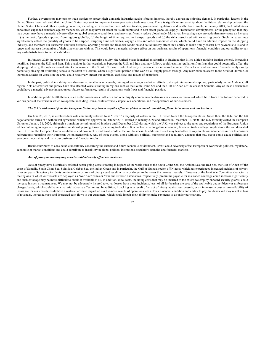Further, governments may turn to trade barriers to protect their domestic industries against foreign imports, thereby depressing shipping demand. In particular, leaders in the United States have indicated that the United States may seek to implement more protective trade measures. There is significant uncertainty about the future relationship between the United States, China and other exporting countries, including with respect to trade policies, treaties, government regulations and tariffs. For example, in January 2019, the United States announced expanded sanctions against Venezuela, which may have an effect on its oil output and in turn affect global oil supply. Protectionist developments, or the perception that they may occur, may have a material adverse effect on global economic conditions, and may significantly reduce global trade. Moreover, increasing trade protectionism may cause an increase in (a) the cost of goods exported from regions globally, (b) the length of time required to transport goods and (c) the risks associated with exporting goods. Such increases may significantly affect the quantity of goods to be shipped, shipping time schedules, voyage costs and other associated costs, which could have an adverse impact on the shipping industry, and therefore our charterers and their business, operating results and financial condition and could thereby affect their ability to make timely charter hire payments to us and to renew and increase the number of their time charters with us. This could have a material adverse effect on our business, results of operations, financial condition and our ability to pay any cash distributions to our stockholders.

In January 2020, in response to certain perceived terrorist activity, the United States launched an airstrike in Baghdad that killed a high-ranking Iranian general, increasing hostilities between the U.S. and Iran. This attack or further escalations between the U.S. and Iran that may follow, could result in retaliation from Iran that could potentially affect the shipping industry, through increased attacks on vessels in the Strait of Hormuz (which already experienced an increased number of attacks on and seizures of vessels lately), or by potentially closing off or limiting access to the Strait of Hormuz, where a significant portion of the world's oil supply passes through. Any restriction on access to the Strait of Hormuz, or increased attacks on vessels in the area, could negatively impact our earnings, cash flow and results of operations.

In the past, political instability has also resulted in attacks on vessels, mining of waterways and other efforts to disrupt international shipping, particularly in the Arabian Gulf region. Acts of terrorism and piracy have also affected vessels trading in regions such as the South China Sea and the Gulf of Aden off the coast of Somalia. Any of these occurrences could have a material adverse impact on our future performance, results of operations, cash flows and financial position.

In addition, public health threats, such as the coronavirus, influenza and other highly communicable diseases or viruses, outbreaks of which have from time to time occurred in various parts of the world in which we operate, including China, could adversely impact our operations, and the operations of our customers.

#### *The U.K.*'*s withdrawal from the European Union may have a negative effect on global economic conditions, financial markets and our business.*

On June 23, 2016, in a referendum vote commonly referred to as "Brexit" a majority of voters in the U.K. voted to exit the European Union. Since then, the U.K. and the EU negotiated the terms of a withdrawal agreement, which was approved in October 2019, ratified in January 2020 and effected in December 31, 2020. The U.K formally exited the European Union on January 31, 2020, although a transition period remained in place until December 2020 during which the U.K. was subject to the rules and regulations of the European Union while continuing to negotiate the parties' relationship going forward, including trade deals. It is unclear what long-term economic, financial, trade and legal implications the withdrawal of the U.K. from the European Union would have and how such withdrawal would affect our business. In addition, Brexit may lead other European Union member countries to consider referendums regarding their European Union membership. Any of these events, along with any political, economic and regulatory changes that may occur could cause political and economic uncertainty and harm our business and financial results.

Brexit contributes to considerable uncertainty concerning the current and future economic environment. Brexit could adversely affect European or worldwide political, regulatory, economic or market conditions and could contribute to instability in global political institutions, regulatory agencies and financial markets.

#### *Acts of piracy on ocean-going vessels could adversely affect our business.*

Acts of piracy have historically affected ocean-going vessels trading in regions of the world such as the South China Sea, the Arabian Sea, the Red Sea, the Gulf of Aden off the coast of Somalia, South China Sea, Sulu Sea, Celebes Sea, the Indian Ocean and in particular, the Gulf of Guinea, region off Nigeria, which has experienced increased incidents of privacy in recent years. Sea piracy incidents continue to occur. Acts of piracy could result in harm or danger to the crews that man our vessels. If insurers or the Joint War Committee characterize the regions in which our vessels are deployed as "war risk" zones or "war and strikes" listed areas, respectively, premiums payable for insurance coverage could increase significantly and such coverage may be more difficult to obtain if available at all. In addition, crew costs, including costs that may be incurred to the extent we employ onboard security guards, could increase in such circumstances. We may not be adequately insured to cover losses from these incidents, least of all for bearing the cost of the applicable deductible(s) or unforeseen charges/costs, which could have a material adverse effect on us. In addition, hijacking as a result of an act of piracy against our vessels, or an increase in cost or unavailability of insurance for our vessels, could have a material adverse impact on our business, results of operations, cash flows, financial condition and ability to pay dividends and may result in loss of revenues, increased costs and decreased cash flows to our customers, which could impair their ability to make payments to us under our charters.

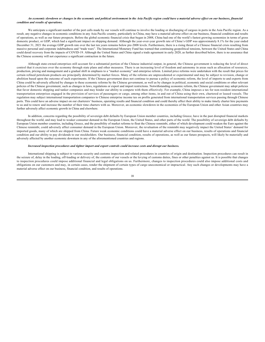# *An economic slowdown or changes in the economic and political environment in the Asia Pacific region could have a material adverse effect on our business, financial condition and results of operations.*

We anticipate a significant number of the port calls made by our vessels will continue to involve the loading or discharging of cargoes in ports in the Asia Pacific region. As a result, any negative changes in economic conditions in any Asia Pacific country, particularly in China, may have a material adverse effect on our business, financial condition and results of operations, as well as our future prospects. Before the global economic financial crisis that began in 2008, China had one of the world's fastest growing economies in terms of gross domestic product, or GDP, which had a significant impact on shipping demand. Although the year-over-year growth rate of China's GDP was approximately 8.1% for the year ended December 31, 2021 the average GDP growth rate over the last ten years remains below pre-2008 levels. Furthermore, there is a rising threat of a Chinese financial crisis resulting from massive personal and corporate indebtedness and "trade wars". The International Monetary Fund has warned that continuing geopolitical tensions, between the United States and China could derail recovery from the impacts of COVID-19. Although the United States and China signed a trade agreement in early 2020, as further described below, there is no assurance that the Chinese economy will not experience a significant contraction in the future.

Although state-owned enterprises still account for a substantial portion of the Chinese industrial output, in general, the Chinese government is reducing the level of direct control that it exercises over the economy through state plans and other measures. There is an increasing level of freedom and autonomy in areas such as allocation of resources, production, pricing and management and a gradual shift in emphasis to a "market economy" and enterprise reform. Limited price reforms were undertaken with the result that prices for certain refined petroleum products are principally determined by market forces. Many of the reforms are unprecedented or experimental and may be subject to revision, change or abolition based upon the outcome of such experiments. If the Chinese government does not continue to pursue a policy of economic reform, the level of imports to and exports from China could be adversely affected by changes to these economic reforms by the Chinese government, as well as by changes in political, economic and social conditions or other relevant policies of the Chinese government, such as changes in laws, regulations or export and import restrictions. Notwithstanding economic reform, the Chinese government may adopt policies that favor domestic shipping and tanker companies and may hinder our ability to compete with them effectively. For example, China imposes a tax for non-resident international transportation enterprises engaged in the provision of services of passengers or cargo, among other items, in and out of China using their own, chartered or leased vessels. The regulation may subject international transportation companies to Chinese enterprise income tax on profits generated from international transportation services passing through Chinese ports. This could have an adverse impact on our charterers' business, operating results and financial condition and could thereby affect their ability to make timely charter hire payments to us and to renew and increase the number of their time charters with us. Moreover, an economic slowdown in the economies of the European Union and other Asian countries may further adversely affect economic growth in China and elsewhere.

In addition, concerns regarding the possibility of sovereign debt defaults by European Union member countries, including Greece, have in the past disrupted financial markets throughout the world, and may lead to weaker consumer demand in the European Union, the United States, and other parts of the world. The possibility of sovereign debt defaults by European Union member countries, including Greece, and the possibility of market reforms to float the Chinese renminbi, either of which development could weaken the Euro against the Chinese renminbi, could adversely affect consumer demand in the European Union. Moreover, the revaluation of the renminbi may negatively impact the United States' demand for imported goods, many of which are shipped from China. Future weak economic conditions could have a material adverse effect on our business, results of operations and financial condition and our ability to pay dividends to our stockholders. Our business, financial condition, results of operations, as well as our future prospects, will likely be materially and adversely affected by another economic downturn in any of the aforementioned countries and regions.

#### *Increased inspection procedures and tighter import and export controls could increase costs and disrupt our business.*

International shipping is subject to various security and customs inspection and related procedures in countries of origin and destination. Inspection procedures can result in the seizure of, delay in the loading, off-loading or delivery of, the contents of our vessels or the levying of customs duties, fines or other penalties against us. It is possible that changes to inspection procedures could impose additional financial and legal obligations on us. Furthermore, changes to inspection procedures could also impose additional costs and obligations on our customers and may, in certain cases, render the shipment of certain types of cargo uneconomical or impractical. Any such changes or developments may have a material adverse effect on our business, financial condition, and results of operations.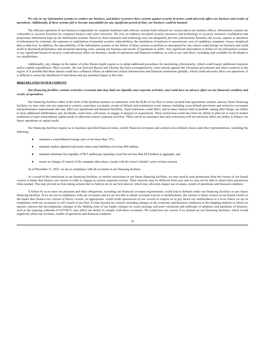# *We rely on our information systems to conduct our business, and failure to protect these systems against security breaches could adversely affect our business and results of operations. Additionally, if these systems fail or become unavailable for any significant period of time, our business could be harmed.*

The efficient operation of our business is dependent on computer hardware and software systems both onboard our vessels and at our onshore offices. Information systems are vulnerable to security breaches by computer hackers and cyber terrorists. We rely on industry-accepted security measures and technology to securely maintain confidential and proprietary information kept on our information systems. However, these measures and technology may not adequately prevent cybersecurity breaches, the access, capture or alteration of information by criminals, the exposure or exploitation of potential security vulnerabilities, the installation of malware or ransomware, acts of vandalism, computer viruses, misplaced data or data loss. In addition, the unavailability of the information systems or the failure of these systems to perform as anticipated for any reason could disrupt our business and could result in decreased performance and increased operating costs, causing our business and results of operations to suffer. Any significant interruption or failure of our information systems or any significant breach of security could adversely affect our business, results of operations and financial condition, as well as our cash flows, including cash available for dividends to our stockholders.

Additionally, any changes in the nature of cyber threats might require us to adopt additional procedures for monitoring cybersecurity, which could require additional expenses and/or capital expenditures. Most recently, the war between Russia and Ukraine has been accompanied by cyber-attacks against the Ukrainian government and other countries in the region. It is possible that these attacks could have collateral effects on additional critical infrastructure and financial institutions globally, which could adversely affect our operations. It is difficult to assess the likelihood of such threat and any potential impact at this time.

# **RISKS RELATED TO OUR COMPANY**

# *Our financing facilities contain restrictive covenants that may limit our liquidity and corporate activities, and could have an adverse effect on our financial condition and results of operations.*

Our financing facilities either in the form of the bareboat charters in connection with the SLBs of our fleet or senior secured loan agreements contain, and any future financing facilities we may enter into are expected to contain, customary covenants, events of default and termination event clauses, including cross-default provisions and restrictive covenants and performance requirements that may affect our operational and financial flexibility. Such restrictions could affect, and in many respects limit or prohibit, among other things, our ability to incur additional indebtedness, pay dividends, create liens, sell assets, or engage in mergers or acquisitions. These restrictions could also limit our ability to plan for or react to market conditions or meet extraordinary capital needs or otherwise restrict corporate activities. There can be no assurance that such restrictions will not adversely affect our ability to finance our future operations or capital needs.

Our financing facilities require us to maintain specified financial ratios, satisfy financial covenants and contain cross-default clauses and other representations, including the following:

- maintain a consolidated leverage ratio of not more than 75%;
- maintain market adjusted total assets minus total liabilities of at least \$60 million,
- maintain minimum free liquidity of \$0.5 million per operating vessel but not less than \$4.0 million in aggregate; and
- assure no change of control of the company takes place, except with the lessor's/lender's prior written consent.

As of December 31, 2021, we are in compliance with all covenants in our financing facilities.

As a result of the restrictions in our financing facilities, or similar restrictions in our future financing facilities, we may need to seek permission from the owners of our leased vessels or banks that finance our vessels in order to engage in certain corporate actions. Their interests may be different from ours and we may not be able to obtain their permission when needed. This may prevent us from taking actions that we believe are in our best interest, which may adversely impact our revenues, results of operations and financial condition.

A failure by us to meet our payment and other obligations, including our financial covenant requirements, could lead to defaults under our financing facilities or any future financing facilities. If we are not in compliance with our covenants and we are not able to obtain covenant waivers or modifications, the current or future owners of our leased vessels or the banks that finance our current of future vessels, as appropriate, could retake possession of our vessels or require us to pay down our indebtedness to a level where we are in compliance with our covenants or sell vessels in our fleet. Events beyond our control, including changes in the economic and business conditions in the shipping markets in which we operate, interest rate developments, changes in the funding costs of our banks, changes in vessel earnings and asset valuations and outbreaks of epidemic and pandemic of diseases, such as the ongoing outbreak of COVID-9, may affect our ability to comply with these covenants. We could lose our vessels if we default on our financing facilities, which would negatively affect our revenues, results of operations and financial condition.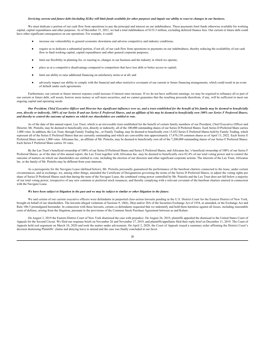# *Servicing current and future debt (including SLBs) will limit funds available for other purposes and impair our ability to react to changes in our business.*

We must dedicate a portion of our cash flow from operations to pay the principal and interest on our indebtedness. These payments limit funds otherwise available for working capital, capital expenditures and other purposes. As of December 31, 2021, we had a total indebtedness of \$153.3 million, excluding deferred finance fees. Our current or future debt could have other significant consequences on our operations. For example, it could:

- increase our vulnerability to general economic downturns and adverse competitive and industry conditions;
- require us to dedicate a substantial portion, if not all, of our cash flow from operations to payments on our indebtedness, thereby reducing the availability of our cash flow to fund working capital, capital expenditures and other general corporate purposes;
- limit our flexibility in planning for, or reacting to, changes in our business and the industry in which we operate;
- place us at a competitive disadvantage compared to competitors that have less debt or better access to capital;
- limit our ability to raise additional financing on satisfactory terms or at all; and
- adversely impact our ability to comply with the financial and other restrictive covenants of our current or future financing arrangements, which could result in an event of default under such agreements.

Furthermore, our current or future interest expense could increase if interest rates increase. If we do not have sufficient earnings, we may be required to refinance all or part of our current or future debt, sell assets, borrow more money or sell more securities, and we cannot guarantee that the resulting proceeds therefrom, if any, will be sufficient to meet our ongoing capital and operating needs.

## *Our President, Chief Executive Officer and Director has significant influence over us, and a trust established for the benefit of his family may be deemed to beneficially own, directly or indirectly, 100% of our Series D and our Series E Preferred Shares, and an affiliate of his may be deemed to beneficially own 100% our Series F Preferred Shares, and thereby to control the outcome of matters on which our shareholders are entitled to vote.*

As of the date of this annual report, Lax Trust, which is an irrevocable trust established for the benefit of certain family members of our President, Chief Executive Officer and Director, Mr. Pistiolis, may be deemed to beneficially own, directly or indirectly, all of the 100,000 outstanding shares of our Series D Preferred Shares. Each Series D Preferred Share carries 1,000 votes. In addition, the Lax Trust, through Family Trading Inc., or Family Trading, may be deemed to beneficially own 13,452 Series E Preferred Shares held by Family Trading, which represent all of the Series E Preferred Shares that are currently outstanding and which are convertible into approximately 17,470,130 common shares as of April 13, 2022. Each Series E Preferred Share carries 1,000 votes. Africanus Inc., an affiliate of Mr. Pistiolis, may be deemed to beneficially own all of the 7,200,000 outstanding shares of our Series F Preferred Shares. Each Series F Preferred Share carries 10 votes.

By the Lax Trust's beneficial ownership of 100% of our Series D Preferred Shares and Series E Preferred Shares, and Africanus Inc.'s beneficial ownership of 100% of our Series F Preferred Shares, as of the date of this annual report, the Lax Trust together with Africanus Inc. may be deemed to beneficially own 82.4% of our total voting power and to control the outcome of matters on which our shareholders are entitled to vote, including the election of our directors and other significant corporate actions. The interests of the Lax Trust, Africanus Inc. or the family of Mr. Pistiolis may be different from your interests.

As a prerequisite for the Navigare Lease (defined below), Mr. Pistiolis personally guaranteed the performance of the bareboat charters connected to the lease, under certain circumstances, and in exchange, we, among other things, amended the Certificate of Designations governing the terms of the Series D Preferred Shares, to adjust the voting rights per share of Series D Preferred Shares such that during the term of the Navigare Lease, the combined voting power controlled by Mr. Pistiolis and the Lax Trust does not fall below a majority of our total voting power, irrespective of any new common or preferred stock issuances, and thereby complying with a relevant covenant of the bareboat charters entered in connection with the Navigare Lease.

# *We have been subject to litigation in the past and we may be subject to similar or other litigation in the future.*

We and certain of our current executive officers were defendants in purported class-action lawsuits pending in the U.S. District Court for the Eastern District of New York, brought on behalf of our shareholders. The lawsuits alleged violations of Sections 9, 10(b), 20(a) and/or 20A of the Securities Exchange Act of 1934, as amended, or the Exchange Act and Rule 10b-5 promulgated hereunder. In connection with these lawsuits, certain co-defendants requested that we indemnify and hold them harmless against all losses, including reasonable costs of defense, arising from the litigation, pursuant to the provisions of the Common Stock Purchase Agreement between us and Kalani.

On August 3, 2019 the Eastern District Court of New York dismissed the case with prejudice. On August 26, 2019, plaintiffs appealed the dismissal to the United States Court of Appeals for the Second Circuit. We filed our response briefs on November 26 and November 27, 2019, and plaintiffs/appellants filed their reply brief on December 11, 2019. The Court of Appeals held oral argument on March 10, 2020 and took the matter under advisement. On April 2, 2020, the Court of Appeals issued a summary order affirming the District Court's decision dismissing Plaintiffs' claims and denying leave to amend and the case was finally concluded in our favor.

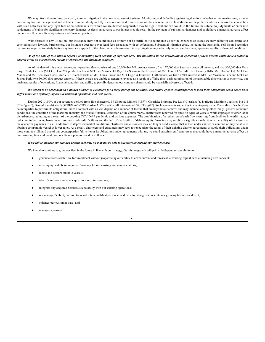We may, from time to time, be a party to other litigation in the normal course of business. Monitoring and defending against legal actions, whether or not meritorious, is timeconsuming for our management and detracts from our ability to fully focus our internal resources on our business activities. In addition, our legal fees and costs incurred in connection with such activities and any legal fees of co-defendants for which we are deemed responsible may be significant and we could, in the future, be subject to judgments or enter into settlements of claims for significant monetary damages. A decision adverse to our interests could result in the payment of substantial damages and could have a material adverse effect on our cash flow, results of operations and financial position.

With respect to any litigation, our insurance may not reimburse us or may not be sufficient to reimburse us for the expenses or losses we may suffer in contesting and concluding such lawsuit. Furthermore, our insurance does not cover legal fees associated with co-defendants. Substantial litigation costs, including the substantial self-insured retention that we are required to satisfy before any insurance applied to the claim, or an adverse result in any litigation may adversely impact our business, operating results or financial condition.

# *As of the date of this annual report our operating fleet consists of eight tankers. Any limitation in the availability or operation of these vessels could have a material adverse effect on our business, results of operations and financial condition.*

As of the date of this annual report, our operating fleet consists of one 50,000 dwt MR product tanker, five 157,000 dwt Suezmax crude oil tankers, and two 300,000 dwt Very Large Crude Carriers (VLCCs). Our MR product tanker is M/T Eco Marina Del Ray. Our Suezmax fleet consists of M/T Eco Bel Air, M/T Eco Beverly Hills, M/T Oceano CA, M/T Eco Malibu and M/T Eco West Coast. Our VLCC fleet consists of M/T Julius Caesar and M/T Legio X Equestris. Furthermore, we have a 50% interest in M/T Eco Yosemite Park and M/T Eco Joshua Park, two 50,000 dwt product tankers. If these vessels are unable to generate revenue as a result of off hire time, early termination of the applicable time charter or otherwise, our business, results of operations, financial condition and ability to pay dividends on our common shares could be materially adversely affected.

#### *We expect to be dependent on a limited number of customers for a large part of our revenues, and failure of such counterparties to meet their obligations could cause us to suffer losses or negatively impact our results of operations and cash flows.*

During 2021, 100% of our revenues derived from five charterers, BP Shipping Limited ("BP"), Clearlake Shipping Pte Ltd ("Clearlake"), Trafigura Maritime Logistics Pte Ltd ("Trafigura"), Dampskibsselskabet NORDEN A/S ("DS Norden A/S"), and Cargill International SA ("Cargill"). Such agreements subject us to counterparty risks. The ability of each of our counterparties to perform its obligations under a contract with us will depend on a number of factors that are beyond our control and may include, among other things, general economic conditions, the condition of the maritime industry, the overall financial condition of the counterparty, charter rates received for specific types of vessels, work stoppages or other labor disturbances, including as a result of the ongoing COVID-19 pandemic and various expenses. The combination of a reduction of cash flow resulting from declines in world trade, a reduction in borrowing bases under reserve-based credit facilities and the lack of availability of debt or equity financing may result in a significant reduction in the ability of charterers to make charter payments to us. In addition, in depressed market conditions, charterers and customers may no longer need a vessel that is then under charter or contract or may be able to obtain a comparable vessel at lower rates. As a result, charterers and customers may seek to renegotiate the terms of their existing charter agreements or avoid their obligations under those contracts. Should one of our counterparties fail to honor its obligations under agreements with us, we could sustain significant losses that could have a material adverse effect on our business, financial condition, results of operations and cash flows.

# *If we fail to manage our planned growth properly, we may not be able to successfully expand our market share.*

We intend to continue to grow our fleet in the future in line with our strategy. Our future growth will primarily depend on our ability to:

- generate excess cash flow for investment without jeopardizing our ability to cover current and foreseeable working capital needs (including debt service);
- raise equity and obtain required financing for our existing and new operations;
- locate and acquire suitable vessels;
- identify and consummate acquisitions or joint ventures;
- integrate any acquired business successfully with our existing operations;
- our manager's ability to hire, train and retain qualified personnel and crew to manage and operate our growing business and fleet;
- enhance our customer base; and
- manage expansion.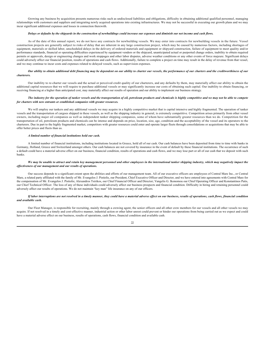Growing any business by acquisition presents numerous risks such as undisclosed liabilities and obligations, difficulty in obtaining additional qualified personnel, managing relationships with customers and suppliers and integrating newly acquired operations into existing infrastructures. We may not be successful in executing our growth plans and we may incur significant additional expenses and losses in connection therewith.

#### *Delays or defaults by the shipyards in the construction of newbuildings could increase our expenses and diminish our net income and cash flows.*

As of the date of this annual report, we do not have any contracts for newbuilding vessels. We may enter into contracts for newbuilding vessels in the future. Vessel construction projects are generally subject to risks of delay that are inherent in any large construction project, which may be caused by numerous factors, including shortages of equipment, materials or skilled labor, unscheduled delays in the delivery of ordered materials and equipment or shipyard construction, failure of equipment to meet quality and/or performance standards, financial or operating difficulties experienced by equipment vendors or the shipyard, unanticipated actual or purported change orders, inability to obtain required permits or approvals, design or engineering changes and work stoppages and other labor disputes, adverse weather conditions or any other events of force majeure. Significant delays could adversely affect our financial position, results of operations and cash flows. Additionally, failure to complete a project on time may result in the delay of revenue from that vessel, and we may continue to incur costs and expenses related to delayed vessels, such as supervision expenses.

## *Our ability to obtain additional debt financing may be dependent on our ability to charter our vessels, the performance of our charters and the creditworthiness of our charterers.*

Our inability to re-charter our vessels and the actual or perceived credit quality of our charterers, and any defaults by them, may materially affect our ability to obtain the additional capital resources that we will require to purchase additional vessels or may significantly increase our costs of obtaining such capital. Our inability to obtain financing, or receiving financing at a higher than anticipated cost, may materially affect our results of operation and our ability to implement our business strategy.

#### *The industry for the operation of tanker vessels and the transportation of oil, petroleum products and chemicals is highly competitive and we may not be able to compete for charters with new entrants or established companies with greater resources.*

We will employ our tankers and any additional vessels we may acquire in a highly competitive market that is capital intensive and highly fragmented. The operation of tanker vessels and the transportation of cargoes shipped in these vessels, as well as the shipping industry in general, is extremely competitive. Competition arises primarily from other vessel owners, including major oil companies as well as independent tanker shipping companies, some of whom have substantially greater resources than we do. Competition for the transportation of oil, petroleum products and chemicals can be intense and depends on price, location, size, age, condition and the acceptability of the vessel and its operators to the charterers. Due in part to the highly fragmented market, competitors with greater resources could enter and operate larger fleets through consolidations or acquisitions that may be able to offer better prices and fleets than us.

# *A limited number of financial institutions hold our cash.*

A limited number of financial institutions, including institutions located in Greece, hold all of our cash. Our cash balances have been deposited from time to time with banks in Germany, Holland, Greece and Switzerland amongst others. Our cash balances are not covered by insurance in the event of default by these financial institutions. The occurrence of such a default could have a material adverse effect on our business, financial condition, results of operations and cash flows, and we may lose part or all of our cash that we deposit with such banks.

#### *We may be unable to attract and retain key management personnel and other employees in the international tanker shipping industry, which may negatively impact the effectiveness of our management and our results of operations.*

Our success depends to a significant extent upon the abilities and efforts of our management team. All of our executive officers are employees of Central Mare Inc., or Central Mare, a related party affiliated with the family of Mr. Evangelos J. Pistiolis, our President, Chief Executive Officer and Director, and we have entered into agreements with Central Mare for the compensation of Mr. Evangelos J. Pistiolis; Alexandros Tsirikos, our Chief Financial Officer and Director; Vangelis G. Ikonomou our Chief Operating Officer and Konstantinos Patis, our Chief Technical Officer. The loss of any of these individuals could adversely affect our business prospects and financial condition. Difficulty in hiring and retaining personnel could adversely affect our results of operations. We do not maintain "key man" life insurance on any of our officers.

#### *If labor interruptions are not resolved in a timely manner, they could have a material adverse effect on our business, results of operations, cash flows, financial condition and available cash.*

Our Fleet Manager, is responsible for recruiting, mainly through a crewing agent, the senior officers and all other crew members for our vessels and all other vessels we may acquire. If not resolved in a timely and cost-effective manner, industrial action or other labor unrest could prevent or hinder our operations from being carried out as we expect and could have a material adverse effect on our business, results of operations, cash flows, financial condition and available cash.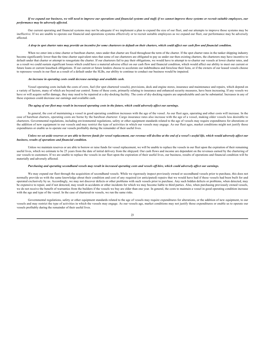# *If we expand our business, we will need to improve our operations and financial systems and staff; if we cannot improve these systems or recruit suitable employees, our performance may be adversely affected.*

Our current operating and financial systems may not be adequate if we implement a plan to expand the size of our fleet, and our attempts to improve those systems may be ineffective. If we are unable to operate our financial and operations systems effectively or to recruit suitable employees as we expand our fleet, our performance may be adversely affected.

#### *A drop in spot charter rates may provide an incentive for some charterers to default on their charters, which could affect our cash flow and financial condition.*

When we enter into a time charter or bareboat charter, rates under that charter are fixed throughout the term of the charter. If the spot charter rates in the tanker shipping industry become significantly lower than the time charter equivalent rates that some of our charterers are obligated to pay us under our then existing charters, the charterers may have incentive to default under that charter or attempt to renegotiate the charter. If our charterers fail to pay their obligations, we would have to attempt to re-charter our vessels at lower charter rates, and as a result we could sustain significant losses which could have a material adverse effect on our cash flow and financial condition, which would affect our ability to meet our current or future loans or current leaseback obligations. If our current or future lenders choose to accelerate our indebtedness and foreclose their liens, or if the owners of our leased vessels choose to repossess vessels in our fleet as a result of a default under the SLBs, our ability to continue to conduct our business would be impaired.

#### *An increase in operating costs could decrease earnings and available cash.*

Vessel operating costs include the costs of crew, fuel (for spot chartered vessels), provisions, deck and engine stores, insurance and maintenance and repairs, which depend on a variety of factors, many of which are beyond our control. Some of these costs, primarily relating to insurance and enhanced security measures, have been increasing. If any vessels we have or will acquire suffer damage, they may need to be repaired at a dry-docking facility. The costs of dry-docking repairs are unpredictable and can be substantial. Increases in any of these expenses could decrease our earnings and available cash.

# *The aging of our fleet may result in increased operating costs in the future, which could adversely affect our earnings.*

In general, the cost of maintaining a vessel in good operating condition increases with the age of the vessel. As our fleet ages, operating and other costs will increase. In the case of bareboat charters, operating costs are borne by the bareboat charterer. Cargo insurance rates also increase with the age of a vessel, making older vessels less desirable to charterers. Governmental regulations, including environmental regulations, safety or other equipment standards related to the age of vessels may require expenditures for alterations or the addition of new equipment to our vessels and may restrict the type of activities in which our vessels may engage. As our fleet ages, market conditions might not justify those expenditures or enable us to operate our vessels profitably during the remainder of their useful lives.

#### *Unless we set aside reserves or are able to borrow funds for vessel replacement, our revenue will decline at the end of a vessel*'*s useful life, which would adversely affect our business, results of operations and financial condition.*

Unless we maintain reserves or are able to borrow or raise funds for vessel replacement, we will be unable to replace the vessels in our fleet upon the expiration of their remaining useful lives, which we estimate to be 25 years from the date of initial delivery from the shipyard. Our cash flows and income are dependent on the revenues earned by the chartering of our vessels to customers. If we are unable to replace the vessels in our fleet upon the expiration of their useful lives, our business, results of operations and financial condition will be materially and adversely affected.

#### *Purchasing and operating secondhand vessels may result in increased operating costs and vessels off-hire, which could adversely affect our earnings.*

We may expand our fleet through the acquisition of secondhand vessels. While we rigorously inspect previously owned or secondhand vessels prior to purchase, this does not normally provide us with the same knowledge about their condition and cost of any required (or anticipated) repairs that we would have had if these vessels had been built for and operated exclusively by us. Accordingly, we may not discover defects or other problems with such vessels prior to purchase. Any such hidden defects or problems, when detected, may be expensive to repair, and if not detected, may result in accidents or other incidents for which we may become liable to third parties. Also, when purchasing previously owned vessels, we do not receive the benefit of warranties from the builders if the vessels we buy are older than one year. In general, the costs to maintain a vessel in good operating condition increase with the age and type of the vessel. In the case of chartered-in vessels, we run the same risks.

Governmental regulations, safety or other equipment standards related to the age of vessels may require expenditures for alterations, or the addition of new equipment, to our vessels and may restrict the type of activities in which the vessels may engage. As our vessels age, market conditions may not justify those expenditures or enable us to operate our vessels profitably during the remainder of their useful lives.

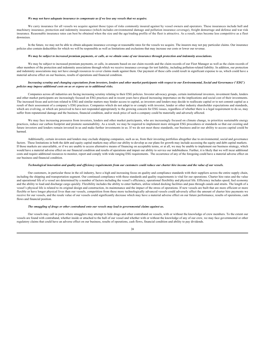## *We may not have adequate insurance to compensate us if we lose any vessels that we acquire.*

We carry insurance for all vessels we acquire against those types of risks commonly insured against by vessel owners and operators. These insurances include hull and machinery insurance, protection and indemnity insurance (which includes environmental damage and pollution insurance coverage), freight demurrage and defense and war risk insurance. Reasonable insurance rates can best be obtained when the size and the age/trading profile of the fleet is attractive. As a result, rates become less competitive as a fleet downsizes.

In the future, we may not be able to obtain adequate insurance coverage at reasonable rates for the vessels we acquire. The insurers may not pay particular claims. Our insurance policies also contain deductibles for which we will be responsible as well as limitations and exclusions that may increase our costs or lower our revenue.

#### *We may be subject to increased premium payments, or calls, as we obtain some of our insurance through protection and indemnity associations.*

We may be subject to increased premium payments, or calls, in amounts based on our claim records and the claim records of our Fleet Manager as well as the claim records of other members of the protection and indemnity associations through which we receive insurance coverage for tort liability, including pollution-related liability. In addition, our protection and indemnity associations may not have enough resources to cover claims made against them. Our payment of these calls could result in significant expense to us, which could have a material adverse effect on our business, results of operations and financial condition.

#### *Increasing scrutiny and changing expectations from investors, lenders and other market participants with respect to our Environmental, Social and Governance (*"*ESG*"*) policies may impose additional costs on us or expose us to additional risks.*

Companies across all industries are facing increasing scrutiny relating to their ESG policies. Investor advocacy groups, certain institutional investors, investment funds, lenders and other market participants are increasingly focused on ESG practices and in recent years have placed increasing importance on the implications and social cost of their investments. The increased focus and activism related to ESG and similar matters may hinder access to capital, as investors and lenders may decide to reallocate capital or to not commit capital as a result of their assessment of a company's ESG practices. Companies which do not adapt to or comply with investor, lender or other industry shareholder expectations and standards, which are evolving, or which are perceived to have not responded appropriately to the growing concern for ESG issues, regardless of whether there is a legal requirement to do so, may suffer from reputational damage and the business, financial condition, and/or stock price of such a company could be materially and adversely affected.

We may face increasing pressures from investors, lenders and other market participants, who are increasingly focused on climate change, to prioritize sustainable energy practices, reduce our carbon footprint and promote sustainability. As a result, we may be required to implement more stringent ESG procedures or standards so that our existing and future investors and lenders remain invested in us and make further investments in us. If we do not meet these standards, our business and/or our ability to access capital could be harmed.

Additionally, certain investors and lenders may exclude shipping companies, such as us, from their investing portfolios altogether due to environmental, social and governance factors. These limitations in both the debt and equity capital markets may affect our ability to develop as our plans for growth may include accessing the equity and debt capital markets. If those markets are unavailable, or if we are unable to access alternative means of financing on acceptable terms, or at all, we may be unable to implement our business strategy, which would have a material adverse effect on our financial condition and results of operations and impair our ability to service our indebtedness. Further, it is likely that we will incur additional costs and require additional resources to monitor, report and comply with wide ranging ESG requirements. The occurrence of any of the foregoing could have a material adverse effect on our business and financial condition.

#### *Technological innovation and quality and efficiency requirements from our customers could reduce our charter hire income and the value of our vessels.*

Our customers, in particular those in the oil industry, have a high and increasing focus on quality and compliance standards with their suppliers across the entire supply chain, including the shipping and transportation segment. Our continued compliance with these standards and quality requirements is vital for our operations. Charter hire rates and the value and operational life of a vessel are determined by a number of factors including the vessel's efficiency, operational flexibility and physical life. Efficiency includes speed, fuel economy and the ability to load and discharge cargo quickly. Flexibility includes the ability to enter harbors, utilize related docking facilities and pass through canals and straits. The length of a vessel's physical life is related to its original design and construction, its maintenance and the impact of the stress of operations. If new vessels are built that are more efficient or more flexible or have longer physical lives than our vessels, competition from these more technologically advanced vessels could adversely affect the amount of charter hire payments we receive for our vessels, and the resale value of our vessels could significantly decrease which may have a material adverse effect on our future performance, results of operations, cash flows and financial position.

# *The smuggling of drugs or other contraband onto our vessels may lead to governmental claims against us.*

Our vessels may call in ports where smugglers may attempt to hide drugs and other contraband on vessels, with or without the knowledge of crew members. To the extent our vessels are found with contraband, whether inside or attached to the hull of our vessel and whether with or without the knowledge of any of our crew, we may face governmental or other regulatory claims that could have an adverse effect on our business, results of operations, cash flows, financial condition and ability to pay dividends.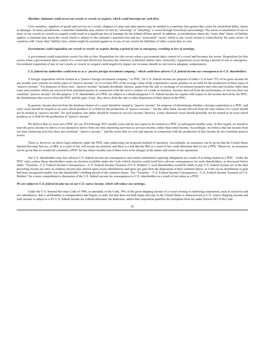# *Maritime claimants could arrest our vessels or vessels we acquire, which could interrupt our cash flow.*

Crew members, suppliers of goods and services to a vessel, shippers of cargo and other parties may be entitled to a maritime lien against that vessel for unsatisfied debts, claims or damages. In many jurisdictions, a maritime lienholder may enforce its lien by "arresting" or "attaching" a vessel through foreclosure proceedings. The arrest or attachment of one or more of our vessels or vessels we acquire could result in a significant loss of earnings for the related off-hire period. In addition, in jurisdictions where the "sister ship" theory of liability applies, a claimant may arrest the vessel which is subject to the claimant's maritime lien and any "associated" vessel, which is any vessel owned or controlled by the same owner. In countries with "sister ship" liability laws, claims might be asserted against us or any of our vessels for liabilities of other vessels that we own.

#### *Governments could requisition our vessels or vessels we acquire during a period of war or emergency, resulting in loss of earnings.*

A government could requisition vessels for title or hire. Requisition for title occurs when a government takes control of a vessel and becomes the owner. Requisition for hire occurs when a government takes control of a vessel and effectively becomes the charterer at dictated charter rates. Generally, requisitions occur during a period of war or emergency. Government requisition of any of our vessels or vessels we acquire could negatively impact our revenues should we not receive adequate compensation.

#### *U.S. federal tax authorities could treat us as a* "*passive foreign investment company,*" *which could have adverse U.S. federal income tax consequences to U.S. shareholders.*

A foreign corporation will be treated as a "passive foreign investment company," or PFIC, for U.S. federal income tax purposes if either (1) at least 75% of its gross income for any taxable year consists of certain types of "passive income" or (2) at least 50% of the average value of the corporation's assets produce or are held for the production of those types of "passive income." For purposes of these tests, "passive income" includes dividends, interest, gains from the sale or exchange of investment property and rents and royalties other than rents and royalties which are received from unrelated parties in connection with the active conduct of a trade or business. Income derived from the performance of services does not constitute "passive income" for this purpose. U.S. shareholders of a PFIC are subject to a disadvantageous U.S. federal income tax regime with respect to the income derived by the PFIC, the distributions they receive from the PFIC and the gain, if any, they derive from the sale or other disposition of their shares in the PFIC.

In general, income derived from the bareboat charter of a vessel should be treated as "passive income" for purposes of determining whether a foreign corporation is a PFIC, and such vessel should be treated as an asset which produces or is held for the production of "passive income." On the other hand, income derived from the time charter of a vessel should not be treated as "passive income" for such purpose, but rather should be treated as services income; likewise, a time chartered vessel should generally not be treated as an asset which produces or is held for the production of "passive income."

We believe that we were not a PFIC for our 2014 through 2021 taxable years and do not expect to be treated as a PFIC in subsequent taxable years. In this regard, we intend to treat the gross income we derive or are deemed to derive from our time chartering activities as services income, rather than rental income. Accordingly, we believe that our income from our time chartering activities does not constitute ''passive income,'' and the assets that we own and operate in connection with the production of that income do not constitute passive assets.

There is, however, no direct legal authority under the PFIC rules addressing our proposed method of operation. Accordingly, no assurance can be given that the United States Internal Revenue Service, or IRS, or a court of law will accept our position, and there is a risk that the IRS or a court of law could determine that we are a PFIC. Moreover, no assurance can be given that we would not constitute a PFIC for any future taxable year if there were to be changes in the nature and extent of our operations.

Our U.S. shareholders may face adverse U.S. federal income tax consequences and certain information reporting obligations as a result of us being treated as a PFIC. Under the PFIC rules, unless those shareholders make an election available under the Code (which election could itself have adverse consequences for such shareholders, as discussed below under "Taxation– U.S. Federal Income Consequences—U.S. Federal Income Taxation of U.S. Holders"), such shareholders would be liable to pay U.S. federal income tax at the then prevailing income tax rates on ordinary income plus interest upon excess distributions and upon any gain from the disposition of their common shares, as if the excess distribution or gain had been recognized ratably over the shareholder's holding period of the common shares. See "Taxation --U.S. Federal Income Consequences--U.S. Federal Income Taxation of U.S. Holders" for a more comprehensive discussion of the U.S. federal income tax consequences to U.S. shareholders as a result of our status as a PFIC.

#### *We are subject to U.S. federal income tax on our U.S. source income, which will reduce our earnings.*

Under the U.S. Internal Revenue Code of 1986, as amended, or the Code, 50% of the gross shipping income of a vessel owning or chartering corporation, such as ourselves and our subsidiaries, that is attributable to transportation that begins or ends, but that does not both begin and end, in the United States is characterized as U.S. source shipping income and such income is subject to a 4% U.S. federal income tax without allowance for deduction, unless that corporation qualifies for exemption from tax under Section 883 of the Code.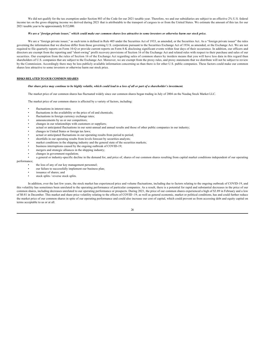We did not qualify for the tax exemption under Section 883 of the Code for our 2021 taxable year. Therefore, we and our subsidiaries are subject to an effective 2% U.S. federal income tax on the gross shipping income we derived during 2021 that is attributable to the transport of cargoes to or from the United States. We estimate the amount of this tax for our 2021 taxable year to be approximately \$152,000.

#### *We are a* "*foreign private issuer,*" *which could make our common shares less attractive to some investors or otherwise harm our stock price.*

We are a "foreign private issuer," as such term is defined in Rule 405 under the Securities Act of 1933, as amended, or the Securities Act. As a "foreign private issuer" the rules governing the information that we disclose differ from those governing U.S. corporations pursuant to the Securities Exchange Act of 1934, as amended, or the Exchange Act. We are not required to file quarterly reports on Form 10-Q or provide current reports on Form 8-K disclosing significant events within four days of their occurrence. In addition, our officers and directors are exempt from the reporting and "short-swing" profit recovery provisions of Section 16 of the Exchange Act and related rules with respect to their purchase and sales of our securities. Our exemption from the rules of Section 16 of the Exchange Act regarding sales of common shares by insiders means that you will have less data in this regard than shareholders of U.S. companies that are subject to the Exchange Act. Moreover, we are exempt from the proxy rules, and proxy statements that we distribute will not be subject to review by the Commission. Accordingly there may be less publicly available information concerning us than there is for other U.S. public companies. These factors could make our common shares less attractive to some investors or otherwise harm our stock price.

### **RISKS RELATED TO OUR COMMON SHARES**

#### *Our share price may continue to be highly volatile, which could lead to a loss of all or part of a shareholder*'*s investment.*

The market price of our common shares has fluctuated widely since our common shares began trading in July of 2004 on the Nasdaq Stock Market LLC.

The market price of our common shares is affected by a variety of factors, including:

- fluctuations in interest rates:
- fluctuations in the availability or the price of oil and chemicals;
- fluctuations in foreign currency exchange rates;
- announcements by us or our competitors;
- changes in our relationships with customers or suppliers;
- actual or anticipated fluctuations in our semi-annual and annual results and those of other public companies in our industry;
- changes in United States or foreign tax laws;
- actual or anticipated fluctuations in our operating results from period to period;
- shortfalls in our operating results from levels forecast by securities analysts;
- market conditions in the shipping industry and the general state of the securities markets;
- business interruptions caused by the ongoing outbreak of COVID-19;
- mergers and strategic alliances in the shipping industry;
- changes in government regulation;

a general or industry-specific decline in the demand for, and price of, shares of our common shares resulting from capital market conditions independent of our operating

#### performance;

- the loss of any of our key management personnel;
- our failure to successfully implement our business plan;
- issuance of shares; and
- stock splits / reverse stock splits.

In addition, over the last few years, the stock market has experienced price and volume fluctuations, including due to factors relating to the ongoing outbreak of COVID-19, and this volatility has sometimes been unrelated to the operating performance of particular companies. As a result, there is a potential for rapid and substantial decreases in the price of our common shares, including decreases unrelated to our operating performance or prospects. During 2021, the price of our common shares experienced a high of \$3.89 in February and a low of \$0.81 in December. This market and share price volatility relating to the effects of COVID -19, as well as general economic, market or political conditions, has and could further reduce the market price of our common shares in spite of our operating performance and could also increase our cost of capital, which could prevent us from accessing debt and equity capital on terms acceptable to us or at all.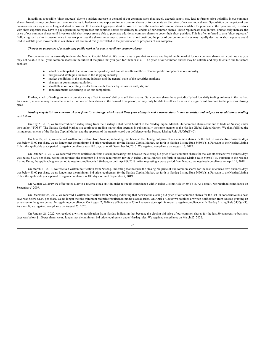In addition, a possible "short squeeze" due to a sudden increase in demand of our common stock that largely exceeds supply may lead to further price volatility in our common shares. Investors may purchase our common shares to hedge existing exposure in our common shares or to speculate on the price of our common shares. Speculation on the price of our common shares may involve long and short exposures. To the extent aggregate short exposure exceeds the number of common shares available for purchase in the open market, investors with short exposure may have to pay a premium to repurchase our common shares for delivery to lenders of our common shares. Those repurchases may in turn, dramatically increase the price of our common shares until investors with short exposure are able to purchase additional common shares to cover their short position. This is often referred to as a "short squeeze." Following such a short squeeze, once investors purchase the shares necessary to cover their short position, the price of our common shares may rapidly decline. A short squeeze could lead to volatile price movements in our shares that are not directly correlated to the performance or prospects of our company.

#### *There is no guarantee of a continuing public market for you to resell our common shares.*

Our common shares currently trade on the Nasdaq Capital Market. We cannot assure you that an active and liquid public market for our common shares will continue and you may not be able to sell your common shares in the future at the price that you paid for them or at all. The price of our common shares may be volatile and may fluctuate due to factors such as:

- actual or anticipated fluctuations in our quarterly and annual results and those of other public companies in our industry;
- mergers and strategic alliances in the shipping industry;
- market conditions in the shipping industry and the general state of the securities markets;
- changes in government regulation;
- shortfalls in our operating results from levels forecast by securities analysts; and
- announcements concerning us or our competitors.

Further, a lack of trading volume in our stock may affect investors' ability to sell their shares. Our common shares have periodically had low daily trading volumes in the market. As a result, investors may be unable to sell all or any of their shares in the desired time period, or may only be able to sell such shares at a significant discount to the previous closing price.

#### *Nasdaq may delist our common shares from its exchange which could limit your ability to make transactions in our securities and subject us to additional trading restrictions.*

On July 27, 2016, we transferred our Nasdaq listing from the Nasdaq Global Select Market to the Nasdaq Capital Market. Our common shares continue to trade on Nasdaq under the symbol "TOPS". The Nasdaq Capital Market is a continuous trading market that operates in substantially the same manner as the Nasdaq Global Select Market. We then fulfilled the listing requirements of the Nasdaq Capital Market and the approval of the transfer cured our deficiency under Nasdaq Listing Rule 5450(b)(1)(C).

On June 27, 2017, we received written notification from Nasdaq, indicating that because the closing bid price of our common shares for the last 30 consecutive business days was below \$1.00 per share, we no longer met the minimum bid price requirement for the Nasdaq Capital Market, set forth in Nasdaq Listing Rule 5450(a)(1). Pursuant to the Nasdaq Listing Rules, the applicable grace period to regain compliance was 180 days, or until December 26, 2017. We regained compliance on August 17, 2017.

On October 10, 2017, we received written notification from Nasdaq indicating that because the closing bid price of our common shares for the last 30 consecutive business days was below \$1.00 per share, we no longer meet the minimum bid price requirement for the Nasdaq Capital Market, set forth in Nasdaq Listing Rule 5450(a)(1). Pursuant to the Nasdaq Listing Rules, the applicable grace period to regain compliance is 180 days, or until April 9, 2018. After requesting a grace period from Nasdaq, we regained compliance on April 11, 2018.

On March 11, 2019, we received written notification from Nasdaq, indicating that because the closing bid price of our common shares for the last 30 consecutive business days was below \$1.00 per share, we no longer met the minimum bid price requirement for the Nasdaq Capital Market, set forth in Nasdaq Listing Rule 5450(a)(1). Pursuant to the Nasdaq Listing Rules, the applicable grace period to regain compliance is 180 days, or until September 9, 2019.

On August 22, 2019 we effectuated a 20 to 1 reverse stock split in order to regain compliance with Nasdaq Listing Rule 5450(a)(1). As a result, we regained compliance on September 5, 2019.

On December 26, 2019, we received a written notification from Nasdaq indicating that because the closing bid price of our common shares for the last 30 consecutive business days was below \$1.00 per share, we no longer met the minimum bid price requirement under Nasdaq rules. On April 17, 2020 we received a written notification from Nasdaq granting an extension to the grace period for regaining compliance. On August 7, 2020 we effectuated a 25 to 1 reverse stock split in order to regain compliance with Nasdaq Listing Rule 5450(a)(1). As a result, we regained compliance on August 25, 2020.

On January 26, 2022, we received a written notification from Nasdaq indicating that because the closing bid price of our common shares for the last 30 consecutive business days was below \$1.00 per share, we no longer met the minimum bid price requirement under Nasdaq rules. We regained compliance on March 22, 2022.

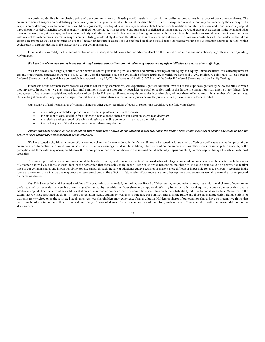A continued decline in the closing price of our common shares on Nasdaq could result in suspension or delisting procedures in respect of our common shares. The commencement of suspension or delisting procedures by an exchange remains, at all times, at the discretion of such exchange and would be publicly announced by the exchange. If a suspension or delisting were to occur, there would be significantly less liquidity in the suspended or delisted securities. In addition, our ability to raise additional necessary capital through equity or debt financing would be greatly impaired. Furthermore, with respect to any suspended or delisted common shares, we would expect decreases in institutional and other investor demand, analyst coverage, market making activity and information available concerning trading prices and volume, and fewer broker-dealers would be willing to execute trades with respect to such common shares. A suspension or delisting would likely decrease the attractiveness of our common shares to investors and constitutes a breach under certain of our credit agreements as well as constitutes an event of default under certain classes of our preferred stock and would cause the trading volume of our common shares to decline, which could result in a further decline in the market price of our common shares.

Finally, if the volatility in the market continues or worsens, it could have a further adverse effect on the market price of our common shares, regardless of our operating performance.

#### *We have issued common shares in the past through various transactions. Shareholders may experience significant dilution as a result of our offerings.*

We have already sold large quantities of our common shares pursuant to previous public and private offerings of our equity-linked securities. We currently have an effective registration statement on Form F-3 (333-234281), for the registered sale of \$200 million of our securities, of which we have sold \$129.7 million. We also have 13,452 Series E Preferred Shares outstanding, which are convertible into approximately 17,470,130 shares as of April 13, 2022. All of the Series E Preferred Shares are held by Family Trading.

Purchasers of the common shares we sell, as well as our existing shareholders, will experience significant dilution if we sell shares at prices significantly below the price at which they invested. In addition, we may issue additional common shares or other equity securities of equal or senior rank in the future in connection with, among other things, debt prepayments, future vessel acquisitions, redemptions of our Series E Preferred Shares, or any future equity incentive plan, without shareholder approval, in a number of circumstances. Our existing shareholders may experience significant dilution if we issue shares in the future at prices below the price at which previous shareholders invested.

Our issuance of additional shares of common shares or other equity securities of equal or senior rank would have the following effects:

- our existing shareholders' proportionate ownership interest in us will decrease;
- the amount of cash available for dividends payable on the shares of our common shares may decrease;
- the relative voting strength of each previously outstanding common share may be diminished; and
- the market price of the shares of our common shares may decline.

#### *Future issuances or sales, or the potential for future issuances or sales, of our common shares may cause the trading price of our securities to decline and could impair our ability to raise capital through subsequent equity offerings.*

We have issued a significant number of our common shares and we may do so in the future. Shares to be issued in future equity offerings could cause the market price of our common shares to decline, and could have an adverse effect on our earnings per share. In addition, future sales of our common shares or other securities in the public markets, or the perception that these sales may occur, could cause the market price of our common shares to decline, and could materially impair our ability to raise capital through the sale of additional securities.

The market price of our common shares could decline due to sales, or the announcements of proposed sales, of a large number of common shares in the market, including sales of common shares by our large shareholders, or the perception that these sales could occur. These sales or the perception that these sales could occur could also depress the market price of our common shares and impair our ability to raise capital through the sale of additional equity securities or make it more difficult or impossible for us to sell equity securities in the future at a time and price that we deem appropriate. We cannot predict the effect that future sales of common shares or other equity-related securities would have on the market price of our common shares.

Our Third Amended and Restated Articles of Incorporation, as amended, authorizes our Board of Directors to, among other things, issue additional shares of common or preferred stock or securities convertible or exchangeable into equity securities, without shareholder approval. We may issue such additional equity or convertible securities to raise additional capital. The issuance of any additional shares of common or preferred stock or convertible securities could be substantially dilutive to our shareholders. Moreover, to the extent that we issue restricted stock units, stock appreciation rights, options or warrants to purchase our common shares in the future and those stock appreciation rights, options or warrants are exercised or as the restricted stock units vest, our shareholders may experience further dilution. Holders of shares of our common shares have no preemptive rights that entitle such holders to purchase their pro rata share of any offering of shares of any class or series and, therefore, such sales or offerings could result in increased dilution to our shareholders.

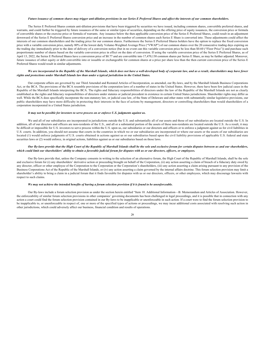# *Future issuance of common shares may trigger anti-dilution provisions in our Series E Preferred Shares and affect the interests of our common shareholders.*

The Series E Preferred Shares contain anti-dilution provisions that have been triggered by securities we have issued, including common shares, convertible preferred shares, and warrants, and could further be triggered by future issuances of the same or similar types of securities, depending on the offering price of equity issuances, the conversion price or formula of convertible shares or the exercise price or formula of warrants. Any issuance below the then applicable conversion price of the Series E Preferred Shares, could result in an adjustment downward of the Series E Preferred Shares conversion price and an increase in the number of common shares each Series E Share is converted into. These adjustments could affect the interests of our common shareholders and the trading price for our common shares. Furthermore the Series E Preferred Shares holders have the option to replace the fixed conversion price with a variable conversion price, namely 80% of the lowest daily Volume-Weighted Average Price ("VWAP") of our common shares over the 20 consecutive trading days expiring on the trading day immediately prior to the date of delivery of a conversion notice (but in no event can this variable conversion price be less than \$0.60 ("Floor Price")) and purchase such proportionate number of shares based on the variable conversion price in effect on the date of conversion. If using the variable conversion price of the Series E Preferred Shares, as of April 13, 2022, the Series E Preferred Shares have a conversion price of \$0.77 and are convertible into 17,470,130 common shares per Series E Share, as may be further adjusted. Moreover, future issuance of other equity or debt convertible into or issuable or exchangeable for common shares at a price per share less than the then current conversion price of the Series E Preferred Shares would result in similar adjustments.

#### *We are incorporated in the Republic of the Marshall Islands, which does not have a well-developed body of corporate law, and as a result, shareholders may have fewer rights and protections under Marshall Islands law than under a typical jurisdiction in the United States.*

Our corporate affairs are governed by our Third Amended and Restated Articles of Incorporation, as amended, our By-laws, and by the Marshall Islands Business Corporations Act, or the BCA. The provisions of the BCA resemble provisions of the corporation laws of a number of states in the United States. However, there have been few judicial cases in the Republic of the Marshall Islands interpreting the BCA. The rights and fiduciary responsibilities of directors under the law of the Republic of the Marshall Islands are not as clearly established as the rights and fiduciary responsibilities of directors under statutes or judicial precedent in existence in certain United States jurisdictions. Shareholder rights may differ as well. While the BCA does specifically incorporate the non-statutory law, or judicial case law, of the State of Delaware and other states with substantially similar legislative provisions, our public shareholders may have more difficulty in protecting their interests in the face of actions by management, directors or controlling shareholders than would shareholders of a corporation incorporated in a United States jurisdiction.

#### *It may not be possible for investors to serve process on or enforce U.S. judgments against us.*

We and all of our subsidiaries are incorporated in jurisdictions outside the U.S. and substantially all of our assets and those of our subsidiaries are located outside the U.S. In addition, all of our directors and officers are non-residents of the U.S., and all or a substantial portion of the assets of these non-residents are located outside the U.S. As a result, it may be difficult or impossible for U.S. investors to serve process within the U.S. upon us, our subsidiaries or our directors and officers or to enforce a judgment against us for civil liabilities in U.S. courts. In addition, you should not assume that courts in the countries in which we or our subsidiaries are incorporated or where our assets or the assets of our subsidiaries are located (1) would enforce judgments of U.S. courts obtained in actions against us or our subsidiaries based upon the civil liability provisions of applicable U.S. federal and state securities laws or (2) would enforce, in original actions, liabilities against us or our subsidiaries based on those laws.

# *Our By-laws provide that the High Court of the Republic of Marshall Islands shall be the sole and exclusive forum for certain disputes between us and our shareholders, which could limit our shareholders*' *ability to obtain a favorable judicial forum for disputes with us or our directors, officers, or employees.*

Our By-laws provide that, unless the Company consents in writing to the selection of an alternative forum, the High Court of the Republic of Marshall Islands, shall be the sole and exclusive forum for (i) any shareholders' derivative action or proceeding brought on behalf of the Corporation, (ii) any action asserting a claim of breach of a fiduciary duty owed by any director, officer or other employee of the Corporation to the Corporation or the Corporation's shareholders, (iii) any action asserting a claim arising pursuant to any provision of the Business Corporations Act of the Republic of the Marshall Islands, or (iv) any action asserting a claim governed by the internal affairs doctrine. This forum selection provision may limit a shareholder's ability to bring a claim in a judicial forum that it finds favorable for disputes with us or our directors, officers, or other employees, which may discourage lawsuits with respect to such claims.

# *We may not achieve the intended benefits of having a forum selection provision if it is found to be unenforceable.*

Our By-laws include a forum selection provision as under the section herein entitled "Item 10. Additional Information—B. Memorandum and Articles of Association. However, the enforceability of similar forum selection provisions in other companies' governing documents has been challenged in legal proceedings, and it is possible that in connection with any action a court could find the forum selection provision contained in our By-laws to be inapplicable or unenforceable in such action. If a court were to find the forum selection provision to be inapplicable to, or unenforceable in respect of, one or more of the specified types of actions or proceedings, we may incur additional costs associated with resolving such action in other jurisdictions, which could adversely affect our business, financial condition and results of operations.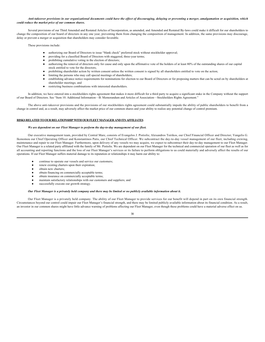#### *Anti-takeover provisions in our organizational documents could have the effect of discouraging, delaying or preventing a merger, amalgamation or acquisition, which could reduce the market price of our common shares.*

Several provisions of our Third Amended and Restated Articles of Incorporation, as amended, and Amended and Restated By-laws could make it difficult for our shareholders to change the composition of our board of directors in any one year, preventing them from changing the composition of management. In addition, the same provisions may discourage, delay or prevent a merger or acquisition that shareholders may consider favorable.

These provisions include:

- authorizing our Board of Directors to issue "blank check" preferred stock without stockholder approval;
- providing for a classified Board of Directors with staggered, three-year terms;
- prohibiting cumulative voting in the election of directors;
- authorizing the removal of directors only for cause and only upon the affirmative vote of the holders of at least 80% of the outstanding shares of our capital stock entitled to vote for the directors;
- prohibiting shareholder action by written consent unless the written consent is signed by all shareholders entitled to vote on the action;
- limiting the persons who may call special meetings of shareholders;
- establishing advance notice requirements for nominations for election to our Board of Directors or for proposing matters that can be acted on by shareholders at shareholder meetings; and
- restricting business combinations with interested shareholders.

In addition, we have entered into a stockholders rights agreement that makes it more difficult for a third party to acquire a significant stake in the Company without the support of our Board of Directors. See "Item 10. Additional Information—B. Memorandum and Articles of Association—Stockholders Rights Agreement."

The above anti-takeover provisions and the provisions of our stockholders rights agreement could substantially impede the ability of public shareholders to benefit from a change in control and, as a result, may adversely affect the market price of our common shares and your ability to realize any potential change of control premium.

# **RISKS RELATED TO OUR RELATIONSHIP WITH OUR FLEET MANAGER AND ITS AFFILIATES**

# *We are dependent on our Fleet Manager to perform the day-to-day management of our fleet.*

Our executive management team, provided by Central Mare, consists of Evangelos J. Pistiolis; Alexandros Tsirikos, our Chief Financial Officer and Director; Vangelis G. Ikonomou our Chief Operating Officer and Konstantinos Patis, our Chief Technical Officer. We subcontract the day-to-day vessel management of our fleet, including crewing, maintenance and repair to our Fleet Manager. Furthermore, upon delivery of any vessels we may acquire, we expect to subcontract their day-to-day management to our Fleet Manager. Our Fleet Manager is a related party affiliated with the family of Mr. Pistiolis. We are dependent on our Fleet Manager for the technical and commercial operation of our fleet as well as for all accounting and reporting functions and the loss of our Fleet Manager's services or its failure to perform obligations to us could materially and adversely affect the results of our operations. If our Fleet Manager suffers material damage to its reputation or relationships it may harm our ability to:

- continue to operate our vessels and service our customers;
- renew existing charters upon their expiration;
- obtain new charters;
- obtain financing on commercially acceptable terms;
- obtain insurance on commercially acceptable terms;
- maintain satisfactory relationships with our customers and suppliers; and
- successfully execute our growth strategy.

#### *Our Fleet Manager is a privately held company and there may be limited or no publicly available information about it.*

Our Fleet Manager is a privately held company. The ability of our Fleet Manager to provide services for our benefit will depend in part on its own financial strength. Circumstances beyond our control could impair our Fleet Manager's financial strength, and there may be limited publicly available information about its financial condition. As a result, an investor in our common shares might have little advance warning of problems affecting our Fleet Manager, even though these problems could have a material adverse effect on us.

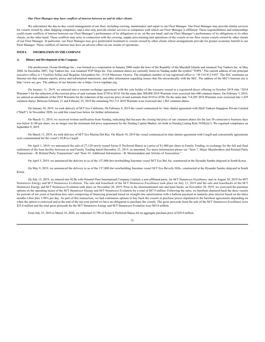# *Our Fleet Manager may have conflicts of interest between us and its other clients.*

We subcontract the day-to-day vessel management of our fleet, including crewing, maintenance and repair to our Fleet Manager. Our Fleet Manager may provide similar services for vessels owned by other shipping companies, and it also may provide similar services to companies with which our Fleet Manager is affiliated. These responsibilities and relationships could create conflicts of interest between our Fleet Manager's performance of its obligations to us, on the one hand, and our Fleet Manager's performance of its obligations to its other clients, on the other hand. These conflicts may arise in connection with the crewing, supply provisioning and operations of the vessels in our fleet versus vessels owned by other clients of our Fleet Manager. In particular, our Fleet Manager may give preferential treatment to vessels owned by other clients whose arrangements provide for greater economic benefit to our Fleet Manager. These conflicts of interest may have an adverse effect on our results of operations.

# <span id="page-31-0"></span>**ITEM 4. INFORMATION ON THE COMPANY**

#### **A. History and Development of the Company**

Our predecessor, Ocean Holdings Inc., was formed as a corporation in January 2000 under the laws of the Republic of the Marshall Islands and renamed Top Tankers Inc. in May 2004. In December 2007, Top Tankers Inc. was renamed TOP Ships Inc. Our common shares are currently listed on Nasdaq under the symbol "TOPS." The current address of our principal executive office is 1 Vasilisis Sofias and Megalou Alexandrou Str, 15124 Maroussi, Greece. The telephone number of our registered office is +30 210 812 8107. The SEC maintains an Internet site that contains reports, proxy and information statements, and other information regarding issuers that file electronically with the SEC. The address of the SEC's Internet site is http://www.sec.gov. The address of our Internet site is https://www.topships.org.

On January 11, 2019, we entered into a warrant exchange agreement with the sole holder of the warrants issued in a registered direct offering in October 2018 (the "2018 Warrants") for the reduction of the exercise price of said warrants from \$750 to \$510. On the same date 300,000 2018 Warrants were exercised into 600 common shares. On February 5, 2019, we entered an amendment of the 2018 Warrants for the reduction of the exercise price of said warrants from \$510 to \$350. On the same date 714,285 2018 Warrants were exercised into 1,429 common shares. Between February 21 and February 25, 2019 the remaining 932,715 2018 Warrants were exercised into 1,865 common shares.

On January 30, 2019, we took delivery of M/T Eco California. On February 4, 2019 the vessel commenced its' time charter agreement with Shell Tankers Singapore Private Limited ("Shell"). In November 2020, we sold this vessel (see below for further information.

On March 11, 2019, we received written notification from Nasdaq, indicating that because the closing bid price of our common shares for the last 30 consecutive business days was below \$1.00 per share, we no longer met the minimum bid price requirement for the Nasdaq Capital Market, set forth in Nasdaq Listing Rule 5450(a)(1). We regained compliance on September 9, 2019.

On March 13, 2019, we took delivery of M/T Eco Marina Del Ray. On March 18, 2019 the vessel commenced its time charter agreement with Cargill and concurrently agreements were consummated for the vessel's SLB to Cargill.

On April 1, 2019, we announced the sale of 27,129 newly issued Series E Preferred Shares at a price of \$1,000 per share to Family Trading, in exchange for the full and final settlement of the loan facility between us and Family Trading dated December 23, 2015, as amended. For more information please see "Item 7. Major Shareholders and Related Party Transactions—B. Related Party Transactions" and "Item 10. Additional Information—B. Memorandum and Articles of Association."

On April 5, 2019, we announced the delivery to us of the 157,000 dwt newbuilding Suezmax vessel M/T Eco Bel Air, constructed at the Hyundai Samho shipyard in South Korea.

On May 9, 2019, we announced the delivery to us of the 157,000 dwt newbuilding Suezmax vessel M/T Eco Beverly Hills, constructed at the Hyundai Samho shipyard in South Korea.

On July 15, 2019, we entered into SLBs with Oriental Fleet International Company Limited, a non-affiliated party, for M/T Stenaweco Excellence, and on August 30, 2019 for M/T Stenaweco Energy and M/T Stenaweco Evolution. The sale and leaseback of the M/T Stenaweco Excellence took place on July 15, 2019 and the sale and leasebacks of the M/T Stenaweco Energy and M/T Stenaweco Evolution took place on November 20, 2019. Prior to the aforementioned sale and lease backs, on November 20, 2019, we exercised the purchase options on the operating leases of the M/T Stenaweco Energy and M/T Stenaweco Evolution for a total of \$47.9 million. Following the sales, we bareboat chartered back the three vessels for periods of ten years at bareboat hire rates comprising of financing principal based on straight-line amortization with a balloon payment at maturity plus interest based on the three months Libor plus 3.90% per day. As part of this transaction, we had continuous options to buy back the vessels at purchase prices stipulated in the bareboat agreements depending on when the option is exercised and at the end of the ten-year period we have an obligation to purchase the vessels. The gross proceeds from the sale of the M/T Stenaweco Excellence were \$25.6 million and the total gross proceeds for the M/T Stenaweco Energy and M/T Stenaweco Evolution were \$45.8 million.

From July 25, 2019 to March 19, 2020, we redeemed 33,798 of Series E Preferred Shares for an aggregate purchase price of \$38.9 million.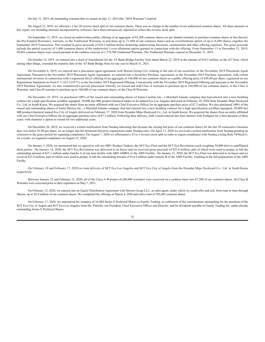## On July 31, 2019, all outstanding warrants that we issued on July 11, 2014 (the "2014 Warrants") expired.

On August 22, 2019, we effected a 1-for-20 reverse stock split of our common shares. There was no change in the number of our authorized common shares. All share amounts in this report, not including amounts incorporated by reference, have been retroactively adjusted to reflect this reverse stock split.

On September 13, 2019, we closed an underwritten public offering of an aggregate of 63,200 common shares (or pre-funded warrants to purchase common shares in lieu thereof, the Pre-Funded Warrants), warrants, or the Traditional Warrants, to purchase up to 71,600 of our common shares and an overallotment option of up to 9,480 shares, together the September 2019 Transaction. This resulted in gross proceeds of \$10.5 million before deducting underwriting discounts, commissions and other offering expenses. The gross proceeds include the partial exercise of 3,400 common shares of the underwriter's over-allotment option granted in connection with the offering. From September 13 to December 31, 2019, 49,803 common shares were issued pursuant to the cashless exercise of 1,778,700 Traditional Warrants. The Traditional Warrants expired on December 31, 2019.

On October 14, 2019, we entered into a deed of Amendment for the AT Bank Bridge Facility Note dated March 22, 2019 in the amount of \$10.5 million, or the AT Note, which among other things, extended the maturity date of the AT Bank Bridge Note for one year to March 31, 2021.

On November 6, 2019, we entered into a placement agent agreement with Maxim Group LLC relating to the sale of our securities, or the November 2019 Placement Agent Agreement. Pursuant to the November 2019 Placement Agent Agreement, we entered into a Securities Purchase Agreement, or the November 2019 Purchase Agreement, with certain institutional investors in connection with a registered direct offering of an aggregate of 168,000 of our common shares at a public offering price of \$50.00 per share, registered on our Registration Statement on Form F-3 (333-215577), or the November 2019 Registered Offering. Concurrently with the November 2019 Registered Offering and pursuant to the November 2019 Purchase Agreement, we also commenced a private placement whereby we issued and sold Class A warrants to purchase up to 168,000 of our common shares, or the Class A Warrants, and Class B warrants to purchase up to 168,000 of our common shares, or the Class B Warrants.

On December 18, 2019, we purchased 100% of the issued and outstanding shares of Santa Catalina Inc., a Marshall Islands company that had entered into a new building contract for a high specification scrubber-equipped, 50,000 dwt MR product/chemical tanker to be named Eco Los Angeles delivered on February 10, 2020 from Hyundai Mipo Dockyard Co., Ltd. in South Korea. We acquired the shares from an entity affiliated with our Chief Executive Officer for an aggregate purchase price of \$7.2 million. We also purchased 100% of the issued and outstanding shares of Santa Monica Inc., a Marshall Islands company that had entered into a new building contract for a high specification scrubber-equipped, 50,000 dwt MR product/chemical named Eco City of Angels delivered on February 17, 2020 from Hyundai Mipo Dockyard Co., Ltd. in South Korea. We acquired the shares from an entity affiliated with our Chief Executive Officer for an aggregate purchase price of \$7.2 million. Following their delivery, both vessels entered into time charters with Trafigura for a firm duration of three years, with charterer's option to extend for two additional years.

On December 26, 2019, we received a written notification from Nasdaq indicating that because the closing bid price of our common shares for the last 30 consecutive business days was below \$1.00 per share, we no longer met the minimum bid price requirement under Nasdaq rules. On April 17, 2020 we received a written notification from Nasdaq granting an extension to the grace period for regaining compliance. On August 7, 2020 we effectuated a 25 to 1 reverse stock split in order to regain compliance with Nasdaq Listing Rule 5450(a)(1). As a result, we regained compliance on August 25, 2020.

On January 3, 2020, we announced that we agreed to sell two MR1 Product Tankers, the M/T Eco Fleet and the M/T Eco Revolution (each weighing 39,000 dwt) to unaffiliated third parties. On January 14, 2020, the M/T Eco Revolution was delivered to its buyer and we received gross proceeds of \$23.0 million, part of which were used to prepay in full the outstanding amount of \$15.1 million under tranche A of our loan facility with ABN AMRO, or the ABN Facility. On January 21, 2020, the M/T Eco Fleet was delivered to its buyer and we received \$21.0 million, part of which were used to prepay in full the outstanding amount of \$14.4 million under tranche B of the ABN Facility, resulting in the full prepayment of the ABN Facility.

On February 10 and February 17, 2020 we took delivery of M/T Eco Los Angeles and M/T Eco City of Angels from the Hyundai Mipo Dockyard Co., Ltd. in South Korea respectively.

Between January 22 and February 21, 2020, all of the Class A Warrants (4,200,000 warrants) were exercised on a cashless basis into 67,200 of our common shares. No Class B Warrants were exercised prior to their expiration on May 7, 2021.

On February 12, 2020, we entered into an Equity Distribution Agreement with Maxim Group LLC, as sales agent, under which we could offer and sell, from time to time through Maxim, up to \$5.0 million of our common shares. We completed the offering on March 4, 2020 and sold a total of 585,485 common shares.

On February 17, 2020, we announced the issuance of 16,004 Series E Preferred Shares to Family Trading, as settlement of the consideration outstanding for the purchase of the M/T Eco City of Angels and M/T Eco Los Angeles from Mr. Pistiolis, our President, Chief Executive Officer and Director, and for dividends payable to Family Trading Inc. under already outstanding Series E Preferred Shares.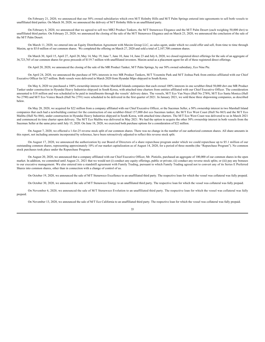On February 21, 2020, we announced that our 50% owned subsidiaries which own M/T Holmby Hills and M/T Palm Springs entered into agreements to sell both vessels to unaffiliated third parties. On March 30, 2020, we announced the delivery of M/T Holmby Hills to an unaffiliated party.

On February 6, 2020, we announced that we agreed to sell two MR2 Product Tankers, the M/T Stenaweco Elegance and the M/T Palm Desert (each weighing 50,000 dwt) to unaffiliated third parties. On February 25, 2020, we announced the closing of the sale of the M/T Stenaweco Elegance and on March 23, 2020, we announced the conclusion of the sale of the M/T Palm Desert.

On March 11, 2020, we entered into an Equity Distribution Agreement with Maxim Group LLC, as sales agent, under which we could offer and sell, from time to time through Maxim, up to \$5.0 million of our common shares. We completed the offering on March 27, 2020 and sold a total of 2,107,708 common shares.

On March 30, April 15, April 27, April 28, May 14, May 19, June 7, June 10, June 14, June 23 and July 6, 2020, we closed registered direct offerings for the sale of an aggregate of 36,723,765 of our common shares for gross proceeds of \$119.7 million with unaffiliated investors. Maxim acted as a placement agent for all of these registered direct offerings.

On April 20, 2020, we announced the closing of the sale of the MR Product Tanker, M/T Palm Springs, by our 50% owned subsidiary, Eco Nine Pte.

On April 24, 2020, we announced the purchase of 50% interests in two MR Product Tankers, M/T Yosemite Park and M/T Joshua Park from entities affiliated with our Chief Executive Officer for \$27 million. Both vessels were delivered in March 2020 from Hyundai Mipo shipyard in South Korea.

On May 6, 2020 we purchased a 100% ownership interest in three Marshall Islands companies that each owned 100% interests in one scrubber-fitted 50,000 dwt one MR Product Tanker under construction in Hyundai Heavy Industries shipyard in South Korea, with attached time charters from entities affiliated with our Chief Executive Officer. The consideration amounted to \$18 million and was scheduled to be paid in installments through the vessels' delivery dates. The vessels, M/T Eco Van Nuys (Hull No 2789), M/T Eco Santa Monica (Hull No 2790) and M/T Eco Venice Beach (Hull No 2791) were scheduled to be delivered in the first quarter of 2021. In January 2021, we sold these three shipowning companies, as described below.

On May 28, 2020, we acquired for \$22 million from a company affiliated with our Chief Executive Officer, or the Suezmax Seller, a 50% ownership interest in two Marshall Island companies that each had a newbuilding contract for the construction of one scrubber-fitted 157,000 dwt eco Suezmax tanker, the M/T Eco West Coast (Hull No 865) and the M/T Eco Malibu (Hull No 866), under construction in Hyundai Heavy Industries shipyard in South Korea, with attached time charters. The M/T Eco West Coast was delivered to us in March 2021 and commenced its time charter upon delivery. The M/T Eco Malibu was delivered in May 2021. We had the option to acquire the other 50% ownership interest in both vessels from the Suezmax Seller at the same price until July 15, 2020. On June 18, 2020, we exercised both purchase options for a consideration of \$22 million.

On August 7, 2020, we effected a 1-for-25 reverse stock split of our common shares. There was no change in the number of our authorized common shares. All share amounts in this report, not including amounts incorporated by reference, have been retroactively adjusted to reflect this reverse stock split.

On August 17, 2020, we announced the authorization by our Board of Directors of a share repurchase program under which we could repurchase up to \$5.1 million of our outstanding common shares, representing approximately 10% of our market capitalization as of August 14, 2020, for a period of three months (the "Repurchase Program"). No common stock purchases took place under the Repurchase Program.

On August 20, 2020, we announced that a company affiliated with our Chief Executive Officer, Mr. Pistiolis, purchased an aggregate of 100,000 of our common shares in the open market. In addition, we committed until August 21, 2021 that we would not (i) conduct any equity offerings, public or private; (ii) conduct any reverse stock splits; or (iii) pay any bonuses to our executive management. We also entered into a standstill agreement with Family Trading, pursuant to which Family Trading agreed not to convert any of its Series E Preferred Shares into common shares, other than in connection with a change of control of us.

On October 19, 2020, we announced the sale of M/T Stenaweco Excellence to an unaffiliated third party. The respective loan for which the vessel was collateral was fully prepaid.

On October 30, 2020, we announced the sale of M/T Stenaweco Energy to an unaffiliated third party. The respective loan for which the vessel was collateral was fully prepaid.

On November 6, 2020, we announced the sale of M/T Stenaweco Evolution to an unaffiliated third party. The respective loan for which the vessel was collateral was fully prepaid.

On November 13, 2020, we announced the sale of M/T Eco California to an unaffiliated third party. The respective loan for which the vessel was collateral was fully prepaid.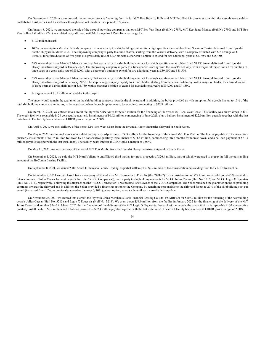On December 4, 2020, we announced the entrance into a refinancing facility for M/T Eco Beverly Hills and M/T Eco Bel Air pursuant to which the vessels were sold to unaffiliated third parties and leased back through bareboat charters for a period of 5 years.

On January 8, 2021, we announced the sale of the three shipowning companies that own M/T Eco Van Nuys (Hull No 2789), M/T Eco Santa Monica (Hull No 2790) and M/T Eco Venice Beach (Hull No 2791) to a related party affiliated with Mr. Evangelos J. Pistiolis in exchange for:

- $$10.0$  million in cash.
- 100% ownership in a Marshall Islands company that was a party to a shipbuilding contract for a high specification scrubber fitted Suezmax Tanker delivered from Hyundai Samho shipyard in March 2022. The shipowning company is party to a time charter, starting from the vessel's delivery, with a company affiliated with Mr. Evangelos J. Pistiolis, for a firm duration of five years at a gross daily rate of \$32,450, with a charterer's option to extend for two additional years at \$33,950 and \$35,450.
- 35% ownership in one Marshall Islands company that was a party to a shipbuilding contract for a high specification scrubber fitted VLCC tanker delivered from Hyundai Heavy Industries shipyard in January 2022. The shipowning company is party to a time charter, starting from the vessel's delivery, with a major oil trader, for a firm duration of three years at a gross daily rate of \$36,000, with a charterer's option to extend for two additional years at \$39,000 and \$41,500.
- 35% ownership in one Marshall Islands company that was a party to a shipbuilding contract for a high specification scrubber fitted VLCC tanker delivered from Hyundai Heavy Industries shipyard in February 2022. The shipowning company is party to a time charter, starting from the vessel's delivery, with a major oil trader, for a firm duration of three years at a gross daily rate of \$35,750, with a charterer's option to extend for two additional years at \$39,000 and \$41,500.
- A forgiveness of \$1.2 million in payables to the buyer.

The buyer would remain the guarantor on the shipbuilding contracts towards the shipyard and in addition, the buyer provided us with an option for a credit line up to 10% of the total shipbuilding cost at market terms, to be negotiated when the such option was to be exercised, amounting to \$23.8 million.

On March 18, 2021, we entered into a credit facility with ABN Amro for \$36.8 million for the financing of the vessel M/T Eco West Coast. This facility was drawn down in full. The credit facility is repayable in 24 consecutive quarterly installments of \$0.62 million commencing in June 2021, plus a balloon installment of \$22.0 million payable together with the last installment. The facility bears interest at LIBOR plus a margin of 2.50%.

On April 6, 2021, we took delivery of the vessel M/T Eco West Coast from the Hyundai Heavy Industries shipyard in South Korea.

On May 6, 2021, we entered into a senior debt facility with Alpha Bank of \$38 million for the financing of the vessel M/T Eco Malibu. The loan is payable in 12 consecutive quarterly installments of \$0.75 million followed by 12 consecutive quarterly installments of \$0.63 million, commencing three months from draw down, and a balloon payment of \$21.5 million payable together with the last installment. The facility bears interest at LIBOR plus a margin of 3.00%.

On May 11, 2021, we took delivery of the vessel M/T Eco Malibu from the Hyundai Heavy Industries shipyard in South Korea.

On September 1, 2021, we sold the M/T Nord Valiant to unaffiliated third parties for gross proceeds of \$26.4 million, part of which were used to prepay in full the outstanding amount of the BoComm Leasing Facility.

On September 8, 2021, we issued 2,188 Series E Shares to Family Trading, as partial settlement of \$2.2 million of the consideration outstanding from the VLCC Transaction.

On September 8, 2021 we purchased from a company affiliated with Mr. Evangelos J. Pistiolis (the "Seller") for a consideration of \$29.8 million an additional 65% ownership interest in each of Julius Caesar Inc. and Legio X Inc. (the "VLCC Companies"), each a party to shipbuilding contracts for VLCC Julius Caesar (Hull No. 3213) and VLCC Legio X Equestris (Hull No. 3214), respectively. Following this transaction (the "VLCC Transaction"), we became 100% owner of the VLCC Companies. The Seller remained the guarantor on the shipbuilding contracts towards the shipyard and in addition the Seller provided a financing option to the Company by remaining responsible to the shipyard for up to 20% of the shipbuilding cost per vessel (increased from 10%, as previously agreed on January 6, 2021), at our option, exercisable until each vessel's delivery date.

On November 23, 2021 we entered into a credit facility with China Merchants Bank Financial Leasing Co. Ltd. ("CMBFL") for \$108.0 million for the financing of the newbuilding vessels Julius Caesar (Hull No. 3213) and Legio X Equestris (Hull No. 3214). We drew down \$54.0 million from the facility in January 2022 for the financing of the delivery of the M/T Julius Caesar and another \$54.0 in March 2022 for the financing of the delivery of the M/T Legio X Equestris. For each of the vessels the credit facility is repayable in 32 consecutive quarterly installments of \$0.7 million and a balloon payment of \$32.4 million payable together with the last installment. The credit facility bears interest at LIBOR plus a margin of 2.60%.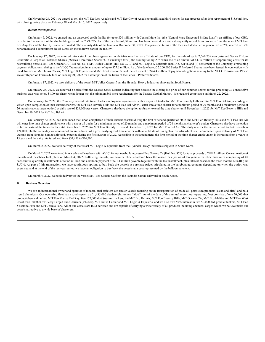On November 24, 2021 we agreed to sell the M/T Eco Los Angeles and M/T Eco City of Angels to unaffiliated third parties for net proceeds after debt repayment of \$18.6 million, with closing taking place on February 28 and March 15, 2022 respectively.

#### *Recent Developments*

On January 5, 2022, we entered into an unsecured credit facility for up to \$20 million with Central Mare Inc. (the "Central Mare Unsecured Bridge Loan"), an affiliate of our CEO, in order to finance part of the shipbuilding cost of the 2 VLCCs. As of the date hereof, \$9 million has been drawn down and subsequently repaid from proceeds from the sale of M/T Eco Los Angeles and the facility is now terminated. The maturity date of the loan was December 31, 2022. The principal terms of the loan included an arrangement fee of 2%, interest of 12% per annum and a commitment fee of 1.00% on the undrawn part of the facility.

On January 17, 2022, we entered into a stock purchase agreement with Africanus Inc, an affiliate of our CEO, for the sale of up to 7,560,759 newly-issued Series F Non-Convertible Perpetual Preferred Shares ("Series F Preferred Shares"), in exchange for (i) the assumption by Africanus Inc of an amount of \$47.6 million of shipbuilding costs for its newbuilding vessels M/T Eco Oceano CA (Hull No. 871), M/T Julius Caesar (Hull No. 3213) and M/T Legio X Equestris (Hull No. 3214), and (ii) settlement of the Company's remaining payment obligations relating to the VLCC Transaction, in an amount of up to \$27.6 million. As of the date hereof, 7,200,000 Series F Preferred Shares have been issued, in connection with the deliveries of M/T Julius Caesar, M/T Legio X Equestris and M/T Eco Oceano Ca. and the settlement of \$24.4 million of payment obligations relating to the VLCC Transaction. Please see our Report on Form 6-K filed on January 21, 2022 for a description of the terms of the Series F Preferred Shares.

On January 17, 2022 we took delivery of the vessel M/T Julius Caesar from the Hyundai Heavy Industries shipyard in South Korea.

On January 26, 2022, we received a notice from the Nasdaq Stock Market indicating that because the closing bid price of our common shares for the preceding 30 consecutive business days was below \$1.00 per share, we no longer met the minimum bid price requirement for the Nasdaq Capital Market. We regained compliance on March 22, 2022.

On February 14, 2022, the Company entered into time charter employment agreements with a major oil trader for M/T Eco Beverly Hills and for M/T Eco Bel Air, according to which upon completion of their current charters, the M/T Eco Beverly Hills and M/T Eco Bel Air will enter into a time charter for a minimum period of 20 months and a maximum period of 26 months (at charterers option) at daily rate of \$24,000 per vessel. Charterers also have the option to further extend the time charter until December 1, 2025 for M/T Eco Beverly Hills and December 10, 2025 for M/T Eco Bel Air.

On February 22, 2022, we announced that, upon completion of their current charters during the first or second quarter of 2022, the M/T Eco Beverly Hills and M/T Eco Bel Air will enter into time charter employment with a major oil trader for a minimum period of 20 months and a maximum period of 26 months, at charterer's option. Charterers also have the option to further extend the time charter until December 1, 2025 for M/T Eco Beverly Hills and December 10, 2025 for M/T Eco Bel Air. The daily rate for the entire period for both vessels is \$24,000. On the same day we announced an amendment of a previously-agreed time charter with an affiliate of Evangelos Pistiolis which shall commence upon delivery of M/T Eco Oceano from Hyundai Samho shipyard, expected during the first quarter of 2022. According to the amendment, the firm period of the time charter employment is increased from 5 years to 15 years and the daily rate is reduced from \$32,450 to \$24,500.

On March 2, 2022, we took delivery of the vessel M/T Legio X Equestris from the Hyundai Heavy Industries shipyard in South Korea.

On March 2, 2022 we entered into a sale and leaseback with AVIC, for our newbuilding vessel Eco Oceano Ca (Hull No. 871) for total proceeds of \$48.2 million. Consummation of the sale and leaseback took place on March 4, 2022. Following the sale, we have bareboat chartered back the vessel for a period of ten years at bareboat hire rates comprising of 40 consecutive quarterly installments of \$0.68 million and a balloon payment of \$21.1 million payable together with the last installment, plus interest based on the three months LIBOR plus 3.50%. As part of this transaction, we have continuous options to buy back the vessels at purchase prices stipulated in the bareboat agreements depending on when the option was exercised and at the end of the ten year period we have an obligation to buy back the vessels at a cost represented by the balloon payment.

On March 4, 2022, we took delivery of the vessel M/T Eco Oceano Ca from the Hyundai Samho shipyard in South Korea.

#### **B. Business Overview**

We are an international owner and operator of modern, fuel efficient eco tanker vessels focusing on the transportation of crude oil, petroleum products (clean and dirty) and bulk liquid chemicals. Our operating fleet has a total capacity of 1,435,000 deadweight tonnes ("dwt"). As of the date of this annual report, our operating fleet consists of one 50,000 dwt product/chemical tanker, M/T Eco Marina Del Ray, five 157,000 dwt Suezmax tankers, the M/T Eco Bel Air, M/T Eco Beverly Hills, M/T Oceano CA, M/T Eco Malibu and M/T Eco West Coast, two 300,000 dwt Very Large Crude Carriers (VLCCs), M/T Julius Caesar and M/T Legio X Equestris, and we also own 50% interest in two 50,000 dwt product tankers, M/T Eco Yosemite Park and M/T Joshua Park. All of our vessels are IMO certified and are capable of carrying a wide variety of oil products including chemical cargos which we believe make our vessels attractive to a wide base of charterers.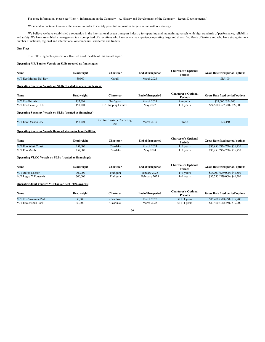For more information, please see "Item 4. Information on the Company—A. History and Development of the Company—Recent Developments."

We intend to continue to review the market in order to identify potential acquisition targets in line with our strategy.

We believe we have established a reputation in the international ocean transport industry for operating and maintaining vessels with high standards of performance, reliability and safety. We have assembled a management team comprised of executives who have extensive experience operating large and diversified fleets of tankers and who have strong ties to a number of national, regional and international oil companies, charterers and traders.

# **Our Fleet**

The following tables present our fleet list as of the date of this annual report:

# **Operating MR Tanker Vessels on SLBs (treated as financings):**

| Name                                                                    | Deadweight | <b>Charterer</b>                          | End of firm period | <b>Charterer's Optional</b><br><b>Periods</b> | Gross Rate fixed period/options         |  |  |  |  |
|-------------------------------------------------------------------------|------------|-------------------------------------------|--------------------|-----------------------------------------------|-----------------------------------------|--|--|--|--|
| M/T Eco Marina Del Ray                                                  | 50,000     | Cargill                                   | March 2024         |                                               | \$15,100                                |  |  |  |  |
| <b>Operating Suezmax Vessels on SLBs (treated as operating leases):</b> |            |                                           |                    |                                               |                                         |  |  |  |  |
| <b>Name</b>                                                             | Deadweight | <b>Charterer</b>                          | End of firm period | <b>Charterer's Optional</b><br><b>Periods</b> | <b>Gross Rate fixed period/ options</b> |  |  |  |  |
| M/T Eco Bel Air                                                         | 157,000    | Trafigura                                 | March 2024         | 9 months                                      | \$24,000 / \$24,000                     |  |  |  |  |
| M/T Eco Beverly Hills                                                   | 157,000    | <b>BP</b> Shipping Limited                | May 2022           | $1+1$ years                                   | \$24,500 / \$27,500 / \$29,000          |  |  |  |  |
| <b>Operating Suezmax Vessels on SLBs (treated as financings):</b>       |            |                                           |                    |                                               |                                         |  |  |  |  |
| M/T Eco Oceano CA                                                       | 157,000    | <b>Central Tankers Chartering</b><br>Inc. | March 2037         | none                                          | \$25,450                                |  |  |  |  |
| <b>Operating Suezmax Vessels financed via senior loan facilities:</b>   |            |                                           |                    |                                               |                                         |  |  |  |  |
| Name                                                                    | Deadweight | <b>Charterer</b>                          | End of firm period | <b>Charterer's Optional</b><br><b>Periods</b> | Gross Rate fixed period/options         |  |  |  |  |
| M/T Eco West Coast                                                      | 157,000    | Clearlake                                 | March 2024         | $1+1$ years                                   | \$33,950 / \$34,750 / \$36,750          |  |  |  |  |
| M/T Eco Malibu                                                          | 157,000    | Clearlake                                 | May 2024           | $1+1$ years                                   | \$33,950 / \$34,750 / \$36,750          |  |  |  |  |
| <b>Operating VLCC Vessels on SLBs (treated as financings):</b>          |            |                                           |                    |                                               |                                         |  |  |  |  |
| Name                                                                    | Deadweight | <b>Charterer</b>                          | End of firm period | <b>Charterer's Optional</b><br><b>Periods</b> | Gross Rate fixed period/options         |  |  |  |  |
| M/T Julius Caesar                                                       | 300,000    | Trafigura                                 | January 2025       | $1+1$ years                                   | \$36,000 / \$39,000 / \$41,500          |  |  |  |  |
| M/T Legio X Equestris                                                   | 300,000    | Trafigura                                 | February 2025      | $1+1$ years                                   | \$35,750 / \$39,000 / \$41,500          |  |  |  |  |
| Operating Joint Venture MR Tanker fleet (50% owned):                    |            |                                           |                    |                                               |                                         |  |  |  |  |
| Name                                                                    | Deadweight | <b>Charterer</b>                          | End of firm period | <b>Charterer's Optional</b><br><b>Periods</b> | <b>Gross Rate fixed period/ options</b> |  |  |  |  |
| M/T Eco Yosemite Park                                                   | 50,000     | Clearlake                                 | March 2025         | $5+1+1$ years                                 | \$17,400 / \$18,650 / \$19,900          |  |  |  |  |
| M/T Eco Joshua Park                                                     | 50,000     | Clearlake                                 | March 2025         | $5+1+1$ years                                 | \$17,400 / \$18,650 / \$19,900          |  |  |  |  |
|                                                                         |            | 36                                        |                    |                                               |                                         |  |  |  |  |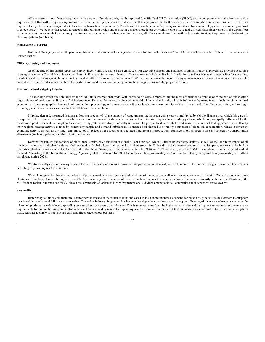All the vessels in our fleet are equipped with engines of modern design with improved Specific Fuel Oil Consumption (SFOC) and in compliance with the latest emission requirements, fitted with energy saving improvements in the hull, propellers and rudder as well as equipment that further reduces fuel consumption and emissions certified with an improved Energy Efficiency Design Index (Phase 2 compliance level as minimum). Vessels with this combination of technologies, introduced from certain shipyards, are commonly referred to as eco vessels. We believe that recent advances in shipbuilding design and technology makes these latest generation vessels more fuel-efficient than older vessels in the global fleet that compete with our vessels for charters, providing us with a competitive advantage. Furthermore, all of our vessels are fitted with ballast water treatment equipment and exhaust gas cleaning systems (scrubbers).

# **Management of our Fleet**

Our Fleet Manager provides all operational, technical and commercial management services for our fleet. Please see "Item 18. Financial Statements—Note 5—Transactions with Related Parties".

# **Officers, Crewing and Employees**

As of the date of this annual report we employ directly only one shore-based employee. Our executive officers and a number of administrative employees are provided according to an agreement with Central Mare. Please see "Item 18. Financial Statements—Note 5—Transactions with Related Parties". In addition, our Fleet Manager is responsible for recruiting, mainly through a crewing agent, the senior officers and all other crew members for our vessels. We believe the streamlining of crewing arrangements will ensure that all our vessels will be crewed with experienced seamen that have the qualifications and licenses required by international regulations and shipping conventions.

### **The International Shipping Industry**

The seaborne transportation industry is a vital link in international trade, with ocean going vessels representing the most efficient and often the only method of transporting large volumes of basic commodities and finished products. Demand for tankers is dictated by world oil demand and trade, which is influenced by many factors, including international economic activity; geographic changes in oil production, processing, and consumption; oil price levels; inventory policies of the major oil and oil trading companies; and strategic inventory policies of countries such as the United States, China and India.

Shipping demand, measured in tonne-miles, is a product of (a) the amount of cargo transported in ocean going vessels, multiplied by (b) the distance over which this cargo is transported. The distance is the more variable element of the tonne-mile demand equation and is determined by seaborne trading patterns, which are principally influenced by the locations of production and consumption. Seaborne trading patterns are also periodically influenced by geo-political events that divert vessels from normal trading patterns, as well as by inter-regional trading activity created by commodity supply and demand imbalances. Tonnage of oil shipped is primarily a function of global oil consumption, which is driven by economic activity as well as the long-term impact of oil prices on the location and related volume of oil production. Tonnage of oil shipped is also influenced by transportation alternatives (such as pipelines) and the output of refineries.

Demand for tankers and tonnage of oil shipped is primarily a function of global oil consumption, which is driven by economic activity, as well as the long-term impact of oil prices on the location and related volume of oil production. Global oil demand returned to limited growth in 2010 and has since been expanding at a modest pace, as a steady rise in Asia has outweighed decreasing demand in Europe and in the United States, with a notable exception for 2020 and 2021 in which years the COVID 19 epidemic dramatically reduced oil demand. According to the International Energy Agency, global oil demand for 2021 has increased to approximately 96.5 million barrels/day compared to approximately 91 million barrels/day during 2020.

We strategically monitor developments in the tanker industry on a regular basis and, subject to market demand, will seek to enter into shorter or longer time or bareboat charters according to prevailing market conditions.

We will compete for charters on the basis of price, vessel location, size, age and condition of the vessel, as well as on our reputation as an operator. We will arrange our time charters and bareboat charters through the use of brokers, who negotiate the terms of the charters based on market conditions. We will compete primarily with owners of tankers in the MR Product Tanker, Suezmax and VLCC class sizes. Ownership of tankers is highly fragmented and is divided among major oil companies and independent vessel owners.

#### **Seasonality**

Historically, oil trade and, therefore, charter rates increased in the winter months and eased in the summer months as demand for oil and oil products in the Northern Hemisphere rose in colder weather and fell in warmer weather. The tanker industry, in general, has become less dependent on the seasonal transport of heating oil than a decade ago as new uses for oil and oil products have developed, spreading consumption more evenly over the year. This is most apparent from the higher seasonal demand during the summer months due to energy requirements for air conditioning and motor vehicles. This seasonality may affect operating results. However, to the extent that our vessels are chartered at fixed rates on a long-term basis, seasonal factors will not have a significant direct effect on our business.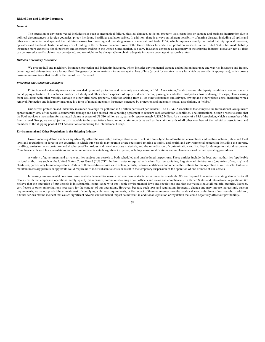# **Risk of Loss and Liability Insurance**

#### *General*

The operation of any cargo vessel includes risks such as mechanical failure, physical damage, collision, property loss, cargo loss or damage and business interruption due to political circumstances in foreign countries, piracy incidents, hostilities and labor strikes. In addition, there is always an inherent possibility of marine disaster, including oil spills and other environmental mishaps, and the liabilities arising from owning and operating vessels in international trade. OPA, which imposes virtually unlimited liability upon shipowners, operators and bareboat charterers of any vessel trading in the exclusive economic zone of the United States for certain oil pollution accidents in the United States, has made liability insurance more expensive for shipowners and operators trading in the United States market. We carry insurance coverage as customary in the shipping industry. However, not all risks can be insured, specific claims may be rejected, and we might not be always able to obtain adequate insurance coverage at reasonable rates.

#### *Hull and Machinery Insurance*

We procure hull and machinery insurance, protection and indemnity insurance, which includes environmental damage and pollution insurance and war risk insurance and freight. demurrage and defense insurance for our fleet. We generally do not maintain insurance against loss of hire (except for certain charters for which we consider it appropriate), which covers business interruptions that result in the loss of use of a vessel.

## *Protection and Indemnity Insurance*

Protection and indemnity insurance is provided by mutual protection and indemnity associations, or "P&I Associations," and covers our third-party liabilities in connection with our shipping activities. This includes third-party liability and other related expenses of injury or death of crew, passengers and other third parties, loss or damage to cargo, claims arising from collisions with other vessels, damage to other third-party property, pollution arising from oil or other substances and salvage, towing and other related costs, including wreck removal. Protection and indemnity insurance is a form of mutual indemnity insurance, extended by protection and indemnity mutual associations, or "clubs."

Our current protection and indemnity insurance coverage for pollution is \$1 billion per vessel per incident. The 13 P&I Associations that comprise the International Group insure approximately 90% of the world's commercial tonnage and have entered into a pooling agreement to reinsure each association's liabilities. The International Group's website states that the Pool provides a mechanism for sharing all claims in excess of US \$10 million up to, currently, approximately US\$8.2 billion. As a member of a P&I Association, which is a member of the International Group, we are subject to calls payable to the associations based on our claim records as well as the claim records of all other members of the individual associations and members of the shipping pool of P&I Associations comprising the International Group.

### **Environmental and Other Regulations in the Shipping Industry**

Government regulation and laws significantly affect the ownership and operation of our fleet. We are subject to international conventions and treaties, national, state and local laws and regulations in force in the countries in which our vessels may operate or are registered relating to safety and health and environmental protection including the storage, handling, emission, transportation and discharge of hazardous and non-hazardous materials, and the remediation of contamination and liability for damage to natural resources. Compliance with such laws, regulations and other requirements entails significant expense, including vessel modifications and implementation of certain operating procedures.

A variety of government and private entities subject our vessels to both scheduled and unscheduled inspections. These entities include the local port authorities (applicable national authorities such as the United States Coast Guard ("USCG"), harbor master or equivalent), classification societies, flag state administrations (countries of registry) and charterers, particularly terminal operators. Certain of these entities require us to obtain permits, licenses, certificates and other authorizations for the operation of our vessels. Failure to maintain necessary permits or approvals could require us to incur substantial costs or result in the temporary suspension of the operation of one or more of our vessels.

Increasing environmental concerns have created a demand for vessels that conform to stricter environmental standards. We are required to maintain operating standards for all of our vessels that emphasize operational safety, quality maintenance, continuous training of our officers and crews and compliance with United States and international regulations. We believe that the operation of our vessels is in substantial compliance with applicable environmental laws and regulations and that our vessels have all material permits, licenses, certificates or other authorizations necessary for the conduct of our operations. However, because such laws and regulations frequently change and may impose increasingly stricter requirements, we cannot predict the ultimate cost of complying with these requirements, or the impact of these requirements on the resale value or useful lives of our vessels. In addition, a future serious marine incident that causes significant adverse environmental impact could result in additional legislation or regulation that could negatively affect our profitability.

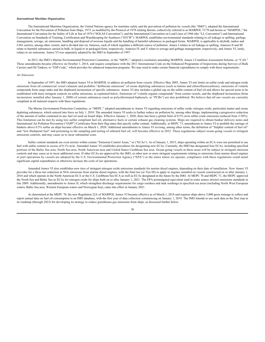#### *International Maritime Organization*

The International Maritime Organization, the United Nations agency for maritime safety and the prevention of pollution by vessels (the "IMO"), adopted the International Convention for the Prevention of Pollution from Ships, 1973, as modified by the Protocol of 1978 relating thereto, collectively referred to as MARPOL 73/78 and herein as "MARPOL," the International Convention for the Safety of Life at Sea of 1974 ("SOLAS Convention"), and the International Convention on Load Lines of 1966 (the "LL Convention") and International Convention on Standards of Training, Certification and Watchkeeping for Seafarers ("STCW"). MARPOL establishes environmental standards relating to oil leakage or spilling, garbage management, sewage, air emissions, handling and disposal of noxious liquids and the handling of harmful substances in packaged forms. MARPOL is applicable to drybulk, tanker and LNG carriers, among other vessels, and is divided into six Annexes, each of which regulates a different source of pollution. Annex I relates to oil leakage or spilling; Annexes II and III relate to harmful substances carried in bulk, in liquid or in packaged form, respectively; Annexes IV and V relate to sewage and garbage management, respectively; and Annex VI, lastly, relates to air emissions. Annex VI was separately adopted by the IMO in September of 1997.

In 2013, the IMO's Marine Environmental Protection Committee, or the "MEPC," adopted a resolution amending MARPOL Annex I Condition Assessment Scheme, or "CAS." These amendments became effective on October 1, 2014, and require compliance with the 2011 International Code on the Enhanced Programme of Inspections during Surveys of Bulk Carriers and Oil Tankers, or "ESP Code," which provides for enhanced inspection programs. We may need to make certain financial expenditures to comply with these requirements.

### *Air Emissions*

In September of 1997, the IMO adopted Annex VI to MARPOL to address air pollution from vessels. Effective May 2005, Annex VI sets limits on sulfur oxide and nitrogen oxide emissions from all commercial vessel exhausts and prohibits "deliberate emissions" of ozone depleting substances (such as halons and chlorofluorocarbons), emissions of volatile compounds from cargo tanks and the shipboard incineration of specific substances. Annex VI also includes a global cap on the sulfur content of fuel oil and allows for special areas to be established with more stringent controls on sulfur emissions, as explained below. Emissions of "volatile organic compounds" from certain vessels, and the shipboard incineration (from incinerators installed after January 1, 2000) of certain substances (such as polychlorinated biphenyls, or "PCBs") are also prohibited. We believe that all our vessels are currently compliant in all material respects with these regulations.

The Marine Environment Protection Committee, or "MEPC," adopted amendments to Annex VI regarding emissions of sulfur oxide, nitrogen oxide, particulate matter and ozone depleting substances, which entered into force on July 1, 2010. The amended Annex VI seeks to further reduce air pollution by, among other things, implementing a progressive reduction of the amount of sulfur contained in any fuel oil used on board ships. Effective January 1, 2020, there has been a global limit of 0.5% m/m sulfur oxide emissions (reduced from 3.50%). This limitation can be met by using low-sulfur compliant fuel oil, alternative fuels or certain exhaust gas cleaning systems. Ships are required to obtain bunker delivery notes and International Air Pollution Prevention ("IAPP") Certificates from their flag states that specify sulfur content. Additionally, at MEPC 73, amendments to Annex VI to prohibit the carriage of bunkers above 0.5% sulfur on ships became effective on March 1, 2020. Additional amendments to Annex VI revising, among other terms, the definition of "Sulpher content of fuel oil" and "low-flashpoint fuel" and pertaining to the sampling and testing of onboard fuel oil, will become effective in 2022. These regulations subject ocean-going vessels to stringent emissions controls, and may cause us to incur substantial costs.

Sulfur content standards are even stricter within certain "Emission Control Areas," or ("ECAs"). As of January 1, 2015, ships operating within an ECA were not permitted to use fuel with sulfur content in excess of 0.1% m/m. Amended Annex VI establishes procedures for designating new ECAs. Currently, the IMO has designated four ECAs, including specified portions of the Baltic Sea area, North Sea area, North American area and United States Caribbean Sea area. Ocean-going vessels in these areas will be subject to stringent emission controls and may cause us to incur additional costs. If other ECAs are approved by the IMO, or other new or more stringent requirements relating to emissions from marine diesel engines or port operations by vessels are adopted by the U.S. Environmental Protection Agency ("EPA") or the states where we operate, compliance with these regulations could entail significant capital expenditures or otherwise increase the costs of our operations.

Amended Annex VI also establishes new tiers of stringent nitrogen oxide emissions standards for marine diesel engines, depending on their date of installation. Now Annex VI provides for a three-tier reduction in NOx emissions from marine diesel engines, with the final tier (or Tier III) to apply to engines installed on vessels constructed on or after January 1, 2016 and which operate in the North American ECA or the U.S. Caribbean Sea ECA as well as ECAs designated in the future by the IMO. At MEPC 70 and MEPC 71, the MEPC approved the North Sea and Baltic Sea as ECAs for nitrogen oxide for ships built on or after January 1, 2021. The EPA promulgated equivalent (and in some senses stricter) emissions standards in late 2009. Additionally, amendments to Annex II, which strengthen discharge requirements for cargo residues and tank washings in specified sea areas (including North West European waters, Baltic Sea area, Western European waters and Norwegian Sea), came into effect in January 2021.

As determined at the MEPC 70, the new Regulation 22A of MARPOL Annex VI became effective as of March 1, 2018 and requires ships above 5,000 gross tonnage to collect and report annual data on fuel oil consumption to an IMO database, with the first year of data collection commencing on January 1, 2019. The IMO intends to use such data as the first step in its roadmap (through 2023) for developing its strategy to reduce greenhouse gas emissions from ships, as discussed further below.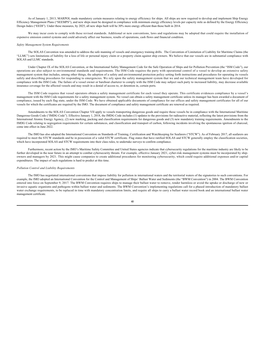As of January 1, 2013, MARPOL made mandatory certain measures relating to energy efficiency for ships. All ships are now required to develop and implement Ship Energy Efficiency Management Plans ("SEEMPS"), and new ships must be designed in compliance with minimum energy efficiency levels per capacity mile as defined by the Energy Efficiency Design Index ("EEDI"). Under these measures, by 2025, all new ships built will be 30% more energy efficient than those built in 2014.

We may incur costs to comply with these revised standards. Additional or new conventions, laws and regulations may be adopted that could require the installation of expensive emission control systems and could adversely affect our business, results of operations, cash flows and financial condition.

## *Safety Management System Requirements*

The SOLAS Convention was amended to address the safe manning of vessels and emergency training drills. The Convention of Limitation of Liability for Maritime Claims (the "LLMC") sets limitations of liability for a loss of life or personal injury claim or a property claim against ship owners. We believe that our vessels are in substantial compliance with SOLAS and LLMC standards.

Under Chapter IX of the SOLAS Convention, or the International Safety Management Code for the Safe Operation of Ships and for Pollution Prevention (the "ISM Code"), our operations are also subject to environmental standards and requirements. The ISM Code requires the party with operational control of a vessel to develop an extensive safety management system that includes, among other things, the adoption of a safety and environmental protection policy setting forth instructions and procedures for operating its vessels safely and describing procedures for responding to emergencies. We rely upon the safety management system that we and our technical management team have developed for compliance with the ISM Code. The failure of a vessel owner or bareboat charterer to comply with the ISM Code may subject such party to increased liability, may decrease available insurance coverage for the affected vessels and may result in a denial of access to, or detention in, certain ports.

The ISM Code requires that vessel operators obtain a safety management certificate for each vessel they operate. This certificate evidences compliance by a vessel's management with the ISM Code requirements for a safety management system. No vessel can obtain a safety management certificate unless its manager has been awarded a document of compliance, issued by each flag state, under the ISM Code. We have obtained applicable documents of compliance for our offices and safety management certificates for all of our vessels for which the certificates are required by the IMO. The document of compliance and safety management certificate are renewed as required.

Amendments to the SOLAS Convention Chapter VII apply to vessels transporting dangerous goods and require those vessels be in compliance with the International Maritime Dangerous Goods Code ("IMDG Code"). Effective January 1, 2018, the IMDG Code includes (1) updates to the provisions for radioactive material, reflecting the latest provisions from the International Atomic Energy Agency, (2) new marking, packing and classification requirements for dangerous goods and (3) new mandatory training requirements. Amendments to the IMDG Code relating to segregation requirements for certain substances, and classification and transport of carbon, following incidents involving the spontaneous ignition of charcoal, come into effect in June 2022.

The IMO has also adopted the International Convention on Standards of Training, Certification and Watchkeeping for Seafarers ("STCW"). As of February 2017, all seafarers are required to meet the STCW standards and be in possession of a valid STCW certificate. Flag states that have ratified SOLAS and STCW generally employ the classification societies, which have incorporated SOLAS and STCW requirements into their class rules, to undertake surveys to confirm compliance.

Furthermore, recent action by the IMO's Maritime Safety Committee and United States agencies indicate that cybersecurity regulations for the maritime industry are likely to be further developed in the near future in an attempt to combat cybersecurity threats. For example, effective January 2021, cyber-risk management systems must be incorporated by shipowners and managers by 2021. This might cause companies to create additional procedures for monitoring cybersecurity, which could require additional expenses and/or capital expenditures. The impact of such regulations is hard to predict at this time.

### *Pollution Control and Liability Requirements*

The IMO has negotiated international conventions that impose liability for pollution in international waters and the territorial waters of the signatories to such conventions. For example, the IMO adopted an International Convention for the Control and Management of Ships' Ballast Water and Sediments (the "BWM Convention") in 2004. The BWM Convention entered into force on September 9, 2017. The BWM Convention requires ships to manage their ballast water to remove, render harmless or avoid the uptake or discharge of new or invasive aquatic organisms and pathogens within ballast water and sediments. The BWM Convention's implementing regulations call for a phased introduction of mandatory ballast water exchange requirements, to be replaced in time with mandatory concentration limits, and require all ships to carry a ballast water record book and an international ballast water management certificate.

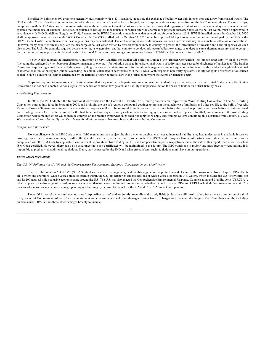Specifically, ships over 400 gross tons generally must comply with a "D-1 standard," requiring the exchange of ballast water only in open seas and away from coastal waters. The "D-2 standard" specifies the maximum amount of viable organisms allowed to be discharged, and compliance dates vary depending on the IOPP renewal dates. For most ships, compliance with the D-2 standard will involve installing on-board systems to treat ballast water and eliminate unwanted organisms. Ballast water management systems, which include systems that make use of chemical, biocides, organisms or biological mechanisms, or which alter the chemical or physical characteristics of the ballast water, must be approved in accordance with IMO Guidelines (Regulation D-3). Pursuant to the BWM Convention amendments that entered into force in October 2019, BWMS installed on or after October 28, 2020 shall be approved in accordance with BWMS Code, while BWMS installed before October 23, 2020 must be approved taking into account guidelines developed by the IMO or the BWMS Code. Costs of compliance with these regulations may be substantial. The cost of compliance could increase for ocean carriers and may have a material effect on our operations. However, many countries already regulate the discharge of ballast water carried by vessels from country to country to prevent the introduction of invasive and harmful species via such discharges. The U.S., for example, requires vessels entering its waters from another country to conduct mid-ocean ballast exchange, or undertake some alternate measure, and to comply with certain reporting requirements. Amendments to the BWM Convention concerning commissioning testing of BWMS will become effective in 2022.

The IMO also adopted the International Convention on Civil Liability for Bunker Oil Pollution Damage (the "Bunker Convention") to impose strict liability on ship owners (including the registered owner, bareboat charterer, manager or operator) for pollution damage in jurisdictional waters of ratifying states caused by discharges of bunker fuel. The Bunker Convention requires registered owners of ships over 1,000 gross tons to maintain insurance for pollution damage in an amount equal to the limits of liability under the applicable national or international limitation regime (but not exceeding the amount calculated in accordance with the LLMC). With respect to non-ratifying states, liability for spills or releases of oil carried as fuel in ship's bunkers typically is determined by the national or other domestic laws in the jurisdiction where the events or damages occur.

Ships are required to maintain a certificate attesting that they maintain adequate insurance to cover an incident. In jurisdictions, such as the United States where the Bunker Convention has not been adopted, various legislative schemes or common law govern, and liability is imposed either on the basis of fault or on a strict-liability basis.

#### *Anti*‑*Fouling Requirements*

In 2001, the IMO adopted the International Convention on the Control of Harmful Anti-fouling Systems on Ships, or the "Anti-fouling Convention." The Anti-fouling Convention entered into force in September 2008, and prohibits the use of organotin compound coatings to prevent the attachment of mollusks and other sea life to the hulls of vessels. Vessels of over 400 gross tons engaged in international voyages will also be required to undergo an initial survey before the vessel is put into service or before an International Anti-fouling System Certificate is issued for the first time; and subsequent surveys when the anti-fouling systems are altered or replaced. In 2023, amendments to the Anti-fouling Convention will come into effect which include controls on the biocide cybutryne; ships shall not apply or re-apply anti-fouling systems containing this substance from January 1, 2023. We have obtained Anti-fouling System Certificates for all of our vessels that are subject to the Anti-fouling Convention.

#### *Compliance Enforcement*

Noncompliance with the ISM Code or other IMO regulations may subject the ship owner or bareboat charterer to increased liability, may lead to decreases in available insurance coverage for affected vessels and may result in the denial of access to, or detention in, some ports. The USCG and European Union authorities have indicated that vessels not in compliance with the ISM Code by applicable deadlines will be prohibited from trading in U.S. and European Union ports, respectively. As of the date of this report, each of our vessels is ISM Code certified. However, there can be no assurance that such certificates will be maintained in the future. The IMO continues to review and introduce new regulations. It is impossible to predict what additional regulations, if any, may be passed by the IMO and what effect, if any, such regulations might have on our operations.

#### *United States Regulations*

#### *The U.S. Oil Pollution Act of 1990 and the Comprehensive Environmental Response, Compensation and Liability Act*

The U.S. Oil Pollution Act of 1990 ("OPA") established an extensive regulatory and liability regime for the protection and cleanup of the environment from oil spills. OPA affects all "owners and operators" whose vessels trade or operate within the U.S., its territories and possessions or whose vessels operate in U.S. waters, which includes the U.S.'s territorial sea and its 200-nautical mile exclusive economic zone around the U.S. The U.S. has also enacted the Comprehensive Environmental Response, Compensation and Liability Act ("CERCLA"), which applies to the discharge of hazardous substances other than oil, except in limited circumstances, whether on land or at sea. OPA and CERCLA both define "owner and operator" in the case of a vessel as any person owning, operating or chartering by demise, the vessel. Both OPA and CERCLA impact our operations.

Under OPA, vessel owners and operators are "responsible parties" and are jointly, severally and strictly liable (unless the spill results solely from the act or omission of a third party, an act of God or an act of war) for all containment and clean-up costs and other damages arising from discharges or threatened discharges of oil from their vessels, including bunkers (fuel). OPA defines these other damages broadly to include: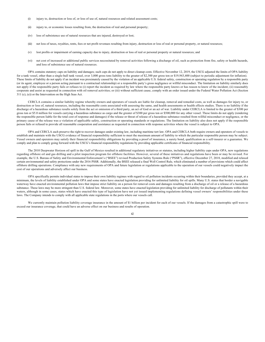- (i) injury to, destruction or loss of, or loss of use of, natural resources and related assessment costs;
- (ii) injury to, or economic losses resulting from, the destruction of real and personal property;
- (iv) loss of subsistence use of natural resources that are injured, destroyed or lost;
- (iii) net loss of taxes, royalties, rents, fees or net profit revenues resulting from injury, destruction or loss of real or personal property, or natural resources;
- (v) lost profits or impairment of earning capacity due to injury, destruction or loss of real or personal property or natural resources; and
- (vi) net cost of increased or additional public services necessitated by removal activities following a discharge of oil, such as protection from fire, safety or health hazards, and loss of subsistence use of natural resources.

OPA contains statutory caps on liability and damages; such caps do not apply to direct cleanup costs. Effective November 12, 2019, the USCG adjusted the limits of OPA liability for a tank vessel, other than a single-hull tank vessel, over 3,000 gross tons liability to the greater of \$2,300 per gross ton or \$19,943,400 (subject to periodic adjustment for inflation). These limits of liability do not apply if an incident was proximately caused by the violation of an applicable U.S. federal safety, construction or operating regulation by a responsible party (or its agent, employee or a person acting pursuant to a contractual relationship) or a responsible party's gross negligence or willful misconduct. The limitation on liability similarly does not apply if the responsible party fails or refuses to (i) report the incident as required by law where the responsible party knows or has reason to know of the incident; (ii) reasonably cooperate and assist as requested in connection with oil removal activities; or (iii) without sufficient cause, comply with an order issued under the Federal Water Pollution Act (Section 311 (c), (e)) or the Intervention on the High Seas Act.

CERCLA contains a similar liability regime whereby owners and operators of vessels are liable for cleanup, removal and remedial costs, as well as damages for injury to, or destruction or loss of, natural resources, including the reasonable costs associated with assessing the same, and health assessments or health effects studies. There is no liability if the discharge of a hazardous substance results solely from the act or omission of a third party, an act of God or an act of war. Liability under CERCLA is limited to the greater of \$300 per gross ton or \$5.0 million for vessels carrying a hazardous substance as cargo and the greater of \$300 per gross ton or \$500,000 for any other vessel. These limits do not apply (rendering the responsible person liable for the total cost of response and damages) if the release or threat of release of a hazardous substance resulted from willful misconduct or negligence, or the primary cause of the release was a violation of applicable safety, construction or operating standards or regulations. The limitation on liability also does not apply if the responsible person fails or refused to provide all reasonable cooperation and assistance as requested in connection with response activities where the vessel is subject to OPA.

OPA and CERCLA each preserve the right to recover damages under existing law, including maritime tort law. OPA and CERCLA both require owners and operators of vessels to establish and maintain with the USCG evidence of financial responsibility sufficient to meet the maximum amount of liability to which the particular responsible person may be subject. Vessel owners and operators may satisfy their financial responsibility obligations by providing a proof of insurance, a surety bond, qualification as a self-insurer or a guarantee. We comply and plan to comply going forward with the USCG's financial responsibility regulations by providing applicable certificates of financial responsibility.

The 2010 Deepwater Horizon oil spill in the Gulf of Mexico resulted in additional regulatory initiatives or statutes, including higher liability caps under OPA, new regulations regarding offshore oil and gas drilling and a pilot inspection program for offshore facilities. However, several of these initiatives and regulations have been or may be revised. For example, the U.S. Bureau of Safety and Environmental Enforcement's ("BSEE") revised Production Safety Systems Rule ("PSSR"), effective December 27, 2018, modified and relaxed certain environmental and safety protections under the 2016 PSSR. Additionally, the BSEE released a final Well Control Rule, which eliminated a number of provisions which could affect offshore drilling operations. Compliance with any new requirements of OPA and future legislation or regulations applicable to the operation of our vessels could negatively impact the cost of our operations and adversely affect our business.

OPA specifically permits individual states to impose their own liability regimes with regard to oil pollution incidents occurring within their boundaries, provided they accept, at a minimum, the levels of liability established under OPA and some states have enacted legislation providing for unlimited liability for oil spills. Many U.S. states that border a navigable waterway have enacted environmental pollution laws that impose strict liability on a person for removal costs and damages resulting from a discharge of oil or a release of a hazardous substance. These laws may be more stringent than U.S. federal law. Moreover, some states have enacted legislation providing for unlimited liability for discharge of pollutants within their waters, although in some cases, states which have enacted this type of legislation have not yet issued implementing regulations defining vessel owners' responsibilities under these laws. The Company intends to comply with all applicable state regulations in the ports where our vessels call.

We currently maintain pollution liability coverage insurance in the amount of \$1 billion per incident for each of our vessels. If the damages from a catastrophic spill were to exceed our insurance coverage, that could have an adverse effect on our business and results of operation.

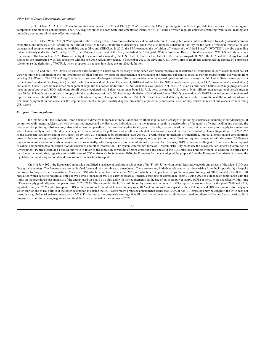#### *Other United States Environmental Initiatives*

The U.S. Clean Air Act of 1970 (including its amendments of 1977 and 1990) ("CAA") requires the EPA to promulgate standards applicable to emissions of volatile organic compounds and other air contaminants. The CAA requires states to adopt State Implementation Plans, or "SIPs," some of which regulate emissions resulting from vessel loading and unloading operations which may effect our vessels.

The U.S. Clean Water Act ("CWA") prohibits the discharge of oil, hazardous substances and ballast water in U.S. navigable waters unless authorized by a duly-issued permit or exemption, and imposes strict liability in the form of penalties for any unauthorized discharges. The CWA also imposes substantial liability for the costs of removal, remediation and damages and complements the remedies available under OPA and CERCLA. In 2015, the EPA expanded the definition of "waters of the United States" ("WOTUS"), thereby expanding federal authority under the CWA. In April 2020, the EPA and Department of the Army published the "Navigable Waters Protection Rule," to finalize a revised WOTUS definition, which rule became effective in June 2020. However, in light of a court order issued by the U.S. District Court for the District of Arizona on August 30, 2021, the EPA and U.S. Army Corps of Engineers are interpreting WOTUS consistent with the pre-2015 regulatory regime. In November 2021, the EPA and U.S. Army Corps of Engineers announced the signing of a proposed rule to revise the definition of WOTUS, which proposes to put back into place the pre-2015 definition.

The EPA and the USCG have also enacted rules relating to ballast water discharge, compliance with which requires the installation of equipment on our vessels to treat ballast water before it is discharged or the implementation of other port facility disposal arrangements or procedures at potentially substantial costs, and/or otherwise restrict our vessels from entering U.S. Waters. The EPA will regulate these ballast water discharges and other discharges incidental to the normal operation of certain vessels within United States waters pursuant to the Vessel Incidental Discharge Act ("VIDA"), which was signed into law on December 4, 2018 and will replace the 2013 Vessel General permit, or VGP, program (as discussed above) and current Coast Guard ballast water management regulations adopted under the U.S. National Invasive Species Act, or NISA, such as mid-ocean ballast exchange programs and installation of approved USCG technology for all vessels equipped with ballast water tanks bound for U.S. ports or entering U.S. waters. Non-military, non-recreational vessels greater than 79 feet in length must continue to comply with the requirements of the VGP, including submission of a Notice of Intent ("NOI") or retention of a PARI form and submission of annual reports. We have submitted NOIs for all our vessels where required. Compliance with the EPA, U.S. Coast Guard and state regulations could require the installation of ballast water treatment equipment on our vessels or the implementation of other port facility disposal procedures at potentially substantial cost, or may otherwise restrict our vessels from entering U.S. waters.

# *European Union Regulations*

In October 2009, the European Union amended a directive to impose criminal sanctions for illicit ship-source discharges of polluting substances, including minor discharges, if committed with intent, recklessly or with serious negligence and the discharges individually or in the aggregate result in deterioration of the quality of water. Aiding and abetting the discharge of a polluting substance may also lead to criminal penalties. The directive applies to all types of vessels, irrespective of their flag, but certain exceptions apply to warships or where human safety or that of the ship is in danger. Criminal liability for pollution may result in substantial penalties or fines and increased civil liability claims. Regulation (EU) 2015/757 of the European Parliament and of the Council of 29 April 2015 (amended by Regulation (EU) 2016/2071 with respect to methods of calculating, inter alia, emission and consumption) governs the monitoring, reporting and verification of carbon dioxide emissions from maritime transport, and, subject to some exclusions, requires companies with ships over 5,000 gross tonnage to monitor and report carbon dioxide emissions annually, which may cause us to incur additional expenses. As of January 2019, large ships calling at EU ports have been required to collect and publish data on carbon dioxide emissions and other information. The system entered into force on 1 March 2018. July 2020 saw the European Parliament's Committee on Environment, Public Health and Food Safety vote in favor of the inclusion of vessels of 5000 gross tons and above in the EU Emissions Trading System (in addition to voting for a revision to the monitoring, reporting and verification of CO2 emissions). In September 2020, the European Parliament adopted the proposal from the European Commission to amend the regulation on monitoring carbon dioxide emissions from maritime transport.

On 14th July 2021, the European Commission published a package of draft proposals as part of its 'Fit for 55' environmental legislative agenda and as part of the wider EU Green Deal growth strategy. The Proposals are not yet in final form and may be subject to amendment. There are two key initiatives relevant to maritime arising from the Proposals: (a) a bespoke emissions trading scheme for maritime (Maritime ETS) which is due to commence in 2023 and which is to apply to all ships above a gross tonnage of 5000; and (b) a FuelEU draft regulation which seeks to require all ships above a gross tonnage of 5000 to carry on board a 'FuelEU certificate of compliance' from 30 June 2025 as evidence of compliance with the limits on the greenhouse gas intensity of the energy used on-board by a ship and with the requirements on the use of on-shore power supply (OPS) at berth. More specifically, Maritime ETS is to apply gradually over the period from 2023- 2025. The cap under the ETS would be set by taking into account EU MRV system emissions data for the years 2018 and 2019, adjusted, from year 2021 and is to capture 100% of the emissions from intra-EU maritime voyages; 100% of emissions from ships at berth in EU ports; and 50% of emissions from voyages which start or end at EU ports (but the other destination is outside the EU). More recent proposed amendments signal that 100% of non-EU emissions may be caught if the IMO does not introduce a global market-based measure by 2028. Furthermore, the proposals envisage that all maritime allowances would be auctioned and there will be no free allocation. Both proposals are currently being negotiated and final drafts are expected in the summer of 2022.

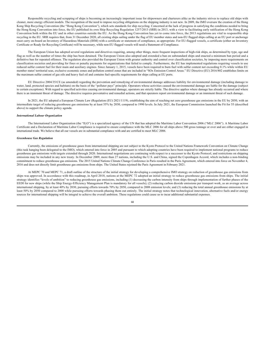Responsible recycling and scrapping of ships is becoming an increasingly important issue for shipowners and charterers alike as the industry strives to replace old ships with cleaner, more energy efficient models. The recognition of the need to impose recycling obligations on the shipping industry is not new. In 2009, the IMO oversaw the creation of the Hong Kong Ship Recycling Convention (the "Hong Kong Convention"), which sets standards for ship recycling. Concerned at the lack of progress in satisfying the conditions needed to bring the Hong Kong Convention into force, the EU published its own Ship Recycling Regulation 1257/2013 (SRR) in 2013, with a view to facilitating early ratification of the Hong Kong Convention both within the EU and in other countries outside the EU. As the Hong Kong Convention has yet to come into force, the 2013 regulations are vital to responsible ship recycling in the EU. SRR requires that, from 31 December 2020, all existing ships sailing under the flag of EU member states and non-EU flagged ships calling at an EU port or anchorage must carry on-board an Inventory of Hazardous Materials (IHM) with a certificate or statement of compliance, as appropriate. For EU-flagged vessels, a certificate (either an Inventory Certificate or Ready for Recycling Certificate) will be necessary, while non-EU flagged vessels will need a Statement of Compliance.

The European Union has adopted several regulations and directives requiring, among other things, more frequent inspections of high-risk ships, as determined by type, age and flag as well as the number of times the ship has been detained. The European Union also adopted and extended a ban on substandard ships and enacted a minimum ban period and a definitive ban for repeated offenses. The regulation also provided the European Union with greater authority and control over classification societies, by imposing more requirements on classification societies and providing for fines or penalty payments for organizations that failed to comply. Furthermore, the EU has implemented regulations requiring vessels to use reduced sulfur content fuel for their main and auxiliary engines. Since January 1, 2015, vessels have been required to burn fuel with sulfur content not exceeding 0.1% while within EU member states' territorial seas, exclusive economic zones and pollution control zones that are included in "SOx Emission Control Areas." EU Directive (EU) 2016/802 establishes limits on the maximum sulfur content of gas oils and heavy fuel oil and contains fuel-specific requirements for ships calling at EU ports.

EU Directive 2004/35/CE (as amended) regarding the prevention and remedying of environmental damage addresses liability for environmental damage (including damage to water, land, protected species and habitats) on the basis of the "polluter pays" principle. Operators whose activities caused the environmental damage are liable for the damage (subject to certain exceptions). With regard to specified activities causing environmental damage, operators are strictly liable. The directive applies where damage has already occurred and where there is an imminent threat of damage. The directive requires preventative and remedial actions, and that operators report environmental damage or an imminent threat of such damage.

In 2021, the EU adopted a European Climate Law (Regulation (EU) 2021/1119), establishing the aim of reaching net zero greenhouse gas emissions in the EU by 2050, with an intermediate target of reducing greenhouse gas emissions by at least 55% by 2030, compared to 1990 levels. In July 2021, the European Commission launched the Fit for 55 (described above) to support the climate policy agenda.

#### *International Labour Organization*

The International Labor Organization (the "ILO") is a specialized agency of the UN that has adopted the Maritime Labor Convention 2006 ("MLC 2006"). A Maritime Labor Certificate and a Declaration of Maritime Labor Compliance is required to ensure compliance with the MLC 2006 for all ships above 500 gross tonnage or over and are either engaged in international trade. We believe that all our vessels are in substantial compliance with and are certified to meet MLC 2006.

#### *Greenhouse Gas Regulation*

Currently, the emissions of greenhouse gases from international shipping are not subject to the Kyoto Protocol to the United Nations Framework Convention on Climate Change (this task hanging been delegated to the IMO), which entered into force in 2005 and pursuant to which adopting countries have been required to implement national programs to reduce greenhouse gas emissions with targets extended through 2020. International negotiations are continuing with respect to a successor to the Kyoto Protocol, and restrictions on shipping emissions may be included in any new treaty. In December 2009, more than 27 nations, including the U.S. and China, signed the Copenhagen Accord, which includes a non-binding commitment to reduce greenhouse gas emissions. The 2015 United Nations Climate Change Conference in Paris resulted in the Paris Agreement, which entered into force on November 4, 2016 and does not directly limit greenhouse gas emissions from ships. The United States rejoined the Paris Agreement in February 2021.

At MEPC 70 and MEPC 71, a draft outline of the structure of the initial strategy for developing a comprehensive IMO strategy on reduction of greenhouse gas emissions from ships was approved. In accordance with this roadmap, in April 2018, nations at the MEPC 72 adopted an initial strategy to reduce greenhouse gas emissions from ships. The initial strategy identifies "levels of ambition" to reducing greenhouse gas emissions, including (1) decreasing the carbon intensity from ships through implementation of further phases of the EEDI for new ships (while the Ship Energy-Efficiency Management Plan is mandatory for all vessels); (2) reducing carbon dioxide emissions per transport work, as an average across international shipping, by at least 40% by 2030, pursuing efforts towards 70% by 2050, compared to 2008 emission levels; and (3) reducing the total annual greenhouse emissions by at least 50% by 2050 compared to 2008 while pursuing efforts towards phasing them out entirely. The initial strategy notes that technological innovation, alternative fuels and/or energy sources for international shipping will be integral to achieve the overall ambition. These regulations could cause us to incur additional substantial expenses.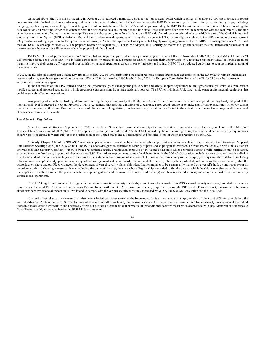As noted above, the 70th MEPC meeting in October 2016 adopted a mandatory data collection system (DCS) which requires ships above 5 000 gross tonnes to report consumption data for fuel oil, hours under way and distance travelled. Unlike the EU MRV (see below), the IMO DCS covers any maritime activity carried out by ships, including dredging, pipeline laying, ice-breaking, fish-catching and off-shore installations. The SEEMPs of all ships covered by the IMO DCS must include a description of the methodology for data collection and reporting. After each calendar year, the aggregated data are reported to the flag state. If the data have been reported in accordance with the requirements, the flag state issues a statement of compliance to the ship. Flag states subsequently transfer this data to an IMO ship fuel oil consumption database, which is part of the Global Integrated Shipping Information System (GISIS) platform. IMO will then produce annual reports, summarising the data collected. Thus, currently, data related to the GHG emissions of ships above 5 000 gross tonnes calling at ports in the European Economic Area (EEA) must be reported in two separate, but largely overlapping, systems: the EU MRV – which applies since 2018 – and the IMO DCS – which applies since 2019. The proposed revision of Regulation (EU) 2015/757 adopted on 4 February 2019 aims to align and facilitate the simultaneous implementation of the two systems however it is still not clear when the proposal will be adopted.

IMO's MEPC 76 adopted amendments to Annex VI that will require ships to reduce their greenhouse gas emissions. Effective November 1, 2022, the Revised MARPOL Annex VI will enter into force. The revised Annex VI includes carbon intensity measures (requirements for ships to calculate their Energy Efficiency Existing Ship Index (EEXI) following technical means to improve their energy efficiency and to establish their annual operational carbon intensity indicator and rating. MEPC 76 also adopted guidelines to support implementation of the amendments.

In 2021, the EU adopted a European Climate Law (Regulation (EU) 2021/1119), establishing the aim of reaching net zero greenhouse gas emissions in the EU by 2050, with an intermediate target of reducing greenhouse gas emissions by at least 55% by 2030, compared to 1990 levels. In July 2021, the European Commission launched the Fit for 55 (described above) to support the climate policy agenda.

In the United States, the EPA issued a finding that greenhouse gases endanger the public health and safety, adopted regulations to limit greenhouse gas emissions from certain mobile sources, and proposed regulations to limit greenhouse gas emissions from large stationary sources. The EPA or individual U.S. states could enact environmental regulations that could negatively affect our operations.

Any passage of climate control legislation or other regulatory initiatives by the IMO, the EU, the U.S. or other countries where we operate, or any treaty adopted at the international level to succeed the Kyoto Protocol or Paris Agreement, that restricts emissions of greenhouse gases could require us to make significant expenditures which we cannot predict with certainty at this time. Even in the absence of climate control legislation, our business may be indirectly affected to the extent that climate change may result in sea level changes or certain weather events.

#### *Vessel Security Regulations*

Since the terrorist attacks of September 11, 2001 in the United States, there have been a variety of initiatives intended to enhance vessel security such as the U.S. Maritime Transportation Security Act of 2002 ("MTSA"). To implement certain portions of the MTSA, the USCG issued regulations requiring the implementation of certain security requirements aboard vessels operating in waters subject to the jurisdiction of the United States and at certain ports and facilities, some of which are regulated by the EPA.

Similarly, Chapter XI-2 of the SOLAS Convention imposes detailed security obligations on vessels and port authorities and mandates compliance with the International Ship and Port Facilities Security Code ("the ISPS Code"). The ISPS Code is designed to enhance the security of ports and ships against terrorism. To trade internationally, a vessel must attain an International Ship Security Certificate ("ISSC") from a recognized security organization approved by the vessel's flag state. Ships operating without a valid certificate may be detained, expelled from or refused entry at port until they obtain an ISSC. The various requirements, some of which are found in the SOLAS Convention, include, for example, on-board installation of automatic identification systems to provide a means for the automatic transmission of safety-related information from among similarly equipped ships and shore stations, including information on a ship's identity, position, course, speed and navigational status; on-board installation of ship security alert systems, which do not sound on the vessel but only alert the authorities on shore and our Fleet Manager; the development of vessel security plans; ship identification number to be permanently marked on a vessel's hull; a continuous synopsis record kept onboard showing a vessel's history including the name of the ship, the state whose flag the ship is entitled to fly, the date on which the ship was registered with that state, the ship's identification number, the port at which the ship is registered and the name of the registered owner(s) and their registered address; and compliance with flag state security certification requirements.

The USCG regulations, intended to align with international maritime security standards, exempt non-U.S. vessels from MTSA vessel security measures, provided such vessels have on board a valid ISSC that attests to the vessel's compliance with the SOLAS Convention security requirements and the ISPS Code. Future security measures could have a significant negative financial impact on us. We intend to comply with the various security measures addressed by MTSA, the SOLAS Convention and the ISPS Code.

The cost of vessel security measures has also been affected by the escalation in the frequency of acts of piracy against ships, notably off the coast of Somalia, including the Gulf of Aden and Arabian Sea area. Substantial loss of revenue and other costs may be incurred as a result of detention of a vessel or additional security measures, and the risk of uninsured losses could significantly and negatively affect our business. Costs may be incurred in taking additional security measures in accordance with Best Management Practices to Deter Piracy, notably those contained in the BMP5 industry standard.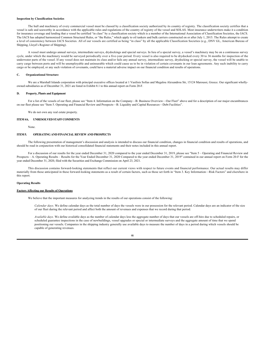# **Inspection by Classification Societies**

The hull and machinery of every commercial vessel must be classed by a classification society authorized by its country of registry. The classification society certifies that a vessel is safe and seaworthy in accordance with the applicable rules and regulations of the country of registry of the vessel and SOLAS. Most insurance underwriters make it a condition for insurance coverage and lending that a vessel be certified "in class" by a classification society which is a member of the International Association of Classification Societies, the IACS. The IACS has adopted harmonized Common Structural Rules, or "the Rules," which apply to oil tankers and bulk carriers constructed on or after July 1, 2015. The Rules attempt to create a level of consistency between IACS Societies. All of our vessels are certified as being "in class" by all the applicable Classification Societies (e.g., DNV GL, American Bureau of Shipping, Lloyd's Register of Shipping).

A vessel must undergo annual surveys, intermediate surveys, drydockings and special surveys. In lieu of a special survey, a vessel's machinery may be on a continuous survey cycle, under which the machinery would be surveyed periodically over a five-year period. Every vessel is also required to be drydocked every 30 to 36 months for inspection of the underwater parts of the vessel. If any vessel does not maintain its class and/or fails any annual survey, intermediate survey, drydocking or special survey, the vessel will be unable to carry cargo between ports and will be unemployable and uninsurable which could cause us to be in violation of certain covenants in our loan agreements. Any such inability to carry cargo or be employed, or any such violation of covenants, could have a material adverse impact on our financial condition and results of operations.

#### **C. Organizational Structure**

We are a Marshall Islands corporation with principal executive offices located at 1 Vasilisis Sofias and Megalou Alexandrou Str, 15124 Maroussi, Greece. Our significant whollyowned subsidiaries as of December 31, 2021 are listed in Exhibit 8.1 to this annual report on Form 20-F.

# **D. Property, Plants and Equipment**

For a list of the vessels of our fleet, please see "Item 4. Information on the Company—B. Business Overview—Our Fleet" above and for a description of our major encumbrances on our fleet please see "Item 5. Operating and Financial Review and Prospects—B. Liquidity and Capital Resources—Debt Facilities".

We do not own any real estate property.

### **ITEM 4A. UNRESOLVED STAFF COMMENTS**

None.

# **ITEM 5. OPERATING AND FINANCIAL REVIEW AND PROSPECTS**

The following presentation of management's discussion and analysis is intended to discuss our financial condition, changes in financial condition and results of operations, and should be read in conjunction with our historical consolidated financial statements and their notes included in this annual report.

For a discussion of our results for the year ended December 31, 2020 compared to the year ended December 31, 2019, please see "Item 5 - Operating and Financial Review and Prospects – A. Operating Results – Results for the Year Ended December 31, 2020 Compared to the year ended December 31, 2019" contained in our annual report on Form 20-F for the year ended December 31, 2020, filed with the Securities and Exchange Commission on April 23, 2021.

This discussion contains forward-looking statements that reflect our current views with respect to future events and financial performance. Our actual results may differ materially from those anticipated in these forward-looking statements as a result of certain factors, such as those set forth in "Item 3. Key Information—Risk Factors" and elsewhere in this report.

### **Operating Results**

## **Factors Affecting our Results of Operations**

We believe that the important measures for analyzing trends in the results of our operations consist of the following:

*Calendar days*. We define calendar days as the total number of days the vessels were in our possession for the relevant period. Calendar days are an indicator of the size of our fleet during the relevant period and affect both the amount of revenues and expenses that we record during that period.

*Available days.* We define available days as the number of calendar days less the aggregate number of days that our vessels are off-hire due to scheduled repairs, or scheduled guarantee inspections in the case of newbuildings, vessel upgrades or special or intermediate surveys and the aggregate amount of time that we spend positioning our vessels. Companies in the shipping industry generally use available days to measure the number of days in a period during which vessels should be capable of generating revenues.

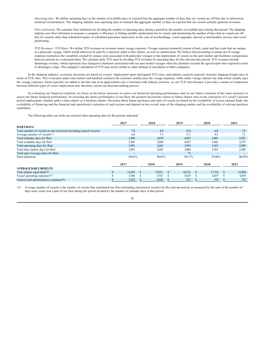*Operating days.* We define operating days as the number of available days in a period less the aggregate number of days that our vessels are off-hire due to unforeseen technical circumstances. The shipping industry uses operating days to measure the aggregate number of days in a period that our vessels actually generate revenues.

*Fleet utilization.* We calculate fleet utilization by dividing the number of operating days during a period by the number of available days during that period. The shipping industry uses fleet utilization to measure a company's efficiency in finding suitable employment for its vessels and minimizing the number of days that its vessels are offhire for reasons other than scheduled repairs or scheduled guarantee inspections in the case of newbuildings, vessel upgrades, special or intermediate surveys and vessel positioning.

*TCE Revenues / TCE Rates.* We define TCE revenues as revenues minus voyage expenses. Voyage expenses primarily consist of port, canal and fuel costs that are unique to a particular voyage, which would otherwise be paid by a charterer under a time charter, as well as commissions. We believe that presenting revenues net of voyage expenses neutralizes the variability created by unique costs associated with particular voyages or the deployment of vessels on the spot market and facilitates comparisons between periods on a consistent basis. We calculate daily TCE rates by dividing TCE revenues by operating days for the relevant time period. TCE revenues include demurrage revenue, which represents fees charged to charterers associated with our spot market voyages when the charterer exceeds the agreed upon time required to load or discharge a cargo. The company's calculation of TCE may not be similar to other method of calculation of other companies.

In the shipping industry, economic decisions are based on vessels' deployment upon anticipated TCE rates, and industry analysts typically measure shipping freight rates in terms of TCE rates. This is because under time-charter and bareboat contracts the customer usually pays the voyage expenses, while under voyage charters the ship-owner usually pays the voyage expenses, which typically are added to the hire rate at an approximate cost. Consistent with industry practice, we use TCE rates because it provides a means of comparison between different types of vessel employment and, therefore, assists our decision-making process.

In evaluating our financial condition, we focus on the below measures to assess our historical operating performance and we use future estimates of the same measures to assess our future financial performance. In assessing the future performance of our fleet, the greatest uncertainty relates to future charter rates at the expiration of a vessel's present period employment, whether under a time charter or a bareboat charter. Decisions about future purchases and sales of vessels are based on the availability of excess internal funds, the availability of financing and the financial and operational evaluation of such actions and depend on the overall state of the shipping market and the availability of relevant purchase candidates.

The following table sets forth our selected other operating data for the periods indicated.

|                                                                     | 2017   |               | 2018                     |          | 2019   |          | 2020                     |          | 2021                     |
|---------------------------------------------------------------------|--------|---------------|--------------------------|----------|--------|----------|--------------------------|----------|--------------------------|
| <b>FLEET DATA</b>                                                   |        |               |                          |          |        |          |                          |          |                          |
| Total number of vessels at end of period (including leased vessels) | 7.0    |               | 8.0                      |          | 12.0   |          | 6.0                      |          | 7.0                      |
| Average number of vessels $(1)$                                     | 6.8    |               | 7.3                      |          | 11.1   |          | 9.5                      |          | 7.1                      |
| Total calendar days for fleet                                       | 2,496  |               | 2,670                    |          | 4,055  |          | 3,483                    |          | 2,583                    |
| Total available days for fleet                                      | 2,495  |               | 2,668                    |          | 4,032  |          | 3,442                    |          | 2,579                    |
| Total operating days for fleet                                      | 2,491  |               | 2.663                    |          | 3,959  |          | 3,363                    |          | 2,500                    |
| Total time charter days for fleet                                   | 2,491  |               | 2,663                    |          | 3,884  |          | 3,363                    |          | 2,500                    |
| Total spot (voyage) days for fleet                                  |        |               | $\overline{\phantom{a}}$ |          | 75     |          | $\overline{\phantom{a}}$ |          | $\overline{\phantom{a}}$ |
| Fleet utilization                                                   | 99.81% |               | 99.81%                   |          | 98.17% |          | 97.68%                   |          | 96.93%                   |
|                                                                     | 2017   |               | 2018                     |          | 2019   |          | 2020                     |          | 2021                     |
| <b>AVERAGE DAILY RESULTS</b>                                        |        |               |                          |          |        |          |                          |          |                          |
| Time charter equivalent $(2)$                                       | 15,403 | $\mathcal{S}$ | 15,031                   | <b>S</b> | 16.233 | <b>S</b> | 17.314                   | <b>S</b> | 22,020                   |
| Vessel operating expenses(3)                                        | 5,386  | S             | 5,552                    |          | 5,619  | S        | 6,037                    |          | 6,070                    |
| General and administrative expenses(4)                              | 2,323  |               | 2,620                    |          | 427    |          | 555                      |          | 752                      |

 (1) Average number of vessels is the number of vessels that constituted our fleet (including chartered in vessels) for the relevant period, as measured by the sum of the number of days each vessel was a part of our fleet during the period divided by the number of calendar days in that period.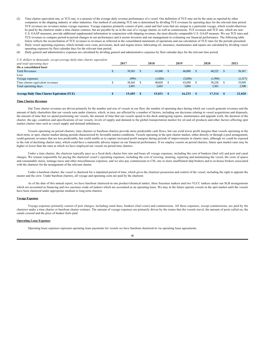- (2) Time charter equivalent rate, or TCE rate, is a measure of the average daily revenue performance of a vessel. Our definition of TCE may not be the same as reported by other companies in the shipping industry or other industries. Our method of calculating TCE rate is determined by dividing TCE revenues by operating days for the relevant time period. TCE revenues are revenues minus voyage expenses. Voyage expenses primarily consist of port, canal and fuel costs that are unique to a particular voyage, which would otherwise be paid by the charterer under a time charter contract, but are payable by us in the case of a voyage charter, as well as commissions. TCE revenues and TCE rate, which are non-U.S. GAAP measures, provide additional supplemental information in conjunction with shipping revenues, the most directly comparable U.S. GAAP measure. We use TCE rates and TCE revenues to compare period-to-period changes in our performance and it assists investors and our management in evaluating our financial performance. The following table below reflects the reconciliation of TCE revenues to revenues as reflected in the consolidated statements of operations and our calculation of TCE rates for the periods presented.
- (3) Daily vessel operating expenses, which include crew costs, provisions, deck and engine stores, lubricating oil, insurance, maintenance and repairs are calculated by dividing vessel operating expenses by fleet calendar days for the relevant time period.
- (4) Daily general and administrative expenses are calculated by dividing general and administrative expenses by fleet calendar days for the relevant time period.

*U.S. dollars in thousands, except average daily time charter equivalent*

| and total operating days                           | 2017   |   | 2018    | 2019    | 2020    | 2021    |
|----------------------------------------------------|--------|---|---------|---------|---------|---------|
| On a consolidated basis                            |        |   |         |         |         |         |
| <b>Total Revenues</b>                              | 39,363 |   | 41,048  | 66,088  | 60,222  | 56,367  |
| Less:                                              |        |   |         |         |         |         |
| Voyage expenses                                    | (999)  |   | (1,020) | (3,038) | (1,994) | (1,317) |
| Time charter equivalent revenues                   | 38,364 |   | 40,028  | 63,050  | 58,228  | 55,050  |
| Total operating days                               | 2,491  |   | 2,663   | 3,884   | 3,363   | 2,500   |
|                                                    |        |   |         |         |         |         |
| <b>Average Daily Time Charter Equivalent (TCE)</b> | 15.403 | л | 15.031  | 16.233  | 17.314  | 22,020  |
|                                                    |        |   |         |         |         |         |

#### **Time Charter Revenues**

Our Time charter revenues are driven primarily by the number and size of vessels in our fleet, the number of operating days during which our vessels generate revenues and the amount of daily charterhire that our vessels earn under charters, which, in turn, are affected by a number of factors, including our decisions relating to vessel acquisitions and disposals, the amount of time that we spend positioning our vessels, the amount of time that our vessels spend in dry-dock undergoing repairs, maintenance and upgrade work, the duration of the charter, the age, condition and specifications of our vessels, levels of supply and demand in the global transportation market for oil and oil products and other factors affecting spot market charter rates such as vessel supply and demand imbalances.

Vessels operating on period charters, time charters or bareboat charters provide more predictable cash flows, but can yield lower profit margins than vessels operating in the short-term, or spot, charter market during periods characterized by favorable market conditions. Vessels operating in the spot charter market, either directly or through a pool arrangement, could generate revenues that are less predictable, but could enable us to capture increased profit margins during periods of improvements in charter rates, although we could be exposed to the risk of declining charter rates, which could have a materially adverse impact on our financial performance. If we employ vessels on period charters, future spot market rates may be higher or lower than the rates at which we have employed our vessels on period time charters.

Under a time charter, the charterer typically pays us a fixed daily charter hire rate and bears all voyage expenses, including the cost of bunkers (fuel oil) and port and canal charges. We remain responsible for paying the chartered vessel's operating expenses, including the cost of crewing, insuring, repairing and maintaining the vessel, the costs of spares and consumable stores, tonnage taxes and other miscellaneous expenses, and we also pay commissions to CSI, one or more unaffiliated ship brokers and to in-house brokers associated with the charterer for the arrangement of the relevant charter.

Under a bareboat charter, the vessel is chartered for a stipulated period of time, which gives the charterer possession and control of the vessel, including the right to appoint the master and the crew. Under bareboat charters, all voyage and operating costs are paid by the charterer.

As of the date of this annual report, we have bareboat chartered-in one product/chemical tanker, three Suezmax tankers and two VLCC tankers under our SLB arrangements which are accounted as financing and two suezmax crude oil tankers which are accounted as an operating lease. We may in the future operate vessels in the spot market until the vessels have been chartered under appropriate medium to long-term charters.

## **Voyage Expenses**

Voyage expenses primarily consist of port charges, including canal dues, bunkers (fuel costs) and commissions. All these expenses, except commissions, are paid by the charterer under a time charter or bareboat charter contract. The amount of voyage expenses are primarily driven by the routes that the vessels travel, the amount of ports called on, the canals crossed and the price of bunker fuels paid.

## **Operating Lease Expenses**

Operating lease expenses represent operating lease payments for vessels we have bareboat chartered-in via operating lease agreements.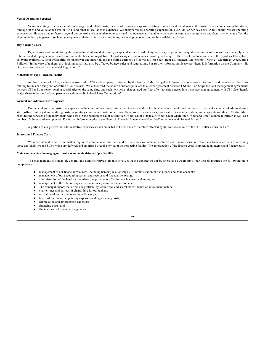## **Vessel Operating Expenses**

Vessel operating expenses include crew wages and related costs, the cost of insurance, expenses relating to repairs and maintenance, the costs of spares and consumable stores, tonnage taxes and value added tax, or VAT, and other miscellaneous expenses. We analyze vessel operating expenses on a U.S. dollar per day basis. Additionally, vessel operating expenses can fluctuate due to factors beyond our control, such as unplanned repairs and maintenance attributable to damages or regulatory compliance and factors which may affect the shipping industry in general, such as developments relating to insurance premiums, or developments relating to the availability of crew.

#### **Dry-docking Costs**

Dry-docking costs relate to regularly scheduled intermediate survey or special survey dry-docking necessary to preserve the quality of our vessels as well as to comply with international shipping standards and environmental laws and regulations. Dry-docking costs can vary according to the age of the vessel, the location where the dry-dock takes place, shipyard availability, local availability of manpower and material, and the billing currency of the yard. Please see "Item 18. Financial Statements—Note 2—Significant Accounting Policies." In the case of tankers, dry-docking costs may also be affected by new rules and regulations. For further information please see "Item 4. Information on the Company-B. Business Overview—Environmental Regulations."

#### **Management Fees**—**Related Parties**

As from January 1, 2019, we have outsourced to CSI a related party controlled by the family of Mr. Evangelos J. Pistiolis, all operational, technical and commercial functions relating to the chartering and operation of our vessels. We outsourced the above functions pursuant to a letter agreement between CSI and Top Ships Inc. and management agreements between CSI and our vessel-owning subsidiaries on the same date, and each new vessel that entered our fleet after that date entered into a management agreement with CSI. See "Item7. Major shareholders and related party transactions — B. Related Party Transactions".

## **General and Administrative Expenses**

Our general and administrative expenses include executive compensation paid to Central Mare for the compensation of our executive officers and a number of administrative staff, office rent, legal and auditing costs, regulatory compliance costs, other miscellaneous office expenses, non-cash stock compensation, and corporate overhead. Central Mare provides the services of the individuals who serve in the position of Chief Executive Officer, Chief Financial Officer, Chief Operating Officer and Chief Technical Officer as well as a number of administrative employees. For further information please see "Item 18. Financial Statements—Note 5—Transactions with Related Parties."

A portion of our general and administrative expenses are denominated in Euros and are therefore affected by the conversion rate of the U.S. dollar versus the Euro.

# **Interest and Finance Costs**

We incur interest expense on outstanding indebtedness under our loans and SLBs, which we include in interest and finance costs. We also incur finance costs in establishing those debt facilities and SLBs which are deferred and amortized over the period of the respective facility. The amortization of the finance costs is presented in interest and finance costs.

#### **Main components of managing our business and main drivers of profitability**

The management of financial, general and administrative elements involved in the conduct of our business and ownership of our vessels requires the following main components:

- management of our financial resources, including banking relationships, *i.e.*, administration of bank loans and bank accounts;
- management of our accounting system and records and financial reporting;
- administration of the legal and regulatory requirements affecting our business and assets; and
- management of the relationships with our service providers and customers.
- The principal factors that affect our profitability, cash flows and shareholders' return on investment include:
- charter rates and periods of charter hire for our tankers;
- utilization of our tankers (earnings efficiency);
- levels of our tanker's operating expenses and dry-docking costs;
- depreciation and amortization expenses;
- financing costs; and
- fluctuations in foreign exchange rates.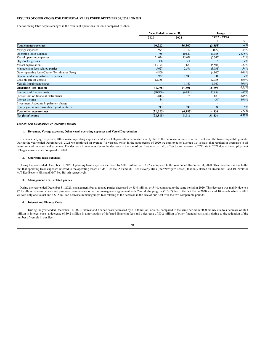# **RESULTS OF OPERATIONS FOR THE FISCAL YEARS ENDED DECEMBER 31, 2020 AND 2021**

The following table depicts changes in the results of operations for 2021 compared to 2020.

|                                                 |                          | <b>Year Ended December 31,</b> |                           |         |
|-------------------------------------------------|--------------------------|--------------------------------|---------------------------|---------|
|                                                 | 2020                     | 2021                           | <b>YE21</b> v <b>YE20</b> |         |
|                                                 |                          |                                |                           | %       |
| <b>Total charter revenues</b>                   | 60,222                   | 56,367                         | (3,855)                   | $-6%$   |
| Voyage expenses                                 | 1.994                    | 1,317                          | (677)                     | $-34%$  |
| Operating lease Expense                         | 755                      | 10,840                         | 10,085                    | 1336%   |
| Vessel operating expenses                       | 21,024                   | 15,679                         | (5,345)                   | $-25%$  |
| Dry-docking costs                               | 356                      | 361                            |                           | $1\%$   |
| Vessel depreciation                             | 13,174                   | 7,670                          | (5,504)                   | $-42%$  |
| Management fees-related parties                 | 5,627                    | 2,596                          | (3,031)                   | $-54%$  |
| Other operating loss (Charter Termination Fees) | 4,800                    |                                | (4,800)                   | $-100%$ |
| General and administrative expenses             | 1.932                    | 1,943                          | 11                        | $1\%$   |
| Loss on sale of vessels                         | 12,355                   |                                | (12, 355)                 | $-100%$ |
| Vessels Impairment charge                       |                          | 1,160                          | 1,160                     | 100%    |
| <b>Operating (loss) income</b>                  | (1,795)                  | 14,801                         | 16,596                    | $-925%$ |
| Interest and finance costs                      | (20,956)                 | (6,998)                        | 13,958                    | $-67%$  |
| (Loss)/Gain on financial instruments            | (814)                    | 66                             | 880                       | $-108%$ |
| Interest income                                 | 34                       |                                | (34)                      | $-100%$ |
| Investment Accounts impairment charge           | $\overline{\phantom{a}}$ |                                |                           |         |
| Equity gain in unconsolidated joint ventures    | 713                      | 747                            | 34                        | 5%      |
| Total other expenses, net                       | (21, 023)                | (6, 185)                       | 14,838                    | $-71%$  |
| Net (loss)/income                               | (22, 818)                | 8,616                          | 31,434                    | $-138%$ |

# *Year on Year Comparison of Operating Results*

## **1. Revenues, Voyage expenses, Other vessel operating expenses and Vessel Depreciation**

Revenues, Voyage expenses, Other vessel operating expenses and Vessel Depreciation decreased mainly due to the decrease in the size of our fleet over the two comparable periods. During the year ended December 31, 2021 we employed on average 7.1 vessels, whilst in the same period of 2020 we employed on average 9.5 vessels, that resulted in decreases in all vessel related revenues and expenses. The decrease in revenues due to the decrease in the size of our fleet was partially offset by an increase in TCE rate in 2021 due to the employment of larger vessels when compared to 2020.

# **2. Operating lease expenses**

During the year ended December 31, 2021, Operating lease expenses increased by \$10.1 million, or 1,336%, compared to the year ended December 31, 2020. This increase was due to the fact that operating lease expenses referred to the operating leases of M/T Eco Bel Air and M/T Eco Beverly Hills (the "Navigare Lease") that only started on December 1 and 10, 2020 for M/T Eco Beverly Hills and M/T Eco Bel Air respectively.

# **3. Management fees**—**related parties**

During the year ended December 31, 2021, management fees to related parties decreased by \$3.0 million, or 54%, compared to the same period in 2020. This decrease was mainly due to a \$2.5 million reduction in sale and purchase commissions as per our management agreement with Central Shipping Inc ("CSI") due to the fact that in 2020 we sold 10 vessels while in 2021 we sold only one vessel and a \$0.5 million decrease in management fees relating to the decrease in the size of our fleet over the two comparable periods.

# **4. Interest and Finance Costs**

During the year ended December 31, 2021, interest and finance costs decreased by \$14.0 million, or 67%, compared to the same period in 2020 mainly due to a decrease of \$8.3 million in interest costs, a decrease of \$0.2 million in amortization of deferred financing fees and a decrease of \$0.2 million of other financial costs, all relating to the reduction of the number of vessels in our fleet.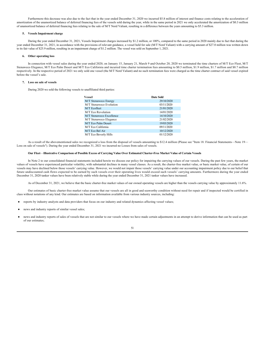Furthermore this decrease was also due to the fact that in the year ended December 31, 2020 we incurred \$5.8 million of interest and finance costs relating to the acceleration of amortization of the unamortized balance of deferred financing fees of the vessels sold during the year, while in the same period in 2021 we only accelerated the amortization of \$0.3 million of unamortized balance of deferred financing fees relating to the sale of M/T Nord Valiant, resulting in a difference between the years amounting to \$5.3 million.

#### **5. Vessels Impairment charge**

During the year ended December 31, 2021, Vessels Impairment charges increased by \$1.2 million, or 100%, compared to the same period in 2020 mainly due to fact that during the year ended December 31, 2021, in accordance with the provisions of relevant guidance, a vessel held for sale (M/T Nord Valiant) with a carrying amount of \$27.0 million was written down to its fair value of \$25.9 million, resulting in an impairment charge of \$1.2 million. The vessel was sold on September 1, 2021.

#### **6. Other operating loss**

In connection with vessel sales during the year ended 2020, on January 15, January 21, March 9 and October 20, 2020 we terminated the time charters of M/T Eco Fleet, M/T Stenaweco Elegance, M/T Eco Palm Desert and M/T Eco California and incurred time charter termination fees amounting to \$0.5 million, \$1.9 million, \$1.7 million and \$0.7 million respectively. In the respective period of 2021 we only sold one vessel (the M/T Nord Valiant) and no such termination fees were charged as the time charter contract of said vessel expired before the vessel's sale.

### **7. Loss on sale of vessels**

During 2020 we sold the following vessels to unaffiliated third parties:

| Vessel                   | <b>Date Sold</b> |  |  |  |  |  |
|--------------------------|------------------|--|--|--|--|--|
| M/T Stenaweco Energy     | 29/10/2020       |  |  |  |  |  |
| M/T Stenaweco Evolution  | 03/11/2020       |  |  |  |  |  |
| M/T Ecofleet             | 21/01/2020       |  |  |  |  |  |
| M/T Eco Revolution       | 14/01/2020       |  |  |  |  |  |
| M/T Stenaweco Excellence | 14/10/2020       |  |  |  |  |  |
| M/T Stenaweco Elegance   | 21/02/2020       |  |  |  |  |  |
| M/T Eco Palm Desert      | 19/03/2020       |  |  |  |  |  |
| M/T Eco California       | 09/11/2020       |  |  |  |  |  |
| M/T Eco Bel Air          | 10/12/2020       |  |  |  |  |  |
| M/T Eco Beverly Hills    | 01/12/2020       |  |  |  |  |  |

As a result of the abovementioned sales we recognized a loss from the disposal of vessels amounting to \$12.4 million (Please see "Item 18. Financial Statements-Note 19-Loss on sale of vessels"). During the year ended December 31, 2021 we incurred no Losses from sales of vessels.

#### **Our Fleet**—**Illustrative Comparison of Possible Excess of Carrying Value Over Estimated Charter-Free Market Value of Certain Vessels**

In Note 2 to our consolidated financial statements included herein we discuss our policy for impairing the carrying values of our vessels. During the past few years, the market values of vessels have experienced particular volatility, with substantial declines in many vessel classes. As a result, the charter-free market value, or basic market value, of certain of our vessels may have declined below those vessels' carrying value. However, we would not impair those vessels' carrying value under our accounting impairment policy due to our belief that future undiscounted cash flows expected to be earned by such vessels over their operating lives would exceed such vessels' carrying amounts. Furthermore during the year ended December 31, 2020 tanker values have been relatively stable while during the year ended December 31, 2021 tanker values have increased.

As of December 31, 2021, we believe that the basic charter-free market values of our owned operating vessels are higher than the vessels carrying value by approximately 11.6%.

Our estimates of basic charter-free market value assume that our vessels are all in good and seaworthy condition without need for repair and if inspected would be certified in class without notations of any kind. Our estimates are based on information available from various industry sources, including:

- reports by industry analysts and data providers that focus on our industry and related dynamics affecting vessel values;
- news and industry reports of similar vessel sales;
- news and industry reports of sales of vessels that are not similar to our vessels where we have made certain adjustments in an attempt to derive information that can be used as part of our estimates;

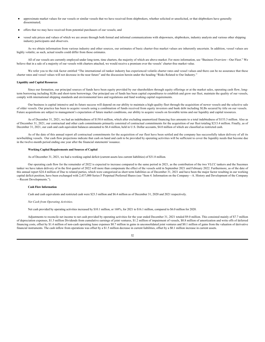- approximate market values for our vessels or similar vessels that we have received from shipbrokers, whether solicited or unsolicited, or that shipbrokers have generally disseminated;
- offers that we may have received from potential purchasers of our vessels; and
- vessel sale prices and values of which we are aware through both formal and informal communications with shipowners, shipbrokers, industry analysts and various other shipping industry participants and observers.

As we obtain information from various industry and other sources, our estimates of basic charter-free market values are inherently uncertain. In addition, vessel values are highly volatile; as such, actual results could differ from those estimates.

All of our vessels are currently employed under long-term, time charters, the majority of which are above-market. For more information, see "Business Overview—Our Fleet." We believe that in a sale of a majority of our vessels with charters attached, we would receive a premium over the vessels' charter-free market value.

We refer you to the risk factor entitled "The international oil tanker industry has experienced volatile charter rates and vessel values and there can be no assurance that these charter rates and vessel values will not decrease in the near future" and the discussion herein under the heading "Risks Related to Our Industry."

### **Liquidity and Capital Resources**

Since our formation, our principal sources of funds have been equity provided by our shareholders through equity offerings or at the market sales, operating cash flow, longterm borrowing including SLBs and short-term borrowings. Our principal use of funds has been capital expenditures to establish and grow our fleet, maintain the quality of our vessels, comply with international shipping standards and environmental laws and regulations and fund working capital requirements.

Our business is capital intensive and its future success will depend on our ability to maintain a high-quality fleet through the acquisition of newer vessels and the selective sale of older vessels. Our practice has been to acquire vessels using a combination of funds received from equity investors and bank debt including SLBs secured by title on our vessels. Future acquisitions are subject to management's expectation of future market conditions, our ability to acquire vessels on favorable terms and our liquidity and capital resources.

As of December 31, 2021, we had an indebtedness of \$150.6 million, which after excluding unamortized financing fees amounts to a total indebtedness of \$153.3 million. Also as of December 31, 2021, our contractual and other cash commitments primarily consisted of contractual commitments for the acquisition of our fleet totaling \$213.4 million. Finally, as of December 31, 2021, our cash and cash equivalent balances amounted to \$6.4 million, held in U.S. Dollar accounts, \$4.0 million of which are classified as restricted cash.

As of the date of this annual report all contractual commitments for the acquisition of our fleet have been settled and the company has successfully taken delivery of all its newbuilding vessels. Our cash flow projections indicate that cash on hand and cash to be provided by operating activities will be sufficient to cover the liquidity needs that become due in the twelve-month period ending one year after the financial statements' issuance.

# **Working Capital Requirements and Sources of Capital**

As of December 31, 2021, we had a working capital deficit (current assets less current liabilities) of \$31.8 million.

Our operating cash flow for the remainder of 2022 is expected to increase compared to the same period in 2021, as the contribution of the two VLCC tankers and the Suezmax tanker we have taken delivery of in the first quarter of 2022 will more than compensate the effect of the vessels sold in September 2021 and February 2022. Furthermore, as of the date of this annual report \$24.4 million of Due to related parties, which were categorized as short term liabilities as of December 31, 2021 and have been the major factor resulting in our working capital deficit position, have been exchanged with 2,437,000 Series F Perpetual Preferred Shares (see "Item 4. Information on the Company-A. History and Development of the Company —Recent Developments.").

#### **Cash Flow Information**

Cash and cash equivalents and restricted cash were \$23.3 million and \$6.4 million as of December 31, 2020 and 2021 respectively.

*Net Cash from Operating Activities*.

Net cash provided by operating activities increased by \$10.1 million, or 168%, for 2021 to \$16.1 million, compared to \$6.0 million for 2020.

Adjustments to reconcile net income to net cash provided by operating activities for the year ended December 31, 2021 totaled \$9.0 million. This consisted mainly of \$7.7 million of depreciation expenses, \$1.5 million Dividends from cumulative earnings of joint ventures, \$1.2 million of impairment of vessels, \$0.8 million of amortization and write offs of deferred financing costs, offset by \$1.4 million of non-cash operating lease expenses \$0.7 million in gains in unconsolidated joint ventures and \$0.1 million of gains from the valuation of derivative financial instruments. The cash inflow from operations was offset by a \$1.5 million decrease in current liabilities, offset by a \$0.1 million increase in current assets.

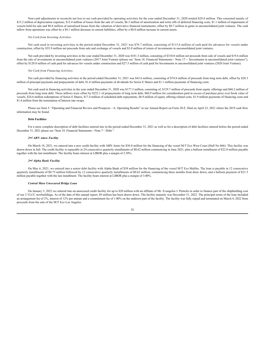Non-cash adjustments to reconcile net loss to net cash provided by operating activities for the year ended December 31, 2020 totaled \$29.8 million. This consisted mainly of \$13.2 million of depreciation expenses, \$12.4 million of losses from the sale of vessels, \$6.3 million of amortization and write offs of deferred financing costs, \$1.1 million of impairment of vessels held for sale and \$0.8 million of unrealized losses from the valuation of derivative financial instruments, offset by \$0.7 million in gains in unconsolidated joint ventures. The cash inflow from operations was offset by a \$4.1 million decrease in current liabilities, offset by a \$0.8 million increase in current assets.

## *Net Cash from Investing Activities*.

Net cash used in investing activities in the period ended December 31, 2021 was \$76.7 million, consisting of \$115.6 million of cash paid for advances for vessels under construction, offset by \$35.9 million net proceeds from sale and exchange of vessels and \$3.0 million of return of investments in unconsolidated joint ventures.

Net cash provided by investing activities in the year ended December 31, 2020 was \$181.3 million, consisting of \$310.0 million net proceeds from sale of vessels and \$19.6 million from the sale of investments in unconsolidated joint ventures (2017 Joint Venture (please see "Item 18. Financial Statements—Note 17— Investments in unconsolidated joint ventures"), offset by \$120.8 million of cash paid for advances for vessels under construction and \$27.5 million of cash paid for Investments in unconsolidated joint ventures (2020 Joint Venture).

## *Net Cash from Financing Activities*.

Net cash provided by financing activities in the period ended December 31, 2021 was \$43.6 million, consisting of \$74.8 million of proceeds from long term debt, offset by \$28.3 million of principal payments and prepayments of debt, \$1.8 million payments of dividends for Series E Shares and \$1.1 million payments of financing costs.

Net cash used in financing activities in the year ended December 31, 2020 was \$177.3 million, consisting of, \$129.7 million of proceeds from equity offerings and \$60.2 million of proceeds from long term debt. These inflows were offset by \$252.1 of prepayments of long term debt, \$60.9 million for consideration paid in excess of purchase price over book value of vessels, \$24.6 million redemptions of Series E Shares, \$17.4 million of scheduled debt repayments, \$8.9 million of equity offering related costs, \$1.9 million payments of financing costs and \$1.4 million from the termination of Interest rate swaps.

Please see Item 5. "Operating and Financial Review and Prospects—A. Operating Results" in our Annual Report on Form 20-F, filed on April 23, 2021 where the 2019 cash flow information may be found.

#### **Debt Facilities**

For a more complete description of debt facilities entered into in the period ended December 31, 2021 as well as for a description of debt facilities entered before the period ended December 31, 2021 please see "Item 18. Financial Statements—Note 7—Debt.".

#### *2nd ABN Amro Facility*

On March 18, 2021, we entered into a new credit facility with ABN Amro for \$36.8 million for the financing of the vessel M/T Eco West Coast (Hull No 866). This facility was drawn down in full. The credit facility is repayable in 24 consecutive quarterly installments of \$0.62 million commencing in June 2021, plus a balloon installment of \$22.0 million payable together with the last installment. The facility bears interest at LIBOR plus a margin of 2.50%.

#### *2nd Alpha Bank Facility*

On May 6, 2021, we entered into a senior debt facility with Alpha Bank of \$38 million for the financing of the vessel M/T Eco Malibu. The loan is payable in 12 consecutive quarterly installments of \$0.75 million followed by 12 consecutive quarterly installments of \$0.63 million, commencing three months from draw down, and a balloon payment of \$21.5 million payable together with the last installment. The facility bears interest at LIBOR plus a margin of 3.00%.

### *Central Mare Unsecured Bridge Loan*

On January 5, 2022 we entered into an unsecured credit facility for up to \$20 million with an affiliate of Mr. Evangelos J. Pistiolis in order to finance part of the shipbuilding cost of our 2 VLCC newbuildings. As of the date of this annual report, \$9 million has been drawn down. The facility maturity was December 31, 2022. The principal terms of the loan included an arrangement fee of 2%, interest of 12% per annum and a commitment fee of 1.00% on the undrawn part of the facility. The facility was fully repaid and terminated on March 4, 2022 from proceeds from the sale of the M/T Eco Los Angeles.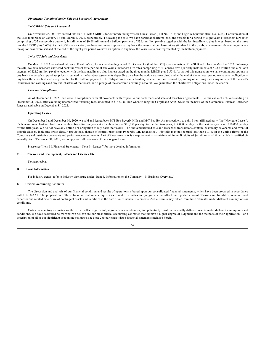## *Financings Committed under Sale and Leaseback Agreements*

# *2nd CMBFL Sale and Leaseback*

On November 23, 2021 we entered into an SLB with CMBFL, for our newbuilding vessels Julius Caesar (Hull No. 3213) and Legio X Equestris (Hull No. 3214). Consummation of the SLB took place on January 17 and March 2, 2022, respectively. Following the sale, we have bareboat chartered back the vessels for a period of eight years at bareboat hire rates comprising of 32 consecutive quarterly installments of \$0.68 million and a balloon payment of \$32.4 million payable together with the last installment, plus interest based on the three months LIBOR plus 2.60%. As part of this transaction, we have continuous options to buy back the vessels at purchase prices stipulated in the bareboat agreements depending on when the option was exercised and at the end of the eight year period we have an option to buy back the vessels at a cost represented by the balloon payment.

#### *2nd AVIC Sale and Leaseback*

On March 2, 2022 we entered into an SLB with AVIC, for our newbuilding vessel Eco Oceano Ca (Hull No. 871). Consummation of the SLB took place on March 4, 2022. Following the sale, we have bareboat chartered back the vessel for a period of ten years at bareboat hire rates comprising of 40 consecutive quarterly installments of \$0.68 million and a balloon payment of \$21.2 million payable together with the last installment, plus interest based on the three months LIBOR plus 3.50%. As part of this transaction, we have continuous options to buy back the vessels at purchase prices stipulated in the bareboat agreements depending on when the option was exercised and at the end of the ten year period we have an obligation to buy back the vessels at a cost represented by the balloon payment. The obligations of our subsidiary as charterer are secured by, among other things, an assignments of the vessel's insurances and earnings and any sub-charters of the vessel, and a pledge of the charterer's earnings account. We guaranteed the charterer's obligations under the charter.

# *Covenant Compliance*

As of December 31, 2021, we were in compliance with all covenants with respect to our bank loans and sale and leaseback agreements. The fair value of debt outstanding on December 31, 2021, after excluding unamortized financing fees, amounted to \$147.2 million when valuing the Cargill and AVIC SLBs on the basis of the Commercial Interest Reference Rates as applicable on December 31, 2021.

#### **Operating Leases**

On December 1 and December 10, 2020, we sold and leased back M/T Eco Beverly Hills and M/T Eco Bel Air respectively to a third non-affiliated party (the "Navigare Lease"). Each vessel was chartered back on a bareboat basis for five years at a bareboat hire of \$16,750 per day for the first two years, \$14,000 per day for the next two years and \$10,000 per day for the fifth year. We do not have any option nor obligation to buy back the vessels. The abovementioned sale and leaseback transactions contain, customary covenants and event of default clauses, including cross-default provisions, change of control provisions (whereby Mr. Evangelos J. Pistiolis may not control less than 50.1% of the voting rights of the Company) and restrictive covenants and performance requirements. Part of these covenants is a requirement to maintain a minimum liquidity of \$4 million at all times which is certified biannually. As of December 31, 2021, we comply with all covenants of the Navigare Lease.

Please see "Item 18. Financial Statements—Note 6—Leases." for more detailed information.

# **C. Research and Development, Patents and Licenses, Etc.**

Not applicable.

# **D. Trend Information**

For industry trends, refer to industry disclosure under "Item 4. Information on the Company—B. Business Overview."

## **E. Critical Accounting Estimates**

The discussion and analysis of our financial condition and results of operations is based upon our consolidated financial statements, which have been prepared in accordance with U.S. GAAP. The preparation of those financial statements requires us to make estimates and judgments that affect the reported amount of assets and liabilities, revenues and expenses and related disclosure of contingent assets and liabilities at the date of our financial statements. Actual results may differ from these estimates under different assumptions or conditions.

Critical accounting estimates are those that reflect significant judgments or uncertainties, and potentially result in materially different results under different assumptions and conditions. We have described below what we believe are our most critical accounting estimates that involve a higher degree of judgment and the methods of their application. For a description of all of our significant accounting estimates, see Note 2 to our consolidated financial statements included herein.

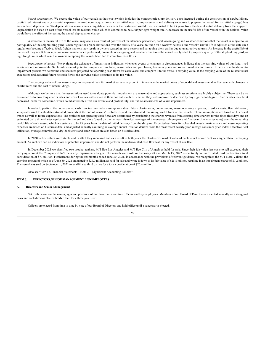*Vessel depreciation.* We record the value of our vessels at their cost (which includes the contract price, pre-delivery costs incurred during the construction of newbuildings, capitalized interest and any material expenses incurred upon acquisition such as initial repairs, improvements and delivery expenses to prepare the vessel for its initial voyage) less accumulated depreciation. We depreciate our vessels on a straight-line basis over their estimated useful lives, estimated to be 25 years from the date of initial delivery from the shipyard. Depreciation is based on cost of the vessel less its residual value which is estimated to be \$300 per light-weight ton. A decrease in the useful life of the vessel or in the residual value would have the effect of increasing the annual depreciation charge.

A decrease in the useful life of the vessel may occur as a result of poor vessel maintenance performed, harsh ocean-going and weather conditions that the vessel is subject to, or poor quality of the shipbuilding yard. When regulations place limitations over the ability of a vessel to trade on a worldwide basis, the vessel's useful life is adjusted at the date such regulations become effective. Weak freight markets may result in owners scrapping more vessels and scrapping them earlier due to unattractive returns. An increase in the useful life of the vessel may result from superior vessel maintenance performed, favorable ocean-going and weather conditions the vessel is subjected to, superior quality of the shipbuilding yard, or high freight rates which result in owners scrapping the vessels later due to attractive cash flows.

*Impairment of vessels:* We evaluate the existence of impairment indicators whenever events or changes in circumstances indicate that the carrying values of our long-lived assets are not recoverable. Such indicators of potential impairment include, vessel sales and purchases, business plans and overall market conditions. If there are indications for impairment present, we determine undiscounted projected net operating cash flows for each vessel and compare it to the vessel's carrying value. If the carrying value of the related vessel exceeds its undiscounted future net cash flows, the carrying value is reduced to its fair value.

The carrying values of our vessels may not represent their fair market value at any point in time since the market prices of second-hand vessels tend to fluctuate with changes in charter rates and the cost of newbuildings.

Although we believe that the assumptions used to evaluate potential impairment are reasonable and appropriate, such assumptions are highly subjective. There can be no assurance as to how long charter rates and vessel values will remain at their current levels or whether they will improve or decrease by any significant degree. Charter rates may be at depressed levels for some time, which could adversely affect our revenue and profitability, and future assessments of vessel impairment.

In order to perform the undiscounted cash flow test, we make assumptions about future charter rates, commissions, vessel operating expenses, dry-dock costs, fleet utilization, scrap rates used to calculate estimated proceeds at the end of vessels' useful lives and the estimated remaining useful lives of the vessels. These assumptions are based on historical trends as well as future expectations. The projected net operating cash flows are determined by considering the charter revenues from existing time charters for the fixed fleet days and an estimated daily time charter equivalent for the unfixed days (based on the ten year historical averages of the one-year, three-year and five-year time charter rates) over the remaining useful life of each vessel, which we estimate to be 25 years from the date of initial delivery from the shipyard. Expected outflows for scheduled vessels' maintenance and vessel operating expenses are based on historical data, and adjusted annually assuming an average annual inflation derived from the most recent twenty-year average consumer price index. Effective fleet utilization, average commissions, dry-dock costs and scrap values are also based on historical data.

In 2020 tanker values were stable and in 2021 they increased and as a result in both years the charter-free market value of each vessel of our fleet was higher than its carrying amount. As such we had no indicators of potential impairment and did not perform the undiscounted cash flow test for any vessel of our fleet.

In December 2021 we classified two product tankers, M/T Eco Los Angeles and M/T Eco City of Angels as held for sale. Since their fair value less costs to sell exceeded their carrying amount the Company didn't incur any impairment charges. The vessels were sold on February 28 and March 15, 2022 respectively to unaffiliated third parties for a total consideration of \$73 million. Furthermore during the six months ended June 30, 2021, in accordance with the provisions of relevant guidance, we recognized the M/T Nord Valiant, the carrying amount of which as of June 30, 2021 amounted to \$27.0 million, as held for sale and wrote it down to its fair value of \$25.8 million, resulting in an impairment charge of \$1.2 million. The vessel was sold on September 1, 2021 to unaffiliated third parties for a total consideration of \$26.4 million.

Also see "Item 18. Financial Statements—Note 2— Significant Accounting Policies".

# **ITEM 6. DIRECTORS, SENIOR MANAGEMENT AND EMPLOYEES**

#### **A. Directors and Senior Management**

Set forth below are the names, ages and positions of our directors, executive officers and key employees. Members of our Board of Directors are elected annually on a staggered basis and each director elected holds office for a three-year term.

Officers are elected from time to time by vote of our Board of Directors and hold office until a successor is elected.

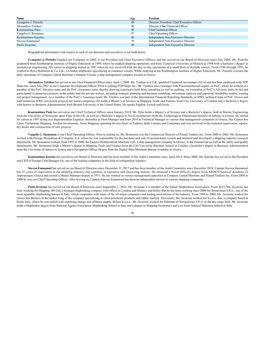| Name                   | Age | Position                                     |
|------------------------|-----|----------------------------------------------|
| Evangelos J. Pistiolis | 49  | Director, President, Chief Executive Officer |
| Alexandros Tsirikos    | 48  | Director, Chief Financial Officer            |
| Konstantinos Patis     | 48  | <b>Chief Technical Officer</b>               |
| Vangelis G. Ikonomou   | 57  | Chief Operating Officer                      |
| Konstantinos Karelas   | 49  | Independent Non-Executive Director           |
| Stavros Emmanuel       | 79  | Independent Non-Executive Director           |
| Paolo Javarone         | 48  | Independent Non-Executive Director           |

Biographical information with respect to each of our directors and executives is set forth below.

**Evangelos J. Pistiolis** founded our Company in 2000, is our President and Chief Executive Officer, and has served on our Board of Directors since July 2004. Mr. Pistiolis graduated from Southampton Institute of Higher Education in 1999, where he studied shipping operations and from Technical University of Munich in 1994 with a bachelor's degree in mechanical engineering. His career in shipping started in 1992 when he was involved with the day-to-day operations of a small fleet of drybulk vessels. From 1994 through 1995, he worked at Howe Robinson & Co. Ltd., a London shipbroker specializing in container vessels. While studying at the Southampton Institute of Higher Education, Mr. Pistiolis oversaw the daily operations of Compass United Maritime Container Vessels, a ship management company located in Greece.

**Alexandros Tsirikos** has served as our Chief Financial Officer since April 1, 2009. Mr. Tsirikos is a U.K. qualified Chartered Accountant (ACA) and has been employed with TOP Ships Inc. since July 2007 as our Corporate Development Officer. Prior to joining TOP Ships Inc., Mr. Tsirikos was a manager with PricewaterhouseCoopers, or PwC, where he worked as a member of the PwC Advisory team and the PwC Assurance team, thereby drawing experience both from consulting as well as auditing. As a member of PwC's Advisory team, he led and participated in numerous projects in the public and the private sectors, including strategic planning and business modeling, investment analysis and appraisal, feasibility studies, costing and project management. As a member of the PwC's Assurance team, Mr. Tsirikos was part of the International Financial Reporting Standards, or IFRS, technical team of PwC Greece and lead numerous IFRS conversion projects for listed companies. He holds a Master's of Science in Shipping Trade and Finance from City University of London and a bachelor's degree with honors in Business Administration from Boston University in the United States. He speaks English, French and Greek.

**Konstantinos Patis** has served as our Chief Technical Officer since January 2018. Mr. Patis holds a Master's of Science and a Bachelor's degree, both in Marine Engineering from the University of Newcastle upon Tyne in the UK, as well as a Bachelor's degree in Naval Architecture from the Technological Educational Institute of Athens, in Greece. He started his carrier in 1997 acting as a Superintendent Engineer, thereafter as Fleet Manager and from 2014 as Technical Manager in various ship management companies in Greece, like Cyprus Sea Lines, Technomar Shipping, Aeolian Investments, Arion Shipping operating diverse fleets of Tankers, Bulk Carriers and Containers and was involved in the technical supervision, repairs, dry docks and construction of new projects.

**Vangelis G. Ikonomou** is our Chief Operating Officer. Prior to joining us, Mr. Ikonomou was the Commercial Director of Primal Tankers Inc. From 2000 to 2002, Mr. Ikonomou worked with George Moundreas & Company S.A. where he was responsible for the purchase and sale of second-hand vessels and initiated and developed a shipping industry research department. Mr. Ikonomou worked, from 1993 to 2000, for Eastern Mediterranean Maritime Ltd., a ship management company in Greece, in the commercial as well as the safety and quality departments. Mr. Ikonomou holds a Master's degree in Shipping Trade and Finance from the City University Business School in London, a bachelor's degree in Business Administration from the University of Athens in Greece and a Navigation Officer Degree from the Higher State Merchant Marine Academy in Greece.

**Konstantinos Karelas** has served on our Board of Directors and has been member of the Audit Committee since April 2014. Since 2008, Mr. Karelas has served as the President and CEO of Europe Cold Storages SA, one of the leading companies in the field of refrigeration logistics.

**Stavros Emmanuel** has served on our Board of Directors since December 31, 2017 and has been member of the Audit Committee since December 2018. Captain Stavros Emmanuel has 47 years of experience in the shipping industry and expertise in operation and chartering matters. He obtained a Naval Officers degree from ASDEN Nautical Academy of Aspropyrgos, Greece and earned a Master Mariners degree in 1971. He has worked in various management capacities at Compass United Maritime and Primal Tankers Inc. From 2004 to 2009 he was our Chief Operating Officer. After leaving us, Captain Stavros Emmanuel has been an independent advisor to various shipping companies.

Paolo Javarone has served on our Board of Directors since September 1, 2014. Mr. Javarone is a member of the Italian Shipbrokers Association. From 2015, Mr. Javarone has been working for Shipping 360 Ltd, a boutique shipbroking company with offices in London and Monaco and before that he has been working since 2000 for Sernavimar S.R.L., one of the most reputable shipbroking houses in Italy, which cooperates with many of the oil major companies and trading associations of the industry. From 1994 to 2000, Mr. Javarone worked for Genoa Sea Brokers in the tanker wing of the company specializing in clean petroleum products and edible markets. Previously, Mr. Javarone worked for S.a.n.a. Eur, a company based in Rome Italy, where he was tasked with supplying energy and offshore supply. Before S.a.n.a., Mr. Javarone worked for Sidermar di Navigazione S.P.A. in the dry cargo field. Mr. Javarone holds a Shipbroker degree from National Agents Association Shipbroking School in Italy and a degree in Shipping Economics and Law from Nautical Maritime School in Italy.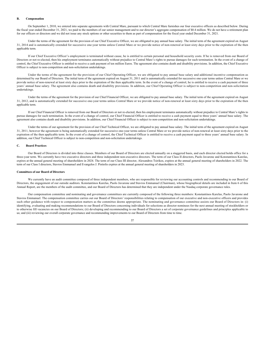## **B. Compensation**

On September 1, 2010, we entered into separate agreements with Central Mare, pursuant to which Central Mare furnishes our four executive officers as described below. During the fiscal year ended December 31, 2021, we paid to the members of our senior management and to our director's aggregate compensation of \$0.4 million. We do not have a retirement plan for our officers or directors and we did not issue any stock options or other securities to them as part of compensation for the fiscal year ended December 31, 2021.

Under the terms of the agreement for the provision of our Chief Executive Officer, we are obligated to pay annual base salary. The initial term of the agreement expired on August 31, 2014 and is automatically extended for successive one-year terms unless Central Mare or we provide notice of non-renewal at least sixty days prior to the expiration of the then applicable term.

If our Chief Executive Officer's employment is terminated without cause, he is entitled to certain personal and household security costs. If he is removed from our Board of Directors or not re-elected, then his employment terminates automatically without prejudice to Central Mare's rights to pursue damages for such termination. In the event of a change of control, the Chief Executive Officer is entitled to receive a cash payment of ten million Euros. The agreement also contains death and disability provisions. In addition, the Chief Executive Officer is subject to non-competition and non-solicitation undertakings.

Under the terms of the agreement for the provision of our Chief Operating Officer, we are obligated to pay annual base salary and additional incentive compensation as determined by our Board of Directors. The initial term of the agreement expired on August 31, 2011 and is automatically extended for successive one-year terms unless Central Mare or we provide notice of non-renewal at least sixty days prior to the expiration of the then applicable term. In the event of a change of control, he is entitled to receive a cash payment of three years' annual base salary. The agreement also contains death and disability provisions. In addition, our Chief Operating Officer is subject to non-competition and non-solicitation undertakings.

Under the terms of the agreement for the provision of our Chief Financial Officer, we are obligated to pay annual base salary. The initial term of the agreement expired on August 31, 2012, and is automatically extended for successive one-year terms unless Central Mare or we provide notice of non-renewal at least sixty days prior to the expiration of the then applicable term.

If our Chief Financial Officer is removed from our Board of Directors or not re-elected, then his employment terminates automatically without prejudice to Central Mare's rights to pursue damages for such termination. In the event of a change of control, our Chief Financial Officer is entitled to receive a cash payment equal to three years' annual base salary. The agreement also contains death and disability provisions. In addition, our Chief Financial Officer is subject to non-competition and non-solicitation undertakings.

Under the terms of our agreement for the provision of our Chief Technical Officer, we are obligated to pay annual base salary. The initial term of the agreement expired on August 31, 2011, however the agreement is being automatically extended for successive one-year terms unless Central Mare or we provide notice of non-renewal at least sixty days prior to the expiration of the then applicable term. In the event of a change of control, the Chief Technical Officer is entitled to receive a cash payment equal to three years' annual base salary. In addition, our Chief Technical Officer is subject to non-competition and non-solicitation undertakings.

### **C. Board Practices**

Our Board of Directors is divided into three classes. Members of our Board of Directors are elected annually on a staggered basis, and each director elected holds office for a three-year term. We currently have two executive directors and three independent non-executive directors. The term of our Class II directors, Paolo Javarone and Konstantinos Karelas, expires at the annual general meeting of shareholders in 2024. The term of our Class III director, Alexandros Tsirikos, expires at the annual general meeting of shareholders in 2022. The term of our Class I directors, Stavros Emmanuel and Evangelos J. Pistiolis expires at the annual general meeting of shareholders in 2023.

### **Committees of our Board of Directors**

We currently have an audit committee composed of three independent members, who are responsible for reviewing our accounting controls and recommending to our Board of Directors, the engagement of our outside auditors. Konstantinos Karelas, Paolo Javarone and Stavros Emmanuel (Chairman), whose biographical details are included in Item 6 of this Annual Report, are the members of the audit committee, and our Board of Directors has determined that they are independent under the Nasdaq corporate governance rules.

Our compensation committee and nominating and governance committees are currently composed of the following three members: Konstantinos Karelas, Paolo Javarone and Stavros Emmanuel. The compensation committee carries out our Board of Directors' responsibilities relating to compensation of our executive and non-executive officers and provides such other guidance with respect to compensation matters as the committee deems appropriate. The nominating and governance committee assists our Board of Directors in: (i) identifying, evaluating and making recommendations to our Board of Directors concerning individuals for selections as director nominees for the next annual meeting of stockholders or to otherwise fill vacancies on our Board of Directors; (ii) developing and recommending to our Board of Directors a set of corporate governance guidelines and principles applicable to us; and (iii) reviewing our overall corporate governance and recommending improvements to our Board of Directors from time to time.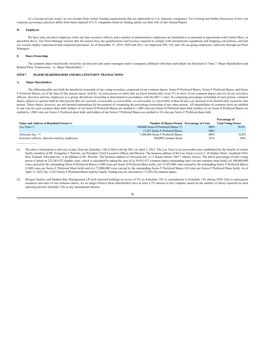As a foreign private issuer, we are exempt from certain Nasdaq requirements that are applicable to U.S. domestic companies. For a listing and further discussion of how our corporate governance practices differ from those required of U.S. companies listed on Nasdaq, please see Item 16G of this Annual Report.

# **D. Employees**

We have only one direct employee while our four executive officers and a number of administrative employees are furnished to us pursuant to agreements with Central Mare, as described above. Our Fleet Manager ensures that all seamen have the qualifications and licenses required to comply with international regulations and shipping conventions, and that our vessels employ experienced and competent personnel. As of December 31, 2019, 2020 and 2021, we employed 269, 136, and 146 sea going employees, indirectly through our Fleet Managers.

## **E. Share Ownership**

The common shares beneficially owned by our directors and senior managers and/or companies affiliated with these individuals are disclosed in "Item 7. Major Shareholders and Related Party Transactions—A. Major Shareholders."

# **ITEM 7. MAJOR SHAREHOLDERS AND RELATED PARTY TRANSACTIONS**

## **A. Major Shareholders**

The following table sets forth the beneficial ownership of our voting securities, comprised of our common shares, Series D Preferred Shares, Series E Preferred Shares, and Series F Preferred Shares, as of the date of this annual report, held by: (i) each person or entity that we know beneficially owns 5% or more of our common shares and (ii) all our executive officers, directors and key employees as a group. Beneficial ownership is determined in accordance with the SEC's rules. In computing percentage ownership of each person, common shares subject to options held by that person that are currently exercisable or convertible, or exercisable or convertible within 60 days are deemed to be beneficially owned by that person. These shares, however, are not deemed outstanding for the purpose of computing the percentage ownership of any other person. All shareholders of common stock are entitled to one vote for each common share held, holders of our Series D Preferred Shares are entitled to 1,000 votes per Series D Preferred share held, holders of our Series E Preferred Shares are entitled to 1,000 votes per Series E Preferred share held, and holders of our Series F Preferred Shares are entitled to 10 votes per Series F Preferred share held.

|                                                 |                                            |         | Percentage of             |
|-------------------------------------------------|--------------------------------------------|---------|---------------------------|
| Name and Address of Beneficial Owner(2)         | Number of Shares Owned Percentage of Class |         | <b>Total Voting Power</b> |
| Lax Trust $(1)$                                 | 100,000 Series D Preferred Shares (3)      | 100%    | 50.4%                     |
|                                                 | 13.452 Series E Preferred Shares           | 100%    |                           |
| Africanus Inc. $(1)$                            | 7,200,000 Series F Preferred Shares        | 100%    | 32.0%                     |
| Executive officers, directors and key employees | 100,000 Common Stock                       | $0.3\%$ | $0.0\%$                   |
|                                                 |                                            |         |                           |

(1) The above information is derived, in part, from the Schedule 13D/A filed with the SEC on April 1, 2022. The Lax Trust is an irrevocable trust established for the benefit of certain family members of Mr. Evangelos J. Pistiolis, our President, Chief Executive Officer and Director. The business address of the Lax Trust is Level 3, 18 Stanley Street, Auckland 1010, New Zealand. Africanus Inc. is an affiliate of Mr. Pistiolis. The business address of Africanus Inc. is 11 Kanari Street, 10671 Athens, Greece. The above percentage of total voting power is based on 225,283,972 eligible votes, which is calculated by taking the sum of (i) 39,831,972 common shares outstanding (one vote per common share held), (ii) 100,000,000 votes carried by the outstanding Series D Preferred Shares (1,000 votes per Series D Preferred Share held), (iii) 13,452,000 votes carried by the outstanding Series E Preferred Shares (1,000 votes per Series E Preferred Share held) and (iv) 72,000,000 votes carried by the outstanding Series F Preferred Shares (10 votes per Series F Preferred Share held). As of April 13, 2022, the 13,452 Series E Preferred Shares held by Family Trading may be converted to 17,470,130 common shares.

(2) Morgan Stanley and Hudson Bay Management LP each reported holdings in excess of 5% on Schedule 13G or amendments to Schedule 13G during 2020. Due to subsequent issuances and sales of our common shares, we no longer believe these shareholders have at least a 5% interest in the Company based on the number of shares reported on each reporting persons Schedule 13G or any amendments thereto.

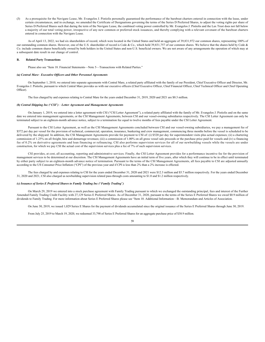(3) As a prerequisite for the Navigare Lease, Mr. Evangelos J. Pistiolis personally guaranteed the performance of the bareboat charters entered in connection with the lease, under certain circumstances, and in exchange, we amended the Certificate of Designations governing the terms of the Series D Preferred Shares, to adjust the voting rights per share of Series D Preferred Shares such that during the term of the Navigare Lease, the combined voting power controlled by Mr. Evangelos J. Pistiolis and the Lax Trust does not fall below a majority of our total voting power, irrespective of any new common or preferred stock issuances, and thereby complying with a relevant covenant of the bareboat charters entered in connection with the Navigare Lease.

As of April 13, 2022, we had six shareholders of record, which were located in the United States and held an aggregate of 39,831,972 our common shares, representing 100% of our outstanding common shares. However, one of the U.S. shareholder of record is Cede & Co., which held 39,831,757 of our common shares. We believe that the shares held by Cede & Co. include common shares beneficially owned by both holders in the United States and non-U.S. beneficial owners. We are not aware of any arrangements the operation of which may at a subsequent date result in our change of control.

#### **B. Related Party Transactions**

Please also see "Item 18. Financial Statements—Note 5—Transactions with Related Parties."

#### *(a) Central Mare*– *Executive Officers and Other Personnel Agreements*

On September 1, 2010, we entered into separate agreements with Central Mare, a related party affiliated with the family of our President, Chief Executive Officer and Director, Mr. Evangelos J. Pistiolis, pursuant to which Central Mare provides us with our executive officers (Chief Executive Officer, Chief Financial Officer, Chief Technical Officer and Chief Operating Officer).

The fees charged by and expenses relating to Central Mare for the years ended December 31, 2019, 2020 and 2021 are \$0.3 million.

## *(b) Central Shipping Inc (*"*CSI*"*)* – *Letter Agreement and Management Agreements*

On January 1, 2019, we entered into a letter agreement with CSI ("CSI Letter Agreement"), a related party affiliated with the family of Mr. Evangelos J. Pistiolis and on the same date we entered into management agreements, or the CSI Management Agreements, between CSI and our vessel-owning subsidiaries respectively. The CSI Letter Agreement can only be terminated subject to an eighteen-month advance notice, subject to a termination fee equal to twelve months of fees payable under the CSI Letter Agreement.

Pursuant to the CSI Letter Agreement, as well as the CSI Management Agreements concluded between CSI and our vessel-owning subsidiaries, we pay a management fee of \$572 per day per vessel for the provision of technical, commercial, operation, insurance, bunkering and crew management, commencing three months before the vessel is scheduled to be delivered by the shipyard. In addition, the CSI Management Agreements provide for payment to CSI of: (i) \$520 per day for superintendent visits plus actual expenses; (ii) a chartering commission of 1.25% on all freight, hire and demurrage revenues; (iii) a commission of 1.00% on all gross vessel sale proceeds or the purchase price paid for vessels and (iv) a financing fee of 0.2% on derivative agreements and loan financing or refinancing. CSI also performs supervision services for all of our newbuilding vessels while the vessels are under construction, for which we pay CSI the actual cost of the supervision services plus a fee of 7% of such supervision services.

CSI provides, at cost, all accounting, reporting and administrative services. Finally, the CSI Letter Agreement provides for a performance incentive fee for the provision of management services to be determined at our discretion. The CSI Management Agreements have an initial term of five years, after which they will continue to be in effect until terminated by either party subject to an eighteen-month advance notice of termination. Pursuant to the terms of the CSI Management Agreements, all fees payable to CSI are adjusted annually according to the US Consumer Price Inflation ("CPI") of the previous year and if CPI is less than 2% than a 2% increase is effected.

The fees charged by and expenses relating to CSI for the years ended December 31, 2020 and 2021 were \$12.3 million and \$5.7 million respectively. For the years ended December 31, 2020 and 2021, CSI also charged us newbuilding supervision related pass-through costs amounting to \$1.0 and \$1.2 million respectively.

### *(c) Issuance of Series E Preferred Shares to Family Trading Inc (*"*Family Trading*"*)*

On March 29, 2019 we entered into a stock purchase agreement with Family Trading pursuant to which we exchanged the outstanding principal, fees and interest of the Further Amended Family Trading Credit Facility with 27,129 Series E Preferred Shares. As of December 31, 2020, pursuant to the terms of the Series E Preferred Shares we owed \$0.9 million of dividends to Family Trading. For more information about Series E Preferred Shares please see "Item 10. Additional Information—B. Memorandum and Articles of Association.

On June 30, 2019, we issued 1,029 Series E Shares for the payment of dividends accumulated since the original issuance of the Series E Preferred Shares through June 30, 2019.

From July 25, 2019 to March 19, 2020, we redeemed 33,798 of Series E Preferred Shares for an aggregate purchase price of \$38.9 million.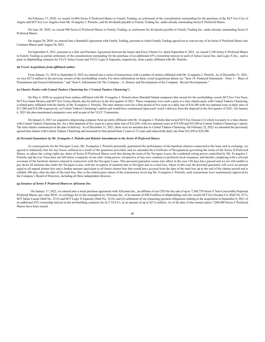On February 17, 2020, we issued 16,004 Series E Preferred Shares to Family Trading, as settlement of the consideration outstanding for the purchase of the M/T Eco City of Angels and M/T Eco Los Angeles from Mr. Evangelos J. Pistiolis, and for dividends payable to Family Trading Inc. under already outstanding Series E Preferred Shares.

On June 30, 2020, we issued 900 Series E Preferred Shares to Family Trading, as settlement for dividends payable to Family Trading Inc. under already outstanding Series E Preferred Shares.

On August 20, 2020, we entered into a Standstill Agreement with Family Trading, pursuant to which Family Trading agreed not to convert any of its Series E Preferred Shares into Common Shares until August 20, 2021.

On September 8, 2021, pursuant to a Sale and Purchase Agreement between the Issuer and Zizzy Charter Co. dated September 8, 2021, we issued 2,188 Series E Preferred Shares to Family Trading as partial settlement of the consideration outstanding for the purchase of an additional 65% ownership interest in each of Julius Caesar Inc. and Legio X Inc., each a party to shipbuilding contracts for VLCC Julius Caesar and VLCC Legio X Equestris, respectively, from a party affiliated with Mr. Pistiolis.

### *(d) Vessel Acquisitions from affiliated entities*

From January 31, 2018 to September 8, 2022 we entered into a series of transactions with a number of entities affiliated with Mr. Evangelos J. Pistiolis. As of December 31, 2021, we owe \$27.6 million to the previous owners of the newbuilding vessels. For more information on these vessel acquisitions please see "Item 18. Financial Statements—Note 1— Basis of Presentation and General Information." and "Item 4. Information On The Company - A. History and Development of the Company –Recent Developments."

## *(e) Charter Parties with Central Tankers Chartering Inc (*"*Central Tankers Chartering*"*)*

On May 4, 2020 we acquired from entities affiliated with Mr. Evangelos J. Pistiolis three Marshall Island companies that owned for the newbuilding vessels M/T Eco Van Nuys, M/T Eco Santa Monica and M/T Eco Venice Beach, due for delivery in the first quarter of 2021. These companies were each a party to a time charter party with Central Tankers Chartering, a related party affiliated with the family of Mr. Evangelos J. Pistiolis, The time charters were for a firm period of five years at a daily rate of \$16,200 with two optional years at daily rates of \$17,200 and \$18,200 respectively, at Central Tankers Chartering's option and would have commenced upon each vessel's delivery from the shipyard in the first quarter of 2021. On January 6, 2021 the abovementioned companies were sold as part of the VLCC Transaction.

On January 6, 2021 we acquired a shipowning company from an entity affiliated with Mr. Evangelos J. Pistiolis that owned M/T Eco Oceano CA which was party to a time charter, with Central Tankers Chartering Inc, for a firm duration of five years at a gross daily rate of \$32,450, with two optional years at \$33,950 and \$35,450 at Central Tankers Chartering's option. The time charter commenced on the date of delivery. As of December 31, 2021, there were no amounts due to Central Tankers Chartering. On February 22, 2022 we amended the previously agreed time charter with Central Tankers Chartering and increased its firm period from 5 years to 15 years and reduced the daily rate from \$32,450 to \$24,500.

## *(f) Personal Guarantees by Mr. Evangelos J. Pistiolis and Related Amendments to the Series D Preferred Shares.*

As a prerequisite for the Navigare Lease, Mr. Evangelos J. Pistiolis personally guaranteed the performance of the bareboat charters connected to the lease and in exchange, we agreed to indemnify him for any losses suffered as a result of the guarantee provided, and we amended the Certificate of Designations governing the terms of the Series D Preferred Shares, to adjust the voting rights per share of Series D Preferred Shares such that during the term of the Navigare Lease, the combined voting power controlled by Mr. Evangelos J. Pistiolis and the Lax Trust does not fall below a majority of our total voting power, irrespective of any new common or preferred stock issuances, and thereby complying with a relevant covenant of the bareboat charters entered in connection with the Navigare Lease. This personal guarantee comes into effect in the case 120 days have passed and we are still unable to pay down all amounts due under the Navigare Lease, with the exception of amounts due to Navigare due to a total loss, where in this case the personal guarantee will cover an amount equal to all unpaid charter hire and a further amount equivalent to all future charter hire that would have accrued from the date of the total loss up to the end of the charter period and is callable 200 days after the date of the total loss. Due to the related party nature of the transactions involving Mr. Evangelos J. Pistiolis, such transactions were unanimously approved by the Company's Board of Directors, including all three independent directors.

### *(g) Issuance of Series F Preferred Shares to Africanus Inc.*

On January 17, 2022, we entered into a stock purchase agreement with Africanus Inc., an affiliate of our CEO for the sale of up to 7,560,759 Series F Non-Convertible Perpetual Preferred Shares, par value \$0.01, in exchange for (i) the assumption by Africanus Inc. of an amount of \$48.0 million of shipbuilding costs for vessels M/T Eco Oceano CA (Hull No. 871), M/T Julius Caesar (Hull No. 3213) and M/T Legio X Equestris (Hull No. 3214), and (ii) settlement of our remaining payment obligations relating to the acquisition in September 8, 2021 of an additional 65% ownership interest in the newbuilding contracts for its 2 VLCCs, in an amount of up to \$27.6 million. As of the date of this annual report 7,200,000 Series F Preferred Shares have been issued.

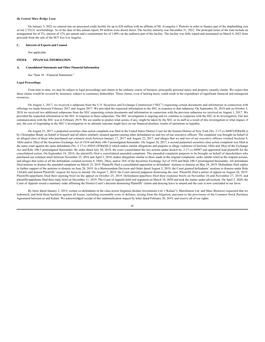#### *(h) Central Mare Bridge Loan*

On January 5, 2022 we entered into an unsecured credit facility for up to \$20 million with an affiliate of Mr. Evangelos J. Pistiolis in order to finance part of the shipbuilding cost of our 2 VLCC newbuildings. As of the date of this annual report, \$9 million were drawn down. The facility maturity was December 31, 2022. The principal terms of the loan include an arrangement fee of 2%, interest of 12% per annum and a commitment fee of 1.00% on the undrawn part of the facility. The facility was fully repaid and terminated on March 4, 2022 from proceeds from the sale of the M/T Eco Los Angeles.

#### **C. Interests of Experts and Counsel**

Not applicable.

# **ITEM 8. FINANCIAL INFORMATION.**

# **A. Consolidated Statements and Other Financial Information**

See "Item 18—Financial Statements."

#### **Legal Proceedings**

From time to time, we may be subject to legal proceedings and claims in the ordinary course of business, principally personal injury and property casualty claims. We expect that these claims would be covered by insurance, subject to customary deductibles. Those claims, even if lacking merit, could result in the expenditure of significant financial and managerial resources.

On August 1, 2017, we received a subpoena from the U.S. Securities and Exchange Commission ("SEC") requesting certain documents and information in connection with offerings we made between February 2017 and August 2017. We provided the requested information to the SEC in response to that subpoena. On September 26, 2018 and on October 5, 2018 we received two additional subpoenas from the SEC requesting certain documents and information in connection with the previous subpoena we received on August 1, 2017. We provided the requested information to the SEC in response to these subpoenas. The SEC investigation is ongoing and we continue to cooperate with the SEC in its investigation. Our last communication with the SEC was in February 2019. We are unable to predict what action, if any, might be taken by the SEC or its staff as a result of this investigation or what impact, if any, the cost of responding to the SEC's investigation or its ultimate outcome might have on our financial position, results of operations or liquidity.

On August 23, 2017, a purported securities class action complaint was filed in the United States District Court for the Eastern District of New York (No. 2:17-cv-04987(JFB)(SIL)) by Christopher Brady on behalf of himself and all others similarly situated against (among other defendants) us and two of our executive officers. The complaint was brought on behalf of an alleged class of those who purchased our common stock between January 17, 2017 and August 22, 2017, and alleges that we and two of our executive officers violated Sections 9, 10(b) and/or 20(a) of the Securities Exchange Act of 1934 and Rule 10b-5 promulgated thereunder. On August 24, 2017, a second purported securities class action complaint was filed in the same court against the same defendants (No. 2:17-cv-05016 (JFB)(SIL)) which makes similar allegations and purports to allege violations of Sections 10(b) and 20(a) of the Exchange Act and Rule 10b-5 promulgated thereunder. By order dated July 20, 2018, the court consolidated the two actions under docket no. 2:17-cv-04987 and appointed lead plaintiffs for the consolidated action. On September 18, 2018, the plaintiffs filed a consolidated amended complaint. The amended complaint purports to be brought on behalf of shareholders who purchased our common stock between November 23, 2016 and April 3, 2018, makes allegations similar to those made in the original complaints, seeks similar relief as the original actions, and alleges that some or all the defendants violated sections 9, 10(b), 20(a), and/or 20A of the Securities Exchange Act of 1934 and Rule 10b-5 promulgated thereunder. All defendants filed motions to dismiss the amended complaint on March 25, 2019. Plaintiffs filed a consolidated opposition to defendants' motions to dismiss on May 24, 2019. Defendants filed replies in further support of the motions to dismiss on June 28, 2019. In a Memorandum Decision and Order dated August 3, 2019, the Court granted defendants' motions to dismiss under Rule 12(b)(6) and denied Plaintiffs' request for leave to amend. On August 7, 2019, the Court entered judgment dismissing the case. Plaintiffs filed a notice of appeal on August 26, 2019. Plaintiffs/appellants filed their opening brief on the appeal on October 25, 2019. Defendants/appellees filed their response briefs on November 26 and November 27, 2019, and plaintiffs/appellants filed their reply brief on December 11, 2019. The Court of Appeals held oral argument on March 10, 2020 and took the matter under advisement. On April 2, 2020, the Court of Appeals issued a summary order affirming the District Court's decision dismissing Plaintiffs' claims and denying leave to amend and the case is now concluded in our favor.

By letter dated January 2, 2019, certain co-defendants in the class action litigation (Kalani Investments Ltd. ("Kalani"), Murchinson Ltd. and Marc Bistricer) requested that we indemnify and hold them harmless against all losses, including reasonable costs of defense, arising from the litigation, pursuant to the provisions of the Common Stock Purchase Agreement between us and Kalani. We acknowledged receipt of this indemnification request by letter dated February 20, 2019, and reserve all of our rights.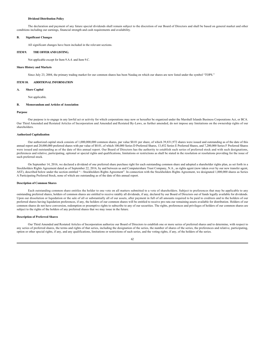## **Dividend Distribution Policy**

The declaration and payment of any future special dividends shall remain subject to the discretion of our Board of Directors and shall be based on general market and other conditions including our earnings, financial strength and cash requirements and availability.

### **B. Significant Changes**

All significant changes have been included in the relevant sections.

# **ITEM 9. THE OFFER AND LISTING.**

Not applicable except for Item 9.A.4. and Item 9.C.

#### **Share History and Markets**

Since July 23, 2004, the primary trading market for our common shares has been Nasdaq on which our shares are now listed under the symbol "TOPS."

# **ITEM 10. ADDITIONAL INFORMATION**

#### **A. Share Capital**

Not applicable.

#### **B. Memorandum and Articles of Association**

#### **Purpose**

Our purpose is to engage in any lawful act or activity for which corporations may now or hereafter be organized under the Marshall Islands Business Corporations Act, or BCA. Our Third Amended and Restated Articles of Incorporation and Amended and Restated By-Laws, as further amended, do not impose any limitations on the ownership rights of our shareholders.

# **Authorized Capitalization**

Our authorized capital stock consists of 1,000,000,000 common shares, par value \$0.01 per share, of which 39,831,972 shares were issued and outstanding as of the date of this annual report and 20,000,000 preferred shares with par value of \$0.01, of which 100,000 Series D Preferred Shares, 13,452 Series E Preferred Shares, and 7,200,000 Series F Preferred Shares were issued and outstanding as of the date of this annual report. Our Board of Directors has the authority to establish such series of preferred stock and with such designations, preferences and relative, participating, optional or special rights and qualifications, limitations or restrictions as shall be stated in the resolution or resolutions providing for the issue of such preferred stock.

On September 14, 2016, we declared a dividend of one preferred share purchase right for each outstanding common share and adopted a shareholder rights plan, as set forth in a Stockholders Rights Agreement dated as of September 22, 2016, by and between us and Computershare Trust Company, N.A., as rights agent (now taken over by our new transfer agent, AST), described below under the section entitled "—Stockholders Rights Agreement". In connection with the Stockholders Rights Agreement, we designated 1,000,000 shares as Series A Participating Preferred Stock, none of which are outstanding as of the date of this annual report.

#### **Description of Common Shares**

Each outstanding common share entitles the holder to one vote on all matters submitted to a vote of shareholders. Subject to preferences that may be applicable to any outstanding preferred shares, holders of common shares are entitled to receive ratably all dividends, if any, declared by our Board of Directors out of funds legally available for dividends. Upon our dissolution or liquidation or the sale of all or substantially all of our assets, after payment in full of all amounts required to be paid to creditors and to the holders of our preferred shares having liquidation preferences, if any, the holders of our common shares will be entitled to receive pro rata our remaining assets available for distribution. Holders of our common shares do not have conversion, redemption or preemptive rights to subscribe to any of our securities. The rights, preferences and privileges of holders of our common shares are subject to the rights of the holders of any preferred shares that we may issue in the future.

#### **Description of Preferred Shares**

Our Third Amended and Restated Articles of Incorporation authorize our Board of Directors to establish one or more series of preferred shares and to determine, with respect to any series of preferred shares, the terms and rights of that series, including the designation of the series, the number of shares of the series, the preferences and relative, participating, option or other special rights, if any, and any qualifications, limitations or restrictions of such series, and the voting rights, if any, of the holders of the series.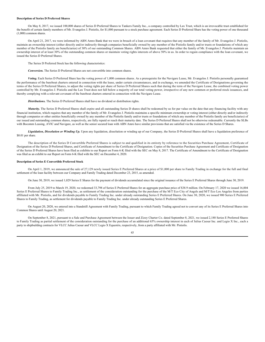## **Description of Series D Preferred Shares**

On May 8, 2017, we issued 100,000 shares of Series D Preferred Shares to Tankers Family Inc., a company controlled by Lax Trust, which is an irrevocable trust established for the benefit of certain family members of Mr. Evangelos J. Pistiolis, for \$1,000 pursuant to a stock purchase agreement. Each Series D Preferred Share has the voting power of one thousand (1,000) common shares.

On April 21, 2017, we were informed by ABN Amro Bank that we were in breach of a loan covenant that requires that any member of the family of Mr. Evangelos J. Pistiolis, maintain an ownership interest (either directly and/or indirectly through companies beneficially owned by any member of the Pistiolis family and/or trusts or foundations of which any member of the Pistiolis family are beneficiaries) of 30% of our outstanding Common Shares. ABN Amro Bank requested that either the family of Mr. Evangelos J. Pistiolis maintain an ownership interest of at least 30% of the outstanding common shares or maintain voting rights interests of above 50% in us. In order to regain compliance with the loan covenant, we issued the Series D Preferred Shares.

The Series D Preferred Stock has the following characteristics:

*Conversion.* The Series D Preferred Shares are not convertible into common shares.

*Voting.* Each Series D Preferred Share has the voting power of 1,000 common shares. As a prerequisite for the Navigare Lease, Mr. Evangelos J. Pistiolis personally guaranteed the performance of the bareboat charters entered in connection with the lease, under certain circumstances, and in exchange, we amended the Certificate of Designations governing the terms of the Series D Preferred Shares, to adjust the voting rights per share of Series D Preferred Shares such that during the term of the Navigare Lease, the combined voting power controlled by Mr. Evangelos J. Pistiolis and the Lax Trust does not fall below a majority of our total voting power, irrespective of any new common or preferred stock issuances, and thereby complying with a relevant covenant of the bareboat charters entered in connection with the Navigare Lease.

#### **Distributions.** The Series D Preferred Shares shall have no dividend or distribution rights.

*Maturity.* The Series D Preferred Shares shall expire and all outstanding Series D shares shall be redeemed by us for par value on the date that any financing facility with any financial institution, which requires that any member of the family of Mr. Evangelos J. Pistiolis maintains a specific minimum ownership or voting interest (either directly and/or indirectly through companies or other entities beneficially owned by any member of the Pistiolis family and/or trusts or foundations of which any member of the Pistiolis family are beneficiaries) of our issued and outstanding common shares, respectively, are fully repaid or reach their maturity date. The Series D Preferred Shares shall not be otherwise redeemable. Currently the SLBs with Bocomm Leasing, AVIC and Navigare, as well as the senior secured loan with ABN Amro have similar provisions that are satisfied via the existence of the Series D Shares.

Liquidation, Dissolution or Winding Up. Upon any liquidation, dissolution or winding up of our Company, the Series D Preferred Shares shall have a liquidation preference of \$0.01 per share.

The description of the Series D Convertible Preferred Shares is subject to and qualified in its entirety by reference to the Securities Purchase Agreement, Certificate of Designation of the Series D Preferred Shares, and Certificate of Amendment to the Certificate of Designation. Copies of the Securities Purchase Agreement and Certificate of Designation of the Series D Preferred Shares have been filed as exhibits to our Report on Form 6-K filed with the SEC on May 8, 2017. The Certificate of Amendment to the Certificate of Designation was filed as an exhibit to our Report on Form 6-K filed with the SEC on December 4, 2020.

#### **Description of Series E Convertible Preferred Stock**

On April 1, 2019, we announced the sale of 27,129 newly issued Series E Preferred Shares at a price of \$1,000 per share to Family Trading in exchange for the full and final settlement of the loan facility between our Company and Family Trading dated December 23, 2015, as amended.

On June 30, 2019, we issued 1,029 Series E Shares for the payment of dividends accumulated since the original issuance of the Series E Preferred Shares through June 30, 2019.

From July 25, 2019 to March 19, 2020, we redeemed 33,798 of Series E Preferred Shares for an aggregate purchase price of \$38.9 million. On February 17, 2020 we issued 16,004 Series E Preferred Shares to Family Trading Inc., as settlement of the consideration outstanding for the purchase of the M/T Eco City of Angels and M/T Eco Los Angeles from parties affiliated with Mr. Pistiolis, and for dividends payable to Family Trading Inc. under already outstanding Series E Preferred Shares. On June 30, 2020, we issued 900 Series E Preferred Shares to Family Trading, as settlement for dividends payable to Family Trading Inc. under already outstanding Series E Preferred Shares.

On August 20, 2020, we entered into a Standstill Agreement with Family Trading, pursuant to which Family Trading agreed not to convert any of its Series E Preferred Shares into Common Shares until August 20, 2021.

On September 8, 2021, pursuant to a Sale and Purchase Agreement between the Issuer and Zizzy Charter Co. dated September 8, 2021, we issued 2,188 Series E Preferred Shares to Family Trading as partial settlement of the consideration outstanding for the purchase of an additional 65% ownership interest in each of Julius Caesar Inc. and Legio X Inc., each a party to shipbuilding contracts for VLCC Julius Caesar and VLCC Legio X Equestris, respectively, from a party affiliated with Mr. Pistiolis.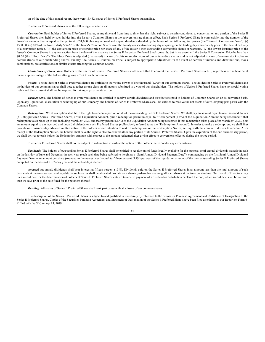As of the date of this annual report, there were 13,452 shares of Series E Preferred Shares outstanding.

The Series E Preferred Shares have the following characteristics:

*Conversion***.** Each holder of Series E Preferred Shares, at any time and from time to time, has the right, subject to certain conditions, to convert all or any portion of the Series E Preferred Shares then held by such holder into the Issuer's Common Shares at the conversion rate then in effect. Each Series E Preferred Share is convertible into the number of the Issuer's Common Shares equal to the quotient of \$1,000 plus any accrued and unpaid dividends divided by the lesser of the following four prices (the "Series E Conversion Price"): (i) \$500.00, (ii) 80% of the lowest daily VWAP of the Issuer's Common Shares over the twenty consecutive trading days expiring on the trading day immediately prior to the date of delivery of a conversion notice, (iii) the conversion price or exercise price per share of any of the Issuer's then outstanding convertible shares or warrants, (iv) the lowest issuance price of the Issuer's Common Shares in any transaction from the date of the issuance the Series E Perpetual Preferred Stock onwards, but in no event will the Series E Conversion Price be less than \$0.60 (the "Floor Price"). The Floor Price is adjusted (decreased) in case of splits or subdivisions of our outstanding shares and is not adjusted in case of reverse stock splits or combinations of our outstanding shares. Finally, the Series E Conversion Price is subject to appropriate adjustment in the event of certain dividends and distributions, stock combinations, reclassifications or similar events affecting the Common Shares.

*Limitations of Conversion.* Holders of the shares of Series E Preferred Shares shall be entitled to convert the Series E Preferred Shares in full, regardless of the beneficial ownership percentage of the holder after giving effect to such conversion.

*Voting*. The holders of Series E Preferred Shares are entitled to the voting power of one thousand (1,000) of our common shares. The holders of Series E Preferred Shares and the holders of our common shares shall vote together as one class on all matters submitted to a vote of our shareholders. The holders of Series E Preferred Shares have no special voting rights and their consent shall not be required for taking any corporate action.

*Distributions***.** The holders of Series E Preferred Shares are entitled to receive certain dividends and distributions paid to holders of Common Shares on an as-converted basis. Upon any liquidation, dissolution or winding up of our Company, the holders of Series E Preferred Shares shall be entitled to receive the net assets of our Company pari passu with the Common Shares.

*Redemption*. We at our option shall have the right to redeem a portion or all of the outstanding Series E Preferred Shares. We shall pay an amount equal to one thousand dollars (\$1,000) per each Series E Preferred Shares, or the Liquidation Amount, plus a redemption premium equal to fifteen percent (15%) of the Liquidation Amount being redeemed if that redemption takes place up to and including March 29, 2020 and twenty percent (20%) of the Liquidation Amount being redeemed if that redemption takes place after March 29, 2020, plus an amount equal to any accrued and unpaid dividends on such Preferred Shares (collectively referred to as the "Redemption Amount"). In order to make a redemption, we shall first provide one business day advance written notice to the holders of our intention to make a redemption, or the Redemption Notice, setting forth the amount it desires to redeem. After receipt of the Redemption Notice, the holders shall have the right to elect to convert all or any portion of its Series E Preferred Shares. Upon the expiration of the one business day period, we shall deliver to each holder the Redemption Amount with respect to the amount redeemed after giving effect to conversions effected during the notice period.

The Series E Preferred Shares shall not be subject to redemption in cash at the option of the holders thereof under any circumstance.

*Dividends*. The holders of outstanding Series E Preferred Shares shall be entitled to receive out of funds legally available for the purpose, semi-annual dividends payable in cash on the last day of June and December in each year (each such date being referred to herein as a "Semi Annual Dividend Payment Date"), commencing on the first Semi Annual Dividend Payment Date in an amount per share (rounded to the nearest cent) equal to fifteen percent (15%) per year of the liquidation amount of the then outstanding Series E Preferred Shares computed on the basis of a 365-day year and the actual days elapsed.

Accrued but unpaid dividends shall bear interest at fifteen percent (15%). Dividends paid on the Series E Preferred Shares in an amount less than the total amount of such dividends at the time accrued and payable on such shares shall be allocated pro rata on a share-by-share basis among all such shares at the time outstanding. Our Board of Directors may fix a record date for the determination of holders of Series E Preferred Shares entitled to receive payment of a dividend or distribution declared thereon, which record date shall be no more than 30 days prior to the date fixed for the payment thereof.

*Ranking*. All shares of Series E Preferred Shares shall rank pari passu with all classes of our common shares.

The description of the Series E Preferred Shares is subject to and qualified in its entirety by reference to the Securities Purchase Agreement and Certificate of Designation of the Series E Preferred Shares. Copies of the Securities Purchase Agreement and Statement of Designation of the Series E Preferred Shares have been filed as exhibits to our Report on Form 6- K filed with the SEC on April 1, 2019.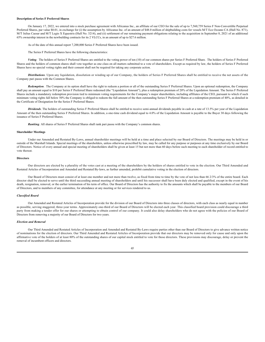## **Description of Series F Preferred Shares**

On January 17, 2022, we entered into a stock purchase agreement with Africanus Inc., an affiliate of our CEO for the sale of up to 7,560,759 Series F Non-Convertible Perpetual Preferred Shares, par value \$0.01, in exchange for (i) the assumption by Africanus Inc. of an amount of \$48.0 million of shipbuilding costs for vessels M/T Eco Oceano CA (Hull No. 871), M/T Julius Caesar and M/T Legio X Equestris (Hull No. 3214), and (ii) settlement of our remaining payment obligations relating to the acquisition in September 8, 2021 of an additional 65% ownership interest in the newbuilding contracts for its 2 VLCCs, in an amount of up to \$27.6 million.

As of the date of this annual report 7,200,000 Series F Preferred Shares have been issued.

The Series F Preferred Shares have the following characteristics:

*Voting*. The holders of Series F Preferred Shares are entitled to the voting power of ten (10) of our common shares per Series F Preferred Share. The holders of Series F Preferred Shares and the holders of common shares shall vote together as one class on all matters submitted to a vote of shareholders. Except as required by law, the holders of Series F Preferred Shares have no special voting rights and their consent shall not be required for taking any corporate action.

*Distributions*. Upon any liquidation, dissolution or winding up of our Company, the holders of Series F Preferred Shares shall be entitled to receive the net assets of the Company pari passu with the Common Shares.

*Redemption*. The Company at its option shall have the right to redeem a portion or all of the outstanding Series F Preferred Shares. Upon an optional redemption, the Company shall pay an amount equal to \$10 per Series F Preferred Share redeemed (the "Liquidation Amount"), plus a redemption premium of 20% of the Liquidation Amount. The Series F Preferred Shares include a mandatory redemption provision tied to minimum voting requirements for the Company's major shareholders, including affiliates of the CEO, pursuant to which if such minimum voting rights fall below 50% the Company is obliged to redeem the full amount of the then outstanding Series F Preferred Shares at a redemption premium of 40%, as detailed in the Certificate of Designation for the Series F Preferred Shares.

*Dividends*. The holders of outstanding Series F Preferred Shares shall be entitled to receive semi-annual dividends payable in cash at a rate of 13.5% per year of the Liquidation Amount of the then outstanding Series F Preferred Shares. In addition, a one-time cash dividend equal to 4.0% of the Liquidation Amount is payable to the Buyer 30 days following the issuance of Series F Preferred Shares.

*Ranking*. All shares of Series F Preferred Shares shall rank pari passu with the Company's common shares.

#### **Shareholder Meetings**

Under our Amended and Restated By-Laws, annual shareholder meetings will be held at a time and place selected by our Board of Directors. The meetings may be held in or outside of the Marshall Islands. Special meetings of the shareholders, unless otherwise prescribed by law, may be called for any purpose or purposes at any time exclusively by our Board of Directors. Notice of every annual and special meeting of shareholders shall be given at least 15 but not more than 60 days before such meeting to each shareholder of record entitled to vote thereat.

#### **Directors**

Our directors are elected by a plurality of the votes cast at a meeting of the shareholders by the holders of shares entitled to vote in the election. Our Third Amended and Restated Articles of Incorporation and Amended and Restated By-laws, as further amended, prohibit cumulative voting in the election of directors.

Our Board of Directors must consist of at least one member and not more than twelve, as fixed from time to time by the vote of not less than 66 2/3% of the entire board. Each director shall be elected to serve until the third succeeding annual meeting of shareholders and until his successor shall have been duly elected and qualified, except in the event of his death, resignation, removal, or the earlier termination of his term of office. Our Board of Directors has the authority to fix the amounts which shall be payable to the members of our Board of Directors, and to members of any committee, for attendance at any meeting or for services rendered to us.

## *Classified Board*

Our Amended and Restated Articles of Incorporation provide for the division of our Board of Directors into three classes of directors, with each class as nearly equal in number as possible, serving staggered, three-year terms. Approximately one-third of our Board of Directors will be elected each year. This classified board provision could discourage a third party from making a tender offer for our shares or attempting to obtain control of our company. It could also delay shareholders who do not agree with the policies of our Board of Directors from removing a majority of our Board of Directors for two years.

#### *Election and Removal*

Our Third Amended and Restated Articles of Incorporation and Amended and Restated By-Laws require parties other than our Board of Directors to give advance written notice of nominations for the election of directors. Our Third Amended and Restated Articles of Incorporation provide that our directors may be removed only for cause and only upon the affirmative vote of the holders of at least 80% of the outstanding shares of our capital stock entitled to vote for those directors. These provisions may discourage, delay or prevent the removal of incumbent officers and directors.

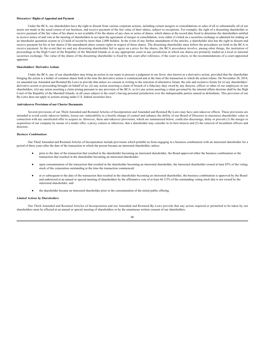# **Dissenters**' **Rights of Appraisal and Payment**

Under the BCA, our shareholders have the right to dissent from various corporate actions, including certain mergers or consolidations or sales of all or substantially all of our assets not made in the usual course of our business, and receive payment of the fair value of their shares, subject to exceptions. For example, the right of a dissenting shareholder to receive payment of the fair value of his shares is not available if for the shares of any class or series of shares, which shares at the record date fixed to determine the shareholders entitled to receive notice of and vote at the meeting of shareholders to act upon the agreement of merger or consolidation, were either (1) listed on a securities exchange or admitted for trading on an interdealer quotation system or (2) held of record by more than 2,000 holders. In the event of any further amendment of the articles, a shareholder also has the right to dissent and receive payment for his or her shares if the amendment alters certain rights in respect of those shares. The dissenting shareholder must follow the procedures set forth in the BCA to receive payment. In the event that we and any dissenting shareholder fail to agree on a price for the shares, the BCA procedures involve, among other things, the institution of proceedings in the High Court of the Republic of the Marshall Islands or in any appropriate court in any jurisdiction in which our shares are primarily traded on a local or national securities exchange. The value of the shares of the dissenting shareholder is fixed by the court after reference, if the court so elects, to the recommendations of a court-appointed appraiser.

#### **Shareholders**' **Derivative Actions**

Under the BCA, any of our shareholders may bring an action in our name to procure a judgment in our favor, also known as a derivative action, provided that the shareholder bringing the action is a holder of common shares both at the time the derivative action is commenced and at the time of the transaction to which the action relates. On November 20, 2014, we amended our Amended and Restated By-Laws to provide that unless we consent in writing to the selection of alternative forum, the sole and exclusive forum for (i) any shareholders' derivative action or proceeding brought on behalf of us, (ii) any action asserting a claim of breach of a fiduciary duty owed by any director, officer or other of our employees or our shareholders, (iii) any action asserting a claim arising pursuant to any provision of the BCA, or (iv) any action asserting a claim governed by the internal affairs doctrine shall be the High Court of the Republic of the Marshall Islands, in all cases subject to the court's having personal jurisdiction over the indispensable parties named as defendants. This provision of our By-Laws does not apply to actions arising under U.S. federal securities laws.

#### **Anti-takeover Provisions of our Charter Documents**

Several provisions of our Third Amended and Restated Articles of Incorporation and Amended and Restated By-Laws may have anti-takeover effects. These provisions are intended to avoid costly takeover battles, lessen our vulnerability to a hostile change of control and enhance the ability of our Board of Directors to maximize shareholder value in connection with any unsolicited offer to acquire us. However, these anti-takeover provisions, which are summarized below, could also discourage, delay or prevent (1) the merger or acquisition of our company by means of a tender offer, a proxy contest or otherwise, that a shareholder may consider in its best interest and (2) the removal of incumbent officers and directors.

#### *Business Combinations*

Our Third Amended and Restated Articles of Incorporation include provisions which prohibit us from engaging in a business combination with an interested shareholder for a period of three years after the date of the transaction in which the person became an interested shareholder, unless:

- prior to the date of the transaction that resulted in the shareholder becoming an interested shareholder, the Board approved either the business combination or the transaction that resulted in the shareholder becoming an interested shareholder;
- upon consummation of the transaction that resulted in the shareholder becoming an interested shareholder, the interested shareholder owned at least 85% of the voting stock of the corporation outstanding at the time the transaction commenced;
- at or subsequent to the date of the transaction that resulted in the shareholder becoming an interested shareholder, the business combination is approved by the Board and authorized at an annual or special meeting of shareholders by the affirmative vote of at least 66 2/3% of the outstanding voting stock that is not owned by the interested shareholder; and
- the shareholder became an interested shareholder prior to the consummation of the initial public offering.

### *Limited Actions by Shareholders*

Our Third Amended and Restated Articles of Incorporation and our Amended and Restated By-Laws provide that any action required or permitted to be taken by our shareholders must be effected at an annual or special meeting of shareholders or by the unanimous written consent of our shareholders.

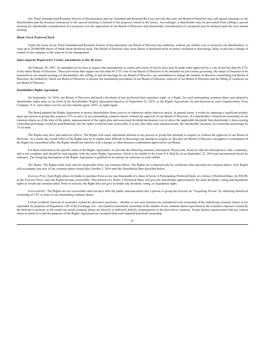Our Third Amended and Restated Articles of Incorporation and our Amended and Restated By-Laws provide that only our Board of Directors may call special meetings of our shareholders and the business transacted at the special meeting is limited to the purposes stated in the notice. Accordingly, a shareholder may be prevented from calling a special meeting for shareholder consideration of a proposal over the opposition of our Board of Directors and shareholder consideration of a proposal may be delayed until the next annual meeting.

## *Blank Check Preferred Stock*

Under the terms of our Third Amended and Restated Articles of Incorporation, our Board of Directors has authority, without any further vote or action by our shareholders, to issue up to 20,000,000 shares of blank check preferred stock. Our Board of Directors may issue shares of preferred stock on terms calculated to discourage, delay or prevent a change of control of our company or the removal of our management.

#### *Super-majority Required for Certain Amendments to Our By-Laws*

On February 28, 2007, we amended our by-laws to require that amendments to certain provisions of our by-laws may be made when approved by a vote of not less than 66 2/3% of the entire Board of Directors. These provisions that require not less than 66 2/3% vote of our Board of Directors to be amended are provisions governing: the nature of business to be transacted at our annual meetings of shareholders, the calling of special meetings by our Board of Directors, any amendment to change the number of directors constituting our Board of Directors, the method by which our Board of Directors is elected, the nomination procedures of our Board of Directors, removal of our Board of Directors and the filling of vacancies on our Board of Directors.

# **Stockholders Rights Agreement**

On September 14, 2016, our Board of Directors declared a dividend of one preferred share purchase right, or a Right, for each outstanding common share and adopted a shareholder rights plan, as set forth in the Stockholders Rights Agreement dated as of September 22, 2016, or the Rights Agreement, by and between us and Computershare Trust Company, N.A. (now taken over by our new transfer agent, AST), as rights agent.

The Board adopted the Rights Agreement to protect shareholders from coercive or otherwise unfair takeover tactics. In general terms, it works by imposing a significant penalty upon any person or group that acquires 15% or more of our outstanding common shares without the approval of our Board of Directors. If a shareholder's beneficial ownership of our common shares as of the time of the public announcement of the rights plan and associated dividend declaration is at or above the applicable threshold, that shareholder's then-existing ownership percentage would be grandfathered, but the rights would become exercisable if at any time after such announcement, the shareholder increases its ownership percentage by 1% or more.

The Rights may have anti-takeover effects. The Rights will cause substantial dilution to any person or group that attempts to acquire us without the approval of our Board of Directors. As a result, the overall effect of the Rights may be to render more difficult or discourage any attempt to acquire us. Because our Board of Directors can approve a redemption of the Rights for a permitted offer, the Rights should not interfere with a merger or other business combination approved by our Board.

For those interested in the specific terms of the Rights Agreement, we provide the following summary description. Please note, however, that this description is only a summary, and is not complete, and should be read together with the entire Rights Agreement, which is an exhibit to the Form 8-A filed by us on September 22, 2016 and incorporated herein by reference. The foregoing description of the Rights Agreement is qualified in its entirety by reference to such exhibit.

*The Rights*. The Rights trade with, and are inseparable from, our common shares. The Rights are evidenced only by certificates that represent our common shares. New Rights will accompany any new of our common shares issued after October 5, 2016 until the Distribution Date described below.

*Exercise Price*. Each Right allows its holder to purchase from us one one-thousandth of a share of Series A Participating Preferred Stock, or a Series A Preferred Share, for \$50.00, or the Exercise Price, once the Rights become exercisable. This portion of a Series A Preferred Share will give the shareholder approximately the same dividend, voting and liquidation rights as would one common share. Prior to exercise, the Right does not give its holder any dividend, voting, or liquidation rights.

*Exercisability*. The Rights are not exercisable until ten days after the public announcement that a person or group has become an "Acquiring Person" by obtaining beneficial ownership of 15% or more of our outstanding common shares.

Certain synthetic interests in securities created by derivative positions—whether or not such interests are considered to be ownership of the underlying common shares or are reportable for purposes of Regulation 13D of the Exchange Act—are treated as beneficial ownership of the number of our common shares equivalent to the economic exposure created by the derivative position, to the extent our actual common shares are directly or indirectly held by counterparties to the derivatives contracts. Swaps dealers unassociated with any control intent or intent to evade the purposes of the Rights Agreement are excepted from such imputed beneficial ownership.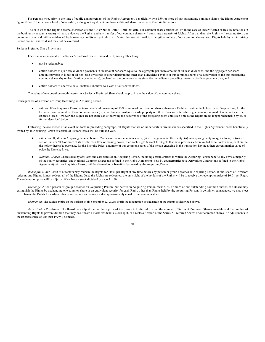For persons who, prior to the time of public announcement of the Rights Agreement, beneficially own 15% or more of our outstanding common shares, the Rights Agreement "grandfathers" their current level of ownership, so long as they do not purchase additional shares in excess of certain limitations.

The date when the Rights become exercisable is the "Distribution Date." Until that date, our common share certificates (or, in the case of uncertificated shares, by notations in the book-entry account system) will also evidence the Rights, and any transfer of our common shares will constitute a transfer of Rights. After that date, the Rights will separate from our common shares and will be evidenced by book-entry credits or by Rights certificates that we will mail to all eligible holders of our common shares. Any Rights held by an Acquiring Person are null and void and may not be exercised.

#### Series A Preferred Share Provisions

Each one one-thousandth of a Series A Preferred Share, if issued, will, among other things:

- not be redeemable:
- entitle holders to quarterly dividend payments in an amount per share equal to the aggregate per share amount of all cash dividends, and the aggregate per share amount (payable in kind) of all non-cash dividends or other distributions other than a dividend payable in our common shares or a subdivision of the our outstanding common shares (by reclassification or otherwise), declared on our common shares since the immediately preceding quarterly dividend payment date; and
- entitle holders to one vote on all matters submitted to a vote of our shareholders.

The value of one one-thousandth interest in a Series A Preferred Share should approximate the value of one common share.

#### Consequences of a Person or Group Becoming an Acquiring Person.

Flip In. If an Acquiring Person obtains beneficial ownership of 15% or more of our common shares, then each Right will entitle the holder thereof to purchase, for the Exercise Price, a number of our common shares (or, in certain circumstances, cash, property or other of our securities) having a then-current market value of twice the Exercise Price. However, the Rights are not exercisable following the occurrence of the foregoing event until such time as the Rights are no longer redeemable by us, as further described below.

Following the occurrence of an event set forth in preceding paragraph, all Rights that are or, under certain circumstances specified in the Rights Agreement, were beneficially owned by an Acquiring Person or certain of its transferees will be null and void.

- Flip Over. If, after an Acquiring Person obtains 15% or more of our common shares, (i) we merge into another entity; (ii) an acquiring entity merges into us; or (iii) we sell or transfer 50% or more of its assets, cash flow or earning power, then each Right (except for Rights that have previously been voided as set forth above) will entitle the holder thereof to purchase, for the Exercise Price, a number of our common shares of the person engaging in the transaction having a then-current market value of twice the Exercise Price.
- *Notional Shares*. Shares held by affiliates and associates of an Acquiring Person, including certain entities in which the Acquiring Person beneficially owns a majority of the equity securities, and Notional Common Shares (as defined in the Rights Agreement) held by counterparties to a Derivatives Contract (as defined in the Rights Agreement) with an Acquiring Person, will be deemed to be beneficially owned by the Acquiring Person.

*Redemption*. Our Board of Directors may redeem the Rights for \$0.01 per Right at any time before any person or group becomes an Acquiring Person. If our Board of Directors redeems any Rights, it must redeem all of the Rights. Once the Rights are redeemed, the only right of the holders of the Rights will be to receive the redemption price of \$0.01 per Right. The redemption price will be adjusted if we have a stock dividend or a stock split.

*Exchange.* After a person or group becomes an Acquiring Person, but before an Acquiring Person owns 50% or more of our outstanding common shares, the Board may extinguish the Rights by exchanging one common share or an equivalent security for each Right, other than Rights held by the Acquiring Person. In certain circumstances, we may elect to exchange the Rights for cash or other of our securities having a value approximately equal to one common share.

*Expiration*. The Rights expire on the earliest of (i) September 22, 2026; or (ii) the redemption or exchange of the Rights as described above.

*Anti-Dilution Provisions*. The Board may adjust the purchase price of the Series A Preferred Shares, the number of Series A Preferred Shares issuable and the number of outstanding Rights to prevent dilution that may occur from a stock dividend, a stock split, or a reclassification of the Series A Preferred Shares or our common shares. No adjustments to the Exercise Price of less than 1% will be made.

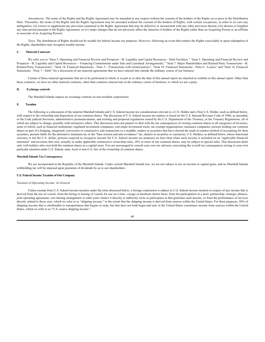*Amendments*. The terms of the Rights and the Rights Agreement may be amended in any respect without the consent of the holders of the Rights on or prior to the Distribution Date. Thereafter, the terms of the Rights and the Rights Agreement may be amended without the consent of the holders of Rights, with certain exceptions, in order to (i) cure any ambiguities; (ii) correct or supplement any provision contained in the Rights Agreement that may be defective or inconsistent with any other provision therein; (iii) shorten or lengthen any time period pursuant to the Rights Agreement; or (iv) make changes that do not adversely affect the interests of holders of the Rights (other than an Acquiring Person or an affiliate or associate of an Acquiring Person).

*Taxes.* The distribution of Rights should not be taxable for federal income tax purposes. However, following an event that renders the Rights exercisable or upon redemption of the Rights, shareholders may recognize taxable income.

#### **C. Material Contracts**

We refer you to "Item 5. Operating and Financial Review and Prospects—B. Liquidity and Capital Resources—Debt Facilities," "Item 5. Operating and Financial Review and Prospects—B. Liquidity and Capital Resources— Financing Commitments under Sale and Leaseback Arrangements," "Item 7. Major Shareholders and Related Party Transactions—B. Related Party Transactions", "Item 18. Financial Statements—Note 5—Transactions with related parties", "Item 18. Financial Statements—Note 6—Leases" and "Item 18. Financial Statements—Note 7—Debt" for a discussion of our material agreements that we have entered into outside the ordinary course of our business.

Certain of these material agreements that are to be performed in whole or in part at or after the date of this annual report are attached as exhibits to this annual report. Other than these contracts, we have no other material contracts, other than contracts entered into in the ordinary course of business, to which we are a party.

#### **D. Exchange controls**

The Marshall Islands impose no exchange controls on non-resident corporations.

#### **E. Taxation**

The following is a discussion of the material Marshall Islands and U.S. federal income tax considerations relevant to a U.S. Holder and a Non-U.S. Holder, each as defined below, with respect to the ownership and disposition of our common shares. The discussion of U.S. federal income tax matters is based on the U.S. Internal Revenue Code of 1986, as amended, or the Code judicial decisions, administrative pronouncements, and existing and proposed regulations issued by the U.S. Department of the Treasury, or the Treasury Regulations, all of which are subject to change, possibly with retroactive effect. This discussion does not purport to deal with the tax consequences of owning common shares to all categories of investors, some of which, such as financial institutions, regulated investment companies, real estate investment trusts, tax-exempt organizations, insurance companies, persons holding our common shares as part of a hedging, integrated, conversion or constructive sale transaction or a straddle, traders in securities that have elected the mark-to-market method of accounting for their securities, persons liable for the alternative minimum tax or the "base erosion and anti-avoidance" tax, dealers in securities or currencies, U.S. Holders, as defined below, whose functional currency is not the U.S. dollar, persons required to recognize income for U.S. federal income tax purposes no later than when such income is included on an "applicable financial statement" and investors that own, actually or under applicable constructive ownership rules, 10% or more of our common shares, may be subject to special rules. This discussion deals only with holders who own hold the common shares as a capital asset. You are encouraged to consult your own tax advisors concerning the overall tax consequences arising in your own particular situation under U.S. federal, state, local or non-U.S. law of the ownership of common shares.

#### **Marshall Islands Tax Consequences**

We are incorporated in the Republic of the Marshall Islands. Under current Marshall Islands law, we are not subject to tax on income or capital gains, and no Marshall Islands withholding tax will be imposed upon payments of dividends by us to our shareholders.

# **U.S. Federal Income Taxation of Our Company**

### *Taxation of Operating Income: In General*

Unless exempt from U.S. federal income taxation under the rules discussed below, a foreign corporation is subject to U.S. federal income taxation in respect of any income that is derived from the use of vessels, from the hiring or leasing of vessels for use on a time, voyage or bareboat charter basis, from the participation in a pool, partnership, strategic alliance, joint operating agreement, cost sharing arrangement or other joint venture it directly or indirectly owns or participates in that generates such income, or from the performance of services directly related to those uses, which we refer to as "shipping income," to the extent that the shipping income is derived from sources within the United States. For these purposes, 50% of shipping income that is attributable to transportation that begins or ends, but that does not both begin and end, in the United States constitutes income from sources within the United States, which we refer to as "U.S.-source shipping income."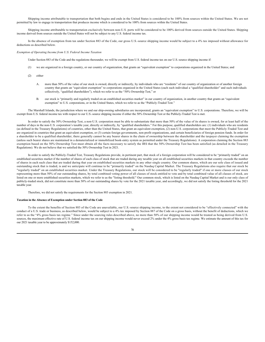Shipping income attributable to transportation that both begins and ends in the United States is considered to be 100% from sources within the United States. We are not permitted by law to engage in transportation that produces income which is considered to be 100% from sources within the United States.

Shipping income attributable to transportation exclusively between non-U.S. ports will be considered to be 100% derived from sources outside the United States. Shipping income derived from sources outside the United States will not be subject to any U.S. federal income tax.

In the absence of exemption from tax under Section 883 of the Code, our gross U.S.-source shipping income would be subject to a 4% tax imposed without allowance for deductions as described below.

# *Exemption of Operating Income from U.S. Federal Income Taxation*

Under Section 883 of the Code and the regulations thereunder, we will be exempt from U.S. federal income tax on our U.S.-source shipping income if:

- (1) we are organized in a foreign country, or our country of organization, that grants an "equivalent exemption" to corporations organized in the United States; and
- (2) either
	- A. more than 50% of the value of our stock is owned, directly or indirectly, by individuals who are "residents" of our country of organization or of another foreign country that grants an "equivalent exemption" to corporations organized in the United States (each such individual a "qualified shareholder" and such individuals collectively, "qualified shareholders"), which we refer to as the "50% Ownership Test," or
	- B. our stock is "primarily and regularly traded on an established securities market" in our country of organization, in another country that grants an "equivalent exemption" to U.S. corporations, or in the United States, which we refer to as the "Publicly-Traded Test."

The Marshall Islands, the jurisdiction where we and our ship-owning subsidiaries are incorporated, grants an "equivalent exemption" to U.S. corporations. Therefore, we will be exempt from U.S. federal income tax with respect to our U.S.-source shipping income if either the 50% Ownership Test or the Publicly-Traded Test is met.

In order to satisfy the 50% Ownership Test, a non-U.S. corporation must be able to substantiate that more than 50% of the value of its shares is owned, for at least half of the number of days in the non-U.S. corporation's taxable year, directly or indirectly, by "qualified shareholders." For this purpose, qualified shareholders are: (1) individuals who are residents (as defined in the Treasury Regulations) of countries, other than the United States, that grant an equivalent exemption, (2) non-U.S. corporations that meet the Publicly-Traded Test and are organized in countries that grant an equivalent exemption, or (3) certain foreign governments, non-profit organizations, and certain beneficiaries of foreign pension funds. In order for a shareholder to be a qualified shareholder, there generally cannot be any bearer shares in the chain of ownership between the shareholder and the taxpayer claiming the exemption (unless such bearer shares are maintained in a dematerialized or immobilized book-entry system as permitted under the Treasury Regulations). A corporation claiming the Section 883 exemption based on the 50% Ownership Test must obtain all the facts necessary to satisfy the IRS that the 50% Ownership Test has been satisfied (as detailed in the Treasury Regulations). We do not believe that we satisfied the 50% Ownership Test in 2021.

In order to satisfy the Publicly-Traded Test, Treasury Regulations provide, in pertinent part, that stock of a foreign corporation will be considered to be "primarily traded" on an established securities market if the number of shares of each class of stock that are traded during any taxable year on all established securities markets in that country exceeds the number of shares in each such class that are traded during that year on established securities markets in any other single country. Our common shares, which are our sole class of issued and outstanding stock that is traded, is and we anticipate will continue to be "primarily traded" on the Nasdaq Capital Market. The Treasury Regulations also require that our stock be "regularly traded" on an established securities market. Under the Treasury Regulations, our stock will be considered to be "regularly traded" if one or more classes of our stock representing more than 50% of our outstanding shares, by total combined voting power of all classes of stock entitled to vote and by total combined value of all classes of stock, are listed on one or more established securities markets, which we refer to as the "listing threshold." Our common stock, which is listed on the Nasdaq Capital Market and is our only class of publicly-traded stock, did not constitute more than 50% of our outstanding shares by vote for the 2021 taxable year, and accordingly, we did not satisfy the listing threshold for the 2021 taxable year.

Therefore, we did not satisfy the requirements for the Section 883 exemption in 2021.

## **Taxation in the Absence of Exemption under Section 883 of the Code**

To the extent the benefits of Section 883 of the Code are unavailable, our U.S.-source shipping income, to the extent not considered to be "effectively connected" with the conduct of a U.S. trade or business, as described below, would be subject to a 4% tax imposed by Section 887 of the Code on a gross basis, without the benefit of deductions, which we refer to as the "4% gross basis tax regime." Since under the sourcing rules described above, no more than 50% of our shipping income would be treated as being derived from U.S. sources, the maximum effective rate of U.S. federal income tax on our shipping income would never exceed 2% under the 4% gross basis tax regime. We estimate the amount of this tax for our 2021 taxable year to be approximately \$152,000.

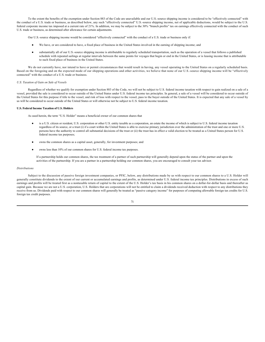To the extent the benefits of the exemption under Section 883 of the Code are unavailable and our U.S.-source shipping income is considered to be "effectively connected" with the conduct of a U.S. trade or business, as described below, any such "effectively connected" U.S.-source shipping income, net of applicable deductions, would be subject to the U.S. federal corporate income tax imposed at a current rate of 21%. In addition, we may be subject to the 30% "branch profits" tax on earnings effectively connected with the conduct of such U.S. trade or business, as determined after allowance for certain adjustments.

Our U.S.-source shipping income would be considered "effectively connected" with the conduct of a U.S. trade or business only if:

- We have, or are considered to have, a fixed place of business in the United States involved in the earning of shipping income; and
- substantially all of our U.S.-source shipping income is attributable to regularly scheduled transportation, such as the operation of a vessel that follows a published schedule with repeated sailings at regular intervals between the same points for voyages that begin or end in the United States, or is leasing income that is attributable to such fixed place of business in the United States.

We do not currently have, nor intend to have or permit circumstances that would result in having, any vessel operating to the United States on a regularly scheduled basis. Based on the foregoing and on the expected mode of our shipping operations and other activities, we believe that none of our U.S.-source shipping income will be "effectively connected" with the conduct of a U.S. trade or business.

#### *U.S. Taxation of Gain on Sale of Vessels*

Regardless of whether we qualify for exemption under Section 883 of the Code, we will not be subject to U.S. federal income taxation with respect to gain realized on a sale of a vessel, provided the sale is considered to occur outside of the United States under U.S. federal income tax principles. In general, a sale of a vessel will be considered to occur outside of the United States for this purpose if title to the vessel, and risk of loss with respect to the vessel, pass to the buyer outside of the United States. It is expected that any sale of a vessel by us will be considered to occur outside of the United States or will otherwise not be subject to U.S. federal income taxation.

# **U.S. Federal Income Taxation of U.S. Holders**

As used herein, the term "U.S. Holder" means a beneficial owner of our common shares that

- is a U.S. citizen or resident, U.S. corporation or other U.S. entity taxable as a corporation, an estate the income of which is subject to U.S. federal income taxation regardless of its source, or a trust (i) if a court within the United States is able to exercise primary jurisdiction over the administration of the trust and one or more U.S. persons have the authority to control all substantial decisions of the trust or (ii) the trust has in effect a valid election to be treated as a United States person for U.S. federal income tax purposes;
- owns the common shares as a capital asset, generally, for investment purposes; and
- owns less than 10% of our common shares for U.S. federal income tax purposes.

If a partnership holds our common shares, the tax treatment of a partner of such partnership will generally depend upon the status of the partner and upon the activities of the partnership. If you are a partner in a partnership holding our common shares, you are encouraged to consult your tax advisor.

#### *Distributions*

Subject to the discussion of passive foreign investment companies, or PFIC, below, any distributions made by us with respect to our common shares to a U.S. Holder will generally constitute dividends to the extent of our current or accumulated earnings and profits, as determined under U.S. federal income tax principles. Distributions in excess of such earnings and profits will be treated first as a nontaxable return of capital to the extent of the U.S. Holder's tax basis in his common shares on a dollar-for-dollar basis and thereafter as capital gain. Because we are not a U.S. corporation, U.S. Holders that are corporations will not be entitled to claim a dividends received deduction with respect to any distributions they receive from us. Dividends paid with respect to our common shares will generally be treated as "passive category income" for purposes of computing allowable foreign tax credits for U.S. foreign tax credit purposes.

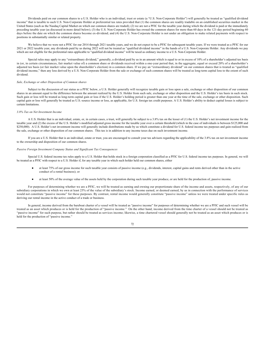Dividends paid on our common shares to a U.S. Holder who is an individual, trust or estate (a "U.S. Non-Corporate Holder") will generally be treated as "qualified dividend income" that is taxable to such U.S. Non-Corporate Holder at preferential tax rates provided that (1) the common shares are readily tradable on an established securities market in the United States (such as the Nasdaq Capital Market on which our common shares are traded); (2) we are not a PFIC for the taxable year during which the dividend is paid or the immediately preceding taxable year (as discussed in more detail below); (3) the U.S. Non-Corporate Holder has owned the common shares for more than 60 days in the 121-day period beginning 60 days before the date on which the common shares become ex-dividend; and (4) the U.S. Non-Corporate Holder is not under an obligation to make related payments with respect to positions in substantially similar or related property.

We believe that we were not a PFIC for our 2014 through 2021 taxable years, and we do not expect to be a PFIC for subsequent taxable years. If we were treated as a PFIC for our 2021 or 2022 taxable year, any dividends paid by us during 2022 will not be treated as "qualified dividend income" in the hands of a U.S. Non-Corporate Holder. Any dividends we pay which are not eligible for the preferential rates applicable to "qualified dividend income" will be taxed as ordinary income to a U.S. Non-Corporate Holder.

Special rules may apply to any "extraordinary dividend," generally, a dividend paid by us in an amount which is equal to or in excess of 10% of a shareholder's adjusted tax basis in (or, in certain circumstances, fair market value of) a common share or dividends received within a one-year period that, in the aggregate, equal or exceed 20% of a shareholder's adjusted tax basis (or fair market value upon the shareholder's election) in a common share. If we pay an "extraordinary dividend" on our common shares that is treated as "qualified dividend income," then any loss derived by a U.S. Non-Corporate Holder from the sale or exchange of such common shares will be treated as long-term capital loss to the extent of such dividend.

#### *Sale, Exchange or other Disposition of Common shares*

Subject to the discussion of our status as a PFIC below, a U.S. Holder generally will recognize taxable gain or loss upon a sale, exchange or other disposition of our common shares in an amount equal to the difference between the amount realized by the U.S. Holder from such sale, exchange or other disposition and the U.S. Holder's tax basis in such stock. Such gain or loss will be treated as long-term capital gain or loss if the U.S. Holder's holding period is greater than one year at the time of the sale, exchange or other disposition. Such capital gain or loss will generally be treated as U.S.-source income or loss, as applicable, for U.S. foreign tax credit purposes. A U.S. Holder's ability to deduct capital losses is subject to certain limitations.

### *3.8% Tax on Net Investment Income*

A U.S. Holder that is an individual, estate, or, in certain cases, a trust, will generally be subject to a 3.8% tax on the lesser of (1) the U.S. Holder's net investment income for the taxable year and (2) the excess of the U.S. Holder's modified adjusted gross income for the taxable year over a certain threshold (which in the case of individuals is between \$125,000 and \$250,000). A U.S. Holder's net investment income will generally include distributions made by us which constitute a dividend for U.S. federal income tax purposes and gain realized from the sale, exchange or other disposition of our common shares. This tax is in addition to any income taxes due on such investment income.

If you are a U.S. Holder that is an individual, estate or trust, you are encouraged to consult your tax advisors regarding the applicability of the 3.8% tax on net investment income to the ownership and disposition of our common shares.

# *Passive Foreign Investment Company Status and Significant Tax Consequences*

Special U.S. federal income tax rules apply to a U.S. Holder that holds stock in a foreign corporation classified as a PFIC for U.S. federal income tax purposes. In general, we will be treated as a PFIC with respect to a U.S. Holder if, for any taxable year in which such holder held our common shares, either

- at least 75% of our gross income for such taxable year consists of passive income (e.g., dividends, interest, capital gains and rents derived other than in the active conduct of a rental business); or
- at least 50% of the average value of the assets held by the corporation during such taxable year produce, or are held for the production of, passive income.

For purposes of determining whether we are a PFIC, we will be treated as earning and owning our proportionate share of the income and assets, respectively, of any of our subsidiary corporations in which we own at least 25% of the value of the subsidiary's stock. Income earned, or deemed earned, by us in connection with the performance of services would not constitute "passive income" for these purposes. By contrast, rental income would generally constitute "passive income" unless we were treated under specific rules as deriving our rental income in the active conduct of a trade or business.

In general, income derived from the bareboat charter of a vessel will be treated as "passive income" for purposes of determining whether we are a PFIC and such vessel will be treated as an asset which produces or is held for the production of "passive income." On the other hand, income derived from the time charter of a vessel should not be treated as "passive income" for such purpose, but rather should be treated as services income; likewise, a time chartered vessel should generally not be treated as an asset which produces or is held for the production of "passive income."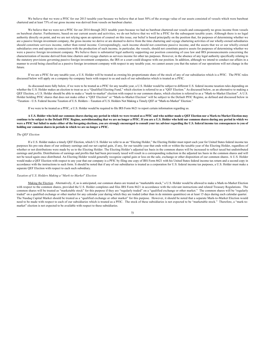We believe that we were a PFIC for our 2013 taxable year because we believe that at least 50% of the average value of our assets consisted of vessels which were bareboat chartered and at least 75% of our gross income was derived from vessels on bareboat charter.

We believe that we were not a PFIC for our 2014 through 2021 taxable years because we had no bareboat chartered-out vessels and consequently no gross income from vessels on bareboat charter. Furthermore, based on our current assets and activities, we do not believe that we will be a PFIC for the subsequent taxable years. Although there is no legal authority directly on point, and we are not relying upon an opinion of counsel on this issue, our belief is based principally on the position that, for purposes of determining whether we are a passive foreign investment company, the gross income we derive or are deemed to derive from the time chartering and voyage chartering activities of our wholly-owned subsidiaries should constitute services income, rather than rental income. Correspondingly, such income should not constitute passive income, and the assets that we or our wholly-owned subsidiaries own and operate in connection with the production of such income, in particular, the vessels, should not constitute passive assets for purposes of determining whether we were a passive foreign investment company. We believe there is substantial legal authority supporting our position consisting of case law and IRS pronouncements concerning the characterization of income derived from time charters and voyage charters as services income for other tax purposes. However, in the absence of any legal authority specifically relating to the statutory provisions governing passive foreign investment companies, the IRS or a court could disagree with our position. In addition, although we intend to conduct our affairs in a manner to avoid being classified as a passive foreign investment company with respect to any taxable year, we cannot assure you that the nature of our operations will not change in the future.

If we are a PFIC for any taxable year, a U.S. Holder will be treated as owning his proportionate share of the stock of any of our subsidiaries which is a PFIC. The PFIC rules discussed below will apply on a company-by-company basis with respect to us and each of our subsidiaries which is treated as a PFIC.

As discussed more fully below, if we were to be treated as a PFIC for any taxable year, a U.S. Holder would be subject to different U.S. federal income taxation rules depending on whether the U.S. Holder makes an election to treat us as a "Qualified Electing Fund," which election is referred to as a "QEF Election." As discussed below, as an alternative to making a QEF Election, a U.S. Holder should be able to make a "mark-to-market" election with respect to our common shares, which election is referred to as a "Mark-to-Market Election". A U.S. Holder holding PFIC shares that does not make either a "QEF Election" or "Mark-to-Market Election" will be subject to the Default PFIC Regime, as defined and discussed below in "Taxation—U.S. Federal Income Taxation of U.S. Holders—Taxation of U.S. Holders Not Making a Timely QEF or "Mark-to-Market" Election."

If we were to be treated as a PFIC, a U.S. Holder would be required to file IRS Form 8621 to report certain information regarding us.

**A U.S. Holder who held our common shares during any period in which we were treated as a PFIC and who neither made a QEF Election nor a Mark-to-Market Election may continue to be subject to the Default PFIC Regime, notwithstanding that we are no longer a PFIC. If you are a U.S. Holder who held our common shares during any period in which we were a PFIC but failed to make either of the foregoing elections, you are strongly encouraged to consult your tax advisor regarding the U.S. federal income tax consequences to you of holding our common shares in periods in which we are no longer a PFIC.**

### *The QEF Election*

If a U.S. Holder makes a timely QEF Election, which U.S. Holder we refer to as an "Electing Holder," the Electing Holder must report each year for United States federal income tax purposes his pro rata share of our ordinary earnings and our net capital gain, if any, for our taxable year that ends with or within the taxable year of the Electing Holder, regardless of whether or not distributions were made by us to the Electing Holder. The Electing Holder's adjusted tax basis in the common shares will be increased to reflect taxed but undistributed earnings and profits. Distributions of earnings and profits that had been previously taxed will result in a corresponding reduction in the adjusted tax basis in the common shares and will not be taxed again once distributed. An Electing Holder would generally recognize capital gain or loss on the sale, exchange or other disposition of our common shares. A U.S. Holder would make a QEF Election with respect to any year that our company is a PFIC by filing one copy of IRS Form 8621 with his United States federal income tax return and a second copy in accordance with the instructions to such form. It should be noted that if any of our subsidiaries is treated as a corporation for U.S. federal income tax purposes, a U.S. Holder must make a separate QEF Election with respect to each such subsidiary.

### *Taxation of U.S. Holders Making a* "*Mark-to-Market*" *Election*

Making the Election. Alternatively, if, as is anticipated, our common shares are treated as "marketable stock," a U.S. Holder would be allowed to make a Mark-to-Market Election with respect to the common shares, provided the U.S. Holder completes and files IRS Form 8621 in accordance with the relevant instructions and related Treasury Regulations. The common shares will be treated as "marketable stock" for this purpose if they are "regularly traded" on a "qualified exchange or other market." The common shares will be "regularly traded" on a qualified exchange or other market for any calendar year during which they are traded (other than in de minimis quantities) on at least 15 days during each calendar quarter. The Nasdaq Capital Market should be treated as a "qualified exchange or other market" for this purpose. However, it should be noted that a separate Mark-to-Market Election would need to be made with respect to each of our subsidiaries which is treated as a PFIC. The stock of these subsidiaries is not expected to be "marketable stock." Therefore, a "mark-tomarket" election is not expected to be available with respect to these subsidiaries.

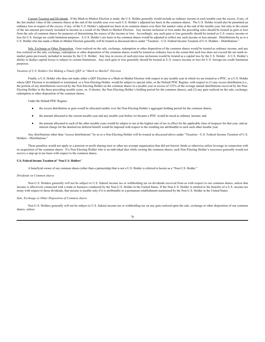Current Taxation and Dividends. If the Mark-to-Market Election is made, the U.S. Holder generally would include as ordinary income in each taxable year the excess, if any, of the fair market value of the common shares at the end of the taxable year over such U.S. Holder's adjusted tax basis in the common shares. The U.S. Holder would also be permitted an ordinary loss in respect of the excess, if any, of the U.S. Holder's adjusted tax basis in its common shares over their fair market value at the end of the taxable year, but only to the extent of the net amount previously included in income as a result of the Mark-to-Market Election. Any income inclusion or loss under the preceding rules should be treated as gain or loss from the sale of common shares for purposes of determining the source of the income or loss. Accordingly, any such gain or loss generally should be treated as U.S.-source income or loss for U.S. foreign tax credit limitation purposes. A U.S. Holder's tax basis in his common shares would be adjusted to reflect any such income or loss amount. Distributions by us to a U.S. Holder who has made a Mark-to-Market Election generally will be treated as discussed above under "Taxation—U.S. Federal Income Taxation of U.S. Holders—Distributions."

Sale, Exchange or Other Disposition. Gain realized on the sale, exchange, redemption or other disposition of the common shares would be treated as ordinary income, and any loss realized on the sale, exchange, redemption or other disposition of the common shares would be treated as ordinary loss to the extent that such loss does not exceed the net mark-tomarket gains previously included in income by the U.S. Holder. Any loss in excess of such previous inclusions would be treated as a capital loss by the U.S. Holder. A U.S. Holder's ability to deduct capital losses is subject to certain limitations. Any such gain or loss generally should be treated as U.S.-source income or loss for U.S. foreign tax credit limitation purposes.

### *Taxation of U.S. Holders Not Making a Timely QEF or* "*Mark-to-Market*" *Election*

Finally, a U.S. Holder who does not make either a QEF Election or a Mark-to-Market Election with respect to any taxable year in which we are treated as a PFIC, or a U.S. Holder whose QEF Election is invalidated or terminated, or a Non-Electing Holder, would be subject to special rules, or the Default PFIC Regime, with respect to (1) any excess distribution (i.e., the portion of any distributions received by the Non-Electing Holder on the common shares in a taxable year in excess of 125% of the average annual distributions received by the Non-Electing Holder in the three preceding taxable years, or, if shorter, the Non-Electing Holder's holding period for the common shares), and (2) any gain realized on the sale, exchange, redemption or other disposition of the common shares.

Under the Default PFIC Regime:

- the excess distribution or gain would be allocated ratably over the Non-Electing Holder's aggregate holding period for the common shares;
- the amount allocated to the current taxable year and any taxable year before we became a PFIC would be taxed as ordinary income; and
- the amount allocated to each of the other taxable years would be subject to tax at the highest rate of tax in effect for the applicable class of taxpayer for that year, and an interest charge for the deemed tax deferral benefit would be imposed with respect to the resulting tax attributable to each such other taxable year.

Any distributions other than "excess distributions" by us to a Non-Electing Holder will be treated as discussed above under "Taxation—U.S. Federal Income Taxation of U.S. Holders—Distributions."

These penalties would not apply to a pension or profit sharing trust or other tax-exempt organization that did not borrow funds or otherwise utilize leverage in connection with its acquisition of the common shares. If a Non-Electing Holder who is an individual dies while owning the common shares, such Non-Electing Holder's successor generally would not receive a step-up in tax basis with respect to the common shares.

#### **U.S. Federal Income Taxation of** "**Non-U.S. Holders**"

A beneficial owner of our common shares (other than a partnership) that is not a U.S. Holder is referred to herein as a "Non-U.S. Holder."

### *Dividends on Common shares*

Non-U.S. Holders generally will not be subject to U.S. federal income tax or withholding tax on dividends received from us with respect to our common shares, unless that income is effectively connected with a trade or business conducted by the Non-U.S. Holder in the United States. If the Non-U.S. Holder is entitled to the benefits of a U.S. income tax treaty with respect to those dividends, that income is taxable only if it is attributable to a permanent establishment maintained by the Non-U.S. Holder in the United States.

#### *Sale, Exchange or Other Disposition of Common shares*

Non-U.S. Holders generally will not be subject to U.S. federal income tax or withholding tax on any gain realized upon the sale, exchange or other disposition of our common shares, unless: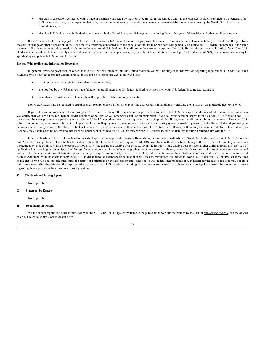- the gain is effectively connected with a trade or business conducted by the Non-U.S. Holder in the United States. If the Non-U.S. Holder is entitled to the benefits of a U.S. income tax treaty with respect to that gain, that gain is taxable only if it is attributable to a permanent establishment maintained by the Non-U.S. Holder in the United States; or
- the Non-U.S. Holder is an individual who is present in the United States for 183 days or more during the taxable year of disposition and other conditions are met.

If the Non-U.S. Holder is engaged in a U.S. trade or business for U.S. federal income tax purposes, the income from the common shares, including dividends and the gain from the sale, exchange or other disposition of the stock that is effectively connected with the conduct of that trade or business will generally be subject to U.S. federal income tax in the same manner as discussed in the previous section relating to the taxation of U.S. Holders. In addition, in the case of a corporate Non-U.S. Holder, the earnings and profits of such Non-U.S. Holder that are attributable to effectively connected income, subject to certain adjustments, may be subject to an additional branch profits tax at a rate of 30%, or at a lower rate as may be specified by an applicable U.S. income tax treaty.

#### **Backup Withholding and Information Reporting**

In general, dividend payments, or other taxable distributions, made within the United States to you will be subject to information reporting requirements. In addition, such payments will be subject to backup withholding tax if you are a non-corporate U.S. Holder and you:

- fail to provide an accurate taxpayer identification number;
- are notified by the IRS that you have failed to report all interest or dividends required to be shown on your U.S. federal income tax returns; or
- in certain circumstances, fail to comply with applicable certification requirements.

Non-U.S. Holders may be required to establish their exemption from information reporting and backup withholding by certifying their status on an applicable IRS Form W-8.

If you sell your common shares to or through a U.S. office of a broker, the payment of the proceeds is subject to both U.S. backup withholding and information reporting unless you certify that you are a non-U.S. person, under penalties of perjury, or you otherwise establish an exemption. If you sell your common shares through a non-U.S. office of a non-U.S. broker and the sales proceeds are paid to you outside the United States, then information reporting and backup withholding generally will not apply to that payment. However, U.S. information reporting requirements, but not backup withholding, will apply to a payment of sales proceeds, even if that payment is made to you outside the United States, if you sell your common shares through a non-U.S. office of a broker that is a U.S. person or has some other contacts with the United States. Backup withholding tax is not an additional tax. Rather, you generally may obtain a refund of any amounts withheld under backup withholding rules that exceed your U.S. federal income tax liability by filing a refund claim with the IRS.

Individuals who are U.S. Holders (and to the extent specified in applicable Treasury Regulations, certain individuals who are Non-U.S. Holders and certain U.S. entities) who hold "specified foreign financial assets" (as defined in Section 6038D of the Code) are required to file IRS Form 8938 with information relating to the asset for each taxable year in which the aggregate value of all such assets exceeds \$75,000 at any time during the taxable year or \$50,000 on the last day of the taxable year (or such higher dollar amount as prescribed by applicable Treasury Regulations). Specified foreign financial assets would include, among other assets, our common shares, unless the shares are held through an account maintained with a U.S. financial institution. Substantial penalties apply to any failure to timely file IRS Form 8938, unless the failure is shown to be due to reasonable cause and not due to willful neglect. Additionally, in the event an individual U.S. Holder (and to the extent specified in applicable Treasury regulations, an individual Non-U.S. Holder or a U.S. entity) that is required to file IRS Form 8938 does not file such form, the statute of limitations on the assessment and collection of U.S. federal income taxes of such holder for the related tax year may not close until three years after the date that the required information is filed. U.S. Holders (including U.S. entities) and Non-U.S. Holders are encouraged to consult their own tax advisors regarding their reporting obligations under this legislation.

### **F. Dividends and Paying Agents**

Not applicable.

#### **G. Statement by Experts**

Not applicable.

### **H. Documents on Display**

We file annual reports and other information with the SEC. Our SEC filings are available to the public at the web site maintained by the SEC at http://www.sec.gov, and the as well as on our website at http://www.topships.org.

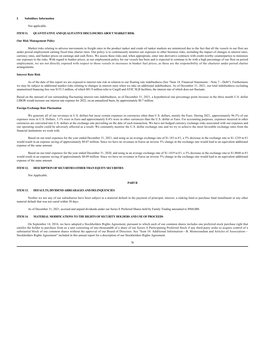### **I. Subsidiary Information**

Not applicable.

### **ITEM 11. QUANTITATIVE AND QUALITATIVE DISCLOSURES ABOUT MARKET RISK**

### **Our Risk Management Policy**

Market risks relating to adverse movements in freight rates in the product tanker and crude oil tanker markets are minimized due to the fact that all the vessels in our fleet are under period employment earning fixed time charter rates. Our policy is to continuously monitor our exposure to other business risks, including the impact of changes in interest rates, currency rates, and bunker prices on earnings and cash flows. We assess these risks and, when appropriate, enter into derivative contracts with credit-worthy counterparties to minimize our exposure to the risks. With regard to bunker prices, as our employment policy for our vessels has been and is expected to continue to be with a high percentage of our fleet on period employment, we are not directly exposed with respect to those vessels to increases in bunker fuel prices, as these are the responsibility of the charterer under period charter arrangements.

### **Interest Rate Risk**

As of the date of this report we are exposed to interest rate risk in relation to our floating rate indebtedness (See "Item 18. Financial Statements—Note 7—Debt"). Furthermore we may be subject to additional market risks relating to changes in interest rates when we take on additional indebtedness. As of December 31, 2021, our total indebtedness excluding unamortized financing fees was \$153.3 million, of which \$81.9 million refer to Cargill and AVIC SLB facilities, the interest rate of which does not fluctuate.

Based on the amount of our outstanding fluctuating interest rate indebtedness, as of December 31, 2021, a hypothetical one percentage point increase in the three month U.S. dollar LIBOR would increase our interest rate expense for 2022, on an annualized basis, by approximately \$0.7 million.

#### **Foreign Exchange Rate Fluctuation**

We generate all of our revenues in U.S. dollars but incur certain expenses in currencies other than U.S. dollars, mainly the Euro. During 2021, approximately 96.5% of our expenses were in U.S. Dollars, 3.1% were in Euro and approximately 0.4% were in other currencies than the U.S. dollar or Euro. For accounting purposes, expenses incurred in other currencies are converted into U.S. dollars at the exchange rate prevailing on the date of each transaction. We have not hedged currency exchange risks associated with our expenses and our operating results could be adversely affected as a result. We constantly monitor the U.S. dollar exchange rate and we try to achieve the most favorable exchange rates from the financial institutions we work with.

Based on our total expenses for the year ended December 31, 2021, and using as an average exchange rate of \$1.183 to  $\epsilon$ 1, a 5% decrease in the exchange rate to \$1.1239 to  $\epsilon$ 1 would result in an expense saving of approximately \$0.07 million. Since we have no revenues in Euros an inverse 5% change in the exchange rate would lead to an equivalent additional expense of the same amount.

Based on our total expenses for the year ended December 31, 2020, and using as an average exchange rate of \$1.1419 to €1, a 5% decrease in the exchange rate to \$1.0848 to €1 would result in an expense saving of approximately \$0.09 million. Since we have no revenues in Euros an inverse 5% change in the exchange rate would lead to an equivalent additional expense of the same amount.

### **ITEM 12. DESCRIPTION OF SECURITIES OTHER THAN EQUITY SECURITIES**

Not Applicable.

# **PART II**

### **ITEM 13. DEFAULTS, DIVIDEND ARREARAGES AND DELINQUENCIES**

Neither we nor any of our subsidiaries have been subject to a material default in the payment of principal, interest, a sinking fund or purchase fund installment or any other material default that was not cured within 30 days.

As of December 31, 2021, accrued and unpaid dividends under our Series E Preferred Shares held by Family Trading amounted to \$968,000.

### **ITEM 14. MATERIAL MODIFICATIONS TO THE RIGHTS OF SECURITY HOLDERS AND USE OF PROCEEDS**

On September 14, 2016, we have adopted a Stockholders Rights Agreement, pursuant to which each of our common shares includes one preferred stock purchase right that entitles the holder to purchase from us a unit consisting of one-thousandth of a share of our Series A Participating Preferred Stock if any third-party seeks to acquire control of a substantial block of our common shares without the approval of our Board of Directors. See "Item 10. Additional Information-B. Memorandum and Articles of Association-Stockholders Rights Agreement" included in this annual report for a description of our Stockholders Rights Agreement.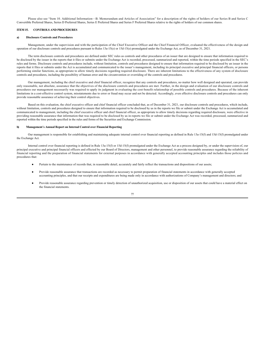Please also see "Item 10. Additional Information—B. Memorandum and Articles of Association" for a description of the rights of holders of our Series B and Series C Convertible Preferred Shares, Series D Preferred Shares, Series E Preferred Shares and Series F Preferred Shares relative to the rights of holders of our common shares.

### **ITEM 15. CONTROLS AND PROCEDURES**

#### **a) Disclosure Controls and Procedures**

Management, under the supervision and with the participation of the Chief Executive Officer and the Chief Financial Officer, evaluated the effectiveness of the design and operation of our disclosure controls and procedures pursuant to Rules 13a-15(e) or 15d-15(e) promulgated under the Exchange Act, as of December 31, 2021.

The term disclosure controls and procedures are defined under SEC rules as controls and other procedures of an issuer that are designed to ensure that information required to be disclosed by the issuer in the reports that it files or submits under the Exchange Act is recorded, processed, summarized and reported, within the time periods specified in the SEC's rules and forms. Disclosure controls and procedures include, without limitation, controls and procedures designed to ensure that information required to be disclosed by an issuer in the reports that it files or submits under the Act is accumulated and communicated to the issuer's management, including its principal executive and principal financial officers, or persons performing similar functions, as appropriate to allow timely decisions regarding required disclosure. There are inherent limitations to the effectiveness of any system of disclosure controls and procedures, including the possibility of human error and the circumvention or overriding of the controls and procedures.

Our management, including the chief executive and chief financial officer, recognize that any controls and procedures, no matter how well designed and operated, can provide only reasonable, not absolute, assurance that the objectives of the disclosure controls and procedures are met. Further, in the design and evaluation of our disclosure controls and procedures our management necessarily was required to apply its judgment in evaluating the cost-benefit relationship of possible controls and procedures. Because of the inherent limitations in a cost-effective control system, misstatements due to error or fraud may occur and not be detected. Accordingly, even effective disclosure controls and procedures can only provide reasonable assurance of achieving their control objectives.

Based on this evaluation, the chief executive officer and chief financial officer concluded that, as of December 31, 2021, our disclosure controls and procedures, which include, without limitation, controls and procedures designed to ensure that information required to be disclosed by us in the reports we file or submit under the Exchange Act is accumulated and communicated to management, including the chief executive officer and chief financial officer, as appropriate to allow timely decisions regarding required disclosure, were effective in providing reasonable assurance that information that was required to be disclosed by us in reports we file or submit under the Exchange Act was recorded, processed, summarized and reported within the time periods specified in the rules and forms of the Securities and Exchange Commission.

#### **b) Management**'**s Annual Report on Internal Control over Financial Reporting**

Our management is responsible for establishing and maintaining adequate internal control over financial reporting as defined in Rule 13a-15(f) and 15d-15(f) promulgated under the Exchange Act.

Internal control over financial reporting is defined in Rule 13a-15(f) or 15d-15(f) promulgated under the Exchange Act as a process designed by, or under the supervision of, our principal executive and principal financial officers and effected by our Board of Directors, management and other personnel, to provide reasonable assurance regarding the reliability of financial reporting and the preparation of financial statements for external purposes in accordance with generally accepted accounting principles and includes those policies and procedures that:

- Pertain to the maintenance of records that, in reasonable detail, accurately and fairly reflect the transactions and dispositions of our assets;
- Provide reasonable assurance that transactions are recorded as necessary to permit preparation of financial statements in accordance with generally accepted accounting principles, and that our receipts and expenditures are being made only in accordance with authorizations of Company's management and directors; and
- Provide reasonable assurance regarding prevention or timely detection of unauthorized acquisition, use or disposition of our assets that could have a material effect on the financial statements.

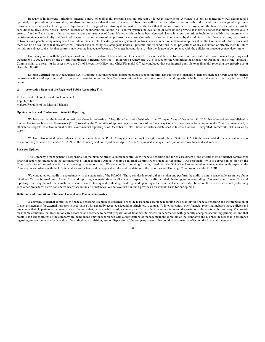Because of its inherent limitations, internal control over financial reporting may not prevent or detect misstatements. A control system, no matter how well designed and operated, can provide only reasonable, not absolute, assurance that the control system's objectives will be met. Our disclosure controls and procedures are designed to provide reasonable assurance of achieving their objectives. The design of a control system must reflect the fact that there are resource constraints, and the benefits of controls must be considered relative to their costs. Further, because of the inherent limitations in all control systems, no evaluation of controls can provide absolute assurance that misstatements due to error or fraud will not occur or that all control issues and instances of fraud, if any, within us have been detected. These inherent limitations include the realities that judgments in decision-making can be faulty and that breakdowns can occur because of simple error or mistake. Controls can also be circumvented by the individual acts of some persons, by collusion of two or more people, or by management override of the controls. The design of any system of controls is based in part on certain assumptions about the likelihood of future events, and there can be no assurance that any design will succeed in achieving its stated goals under all potential future conditions. Also, projections of any evaluation of effectiveness to future periods are subject to the risk that controls may become inadequate because of changes in conditions, or that the degree of compliance with the policies or procedures may deteriorate.

Our management with the participation of our Chief Executive Officer and Chief Financial Officer assessed the effectiveness of our internal control over financial reporting as of December 31, 2021, based on the criteria established in Internal Control — Integrated Framework (2013) issued by the Committee of Sponsoring Organizations of the Treadway Commission. As a result of its assessment, the Chief Executive Officer and Chief Financial Officer concluded that our internal controls over financial reporting are effective as of December 31, 2021.

Deloitte Certified Public Accountants S.A. ("Deloitte"), our independent registered public accounting firm, has audited the Financial Statements included herein and our internal control over financial reporting and has issued an attestation report on the effectiveness of our internal control over financial reporting which is reproduced in its entirety in Item 15.C below

#### **c) Attestation Report of the Registered Public Accounting Firm**

To the Board of Directors and Stockholders of Top Ships Inc., Majuro, Republic of the Marshall Islands

#### **Opinion on Internal Control over Financial Reporting**

We have audited the internal control over financial reporting of Top Ships Inc. and subsidiaries (the "Company") as of December 31, 2021, based on criteria established in Internal Control — Integrated Framework (2013) issued by the Committee of Sponsoring Organizations of the Treadway Commission (COSO). In our opinion, the Company maintained, in all material respects, effective internal control over financial reporting as of December 31, 2021, based on criteria established in Internal Control — Integrated Framework (2013) issued by COSO.

We have also audited, in accordance with the standards of the Public Company Accounting Oversight Board (United States) (PCAOB), the consolidated financial statements as of and for the year ended December 31, 2021, of the Company and our report dated April 15, 2022, expressed an unqualified opinion on those financial statements.

### **Basis for Opinion**

The Company's management is responsible for maintaining effective internal control over financial reporting and for its assessment of the effectiveness of internal control over financial reporting, included in the accompanying "Management's Annual Report on Internal Control Over Financial Reporting". Our responsibility is to express an opinion on the Company's internal control over financial reporting based on our audit. We are a public accounting firm registered with the PCAOB and are required to be independent with respect to the Company in accordance with the U.S. federal securities laws and the applicable rules and regulations of the Securities and Exchange Commission and the PCAOB.

We conducted our audit in accordance with the standards of the PCAOB. Those standards require that we plan and perform the audit to obtain reasonable assurance about whether effective internal control over financial reporting was maintained in all material respects. Our audit included obtaining an understanding of internal control over financial reporting, assessing the risk that a material weakness exists, testing and evaluating the design and operating effectiveness of internal control based on the assessed risk, and performing such other procedures as we considered necessary in the circumstances. We believe that our audit provides a reasonable basis for our opinion.

### **Definition and Limitations of Internal Control over Financial Reporting**

A company's internal control over financial reporting is a process designed to provide reasonable assurance regarding the reliability of financial reporting and the preparation of financial statements for external purposes in accordance with generally accepted accounting principles. A company's internal control over financial reporting includes those policies and procedures that (1) pertain to the maintenance of records that, in reasonable detail, accurately and fairly reflect the transactions and dispositions of the assets of the company; (2) provide reasonable assurance that transactions are recorded as necessary to permit preparation of financial statements in accordance with generally accepted accounting principles, and that receipts and expenditures of the company are being made only in accordance with authorizations of management and directors of the company; and (3) provide reasonable assurance regarding prevention or timely detection of unauthorized acquisition, use, or disposition of the company's assets that could have a material effect on the financial statements.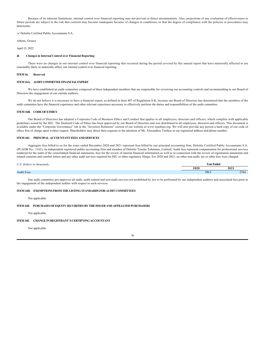Because of its inherent limitations, internal control over financial reporting may not prevent or detect misstatements. Also, projections of any evaluation of effectiveness to future periods are subject to the risk that controls may become inadequate because of changes in conditions, or that the degree of compliance with the policies or procedures may deteriorate.

/s/ Deloitte Certified Public Accountants S.A.

Athens, Greece

#### April 15, 2022

### **d) Changes in Internal Control over Financial Reporting**

There were no changes in our internal control over financial reporting that occurred during the period covered by this annual report that have materially affected or are reasonably likely to materially affect, our internal control over financial reporting.

#### **ITEM 16. Reserved**

#### **ITEM 16A. AUDIT COMMITTEE FINANCIAL EXPERT**

We have established an audit committee composed of three independent members that are responsible for reviewing our accounting controls and recommending to our Board of Directors the engagement of our outside auditors.

We do not believe it is necessary to have a financial expert, as defined in Item 407 of Regulation S-K, because our Board of Directors has determined that the members of the audit committee have the financial experience and other relevant experience necessary to effectively perform the duties and responsibilities of the audit committee.

### **ITEM 16B. CODE OF ETHICS**

Our Board of Directors has adopted a Corporate Code of Business Ethics and Conduct that applies to all employees, directors and officers, which complies with applicable guidelines issued by the SEC. The finalized Code of Ethics has been approved by our Board of Directors and was distributed to all employees, directors and officers. This document is available under the "Corporate Governance" tab in the "Investors Relations" section of our website at www.topships.org. We will also provide any person a hard copy of our code of ethics free of charge upon written request. Shareholders may direct their requests to the attention of Mr. Alexandros Tsirikos at our registered address and phone number.

### **ITEM 16C. PRINCIPAL ACCOUNTANT FEES AND SERVICES**

Aggregate fees billed to us for the years ended December 2020 and 2021 represent fees billed by our principal accounting firm, Deloitte Certified Public Accountants S.A. (PCAOB No.: 1163), an independent registered public accounting firm and member of Deloitte Touche Tohmatsu, Limited. Audit fees represent compensation for professional services rendered for the audit of the consolidated financial statements, fees for the review of interim financial information as well as in connection with the review of registration statements and related consents and comfort letters and any other audit services required for SEC or other regulatory filings. For 2020 and 2021, no other non-audit, tax or other fees were charged.

| U.S. dollars in thousands. | <b>Year Ended</b> |       |  |
|----------------------------|-------------------|-------|--|
|                            | 2020              | 2021  |  |
| <b>Audit Fees</b>          | 396.5             | 274.6 |  |

Our audit committee pre-approves all audit, audit-related and non-audit services not prohibited by law to be performed by our independent auditors and associated fees prior to the engagement of the independent auditor with respect to such services.

### **ITEM 16D. EXEMPTIONS FROM THE LISTING STANDARDS FOR AUDIT COMMITTEES**

Not applicable.

#### **ITEM 16E. PURCHASES OF EQUITY SECURITIES BY THE ISSUER AND AFFILIATED PURCHASERS**

Not applicable.

### **ITEM 16F. CHANGE IN REGISTRANT**'**S CERTIFYING ACCOUNTANT**

Not applicable.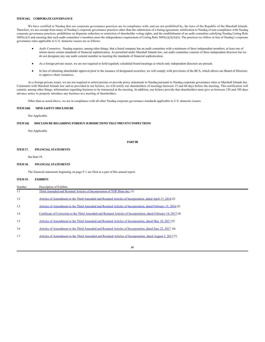# **ITEM 16G. CORPORATE GOVERNANCE**

We have certified to Nasdaq that our corporate governance practices are in compliance with, and are not prohibited by, the laws of the Republic of the Marshall Islands. Therefore, we are exempt from many of Nasdaq's corporate governance practices other than the submission of a listing agreement, notification to Nasdaq of non-compliance with Nasdaq corporate governance practices, prohibition on disparate reduction or restriction of shareholder voting rights, and the establishment of an audit committee satisfying Nasdaq Listing Rule 5605(c)(3) and ensuring that such audit committee's members meet the independence requirement of Listing Rule 5605(c)(2)(A)(ii). The practices we follow in lieu of Nasdaq's corporate governance rules applicable to U.S. domestic issuers are as follows:

- Audit Committee. Nasdaq requires, among other things, that a listed company has an audit committee with a minimum of three independent members, at least one of whom meets certain standards of financial sophistication. As permitted under Marshall Islands law, our audit committee consists of three independent directors but we do not designate any one audit commit member as meeting the standards of financial sophistication.
- As a foreign private issuer, we are not required to hold regularly scheduled board meetings at which only independent directors are present.
- In lieu of obtaining shareholder approval prior to the issuance of designated securities, we will comply with provisions of the BCA, which allows our Board of Directors to approve share issuances.

As a foreign private issuer, we are not required to solicit proxies or provide proxy statements to Nasdaq pursuant to Nasdaq corporate governance rules or Marshall Islands law. Consistent with Marshall Islands law and as provided in our bylaws, we will notify our shareholders of meetings between 15 and 60 days before the meeting. This notification will contain, among other things, information regarding business to be transacted at the meeting. In addition, our bylaws provide that shareholders must give us between 120 and 180 days advance notice to properly introduce any business at a meeting of shareholders.

Other than as noted above, we are in compliance with all other Nasdaq corporate governance standards applicable to U.S. domestic issuers.

### **ITEM 16H. MINE SAFETY DISCLOSURE**

Not Applicable.

### **ITEM 16I. DISCLOSURE REGARDING FOREIGN JURISDICTIONS THAT PREVENT INSPECTIONS**

Not Applicable.

**PART III**

### **ITEM 17. FINANCIAL STATEMENTS**

See Item 18.

### **ITEM 18. FINANCIAL STATEMENTS**

The financial statements beginning on page F-1 are filed as a part of this annual report.

### **ITEM 19. EXHIBITS**

| Number | Description of Exhibits                                                                                            |
|--------|--------------------------------------------------------------------------------------------------------------------|
| 1.1    | Third Amended and Restated Articles of Incorporation of TOP Ships Inc. (1)                                         |
| 1.2    | Articles of Amendment to the Third Amended and Restated Articles of Incorporation, dated April 17, 2014 (2)        |
| 1.3    | Articles of Amendment to the Third Amended and Restated Articles of Incorporation, dated February 15, 2016 (3)     |
| 1.4    | Certificate of Correction to the Third Amended and Restated Articles of Incorporation, dated February 14, 2017 (4) |
| 1.5    | Articles of Amendment to the Third Amended and Restated Articles of Incorporation, dated May 10, 2017 (5)          |
| 1.6    | Articles of Amendment to the Third Amended and Restated Articles of Incorporation, dated June 22, 2017 (6)         |
| 1.7    | Articles of Amendment to the Third Amended and Restated Articles of Incorporation, dated August 2, 2017 (7)        |
|        |                                                                                                                    |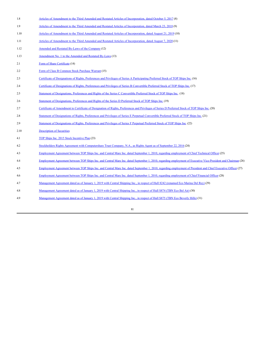| 1.8  | Articles of Amendment to the Third Amended and Restated Articles of Incorporation, dated October 5, 2017 (8)                                                  |
|------|---------------------------------------------------------------------------------------------------------------------------------------------------------------|
| 1.9  | Articles of Amendment to the Third Amended and Restated Articles of Incorporation, dated March 23, 2018 (9)                                                   |
| 1.10 | Articles of Amendment to the Third Amended and Restated Articles of Incorporation, dated August 21, 2019 (10)                                                 |
| 1.11 | Articles of Amendment to the Third Amended and Restated Articles of Incorporation, dated August 7, 2020 (11)                                                  |
| 1.12 | Amended and Restated By-Laws of the Company (12)                                                                                                              |
| 1.13 | Amendment No. 1 to the Amended and Restated By-Laws (13)                                                                                                      |
| 2.1  | Form of Share Certificate (14)                                                                                                                                |
| 2.2  | Form of Class B Common Stock Purchase Warrant (15)                                                                                                            |
| 2.3  | Certificate of Designations of Rights, Preferences and Privileges of Series A Participating Preferred Stock of TOP Ships Inc. (16)                            |
| 2.4  | Certificate of Designations of Rights, Preferences and Privileges of Series B Convertible Preferred Stock of TOP Ships Inc. (17)                              |
| 2.5  | Statement of Designations, Preferences and Rights of the Series C Convertible Preferred Stock of TOP Ships Inc. (18)                                          |
| 2.6  | Statement of Designations, Preferences and Rights of the Series D Preferred Stock of TOP Ships Inc. (19)                                                      |
| 2.7  | Certificate of Amendment to Certificate of Designation of Rights, Preferences and Privileges of Series D Preferred Stock of TOP Ships Inc. (20)               |
| 2.8  | Statement of Designations of Rights, Preferences and Privileges of Series E Perpetual Convertible Preferred Stock of TOP Ships Inc. (21)                      |
| 2.9  | Statement of Designations of Rights, Preferences and Privileges of Series F Perpetual Preferred Stock of TOP Ships Inc. (22)                                  |
| 2.10 | <b>Description of Securities</b>                                                                                                                              |
| 4.1  | TOP Ships Inc. 2015 Stock Incentive Plan (23)                                                                                                                 |
| 4.2  | Stockholders Rights Agreement with Computershare Trust Company, N.A., as Rights Agent as of September 22, 2016 (24)                                           |
| 4.3  | Employment Agreement between TOP Ships Inc. and Central Mare Inc. dated September 1, 2010, regarding employment of Chief Technical Officer (25)               |
| 4.4  | Employment Agreement between TOP Ships Inc. and Central Mare Inc. dated September 1, 2010, regarding employment of Executive Vice-President and Chairman (26) |
| 4.5  | Employment Agreement between TOP Ships Inc. and Central Mare Inc. dated September 1, 2010, regarding employment of President and Chief Executive Officer (27) |
| 4.6  | Employment Agreement between TOP Ships Inc. and Central Mare Inc. dated September 1, 2010, regarding employment of Chief Financial Officer (28)               |
| 4.7  | Management Agreement dated as of January 1, 2019 with Central Shipping Inc., in respect of Hull 8242 (renamed Eco Marina Del Rey) (29)                        |
| 4.8  | Management Agreement dated as of January 1, 2019 with Central Shipping Inc., in respect of Hull S874 (TBN Eco Bel Air) (30)                                   |
| 4.9  | Management Agreement dated as of January 1, 2019 with Central Shipping Inc., in respect of Hull S875 (TBN Eco Beverly Hills) (31)                             |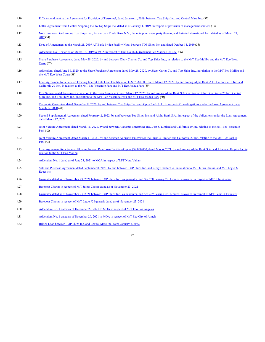| 4.10 | Fifth Amendment to the Agreement for Provision of Personnel, dated January 1, 2019, between Top Ships Inc. and Central Mare Inc. (32) |  |  |
|------|---------------------------------------------------------------------------------------------------------------------------------------|--|--|
|      |                                                                                                                                       |  |  |

- 4.11 [Letter Agreement from Central Shipping Inc. to Top Ships Inc. dated as of January 1, 2019, in respect of provision of management services](http://www.sec.gov/Archives/edgar/data/1296484/000091957419002626/d8213080_ex4-116.htm) (33)
- 4.12 [Note Purchase Deed among Top Ships Inc., Amsterdam Trade Bank N.V., the note purchasers party thereto, and Astarte International Inc., dated as of March 21,](http://www.sec.gov/Archives/edgar/data/1296484/000091957419002626/d8213866_ex4-118.htm) 2019 (34)
- 4.13 [Deed of Amendment to the March 21, 2019 AT Bank Bridge Facility Note, between TOP Ships Inc. and dated October 14, 2019](http://www.sec.gov/Archives/edgar/data/1296484/000091957420002886/d8516360_ex4-46.htm) (35)
- 4.14 [Addendum No. 1 dated as of March 12, 2019 to MOA in respect of Hull No. 8242 \(renamed Eco Marina Del Rey\)](http://www.sec.gov/Archives/edgar/data/1296484/000091957419002626/d8211532_ex4-119.htm) (36)
- 4.15 [Share Purchase Agreement, dated May 28, 2020, by and between Zizzy Charter Co. and Top Ships Inc., in relation to the M/T Eco Malibu and the M/T Eco West](http://www.sec.gov/Archives/edgar/data/0001296484/000143774921009726/ex_243117.htm) Coast (37)
- 4.16 [Addendum, dated June 18, 2020, to the Share Purchase Agreement dated May 28, 2020, by Zizzy Carter Co. and Top Ships Inc., in relation to the M/T Eco Malibu and](http://www.sec.gov/Archives/edgar/data/0001296484/000143774921009726/ex_243118.htm) the M/T Eco West Coast (38)
- 4.17 [Loan Agreement for a Secured Floating Interest Rate Loan Facility of up to \\$37,660,000, dated March 12, 2020, by and among Alpha Bank A.E., California 19 Inc. and](http://www.sec.gov/Archives/edgar/data/0001296484/000143774921009726/ex_243120.htm) California 20 Inc., in relation to the M/T Eco Yosemite Park and M/T Eco Joshua Park (39)
- 4.18 [First Supplemental Agreement in relation to the Loan Agreement dated March 12, 2020, by and among Alpha Bank S.A, California 19 Inc., California 20 Inc., Central](http://www.sec.gov/Archives/edgar/data/0001296484/000143774921009726/ex_243121.htm) Mare Inc. and Top Ships Inc., in relation to the M/T Eco Yosemite Park and M/T Eco Joshua Park (40)
- 4.19 [Corporate Guarantee, dated December 8, 2020, by and between Top Ships Inc. and Alpha Bank S.A., in respect of the obligations under the Loan Agreement dated](http://www.sec.gov/Archives/edgar/data/0001296484/000143774921009726/ex_243122.htm) March 12, 2020 (41)
- 4.20 [Second Supplemental Agreement dated February 2, 2022, by and between Top Ships Inc. and Alpha Bank S.A., in respect of the obligations under the Loan Agreement](ex_350425.htm) dated March 12, 2020
- 4.21 [Joint Venture Agreement, dated March 11, 2020, by and between Augustus Enterprises Inc., Just-C Limited and California 19 Inc. relating to the M/T Eco Yosemite](http://www.sec.gov/Archives/edgar/data/0001296484/000143774921009726/ex_243129.htm) **Park** (42)
- 4.22 [Joint Venture Agreement, dated March 11, 2020, by and between Augustus Enterprises Inc., Just-C Limited and California 20 Inc. relating to the M/T Eco Joshua](http://www.sec.gov/Archives/edgar/data/0001296484/000143774921009726/ex_243147.htm) Park (43)
- 4.23 [Loan Agreement for a Secured Floating Interest Rate Loan Facility of up to \\$38,000,000, dated May 6, 2021, by and among Alpha Bank S.A. and Athenean Empire Inc. in](ex_353588.htm) relation to the M/T Eco Malibu
- 4.24 [Addendum No. 1 dated as of June 23, 2021 to MOA in respect of M/T Nord Valiant](ex_350670.htm)
- 4.25 [Sale and Purchase Agreement dated September 8, 2021, by and between TOP Ships Inc. and Zizzy Charter Co., in relation to M/T Julius Caesar, and M/T Legio X](ex_350561.htm) Equestris.
- 4.26 [Guarantee dated as of November 23, 2021 between TOP Ships Inc., as guarantor, and Sea 268 Leasing Co. Limited, as owner, in respect of M/T Julius Caesar](ex_350562.htm)
- 4.27 [Bareboat Charter in respect of M/T Julius Caesar dated as of November 23, 2021](ex_351080.htm)
- 4.28 [Guarantee dated as of November 23, 2021 between TOP Ships Inc., as guarantor, and Sea 269 Leasing Co. Limited, as owner, in respect of M/T Legio X Equestris](ex_350563.htm)
- 4.29 [Bareboat Charter in respect of M/T Legio X Equestris dated as of November 23, 2021](ex_351151.htm)
- 4.30 [Addendum No. 1 dated as of December 29, 2021 to MOA in respect of M/T Eco Los Angeles](ex_350705.htm)
- 4.31 [Addendum No. 1 dated as of December 29, 2021 to MOA in respect of M/T Eco City of Angels](ex_350732.htm)
- 4.32 [Bridge Loan between TOP Ships Inc. and Central Mare Inc. dated January 5, 2022](ex_350564.htm)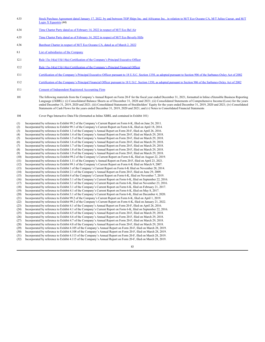- 4.33 [Stock Purchase Agreement dated January 17, 2022, by and between TOP Ships Inc. and Africanus Inc., in relation to M/T Eco Oceano CA, M/T Julius Caesar, and M/T](http://www.sec.gov/Archives/edgar/data/1296484/000117184322000395/exh_993.htm) Legio X Equestris (44)
- 4.34 [Time Charter Party dated as of February 14, 2022 in respect of M/T Eco Bel Air](ex_353417.htm)
- 4.35 [Time Charter Party dated as of February 14, 2022 in respect of M/T Eco Beverly Hills](ex_353201.htm)
- 4.36 [Bareboat Charter in respect of M/T Eco Oceano CA, dated as of March 2, 2022](ex_350757.htm)
- 8.1 [List of subsidiaries of the Company](ex_350661.htm)
- 12.1 Rule  $13a-14(a)/15d-14(a)$  Certification of the Company's Principal Executive Officer
- 12.2 [Rule 13a-14\(a\)/15d-14\(a\) Certification of the Company's Principal Financial Officer](ex_350663.htm)
- 13.1 [Certification of the Company's Principal Executive Officer pursuant to 18 U.S.C. Section 1350, as adopted pursuant to Section 906 of the Sarbanes-Oxley Act of 2002](ex_350664.htm)
- 13.2 [Certification of the Company's Principal Financial Officer pursuant to 18 U.S.C. Section 1350, as adopted pursuant to Section 906 of the Sarbanes-Oxley Act of 2002](ex_350665.htm)
- 15.1 [Consent of Independent Registered Accounting Firm](ex_358667.htm)
- 101 The following materials from the Company's Annual Report on Form 20-F for the fiscal year ended December 31, 2021, formatted in Inline eXtensible Business Reporting Language (iXBRL): (i) Consolidated Balance Sheets as of December 31, 2020 and 2021; (ii) Consolidated Statements of Comprehensive Income/(Loss) for the years ended December 31, 2019, 2020 and 2021; (iii) Consolidated Statements of Stockholders' Equity for the years ended December 31, 2019, 2020 and 2021; (iv) Consolidated Statements of Cash Flows for the years ended December 31, 2019, 2020 and 2021; and (v) Notes to Consolidated Financial Statements
- 104 Cover Page Interactive Data File (formatted as Inline XBRL and contained in Exhibit 101)

(1) Incorporated by reference to Exhibit 99.2 of the Company's Current Report on Form 6-K, filed on June 24, 2011. (2) Incorporated by reference to Exhibit 99.1 of the Company's Current Report on Form 6-K, filed on April 18, 2014. (3) Incorporated by reference to Exhibit 1.3 of the Company's Annual Report on Form 20-F, filed on April 26, 2016. (4) Incorporated by reference to Exhibit 1.4 of the Company's Annual Report on Form 20-F, filed on March 29, 2018. (5) Incorporated by reference to Exhibit 1.5 of the Company's Annual Report on Form 20-F, filed on March 29, 2018. (6) Incorporated by reference to Exhibit 1.6 of the Company's Annual Report on Form 20-F, filed on March 29, 2018. (7) Incorporated by reference to Exhibit 1.7 of the Company's Annual Report on Form 20-F, filed on March 29, 2018. (8) Incorporated by reference to Exhibit 1.8 of the Company's Annual Report on Form 20-F, filed on March 29, 2018. (9) Incorporated by reference to Exhibit 1.9 of the Company's Annual Report on Form 20-F, filed on March 29, 2018. (10) Incorporated by reference to Exhibit 99.2 of the Company's Current Report on Form 6-K, filed on August 22, 2019. Incorporated by reference to Exhibit 1.11 of the Company's Annual Report on Form 20-F, filed on April 23, 2021. (12) Incorporated by reference to Exhibit 99.1 of the Company's Current Report on Form 6-K filed on March 9, 2007. (13) Incorporated by reference to Exhibit 1 of the Company's Current Report on Form 6-K filed on November 28, 2014. (14) Incorporated by reference to Exhibit 2.1 of the Company's Annual Report on Form 20-F, filed on June 29, 2009. (15) Incorporated by reference to Exhibit 4 of the Company's Current Report on Form 6-K, filed on November 7, 2019. (16) Incorporated by reference to Exhibit 3.1 of the Company's Current Report on Form 6-K, filed on September 22, 2016. (17) Incorporated by reference to Exhibit 3.1 of the Company's Current Report on Form 6-K, filed on November 23, 2016. (18) Incorporated by reference to Exhibit 3.1 of the Company's Current Report on Form 6-K, filed on February 21, 2017. (19) Incorporated by reference to Exhibit 4.1 of the Company's Current Report on Form 6-K, filed on May 8, 2017. (20) Incorporated by reference to Exhibit 3.1 of the Company's Current Report on Form 6-K, filed on December 4, 2020. (21) Incorporated by reference to Exhibit 99.2 of the Company's Current Report on Form 6-K, filed on April 1, 2019. Incorporated by reference to Exhibit 99.2 of the Company's Current Report on Form 6-K, filed on January 21, 2022. (23) Incorporated by reference to Exhibit 4.1 of the Company's Annual Report on Form 20-F, filed on April 26, 2016. (24) Incorporated by reference to Exhibit 4.1 of the Company's Current Report on Form 6-K, filed on September 22, 2016. (25) Incorporated by reference to Exhibit 4.5 of the Company's Annual Report on Form 20-F, filed on March 29, 2018. Incorporated by reference to Exhibit 4.6 of the Company's Annual Report on Form 20-F, filed on March 29, 2018. (27) Incorporated by reference to Exhibit 4.7 of the Company's Annual Report on Form 20-F, filed on March 29, 2018. (28) Incorporated by reference to Exhibit 4.8 of the Company's Annual Report on Form 20-F, filed on March 29, 2018. (29) Incorporated by reference to Exhibit 4.105 of the Company's Annual Report on Form 20-F, filed on March 28, 2019. (30) Incorporated by reference to Exhibit 4.108 of the Company's Annual Report on Form 20-F, filed on March 28, 2019. (31) Incorporated by reference to Exhibit 4.113 of the Company's Annual Report on Form 20-F, filed on March 28, 2019. (32) Incorporated by reference to Exhibit 4.115 of the Company's Annual Report on Form 20-F, filed on March 28, 2019.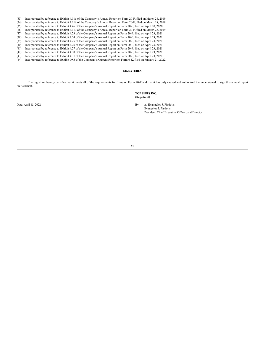- (33) Incorporated by reference to Exhibit 4.116 of the Company's Annual Report on Form 20-F, filed on March 28, 2019.
- (34) Incorporated by reference to Exhibit 4.118 of the Company's Annual Report on Form 20-F, filed on March 28, 2019.
- (35) Incorporated by reference to Exhibit 4.46 of the Company's Annual Report on Form 20-F, filed on April 10, 2020.
- (36) Incorporated by reference to Exhibit 4.119 of the Company's Annual Report on Form 20-F, filed on March 28, 2019.
- (37) Incorporated by reference to Exhibit 4.23 of the Company's Annual Report on Form 20-F, filed on April 23, 2021.
- Incorporated by reference to Exhibit 4.24 of the Company's Annual Report on Form 20-F, filed on April 23, 2021. (39) Incorporated by reference to Exhibit 4.25 of the Company's Annual Report on Form 20-F, filed on April 23, 2021.
- (40) Incorporated by reference to Exhibit 4.26 of the Company's Annual Report on Form 20-F, filed on April 23, 2021.
- 
- (41) Incorporated by reference to Exhibit 4.27 of the Company's Annual Report on Form 20-F, filed on April 23, 2021. Incorporated by reference to Exhibit 4.30 of the Company's Annual Report on Form 20-F, filed on April 23, 2021.
- (43) Incorporated by reference to Exhibit 4.31 of the Company's Annual Report on Form 20-F, filed on April 23, 2021.
- (44) Incorporated by reference to Exhibit 99.3 of the Company's Current Report on Form 6-K, filed on January 21, 2022.

# **SIGNATURES**

The registrant hereby certifies that it meets all of the requirements for filing on Form 20-F and that it has duly caused and authorized the undersigned to sign this annual report on its behalf.

#### **TOP SHIPS INC.** (Registrant)

Date: April 15, 2022 By: /s/ Evangelos J. Pistiolis

Evangelos J. Pistiolis President, Chief Executive Officer, and Director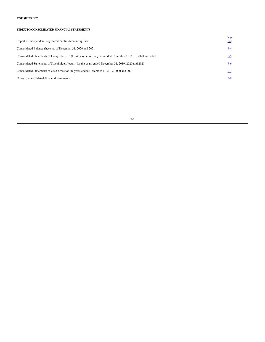# **TOP SHIPS INC.**

# **INDEX TO CONSOLIDATED FINANCIAL STATEMENTS**

| Report of Independent Registered Public Accounting Firm                                                     | Page<br>$F-2$ |
|-------------------------------------------------------------------------------------------------------------|---------------|
| Consolidated Balance sheets as of December 31, 2020 and 2021                                                | $F-4$         |
| Consolidated Statements of Comprehensive (loss)/income for the years ended December 31, 2019, 2020 and 2021 | $F-5$         |
| Consolidated Statements of Stockholders' equity for the years ended December 31, 2019, 2020 and 2021        | $F-6$         |
| Consolidated Statements of Cash flows for the years ended December 31, 2019, 2020 and 2021                  | $F-7$         |
| Notes to consolidated financial statements                                                                  | $F-8$         |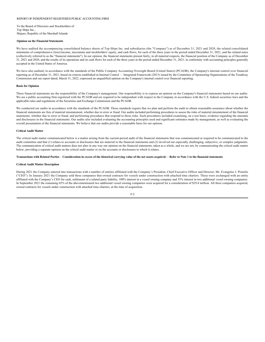# <span id="page-86-0"></span>REPORT OF INDEPENDENT REGISTERED PUBLIC ACCOUNTING FIRM

To the Board of Directors and Stockholders of Top Ships Inc., Majuro, Republic of the Marshall Islands

### **Opinion on the Financial Statements**

We have audited the accompanying consolidated balance sheets of Top Ships Inc. and subsidiaries (the "Company") as of December 31, 2021 and 2020, the related consolidated statements of comprehensive (loss)/income, mezzanine and stockholders' equity, and cash flows, for each of the three years in the period ended December 31, 2021, and the related notes (collectively referred to as the "financial statements"). In our opinion, the financial statements present fairly, in all material respects, the financial position of the Company as of December 31, 2021 and 2020, and the results of its operations and its cash flows for each of the three years in the period ended December 31, 2021, in conformity with accounting principles generally accepted in the United States of America.

We have also audited, in accordance with the standards of the Public Company Accounting Oversight Board (United States) (PCAOB), the Company's internal control over financial reporting as of December 31, 2021, based on criteria established in Internal Control — Integrated Framework (2013) issued by the Committee of Sponsoring Organizations of the Treadway Commission and our report dated, March 31, 2022, expressed an unqualified opinion on the Company's internal control over financial reporting.

#### **Basis for Opinion**

These financial statements are the responsibility of the Company's management. Our responsibility is to express an opinion on the Company's financial statements based on our audits. We are a public accounting firm registered with the PCAOB and are required to be independent with respect to the Company in accordance with the U.S. federal securities laws and the applicable rules and regulations of the Securities and Exchange Commission and the PCAOB.

We conducted our audits in accordance with the standards of the PCAOB. Those standards require that we plan and perform the audit to obtain reasonable assurance about whether the financial statements are free of material misstatement, whether due to error or fraud. Our audits included performing procedures to assess the risks of material misstatement of the financial statements, whether due to error or fraud, and performing procedures that respond to those risks. Such procedures included examining, on a test basis, evidence regarding the amounts and disclosures in the financial statements. Our audits also included evaluating the accounting principles used and significant estimates made by management, as well as evaluating the overall presentation of the financial statements. We believe that our audits provide a reasonable basis for our opinion.

#### **Critical Audit Matter**

The critical audit matter communicated below is a matter arising from the current-period audit of the financial statements that was communicated or required to be communicated to the audit committee and that (1) relates to accounts or disclosures that are material to the financial statements and (2) involved our especially challenging, subjective, or complex judgments. The communication of critical audit matters does not alter in any way our opinion on the financial statements, taken as a whole, and we are not, by communicating the critical audit matter below, providing a separate opinion on the critical audit matter or on the accounts or disclosures to which it relates.

### **Transactions with Related Parties** – **Consideration in excess of the historical carrying value of the net assets acquired**— **Refer to Note 1 to the financial statements**

#### **Critical Audit Matter Description**

During 2021 the Company entered into transactions with a number of entities affiliated with the Company's President, Chief Executive Officer and Director, Mr. Evangelos J. Pistiolis ("CEO"). In January 2021 the Company sold three companies that owned contracts for vessels under construction with attached time charters. These were exchanged with an entity affiliated with the Company's CEO for cash, settlement of a related party liability, 100% interest in a vessel owning company and 35% interest in two additional vessel owning companies. In September 2021 the remaining 65% of the abovementioned two additional vessel owning companies were acquired for a consideration of \$29.8 million. All three companies acquired, owned contracts for vessels under construction with attached time charters, at the time of acquisition.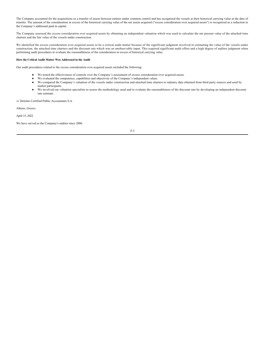The Company accounted for the acquisitions as a transfer of assets between entities under common control and has recognized the vessels at their historical carrying value at the date of transfer. The amount of the consideration in excess of the historical carrying value of the net assets acquired ("excess consideration over acquired assets") is recognized as a reduction to the Company's additional paid in capital.

The Company assessed the excess consideration over acquired assets by obtaining an independent valuation which was used to calculate the net present value of the attached time charters and the fair value of the vessels under construction.

We identified the excess consideration over acquired assets to be a critical audit matter because of the significant judgment involved in estimating the value of the vessels under construction, the attached time charters and the discount rate which was an unobservable input. This required significant audit effort and a high degree of auditor judgment when performing audit procedures to evaluate the reasonableness of the consideration in excess of historical carrying value.

### **How the Critical Audit Matter Was Addressed in the Audit**

Our audit procedures related to the excess consideration over acquired assets included the following:

- We tested the effectiveness of controls over the Company's assessment of excess consideration over acquired assets.
- We evaluated the competence, capabilities and objectivity of the Company's independent valuer.
- We compared the Company's valuation of the vessels under construction and attached time charters to industry data obtained from third party sources and used by market participants.
- We involved our valuation specialists to assess the methodology used and to evaluate the reasonableness of the discount rate by developing an independent discount rate estimate.

/s/ Deloitte Certified Public Accountants S.A.

Athens, Greece

April 15, 2022

We have served as the Company's auditor since 2006.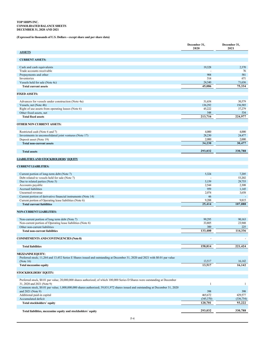### <span id="page-88-0"></span>**TOP SHIPS INC. CONSOLIDATED BALANCE SHEETS DECEMBER 31, 2020 AND 2021**

# **(Expressed in thousands of U.S. Dollars - except share and per share data)**

|                                                                                                                                | December 31,<br>2020 | December 31,<br>2021     |
|--------------------------------------------------------------------------------------------------------------------------------|----------------------|--------------------------|
| <b>ASSETS</b>                                                                                                                  |                      |                          |
| <b>CURRENT ASSETS:</b>                                                                                                         |                      |                          |
| Cash and cash equivalents                                                                                                      | 19,328               | 2,370                    |
| Trade accounts receivable                                                                                                      |                      | 76                       |
| Prepayments and other                                                                                                          | 904                  | 581                      |
| Inventories                                                                                                                    | 514                  | 671                      |
| Vessels held for sale (Note 4c)                                                                                                | 24,340               | 71,636                   |
| <b>Total current assets</b>                                                                                                    | 45,086               | 75,334                   |
| <b>FIXED ASSETS:</b>                                                                                                           |                      |                          |
|                                                                                                                                |                      |                          |
| Advances for vessels under construction (Note 4a)                                                                              | 31,654               | 30,579                   |
| Vessels, net (Note 4b)<br>Right of use assets from operating leases (Note 6)                                                   | 136,292<br>45,222    | 156,585<br>37,279        |
|                                                                                                                                | 548                  | 534                      |
| Other fixed assets, net<br><b>Total fixed assets</b>                                                                           | 213,716              | 224,977                  |
|                                                                                                                                |                      |                          |
| OTHER NON CURRENT ASSETS:                                                                                                      |                      |                          |
| Restricted cash (Note 6 and 7)                                                                                                 | 4,000                | 4,000                    |
| Investments in unconsolidated joint ventures (Note 17)                                                                         | 28,230               | 24,477                   |
| Deposit asset (Note 19)                                                                                                        | 2,000                | 2,000                    |
| <b>Total non-current assets</b>                                                                                                | 34.230               | 30,477                   |
| <b>Total assets</b>                                                                                                            | 293,032              | 330,788                  |
|                                                                                                                                |                      |                          |
| <b>LIABILITIES AND STOCKHOLDERS' EQUITY</b>                                                                                    |                      |                          |
| <b>CURRENT LIABILITIES:</b>                                                                                                    |                      |                          |
| Current portion of long-term debt (Note 7)                                                                                     | 5,324                | 7,205                    |
| Debt related to vessels held for sale (Note 7)                                                                                 |                      | 53,202                   |
| Due to related parties (Note 5)                                                                                                | 5,159                | 29,755                   |
| Accounts payable                                                                                                               | 2,544                | 2,308                    |
| Accrued liabilities                                                                                                            | 959                  | 1,145                    |
| Unearned revenue                                                                                                               | 2,074                | 3,658                    |
| Current portion of derivative financial instruments (Note 14)                                                                  | 66                   |                          |
| Current portion of Operating lease liabilities (Note 6)<br><b>Total current liabilities</b>                                    | 9,288<br>25,414      | 9,815<br>107,088         |
|                                                                                                                                |                      |                          |
| <b>NON-CURRENT LIABILITIES:</b>                                                                                                |                      |                          |
| Non-current portion of long term debt (Note 7)                                                                                 | 99.295               | 90,163                   |
| Non-current portion of Operating lease liabilities (Note 6)                                                                    | 33,805               | 23,948                   |
| Other non-current liabilities                                                                                                  | 300                  | 225                      |
| <b>Total non-current liabilities</b>                                                                                           | 133,400              | 114,336                  |
| <b>COMMITMENTS AND CONTINGENCIES (Note 8)</b>                                                                                  |                      | $\overline{\phantom{a}}$ |
| <b>Total liabilities</b>                                                                                                       |                      |                          |
|                                                                                                                                | 158,814              | 221,424                  |
| <b>MEZZANINE EQUITY:</b>                                                                                                       |                      |                          |
| Preferred stock; 11,264 and 13,452 Series E Shares issued and outstanding at December 31, 2020 and 2021 with \$0.01 par value  |                      |                          |
| (Note $16$ )                                                                                                                   | 13,517               | 16,142                   |
| <b>Total mezzanine equity</b>                                                                                                  | 13,517               | 16,142                   |
| <b>STOCKHOLDERS' EQUITY:</b>                                                                                                   |                      |                          |
| Preferred stock, \$0.01 par value; 20,000,000 shares authorized; of which 100,000 Series D Shares were outstanding at December |                      |                          |
| 31, 2020 and 2021 (Note 9)                                                                                                     | $\mathbf{1}$         | $\mathbf{1}$             |
| Common stock, \$0.01 par value; 1,000,000,000 shares authorized; 39,831,972 shares issued and outstanding at December 31, 2020 |                      |                          |
| and 2021 (Note 9)                                                                                                              | 398<br>465,672       | 398<br>429,577           |
| Additional paid-in capital                                                                                                     | (345,370)            | (336,754)                |
| Accumulated deficit<br>Total stockholders' equity                                                                              | 120,701              | 93,222                   |
|                                                                                                                                |                      |                          |
| Total liabilities, mezzanine equity and stockholders' equity                                                                   | 293,032              | 330,788                  |
|                                                                                                                                |                      |                          |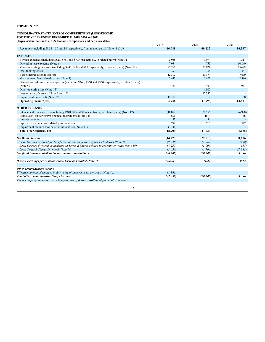# **TOP SHIPS INC.**

### <span id="page-89-0"></span>**CONSOLIDATED STATEMENTS OF COMPREHENSIVE (LOSS)/INCOME FOR THE YEARS ENDED DECEMBER 31, 2019, 2020 and 2021**

**(Expressed in thousands of U.S. Dollars - except share and per share data)**

|                                                                                                       | 2019      | 2020      | 2021     |
|-------------------------------------------------------------------------------------------------------|-----------|-----------|----------|
| <b>Revenues</b> (including \$1,311, \$0 and \$0 respectively, from related party) (Note 18 $\&$ 5)    | 66,088    | 60,222    | 56,367   |
|                                                                                                       |           |           |          |
| <b>EXPENSES:</b>                                                                                      |           |           |          |
| Voyage expenses (including \$829, \$761 and \$705 respectively, to related party) (Note 11)           | 3,038     | 1,994     | 1,317    |
| Operating lease expense (Note 6)                                                                      | 7,054     | 755       | 10,840   |
| Vessel operating expenses (including \$247, \$60 and \$17 respectively, to related party) (Note 11)   | 22,786    | 21,024    | 15,679   |
| Dry-docking costs                                                                                     | 399       | 356       | 361      |
| Vessel depreciation (Note 4b)                                                                         | 12,392    | 13,174    | 7,670    |
| Management fees-related parties (Note 5)                                                              | 2,443     | 5,627     | 2,596    |
| General and administrative expenses (including \$360, \$360 and \$360 respectively, to related party) |           |           |          |
| (Note 5)                                                                                              | 1,730     | 1.932     | 1,943    |
| Other operating loss (Note 15)                                                                        |           | 4,800     |          |
| Loss on sale of vessels (Note 6 and 19)                                                               |           | 12,355    |          |
| Impairment on vessels (Note 19)                                                                       | 12,310    |           | 1,160    |
| <b>Operating income/(loss)</b>                                                                        | 3,936     | (1,795)   | 14,801   |
|                                                                                                       |           |           |          |
| <b>OTHER EXPENSES:</b>                                                                                |           |           |          |
| Interest and finance costs (including \$948, \$0 and \$0 respectively, to related party) (Note 12)    | (18,077)  | (20.956)  | (6,998)  |
| Gain/(Loss) on derivative financial instruments (Note 14)                                             | 1,601     | (814)     | 66       |
| Interest income                                                                                       | 133       | 34        |          |
| Equity gain in unconsolidated joint ventures                                                          | 778       | 713       | 747      |
| Impairment on unconsolidated joint ventures (Note 17)                                                 | (3,144)   |           |          |
| Total other expenses, net                                                                             | (18,709)  | (21, 023) | (6,185)  |
|                                                                                                       |           |           |          |
| Net (loss) / income                                                                                   | (14, 773) | (22, 818) | 8,616    |
| Less: Deemed dividend for beneficial conversion feature of Series E Shares (Note 16)                  | (9, 339)  | (1,067)   | (900)    |
| Less: Deemed dividend equivalents on Series E Shares related to redemption value (Note 16)            | (4, 227)  | (3,099)   | (437)    |
| Less: Series E Shares Dividend (Note 16)                                                              | (2,650)   | (1, 796)  | (1, 883) |
| Net (loss) / income attributable to common shareholders                                               | (30, 989) | (28, 780) | 5,396    |
|                                                                                                       |           |           |          |
| (Loss) / Earnings per common share, basic and diluted (Note 10)                                       | (264.63)  | (1.22)    | 0.14     |
|                                                                                                       |           |           |          |
| Other comprehensive income                                                                            |           |           |          |
| Effective portion of changes in fair value of interest swap contracts (Note 14)                       | (1, 361)  |           |          |
| Total other comprehensive (loss) / income                                                             | (32, 350) | (28, 780) | 5,396    |
| The accompanying notes are an integral part of these consolidated financial statements.               |           |           |          |
|                                                                                                       |           |           |          |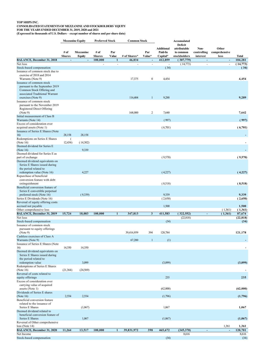### <span id="page-90-0"></span>**TOP SHIPS INC. CONSOLIDATED STATEMENTS OF MEZZANINE AND STOCKHOLDERS**' **EQUITY FOR THE YEARS ENDED DECEMBER 31, 2019, 2020 and 2021 (Expressed in thousands of U.S. Dollars** – **except number of shares and per share data)**

|                                                                                                                     |                                 | <b>Mezzanine Equity</b>         | <b>Preferred Stock</b>   |              | <b>Common Stock</b>    |                |                              | Accumulated                          |                            |                        |                   |
|---------------------------------------------------------------------------------------------------------------------|---------------------------------|---------------------------------|--------------------------|--------------|------------------------|----------------|------------------------------|--------------------------------------|----------------------------|------------------------|-------------------|
|                                                                                                                     | # of                            | Mezzanine                       | # of                     | Par          |                        | Par<br>Value*  | <b>Additional</b><br>Paid-In | Deficit<br>attributable<br>to common | Non-<br>controlling        | Other<br>comprehensive |                   |
| <b>BALANCE, December 31, 2018</b>                                                                                   | <b>Shares</b><br>$\blacksquare$ | <b>Equity</b><br>$\blacksquare$ | <b>Shares</b><br>100,000 | Value<br>1   | # of Shares*<br>46,034 | $\blacksquare$ | Capital*<br>412,059          | stockholders<br>(307,779)            | interest<br>$\blacksquare$ | loss<br>$\sim$         | Total<br>104,281  |
| Net loss                                                                                                            |                                 |                                 | ÷.                       | $\mathbf{r}$ | $\overline{a}$         | $\omega$       | $\blacksquare$               | (14,773)                             | $\blacksquare$             | $\blacksquare$         | (14,773)          |
| Stock-based compensation                                                                                            |                                 |                                 |                          |              |                        |                | (34)                         |                                      |                            |                        | (34)              |
| Issuance of common stock due to<br>exercise of 2018 and 2014                                                        |                                 |                                 |                          |              |                        |                |                              |                                      |                            |                        |                   |
| Warrants (Note 9)                                                                                                   |                                 |                                 |                          |              | 17,375                 | $\bf{0}$       | 4,454                        |                                      |                            |                        | 4,454             |
| Issuance of common stock                                                                                            |                                 |                                 |                          |              |                        |                |                              |                                      |                            |                        |                   |
| pursuant to the September 2019<br>Common Stock Offering and<br>associated Traditional Warrant<br>exercises (Note 9) |                                 |                                 |                          |              | 116,404                | 1              | 9,288                        |                                      |                            |                        | 9,289             |
| Issuance of common stock                                                                                            |                                 |                                 |                          |              |                        |                |                              |                                      |                            |                        |                   |
| pursuant to the November 2019<br>Registered Direct Offering<br>(Note 9)                                             |                                 |                                 |                          |              | 168,000                | 2              | 7,640                        |                                      |                            |                        | 7,642             |
| Initial measurement of Class B                                                                                      |                                 |                                 |                          |              |                        |                |                              |                                      |                            |                        |                   |
| Warrants (Note 14)                                                                                                  |                                 |                                 |                          |              |                        |                | (997)                        |                                      |                            |                        | (997)             |
| Excess of consideration over<br>acquired assets (Note 1)                                                            |                                 |                                 |                          |              |                        |                | (6,701)                      |                                      |                            |                        | (6,701)           |
| Issuance of Series E Shares (Note                                                                                   |                                 |                                 |                          |              |                        |                |                              |                                      |                            |                        |                   |
| 16)                                                                                                                 | 28,158                          | 28,158                          |                          |              |                        |                |                              |                                      |                            |                        |                   |
| Redemptions on Series E Shares                                                                                      | -6                              |                                 |                          |              |                        |                |                              |                                      |                            |                        |                   |
| (Note $16$ )<br>Deemed dividend for Series E                                                                        | 12,434)                         | (14,302)                        |                          |              |                        |                |                              |                                      |                            |                        |                   |
| (Note $16$ )                                                                                                        |                                 | 9,339                           |                          |              |                        |                |                              |                                      |                            |                        |                   |
| Deemed dividend for Series E as                                                                                     |                                 |                                 |                          |              |                        |                |                              |                                      |                            |                        |                   |
| part of exchange                                                                                                    |                                 |                                 |                          |              |                        |                | (9,570)                      |                                      |                            |                        | (9,570)           |
| Deemed dividend equivalents on<br>Series E Shares issued during<br>the period related to                            |                                 |                                 |                          |              |                        |                |                              |                                      |                            |                        |                   |
| redemption value (Note 16)                                                                                          |                                 | 4,227                           |                          |              |                        |                | (4,227)                      |                                      |                            |                        | (4,227)           |
| Repurchase of beneficial                                                                                            |                                 |                                 |                          |              |                        |                |                              |                                      |                            |                        |                   |
| conversion feature with debt<br>extinguishment<br>Beneficial conversion feature of                                  |                                 |                                 |                          |              |                        |                | (8,518)                      |                                      |                            |                        | (8,518)           |
| Series E convertible perpetual                                                                                      |                                 |                                 |                          |              |                        |                |                              |                                      |                            |                        |                   |
| preferred stock (Note 16)                                                                                           |                                 | (9,339)                         |                          |              |                        |                | 9,339                        |                                      |                            |                        | 9,339             |
| Series E Dividends (Note 16)<br>Reversal of equity offering costs                                                   |                                 |                                 |                          |              |                        |                | (2,650)                      |                                      |                            |                        | (2,650)           |
| accrued not payable                                                                                                 |                                 |                                 |                          |              |                        |                | 1,500                        |                                      |                            |                        | 1,500             |
| Other comprehensive loss                                                                                            |                                 |                                 |                          |              |                        |                |                              |                                      |                            | (1,361)                | (1,361)           |
| <b>BALANCE, December 31, 2019</b>                                                                                   | 15,724                          | 18,083                          | 100,000                  | $\mathbf{1}$ | 347,813                | 3              | 411,583                      | (322, 552)                           | ä,                         | (1,361)                | 87,674            |
| Net loss<br>Stock-based compensation                                                                                |                                 |                                 |                          |              |                        |                | (34)                         | (22, 818)                            |                            |                        | (22, 818)<br>(34) |
| Issuance of common stock                                                                                            |                                 |                                 |                          |              |                        |                |                              |                                      |                            |                        |                   |
| pursuant to equity offerings<br>(Note 9)                                                                            |                                 |                                 |                          |              | 39,416,959             | 394            | 120,784                      |                                      |                            |                        | 121,178           |
| Cashless exercises of Class A<br>Warrants (Note 9)                                                                  |                                 |                                 |                          |              | 67,200                 | -1             | (1)                          |                                      |                            |                        |                   |
| Issuance of Series E Shares (Note                                                                                   |                                 |                                 |                          |              |                        |                |                              |                                      |                            |                        |                   |
| 16)                                                                                                                 | 14,350                          | 14,350                          |                          |              |                        |                |                              |                                      |                            |                        |                   |
| Deemed dividend equivalents on<br>Series E Shares issued during<br>the period related to                            |                                 |                                 |                          |              |                        |                |                              |                                      |                            |                        |                   |
| redemption value                                                                                                    |                                 | 3,099                           |                          |              |                        |                | (3,099)                      |                                      |                            |                        | (3,099)           |
| Redemptions of Series E Shares<br>(Note $16$ )                                                                      | (21, 364)                       | (24, 569)                       |                          |              |                        |                |                              |                                      |                            |                        |                   |
| Reversal of costs related to<br>equity offerings                                                                    |                                 |                                 |                          |              |                        |                | 235                          |                                      |                            |                        | 235               |
| Excess of consideration over<br>carrying value of acquired                                                          |                                 |                                 |                          |              |                        |                |                              |                                      |                            |                        |                   |
| assets (Note 1)<br>Dividends of Series E shares                                                                     |                                 |                                 |                          |              |                        |                | (62,000)                     |                                      |                            |                        | (62,000)          |
| (Note $16$ )                                                                                                        | 2,554                           | 2,554                           |                          |              |                        |                | (1,796)                      |                                      |                            |                        | (1,796)           |
| Beneficial conversion feature<br>related to the issuance of                                                         |                                 |                                 |                          |              |                        |                |                              |                                      |                            |                        |                   |
| Series E Shares<br>Deemed dividend related to<br>beneficial conversion feature of                                   |                                 | (1,067)                         |                          |              |                        |                | 1,067                        |                                      |                            |                        | 1,067             |
| Series E Shares<br>Reversal of Other comprehensive                                                                  |                                 | 1,067                           |                          |              |                        |                | (1,067)                      |                                      |                            |                        | (1,067)           |
| loss (Note 14)                                                                                                      |                                 |                                 |                          |              |                        |                |                              |                                      |                            | 1,361                  | 1,361             |
| <b>BALANCE, December 31, 2020</b><br>Net Income                                                                     | 11,264                          | 13,517                          | 100,000                  | $\mathbf{1}$ | 39,831,972             | 398            | 465,672                      | (345,370)<br>8,616                   |                            | $\Box$                 | 120,701<br>8,616  |
| Stock-based compensation                                                                                            |                                 |                                 |                          |              |                        |                | (34)                         |                                      |                            |                        | (34)              |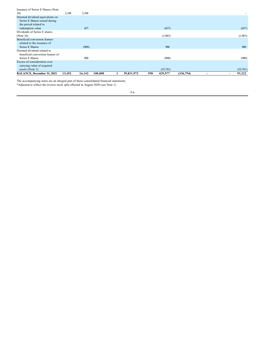| Issuance of Series E Shares (Note |        |        |         |            |     |          |            |          |
|-----------------------------------|--------|--------|---------|------------|-----|----------|------------|----------|
| 16)                               | 2,188  | 2,188  |         |            |     |          |            |          |
| Deemed dividend equivalents on    |        |        |         |            |     |          |            |          |
| Series E Shares issued during     |        |        |         |            |     |          |            |          |
| the period related to             |        |        |         |            |     |          |            |          |
| redemption value                  |        | 437    |         |            |     | (437)    |            | (437)    |
| Dividends of Series E shares      |        |        |         |            |     |          |            |          |
| (Note $16$ )                      |        |        |         |            |     | (1,883)  |            | (1,883)  |
| Beneficial conversion feature     |        |        |         |            |     |          |            |          |
| related to the issuance of        |        |        |         |            |     |          |            |          |
| Series E Shares                   |        | (900)  |         |            |     | 900      |            | 900      |
| Deemed dividend related to        |        |        |         |            |     |          |            |          |
| beneficial conversion feature of  |        |        |         |            |     |          |            |          |
| Series E Shares                   |        | 900    |         |            |     | (900)    |            | (900)    |
| Excess of consideration over      |        |        |         |            |     |          |            |          |
| carrying value of acquired        |        |        |         |            |     |          |            |          |
| assets (Note 1)                   |        |        |         |            |     | (33,741) |            | (33,741) |
| <b>BALANCE, December 31, 2021</b> | 13,452 | 16,142 | 100,000 | 39,831,972 | 398 | 429,577  | (336, 754) | 93,222   |

The accompanying notes are an integral part of these consolidated financial statements.

\*Adjusted to reflect the reverse stock split effected in August 2020 (see Note 1)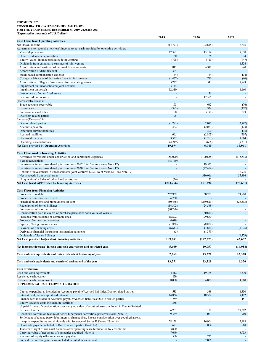#### <span id="page-92-0"></span>**TOP SHIPS INC. CONSOLIDATED STATEMENTS OF CASH FLOWS FOR THE YEARS ENDED DECEMBER 31, 2019, 2020 and 2021 (Expressed in thousands of U.S. Dollars)**

|                                                                                                                                                                               | 2019                  | 2020                           | 2021          |
|-------------------------------------------------------------------------------------------------------------------------------------------------------------------------------|-----------------------|--------------------------------|---------------|
| <b>Cash Flows from Operating Activities:</b>                                                                                                                                  |                       |                                |               |
| Net (loss) / income                                                                                                                                                           | (14,773)              | (22,818)                       | 8,616         |
| Adjustments to reconcile net (loss)/income to net cash provided by operating activities:                                                                                      |                       |                                |               |
| Vessel depreciation<br>Other fixed assets depreciation                                                                                                                        | 12,392<br>50          | 13,174<br>36                   | 7,670<br>14   |
| Equity (gains) in unconsolidated joint ventures                                                                                                                               | (778)                 | (713)                          | (747)         |
| Dividends from cumulative earnings of joint venture                                                                                                                           |                       |                                | 1,524         |
| Amortization and write off of deferred financing costs                                                                                                                        | 1,812                 | 6,311                          | 840           |
| Amortization of debt discount                                                                                                                                                 | 324                   |                                |               |
| Stock-based compensation expense                                                                                                                                              | (34)                  | (34)                           | (34)          |
| Change in fair value of derivative financial instruments                                                                                                                      | (1, 457)              | 790                            | (66)          |
| Amortization of Right of use assets from operating leases                                                                                                                     | 5,727                 | 543                            | 7,943         |
| Impairment on unconsolidated joint ventures                                                                                                                                   | 3,144                 |                                |               |
| Impairment on vessels<br>Loss on sale of other fixed assets                                                                                                                   | 12,310                | $\overline{\phantom{a}}$<br>36 | 1,160         |
| Loss on sale of vessels                                                                                                                                                       | $\overline{a}$        | 12,355                         | $\omega$      |
| (Increase)/Decrease in:                                                                                                                                                       |                       |                                |               |
| Trade accounts receivable                                                                                                                                                     | 173                   | 642                            | (76)          |
| Inventories                                                                                                                                                                   | (385)                 | 334                            | (157)         |
| Prepayments and other                                                                                                                                                         | 180                   | (198)                          | 323           |
| Due from related parties                                                                                                                                                      | 75                    |                                | ÷,            |
| Increase/(Decrease) in:                                                                                                                                                       |                       |                                |               |
| Due to related parties                                                                                                                                                        | (1,781)               | 2,097                          | (2,797)       |
| Accounts payable                                                                                                                                                              | 1,462                 | (2,083)                        | (123)         |
| Other non-current liabilities<br>Accrued liabilities                                                                                                                          | 1,665                 | 300<br>(2,803)                 | (75)<br>(207) |
| Unearned revenue                                                                                                                                                              | 3,337                 | (1,263)                        | 1,584         |
| Operating lease liabilities                                                                                                                                                   | (4,249)               | (666)                          | (9, 331)      |
| <b>Net Cash provided by Operating Activities</b>                                                                                                                              | 19,194                | 6,040                          | 16,061        |
|                                                                                                                                                                               |                       |                                |               |
| <b>Cash Flows used in Investing Activities:</b>                                                                                                                               |                       |                                |               |
| Advances for vessels under construction and capitalized expenses                                                                                                              | (155,090)             | (120, 858)                     | (115,513)     |
| Vessel acquisitions                                                                                                                                                           | (48, 140)             |                                |               |
| Investments in unconsolidated joint ventures (2017 Joint Venture – see Note 17)                                                                                               | ÷.                    | 19,555                         | $\omega$      |
| Investments in unconsolidated joint ventures (2020 Joint Venture – see Note 17)<br>Returns of investments in unconsolidated joint ventures (2020 Joint Venture – see Note 17) | ä,                    | (27, 454)                      | 2,976         |
| Net proceeds from vessel sales                                                                                                                                                | ÷.                    | 310,016                        | 35,886        |
| (Acquisitions) / Sales of other fixed assets, net                                                                                                                             | (36)                  | 35                             |               |
| Net Cash (used in)/Provided by Investing Activities                                                                                                                           | (203, 266)            | 181,294                        | (76, 651)     |
|                                                                                                                                                                               |                       |                                |               |
| <b>Cash Flows from Financing Activities:</b>                                                                                                                                  |                       |                                |               |
| Proceeds from debt                                                                                                                                                            | 252,969               | 60,200                         | 74,800        |
| Proceeds from short-term debt                                                                                                                                                 | 6,760                 |                                |               |
| Principal payments and prepayments of debt<br>Redemption of Series E Shares                                                                                                   | (50, 466)             | (269, 621)                     | (28,313)      |
| Prepayment of short term debt                                                                                                                                                 | (14,302)<br>(20, 280) | (24, 568)                      |               |
| Consideration paid in excess of purchase price over book value of vessels                                                                                                     |                       | (60, 850)                      |               |
| Proceeds from issuance of common stock                                                                                                                                        | 18,892                | 129,660                        |               |
| Proceeds from warrant exercises                                                                                                                                               | 4,619                 |                                |               |
| Equity offering issuance costs                                                                                                                                                | (1,859)               | (8,868)                        |               |
| Payment of financing costs                                                                                                                                                    | (6, 647)              | (1, 851)                       | (1,076)       |
| Derivative financial instrument termination payments                                                                                                                          | (5)                   | (1,379)                        |               |
| Dividends of Series E Shares                                                                                                                                                  | 189,681               |                                | (1,779)       |
| Net Cash provided by/(used in) Financing Activities                                                                                                                           |                       | (177, 277)                     | 43,632        |
| Net increase/(decrease) in cash and cash equivalents and restricted cash                                                                                                      | 5,609                 | 10,057                         | (16,958)      |
|                                                                                                                                                                               |                       |                                |               |
| Cash and cash equivalents and restricted cash at beginning of year                                                                                                            | 7,662                 | 13,271                         | 23,328        |
|                                                                                                                                                                               |                       |                                |               |
| Cash and cash equivalents and restricted cash at end of the year                                                                                                              | 13,271                | 23,328                         | 6,370         |
|                                                                                                                                                                               |                       |                                |               |
| Cash breakdown<br>Cash and cash equivalents                                                                                                                                   | 4,412                 | 19,328                         | 2,370         |
| Restricted cash, current                                                                                                                                                      | 859                   |                                |               |
| Restricted cash, non-current                                                                                                                                                  | 8,000                 | 4,000                          | 4,000         |
| SUPPLEMENTAL CASH FLOW INFORMATION                                                                                                                                            |                       |                                |               |
|                                                                                                                                                                               |                       |                                |               |
| Capital expenditures included in Accounts payable/Accrued liabilities/Due to related parties                                                                                  | 533                   | 388                            | 1,530         |
| Interest paid, net of capitalized interest                                                                                                                                    | 14,866                | 18,309                         | 7,412         |
| Finance fees included in Accounts payable/Accrued liabilities/Due to related parties                                                                                          | 759                   | 23                             | 151           |
| Equity issuance costs included in liabilities                                                                                                                                 | 386                   |                                | $\Box$        |
| Unpaid Excess of consideration over carrying value of acquired assets included in Due to Related                                                                              |                       |                                |               |
| Parties (Note 1)<br>Beneficial conversion feature of Series E perpetual convertible preferred stock (Note 16)                                                                 | 6,701<br>9,339        | 1,150<br>1,067                 | 27,562<br>900 |
| Settlement of related party debt, interest, finance fees, Excess consideration over acquired assets,                                                                          |                       |                                |               |
| capital expenditures and dividends with issuance of Series E Shares (Note 16)                                                                                                 | 28,158                | 16,904                         | 2,188         |
| Dividends payable included in Due to related parties (Note 16)                                                                                                                | 1,621                 | 864                            | 968           |
| Transfer of right of use asset balances after operating lease termination to Vessels, net                                                                                     | 3,800                 |                                |               |
| Carrying value of net assets of companies acquired (Note 1)                                                                                                                   | 7,649                 |                                | 8,933         |
| Reversal of equity offering costs not payable                                                                                                                                 | 1,500                 | 235                            |               |
| Prepaid rent of Navigare Lease included in initial measurement                                                                                                                |                       | 2,006                          |               |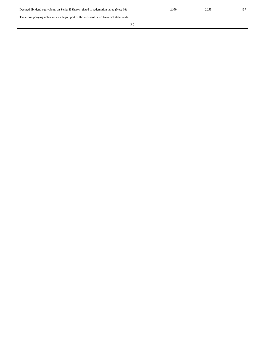The accompanying notes are an integral part of these consolidated financial statements.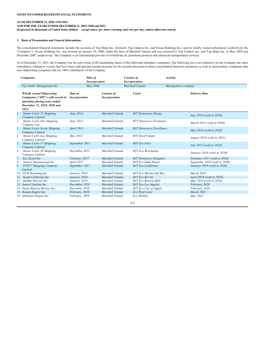## <span id="page-94-0"></span>**1. Basis of Presentation and General Information:**

The consolidated financial statements include the accounts of Top Ships Inc. (formerly Top Tankers Inc. and Ocean Holdings Inc.) and its wholly owned subsidiaries (collectively the "Company"). Ocean Holdings Inc. was formed on January 10, 2000, under the laws of Marshall Islands and was renamed to Top Tankers Inc. and Top Ships Inc. in May 2004 and December 2007, respectively. The Company is an international provider of worldwide oil, petroleum products and chemicals transportation services.

As of December 31, 2021, the Company was the sole owner of all outstanding shares of the following subsidiary companies. The following list is not exhaustive as the Company has other subsidiaries relating to vessels that have been sold and that remain dormant for the periods presented in these consolidated financial statements as well as intermediary companies that own shipowning companies that are 100% subsidiaries of the Company.

|                  | <b>Companies</b>                                                                                                                           | Date of<br><b>Incorporation</b> |                                    | Country of<br><i>Incorporation</i> | Activity                      |
|------------------|--------------------------------------------------------------------------------------------------------------------------------------------|---------------------------------|------------------------------------|------------------------------------|-------------------------------|
|                  | Top Tanker Management Inc.                                                                                                                 | May 2004                        |                                    | Marshall Islands                   | Management company            |
|                  | <b>Wholly owned Shipowning</b><br>Companies ("SPC") with vessels in<br>operation during years ended<br>December 31, 2019, 2020 and<br>2021 | Date of<br><b>Incorporation</b> | Country of<br><b>Incorporation</b> | <b>Vessel</b>                      | <b>Delivery Date</b>          |
| $\boldsymbol{I}$ | Monte Carlo 71 Shipping<br>Company Limited                                                                                                 | June 2014                       | Marshall Islands                   | M/T Stenaweco Energy               | July 2014 (sold in 2020)      |
| $\overline{c}$   | Monte Carlo One Shipping<br>Company Ltd                                                                                                    | June 2012                       | Marshall Islands                   | <b>M/T</b> Stenaweco Evolution     | March 2015 (sold in 2020)     |
| 3                | Monte Carlo Seven Shipping<br>Company Limited                                                                                              | April 2013                      | Marshall Islands                   | M/T Stenaweco Excellence           | May 2016 (sold in 2020)       |
| $\overline{4}$   | Monte Carlo Lax Shipping<br>Company Limited                                                                                                | May 2013                        | Marshall Islands                   | M/T Nord Valiant                   | August 2016 (sold in 2021)    |
| 5                | Monte Carlo 37 Shipping<br>Company Limited                                                                                                 | September 2013                  | Marshall Islands                   | M/T Eco Fleet                      | July 2015 (sold in 2020)      |
| 6                | Monte Carlo 39 Shipping<br>Company Limited                                                                                                 | December 2013                   | Marshall Islands                   | <b>M/T</b> Eco Revolution          | January 2016 (sold in 2020)   |
| $\overline{7}$   | Eco Seven Inc.                                                                                                                             | February 2017                   | Marshall Islands                   | M/T Stenaweco Elegance             | February 2017 (sold in 2020)  |
| 8                | Astarte International Inc.                                                                                                                 | April 2017                      | Marshall Islands                   | M/T Eco Palm Desert                | September 2018 (sold in 2020) |
| 9                | PCH77 Shipping Company<br>Limited                                                                                                          | September 2017                  | Marshall Islands                   | M/T Eco California                 | January 2019 (sold in 2020)   |
| 10               | PCH Dreaming Inc.                                                                                                                          | January 2018                    | Marshall Islands                   | M/T Eco Marina Del Rav             | March 2019                    |
| 11               | South California Inc.                                                                                                                      | January 2018                    | Marshall Islands                   | M/T Eco Bel Air                    | April 2019 (sold in 2020)     |
|                  | Malibu Warrior Inc.                                                                                                                        | January 2018                    | Marshall Islands                   | M/T Eco Beverly Hills              | May 2019 (sold in 2020)       |
|                  | 13 Santa Catalina Inc.                                                                                                                     | December 2018                   | Marshall Islands                   | M/T Eco Los Angeles                | February 2020                 |
|                  | 14 Santa Monica Marine Inc.                                                                                                                | December 2018                   | Marshall Islands                   | M/T Eco City of Angels             | February 2020                 |
|                  | 15 Roman Empire Inc.                                                                                                                       | February, 2020                  | Marshall Islands                   | <b>Eco West Coast</b>              | March 2021                    |
|                  | 16 Athenean Empire Inc.                                                                                                                    | February, 2020                  | Marshall Islands                   | Eco Malibu                         | May 2021                      |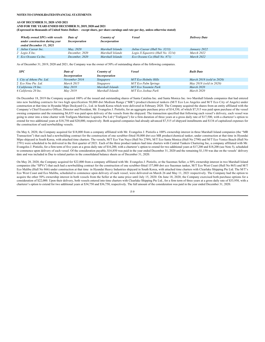# **AS OF DECEMBER 31, 2020 AND 2021**

# **AND FOR THE YEARS ENDED DECEMBER 31, 2019, 2020 and 2021**

**(Expressed in thousands of United States Dollars** – **except share, per share earnings and rate per day, unless otherwise stated)**

| <b>Wholly owned SPCs with vessels</b><br>under construction during year<br>ended December 31, 2021 | Date of<br><i>Incorporation</i> | Country of<br><i>Incorporation</i> | <b>Vessel</b>                     | <b>Delivery Date</b> |
|----------------------------------------------------------------------------------------------------|---------------------------------|------------------------------------|-----------------------------------|----------------------|
| Julius Caesar Inc.                                                                                 | May. 2020                       | Marshall Islands                   | Julius Caesar (Hull No. 3213)     | January 2022         |
| 2 Legio X Inc.                                                                                     | December, 2020                  | Marshall Islands                   | Legio X Equestris (Hull No. 3214) | March 2022           |
| 3 Eco Oceano Ca Inc.                                                                               | December, 2020                  | Marshall Islands                   | Eco Oceano Ca (Hull No. 871)      | March 2022           |

As of December 31, 2019, 2020 and 2021, the Company was the owner of 50% of outstanding shares of the following companies.

| SPC                        | Date of       | Country of           | <b>Vessel</b>         | <b>Built Date</b>         |
|----------------------------|---------------|----------------------|-----------------------|---------------------------|
|                            | Incorporation | <i>Incorporation</i> |                       |                           |
| 1 City of Athens Pte. Ltd. | November 2016 | Singapore            | M/T Eco Holmby Hills  | March 2018 (sold in 2020) |
| 2 Eco Nine Pte, Ltd.       | March 2015    | Singapore            | M/T Eco Palm Springs  | May 2018 (sold in 2020)   |
| 3 California 19 Inc.       | May 2019      | Marshall Islands     | M/T Eco Yosemite Park | March 2020                |
| 4 California 20 Inc.       | May 2019      | Marshall Islands     | M/T Eco Joshua Park   | March 2020                |

On December 18, 2019 the Company acquired 100% of the issued and outstanding shares of Santa Catalina Inc. and Santa Monica Inc. two Marshall Islands companies that had entered into new building contracts for two high specification 50,000 dwt Medium Range ("MR") product/chemical tankers (M/T Eco Los Angeles and M/T Eco City of Angels) under construction at that time in Hyundai Mipo Dockyard Co., Ltd. in South Korea which were delivered in February 2020. The Company acquired the shares from an entity affiliated with the Company's Chief Executive Officer, Director and President, Mr. Evangelos J. Pistiolis, for an aggregate purchase price of \$14,350, of which \$7,515 was paid upon purchase of the vessel owning companies and the remaining \$6,835 was paid upon delivery of the vessels from the shipyard. The transaction specified that following each vessel's delivery, each vessel was going to enter into a time charter with Trafigura Maritime Logistics Pte Ltd ("Trafigura") for a firm duration of three years at a gross daily rate of \$17,500, with a charterer's option to extend for two additional years at \$18,750 and \$20,000, respectively. Both acquired companies had already advanced \$7,515 of shipyard installments and \$134 of capitalized expenses for the construction of said newbuilding vessels.

On May 6, 2020, the Company acquired for \$18,000 from a company affiliated with Mr. Evangelos J. Pistiolis a 100% ownership interest in three Marshall Island companies (the "MR Transaction") that each had a newbuilding contract for the construction of one scrubber-fitted 50,000 dwt eco MR product/chemical tanker, under construction at that time in Hyundai Mipo shipyard in South Korea, with attached time charters. The vessels, M/T Eco Van Nuys (Hull No 2789), M/T Eco Santa Monica (Hull No 2790) and M/T Eco Venice Beach (Hull No 2791) were scheduled to be delivered in the first quarter of 2021. Each of the three product tankers had time charters with Central Tankers Chartering Inc, a company affiliated with Mr. Evangelos J. Pistiolis, for a firm term of five years at a gross daily rate of \$16,200, with a charterer's option to extend for two additional years at \$17,200 and \$18,200 (see Note 5), scheduled to commence upon delivery of each vessel. Of the consideration payable, \$16,850 was paid in the year ended December 31, 2020 and the remaining \$1,150 was due on the vessels' delivery date and was included in Due to related parties in the consolidated balance sheets as of December 31, 2020.

On May 28, 2020, the Company acquired for \$22,000 from a company affiliated with Mr. Evangelos J. Pistiolis, or the Suezmax Seller, a 50% ownership interest in two Marshall Island companies (the "SPVs") that each had a newbuilding contract for the construction of one scrubber-fitted 157,000 dwt eco Suezmax tanker, M/T Eco West Coast (Hull No 865) and M/T Eco Malibu (Hull No 866) under construction at that time in Hyundai Heavy Industries shipyard in South Korea, with attached time charters with Clearlake Shipping Pte Ltd. The M/T's Eco West Coast and Eco Malibu, scheduled to commence upon delivery of each vessel, were delivered on March 26 and May 11, 2021 respectively. The Company had the option to acquire the other 50% ownership interest in both vessels from the Seller at the same price until July 15, 2020. On June 18, 2020, the Company exercised both purchase options for a consideration of \$22,000. Upon their delivery, both vessels entered into time charters with Clearlake Shipping Pte Ltd., for a firm term of three years at a gross daily rate of \$33,950, with a charterer's option to extend for two additional years at \$34,750 and \$36,750, respectively. The full amount of the consideration was paid in the year ended December 31, 2020.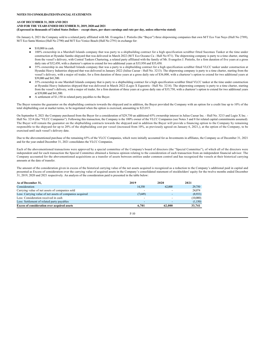On January 6, 2021 the Company sold to a related party affiliated with Mr. Evangelos J. Pistiolis (the "Buyer") three shipowning companies that own M/T Eco Van Nuys (Hull No 2789), M/T Eco Santa Monica (Hull No 2790) and M/T Eco Venice Beach (Hull No 2791) in exchange for:

- \$10,000 in cash.
- 100% ownership in a Marshall Islands company that was party to a shipbuilding contract for a high specification scrubber fitted Suezmax Tanker at the time under construction at Hyundai Samho shipyard that was delivered in March 2022 (M/T Eco Oceano Ca - Hull No 871). The shipowning company is party to a time charter, starting from the vessel's delivery, with Central Tankers Chartering, a related party affiliated with the family of Mr. Evangelos J. Pistiolis, for a firm duration of five years at a gross daily rate of \$32,450, with a charterer's option to extend for two additional years at \$33,950 and \$35,450.
- 35% ownership in one Marshall Islands company that was a party to a shipbuilding contract for a high specification scrubber fitted VLCC tanker under construction at Hyundai Heavy Industries shipyard that was delivered in January 2022 (Julius Caesar - Hull No. 3213). The shipowning company is party to a time charter, starting from the vessel's delivery, with a major oil trader, for a firm duration of three years at a gross daily rate of \$36,000, with a charterer's option to extend for two additional years at \$39,000 and \$41,500.
- 35% ownership in one Marshall Islands company that is party to a shipbuilding contract for a high specification scrubber fitted VLCC tanker at the time under construction at Hyundai Heavy Industries shipyard that was delivered in March 2022 (Legio X Equestris - Hull No. 3214). The shipowning company is party to a time charter, starting from the vessel's delivery, with a major oil trader, for a firm duration of three years at a gross daily rate of \$35,750, with a charterer's option to extend for two additional years at \$39,000 and \$41,500.
- A settlement of \$1,150 in related party payables to the Buyer.

The Buyer remains the guarantor on the shipbuilding contracts towards the shipyard and in addition, the Buyer provided the Company with an option for a credit line up to 10% of the total shipbuilding cost at market terms, to be negotiated when the option is exercised, amounting to \$23,815.

On September 8, 2021 the Company purchased from the Buyer for a consideration of \$29,750 an additional 65% ownership interest in Julius Caesar Inc. - Hull No. 3213 and Legio X Inc. - Hull No. 3214 (the "VLCC Companies"). Following this transaction, the Company is the 100% owner of the VLCC Companies (see Notes 3 and 8 for related capital commitments assumed). The Buyer will remain the guarantor on the shipbuilding contracts towards the shipyard and in addition the Buyer will provide a financing option to the Company by remaining responsible to the shipyard for up to 20% of the shipbuilding cost per vessel (increased from 10%, as previously agreed on January 6, 2021,), at the option of the Company, to be exercised until each vessel's delivery date.

Due to the abovementioned purchase of the remaining 65% of the VLCC Companies, which were initially accounted for as Investments in affiliates, the Company as of December 31, 2021 and for the year ended December 31, 2021 consolidates the VLCC Companies.

Each of the abovementioned transactions were approved by a special committee of the Company's board of directors (the "Special Committee"), of which all of the directors were independent and for each transaction the Special Committee obtained a fairness opinion relating to the consideration of each transaction from an independent financial advisor. The Company accounted for the abovementioned acquisitions as a transfer of assets between entities under common control and has recognized the vessels at their historical carrying amounts at the date of transfer.

The amount of the consideration given in excess of the historical carrying value of the net assets acquired is recognized as a reduction to the Company's additional paid in capital and presented as Excess of consideration over the carrying value of acquired assets in the Company's consolidated statement of stockholders' equity for the twelve months ended December 31, 2019, 2020 and 2021 respectively. An analysis of the consideration paid is presented in the table below:

| As of December 31,                                       | 2019    | 2020   | 2021     |
|----------------------------------------------------------|---------|--------|----------|
| Consideration                                            | 14.350  | 62,000 | 29,750   |
| Carrying value of net assets of companies sold           | -       |        | 24.074   |
| Less: Carrying value of net assets of companies acquired | (7,649) |        | (8.933)  |
| Less: Consideration received in cash                     | -       |        | (10,000) |
| Less: Settlement of related party payables               | -       |        | (1,150)  |
| <b>Excess of consideration over acquired assets</b>      | 6.701   | 62,000 | 33,741   |

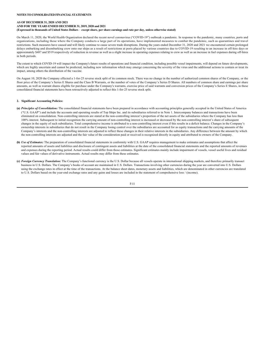On March 11, 2020, the World Health Organization declared the recent novel coronavirus ("COVID-19") outbreak a pandemic. In response to the pandemic, many countries, ports and organizations, including those where the Company conducts a large part of its operations, have implemented measures to combat the pandemic, such as quarantines and travel restrictions. Such measures have caused and will likely continue to cause severe trade disruptions. During the years ended December 31, 2020 and 2021 we encountered certain prolonged delays embarking and disembarking crew onto our ships as a result of restrictions at ports placed by various countries due to COVID-19 resulting to an increase in off-hire days or approximately \$487 and \$519 respectively of reduction in revenue as well as a slight increase in operating expenses relating to crew as well as an increase in fuel expenses during off-hires in both periods.

The extent to which COVID-19 will impact the Company's future results of operations and financial condition, including possible vessel impairments, will depend on future developments, which are highly uncertain and cannot be predicted, including new information which may emerge concerning the severity of the virus and the additional actions to contain or treat its impact, among others the distribution of the vaccine.

On August 10, 2020 the Company effected a 1-for-25 reverse stock split of its common stock. There was no change in the number of authorized common shares of the Company, or the floor price of the Company's Series E Shares and the Class B Warrants, or the number of votes of the Company's Series D Shares. All numbers of common share and earnings per share amounts, as well as warrant shares eligible for purchase under the Company's warrants, exercise price of said warrants and conversion prices of the Company's Series E Shares, in these consolidated financial statements have been retroactively adjusted to reflect this 1-for-25 reverse stock split.

#### **2. Significant Accounting Policies:**

- **(a)** *Principles of Consolidation:* The consolidated financial statements have been prepared in accordance with accounting principles generally accepted in the United States of America ("U.S. GAAP") and include the accounts and operating results of Top Ships Inc. and its subsidiaries referred to in Note 1. Intercompany balances and transactions have been eliminated on consolidation. Non-controlling interests are stated at the non-controlling interest's proportion of the net assets of the subsidiaries where the Company has less than 100% interest. Subsequent to initial recognition the carrying amount of non-controlling interest is increased or decreased by the non-controlling interest's share of subsequent changes in the equity of such subsidiaries. Total comprehensive income is attributed to a non-controlling interest even if this results in a deficit balance. Changes in the Company's ownership interests in subsidiaries that do not result in the Company losing control over the subsidiaries are accounted for as equity transactions and the carrying amounts of the Company's interests and the non-controlling interests are adjusted to reflect these changes in their relative interests in the subsidiaries. Any difference between the amount by which the non-controlling interests are adjusted and the fair value of the consideration paid or received is recognized directly in equity and attributed to owners of the Company.
- **(b)** *Use of Estimates:* The preparation of consolidated financial statements in conformity with U.S. GAAP requires management to make estimates and assumptions that affect the reported amounts of assets and liabilities and disclosure of contingent assets and liabilities at the date of the consolidated financial statements and the reported amounts of revenues and expenses during the reporting period. Actual results could differ from those estimates. Significant estimates mainly include impairment of vessels, vessel useful lives and residual values and fair values of derivative instruments. Actual results may differ from these estimates.
- **(c)** *Foreign Currency Translation:* The Company's functional currency is the U.S. Dollar because all vessels operate in international shipping markets, and therefore primarily transact business in U.S. Dollars. The Company's books of account are maintained in U.S. Dollars. Transactions involving other currencies during the year are converted into U.S. Dollars using the exchange rates in effect at the time of the transactions. At the balance sheet dates, monetary assets and liabilities, which are denominated in other currencies are translated to U.S. Dollars based on the year-end exchange rates and any gains and losses are included in the statement of comprehensive loss / (income).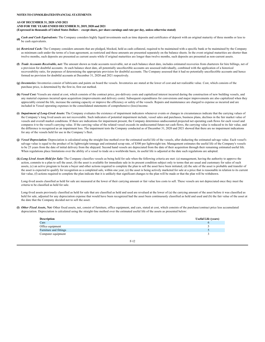#### **AS OF DECEMBER 31, 2020 AND 2021 AND FOR THE YEARS ENDED DECEMBER 31, 2019, 2020 and 2021 (Expressed in thousands of United States Dollars** – **except share, per share earnings and rate per day, unless otherwise stated)**

- **Cash and Cash Equivalents:** The Company considers highly liquid investments such as time deposits and certificates of deposit with an original maturity of three months or less to  $\ddot{a}$ be cash equivalents.
- **(e)** *Restricted Cash:* The Company considers amounts that are pledged, blocked, held as cash collateral, required to be maintained with a specific bank or be maintained by the Company as minimum cash under the terms of a loan agreement, as restricted and these amounts are presented separately on the balance sheets. In the event original maturities are shorter than twelve months, such deposits are presented as current assets while if original maturities are longer than twelve months, such deposits are presented as non-current assets.
- **(f)** *Trade Accounts Receivable, net:* The amount shown as trade accounts receivable, net at each balance sheet date, includes estimated recoveries from charterers for hire billings, net of a provision for doubtful accounts. At each balance sheet date, all potentially uncollectible accounts are assessed individually, combined with the application of a historical recoverability ratio, for purposes of determining the appropriate provision for doubtful accounts. The Company assessed that it had no potentially uncollectible accounts and hence formed no provision for doubtful accounts at December 31, 2020 and 2021 respectively.
- **(g)** *Inventories:* Inventories consist of lubricants and paints on board the vessels. Inventories are stated at the lower of cost and net realizable value. Cost, which consists of the purchase price, is determined by the first in, first out method.
- (h) Vessel Cost: Vessels are stated at cost, which consists of the contract price, pre-delivery costs and capitalized interest incurred during the construction of new building vessels, and any material expenses incurred upon acquisition (improvements and delivery costs). Subsequent expenditures for conversions and major improvements are also capitalized when they appreciably extend the life, increase the earning capacity or improve the efficiency or safety of the vessels. Repairs and maintenance are charged to expense as incurred and are included in Vessel operating expenses in the consolidated statements of comprehensive (loss)/income.
- **(i)** *Impairment of Long-Lived Assets:* The Company evaluates the existence of impairment indicators whenever events or changes in circumstances indicate that the carrying values of the Company's long lived assets are not recoverable. Such indicators of potential impairment include, vessel sales and purchases, business plans, declines in the fair market value of vessels and overall market conditions. If there are indications for impairment present, the Company determines undiscounted projected net operating cash flows for each vessel and compares it to the vessel's carrying value. If the carrying value of the related vessel exceeds its undiscounted future net cash flows, the carrying value is reduced to its fair value, and the difference is recognized as an impairment loss. The impairment tests the Company conducted as of December 31, 2020 and 2021 showed that there are no impairment indications for any of the vessels held for use in the Company's fleet.
- (j) Vessel Depreciation: Depreciation is calculated using the straight-line method over the estimated useful life of the vessels, after deducting the estimated salvage value. Each vessel's salvage value is equal to the product of its lightweight tonnage and estimated scrap rate, of \$300 per lightweight ton. Management estimates the useful life of the Company's vessels to be 25 years from the date of initial delivery from the shipyard. Second hand vessels are depreciated from the date of their acquisition through their remaining estimated useful life. When regulations place limitations over the ability of a vessel to trade on a worldwide basis, its useful life is adjusted at the date such regulations are adopted.
- **(k)** *Long Lived Assets Held for Sale:* The Company classifies vessels as being held for sale when the following criteria are met: (a) management, having the authority to approve the action, commits to a plan to sell the asset, (b) the asset is available for immediate sale in its present condition subject only to terms that are usual and customary for sales of such assets, (c) an active program to locate a buyer and other actions required to complete the plan to sell the asset have been initiated, (d) the sale of the asset is probable and transfer of the asset is expected to qualify for recognition as a completed sale, within one year, (e) the asset is being actively marketed for sale at a price that is reasonable in relation to its current fair value, (f) actions required to complete the plan indicate that it is unlikely that significant changes to the plan will be made or that the plan will be withdrawn.

Long-lived assets classified as held for sale are measured at the lower of their carrying amount or fair value less costs to sell. These vessels are not depreciated once they meet the criteria to be classified as held for sale.

Long-lived assets previously classified as held for sale that are classified as held and used are revalued at the lower of (a) the carrying amount of the asset before it was classified as held for sale, adjusted for any depreciation expense that would have been recognized had the asset been continuously classified as held and used and (b) the fair value of the asset at the date that the Company decided not to sell the asset.

**(l)** *Other Fixed Assets, Net:* Other fixed assets, net, consist of furniture, office equipment, and cars, stated at cost, which consists of the purchase/contract price less accumulated depreciation. Depreciation is calculated using the straight-line method over the estimated useful life of the assets as presented below:

| <b>Description</b>     | Useful Life (years) |
|------------------------|---------------------|
| Cars                   |                     |
| Office equipment       |                     |
| Furniture and fittings |                     |
| Computer equipment     |                     |

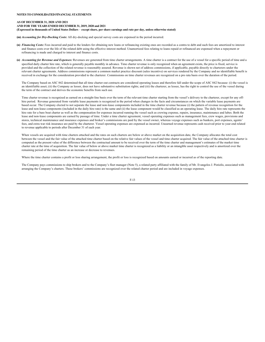#### **AS OF DECEMBER 31, 2020 AND 2021 AND FOR THE YEARS ENDED DECEMBER 31, 2019, 2020 and 2021 (Expressed in thousands of United States Dollars** – **except share, per share earnings and rate per day, unless otherwise stated)**

**(m)** *Accounting for Dry-Docking Costs:* All dry-docking and special survey costs are expensed in the period incurred.

- **(n)** *Financing Costs:* Fees incurred and paid to the lenders for obtaining new loans or refinancing existing ones are recorded as a contra to debt and such fees are amortized to interest and finance costs over the life of the related debt using the effective interest method. Unamortized fees relating to loans repaid or refinanced are expensed when a repayment or refinancing is made and charged to interest and finance costs.
- **(o)** *Accounting for Revenue and Expenses:* Revenues are generated from time charter arrangements. A time charter is a contract for the use of a vessel for a specific period of time and a specified daily charter hire rate, which is generally payable monthly in advance. Time charter revenue is only recognized when an agreement exists, the price is fixed, service is provided and the collection of the related revenue is reasonably assured. Revenue is shown net of address commissions, if applicable, payable directly to charterers under the relevant charter agreements. Address commissions represent a common market practice discount (sales incentive) on services rendered by the Company and no identifiable benefit is received in exchange for the consideration provided to the charterer. Commissions on time charter revenues are recognized on a pro rata basis over the duration of the period.

The Company based on ASC 842 determined that all time charter-out contracts are considered operating leases and therefore fall under the scope of ASC 842 because: (i) the vessel is an identifiable asset; (ii) the Company as lessor, does not have substantive substitution rights; and (iii) the charterer, as lessee, has the right to control the use of the vessel during the term of the contract and derives the economic benefits from such use.

Time charter revenue is recognized as earned on a straight-line basis over the term of the relevant time charter starting from the vessel's delivery to the charterer, except for any offhire period. Revenue generated from variable lease payments is recognized in the period when changes in the facts and circumstances on which the variable lease payments are based occur. The Company elected to not separate the lease and non-lease components included in the time charter revenue because (i) the pattern of revenue recognition for the lease and non-lease components (included in the daily hire rate) is the same and (ii) the lease component would be classified as an operating lease. The daily hire rate represents the hire rate for a bare boat charter as well as the compensation for expenses incurred running the vessel such as crewing expense, repairs, insurance, maintenance and lubes. Both the lease and non-lease components are earned by passage of time. Under a time charter agreement, vessel operating expenses such as management fees, crew wages, provisions and stores, technical maintenance and insurance expenses and broker's commissions are paid by the vessel owner, whereas voyage expenses such as bunkers, port expenses, agents' fees, and extra war risk insurance are paid by the charterer. Vessel operating expenses are expensed as incurred. Unearned revenue represents cash received prior to year-end related to revenue applicable to periods after December 31 of each year.

When vessels are acquired with time charters attached and the rates on such charters are below or above market on the acquisition date, the Company allocates the total cost between the vessel and the fair value of the attached time charter based on the relative fair values of the vessel and time charter acquired. The fair value of the attached time charter is computed as the present value of the difference between the contractual amount to be received over the term of the time charter and management's estimates of the market time charter rate at the time of acquisition. The fair value of below or above market time charter is recognized as a liability or an intangible asset respectively and is amortized over the remaining period of the time charter as an increase or decrease to revenues.

Where the time charter contains a profit or loss sharing arrangement, the profit or loss is recognized based on amounts earned or incurred as of the reporting date.

The Company pays commissions to ship brokers and to the Company's fleet manager (Note 5), a related party affiliated with the family of Mr. Evangelos J. Pistiolis, associated with arranging the Company's charters. These brokers' commissions are recognized over the related charter period and are included in voyage expenses.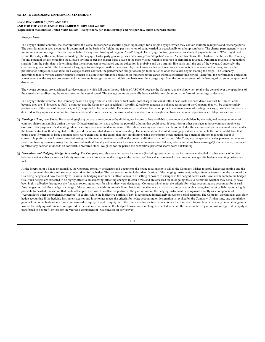### **AS OF DECEMBER 31, 2020 AND 2021 AND FOR THE YEARS ENDED DECEMBER 31, 2019, 2020 and 2021 (Expressed in thousands of United States Dollars** – **except share, per share earnings and rate per day, unless otherwise stated)**

#### *Voyage charters*

In a voyage charter contract, the charterer hires the vessel to transport a specific agreed-upon cargo for a single voyage, which may contain multiple load ports and discharge ports. The consideration in such a contract is determined on the basis of a freight rate per metric ton of cargo carried or occasionally on a lump sum basis. The charter party generally has a minimum amount of cargo. The charterer is liable for any short loading of cargo or "dead" freight. The voyage contract generally has standard payment terms of 95% freight paid within three days after completion of loading. The voyage charter party generally has a "demurrage" or "despatch" clause. As per this clause, the charterer reimburses the Company for any potential delays exceeding the allowed laytime as per the charter party clause at the ports visited, which is recorded as demurrage revenue. Demurrage revenue is recognized starting from the point that is determined that the amount can be estimated and its collection is probable and on a straight line basis until the end of the voyage. Conversely, the charterer is given credit if the loading/discharging activities happen within the allowed laytime known as despatch resulting in a reduction in revenue and is recognized as the performance obligation is satisfied. In a voyage charter contract, the performance obligations begin to be satisfied once the vessel begins loading the cargo. The Company determined that its voyage charter contracts consist of a single performance obligation of transporting the cargo within a specified time period. Therefore, the performance obligation is met evenly as the voyage progresses and the revenue is recognized on a straight- line basis over the voyage days from the commencement of the loading of cargo to completion of discharge.

The voyage contracts are considered service contracts which fall under the provisions of ASC 606 because the Company, as the shipowner, retains the control over the operations of the vessel such as directing the routes taken or the vessel speed. The voyage contracts generally have variable consideration in the form of demurrage or despatch.

In a voyage charter contract, the Company bears all voyage related costs such as fuel costs, port charges and canal tolls. These costs are considered contract fulfillment costs because they are (1) incurred to fulfill a contract that the Company can specifically identify, (2) able to generate or enhance resources of the Company that will be used to satisfy performance of the terms of the contract, and (3) expected to be recoverable. The costs incurred during the period prior to commencement of loading the cargo, primarily bunkers, are deferred as they represent contract fulfillment costs and recorded as a current asset and are amortized on a straight-line basis as the related performance obligations are satisfied.

- **(p)** *Earnings / (Loss) per Share:* Basic earnings/(loss) per share are computed by dividing net income or loss available to common stockholders by the weighted average number of common shares outstanding during the year. Diluted earnings per share reflect the potential dilution that could occur if securities or other contracts to issue common stock were exercised. For purposes of calculating diluted earnings per share the denominator of the diluted earnings per share calculation includes the incremental shares assumed issued under the treasury stock method weighted for the period the non-vested shares were outstanding. The computation of diluted earnings per share also reflects the potential dilution that could occur if warrants to issue common stock were exercised, to the extent that they are dilutive, using the treasury stock method, the potential dilution that could occur if convertible preferred stock were converted, using the if-converted method as well as the potential dilution that could occur if the Company completed all sales pursuant to common stock purchase agreements, using the if-converted method. Finally net income or loss available to common stockholders, when computing basic earnings/(loss) per share, is reduced to reflect any deemed dividends on convertible preferred stock, weighted for the period the convertible preferred shares were outstanding.
- **(q)** *Derivatives and Hedging, Hedge Accounting*: The Company records every derivative instrument (including certain derivative instruments embedded in other contracts) on the balance sheet as either an asset or liability measured at its fair value, with changes in the derivatives' fair value recognized in earnings unless specific hedge accounting criteria are met.

At the inception of a hedge relationship, the Company formally designates and documents the hedge relationship to which the Company wishes to apply hedge accounting and the risk management objective and strategy undertaken for the hedge. The documentation includes identification of the hedging instrument, hedged item or transaction, the nature of the risk being hedged and how the entity will assess the hedging instrument's effectiveness in offsetting exposure to changes in the hedged item's cash flows attributable to the hedged risk. Such hedges are expected to be highly effective in achieving offsetting changes in cash flows and are assessed on an ongoing basis to determine whether they actually have been highly effective throughout the financial reporting periods for which they were designated. Contracts which meet the criteria for hedge accounting are accounted for as cash flow hedges. A cash flow hedge is a hedge of the exposure to variability in cash flows that is attributable to a particular risk associated with a recognized asset or liability, or a highly probable forecasted transaction that could affect profit or loss. The effective portion of the gain or loss on the hedging instrument is recognized directly as a component of "Accumulated other comprehensive income" in equity, while the ineffective portion, if any, is recognized immediately in current period earnings. The Company discontinues cash flow hedge accounting if the hedging instrument expires and it no longer meets the criteria for hedge accounting or designation is revoked by the Company. At that time, any cumulative gain or loss on the hedging instrument recognized in equity is kept in equity until the forecasted transaction occurs. When the forecasted transaction occurs, any cumulative gain or loss on the hedging instrument is recognized in the statement of income. If a hedged transaction is no longer expected to occur, the net cumulative gain or loss recognized in equity is transferred to net profit or loss for the year as a component of "Gain/(Loss) on derivatives".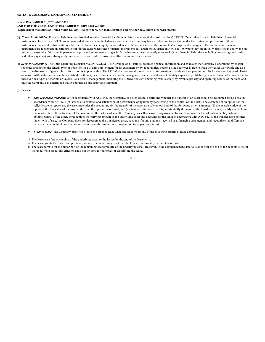### **AS OF DECEMBER 31, 2020 AND 2021 AND FOR THE YEARS ENDED DECEMBER 31, 2019, 2020 and 2021 (Expressed in thousands of United States Dollars** – **except share, per share earnings and rate per day, unless otherwise stated)**

- **(r)** *Financial liabilities:* Financial liabilities are classified as either financial liabilities at 'fair value through the profit and loss' ("FVTPL") or 'other financial liabilities'. Financial instruments classified as FVTPL are recognized at fair value in the balance sheet when the Company has an obligation to perform under the contractual provisions of those instruments. Financial instruments are classified as liabilities or equity in accordance with the substance of the contractual arrangement. Changes in the fair value of financial instruments are recognized in earnings, except in the cases where these financial instruments fall under the guidance in ASC 815-40, where they are initially classified in equity and are initially measured at fair value in permanent equity and subsequent changes in fair value are not subsequently measured. Other financial liabilities (including borrowings and trade and other payables) are subsequently measured at amortized cost using the effective interest rate method.
- **(s)** *Segment Reporting:* The Chief Operating Decision Maker ("CODM"), Mr. Evangelos J. Pistiolis, receives financial information and evaluates the Company's operations by charter revenues and not by the length, type of vessel or type of ship employment for its customers or by geographical region as the charterer is free to trade the vessel worldwide and as a result, the disclosure of geographic information is impracticable. The CODM does not use discrete financial information to evaluate the operating results for each such type of charter or vessel. Although revenue can be identified for these types of charters or vessels, management cannot and does not identify expenses, profitability or other financial information for these various types of charters or vessels. As a result, management, including the CODM, reviews operating results solely by revenue per day and operating results of the fleet, and thus the Company has determined that it operates as one reportable segment.

#### **(t)** *Leases:*

- *Sale-leaseback transactions:* In accordance with ASC 842, the Company, as seller-lessee, determines whether the transfer of an asset should be accounted for as a sale in accordance with ASC 606 (existence of a contract and satisfaction of performance obligation by transferring of the control of the asset). The existence of an option for the seller-lessee to repurchase the asset precludes the accounting for the transfer of the asset as a sale unless both of the following criteria are met: (1) the exercise price of the option is the fair value of the asset at the time the option is exercised; and (2) there are alternative assets, substantially the same as the transferred asset, readily available in the marketplace. If the transfer of the asset meets the criteria of sale, the Company, as seller-lessee recognizes the transaction price for the sale when the buyer-lessor obtains control of the asset, derecognizes the carrying amount of the underlying asset and accounts for the lease in accordance with ASC 842. If the transfer does not meet the criteria of sale, the Company does not derecognize the transferred asset, accounts for any amounts received as a financing arrangement and recognizes the difference between the amount of consideration received and the amount of consideration to be paid as interest.
- *Finance lease:* The Company classifies a lease as a finance lease when the lease meets any of the following criteria at lease commencement:
- i. The lease transfers ownership of the underlying asset to the lessee by the end of the lease term.
- ii. The lease grants the lessee an option to purchase the underlying asset that the lessee is reasonably certain to exercise.
- iii. The lease term is for the major part of the remaining economic life of the underlying asset. However, if the commencement date falls at or near the end of the economic life of the underlying asset, this criterion shall not be used for purposes of classifying the lease.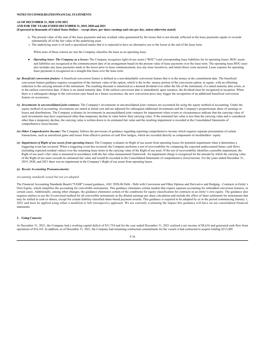### **AS OF DECEMBER 31, 2020 AND 2021 AND FOR THE YEARS ENDED DECEMBER 31, 2019, 2020 and 2021 (Expressed in thousands of United States Dollars** – **except share, per share earnings and rate per day, unless otherwise stated)**

- iv. The present value of the sum of the lease payments and any residual value guaranteed by the lessee that is not already reflected in the lease payments equals or exceeds substantially all of the fair value of the underlying asset.
- v. The underlying asset is of such a specialized nature that it is expected to have no alternative use to the lessor at the end of the lease term.

When none of these criteria are met the Company classifies the lease as an operating lease.

- *Operating lease- The Company as a lessee***:** The Company recognizes right-of-use assets ("ROU") and corresponding lease liabilities for its operating leases. ROU assets and liabilities are recognized at the commencement date of an arrangement based on the present value of lease payments over the lease term. The operating lease ROU asset also includes any lease payments made to the lessor prior to lease commencement, less any lease incentives, and initial direct costs incurred. Lease expense for operating lease payments is recognized on a straight-line basis over the lease term.
- *(u) Beneficial conversion feature:* A beneficial conversion feature is defined as a non-detachable conversion feature that is in the money at the commitment date. The beneficial conversion feature guidance requires recognition of the intrinsic value of the option, which is the in-the- money portion of the conversion option, in equity, with an offsetting reduction to the carrying amount of the instrument. The resulting discount is amortized as a deemed dividend over either the life of the instrument, if a stated maturity date exists, or to the earliest conversion date, if there is no stated maturity date. If the earliest conversion date is immediately upon issuance, the dividend must be recognized at inception. When there is a subsequent change to the conversion ratio based on a future occurrence, the new conversion price may trigger the recognition of an additional beneficial conversion feature on occurrence.
- *(v) Investments in unconsolidated joint ventures:* The Company's investments in unconsolidated joint ventures are accounted for using the equity method of accounting. Under the equity method of accounting, investments are stated at initial cost and are adjusted for subsequent additional investments and the Company's proportionate share of earnings or losses and distributions. The Company evaluates its investments in unconsolidated joint ventures for impairment when events or circumstances indicate that the carrying value of such investments may have experienced other than temporary decline in value below their carrying value. If the estimated fair value is less than the carrying value and is considered other than a temporary decline, the carrying value is written down to its estimated fair value and the resulting impairment is recorded in the Consolidated Statements of comprehensive (loss)/income.
- *(w) Other Comprehensive Income:* The Company follows the provisions of guidance regarding reporting comprehensive income which requires separate presentation of certain transactions, such as unrealized gains and losses from effective portion of cash flow hedges, which are recorded directly as components of stockholders' equity
- *(x) Impairment of Right of use assets from operating leases:* The Company evaluates its Right of use assets from operating leases for potential impairment when it determines a triggering event has occurred. When a triggering event has occurred, the Company performs a test of recoverability by comparing the expected undiscounted future cash flows (including expected residual values) over the remaining lease terms to the carrying value of the Right of use asset. If the test of recoverability identifies a possible impairment, the Right of use asset's fair value is measured in accordance with the fair value measurement framework. An impairment charge is recognized for the amount by which the carrying value of the Right of use asset exceeds its estimated fair value and would be recorded in the Consolidated Statements of comprehensive (loss)/income. For the years ended December 31, 2019, 2020, and 2021 there was no impairment in the Company's Right of use assets from operating leases.

### *(y) Recent Accounting Pronouncements:*

#### *Accounting standards issued but not yet adopted*

The Financial Accounting Standards Board ("FASB") issued guidance, ASU 2020-06 Debt - Debt with Conversion and Other Options and Derivative and Hedging - Contracts in Entity's Own Equity, which simplifies the accounting for convertible instruments. This guidance eliminates certain models that require separate accounting for embedded conversion features, in certain cases. Additionally, among other changes, the guidance eliminates certain of the conditions for equity classification for contracts in an entity's own equity. The guidance also requires entities to use the if-converted method for all convertible instruments in the diluted earnings per share calculation and include the effect of share settlement for instruments that may be settled in cash or shares, except for certain liability-classified share-based payment awards. This guidance is required to be adopted by us in the period commencing January 1, 2022 and must be applied using either a modified or full retrospective approach. We are currently evaluating the impact this guidance will have on our consolidated financial statements.

# **3. Going Concern:**

At December 31, 2021, the Company had a working capital deficit of \$31,754 and for the year ended December 31, 2021 realized a net income of \$8,616 and generated cash flow from operations of \$16,165. In addition, as of December 31, 2021, the Company had remaining contractual commitments for the vessels it had contracted to acquire totaling \$213,405.

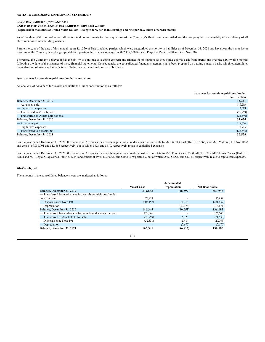As of the date of this annual report all contractual commitments for the acquisition of the Company's fleet have been settled and the company has successfully taken delivery of all abovementioned newbuilding vessels.

Furthermore, as of the date of this annual report \$24,370 of Due to related parties, which were categorized as short term liabilities as of December 31, 2021 and have been the major factor resulting in the Company's working capital deficit position, have been exchanged with 2,437,000 Series F Perpetual Preferred Shares (see Note 20).

Therefore, the Company believes it has the ability to continue as a going concern and finance its obligations as they come due via cash from operations over the next twelve months following the date of the issuance of these financial statements. Consequently, the consolidated financial statements have been prepared on a going concern basis, which contemplates the realization of assets and satisfaction of liabilities in the normal course of business.

### **4(a)Advances for vessels acquisitions / under construction:**

An analysis of Advances for vessels acquisitions / under construction is as follows:

|                                       | Advances for vessels acquisitions / under<br>construction |
|---------------------------------------|-----------------------------------------------------------|
| <b>Balance, December 31, 2019</b>     | 12,241                                                    |
| — Advances paid                       | 117,203                                                   |
| — Capitalized expenses                | 3,509                                                     |
| - Transferred to Vessels, net         | (76,959)                                                  |
| - Transferred to Assets held for sale | (24,340)                                                  |
| <b>Balance, December 31, 2020</b>     | 31,654                                                    |
| — Advances paid                       | 119,656                                                   |
| — Capitalized expenses                | 5,915                                                     |
| - Transferred to Vessels, net         | (126, 646)                                                |
| Balance, December 31, 2021            | 30,579                                                    |

For the year ended December 31, 2020, the balance of Advances for vessels acquisitions / under construction relate to M/T West Coast (Hull No S865) and M/T Malibu (Hull No S866) and consist of \$18,991 and \$12,663 respectively, out of which \$624 and \$419, respectively relate to capitalized expenses.

For the year ended December 31, 2021, the balance of Advances for vessels acquisitions / under construction relate to M/T Eco Oceano Ca (Hull No. 871), M/T Julius Caesar (Hull No. 3213) and M/T Legio X Equestris (Hull No. 3214) and consist of \$9,914, \$10,422 and \$10,243 respectively, out of which \$892, \$1,522 and \$1,343, respectively relate to capitalized expenses.

# **4(b)Vessels, net:**

The amounts in the consolidated balance sheets are analyzed as follows:

|                                                              | Accumulated        |                     |                       |
|--------------------------------------------------------------|--------------------|---------------------|-----------------------|
|                                                              | <b>Vessel Cost</b> | <b>Depreciation</b> | <b>Net Book Value</b> |
| <b>Balance, December 31, 2019</b>                            | 372,543            | (18, 597)           | 353,946               |
| — Transferred from advances for vessels acquisitions / under |                    |                     |                       |
| construction                                                 | 76.959             |                     | 76,959                |
| — Disposals (see Note 19)                                    | (303, 157)         | 21,718              | (281, 439)            |
| — Depreciation                                               |                    | (13, 174)           | (13, 174)             |
| Balance, December 31, 2020                                   | 146,345            | (10, 053)           | 136,292               |
| — Transferred from advances for vessels under construction   | 126,646            |                     | 126,646               |
| — Transferred to Assets held for sale                        | (76,959)           | 5,323               | (71, 636)             |
| — Disposals (see Note 19)                                    | (32, 531)          | 5,484               | (27,047)              |
| — Depreciation                                               |                    | (7,670)             | (7,670)               |
| Balance, December 31, 2021                                   | 163,501            | (6,916)             | 156,585               |
|                                                              |                    |                     |                       |
|                                                              | $F-17$             |                     |                       |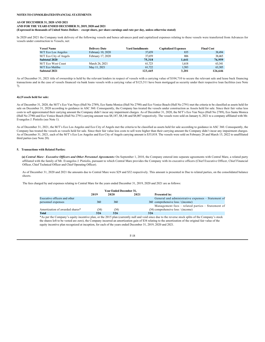### **AS OF DECEMBER 31, 2020 AND 2021 AND FOR THE YEARS ENDED DECEMBER 31, 2019, 2020 and 2021 (Expressed in thousands of United States Dollars** – **except share, per share earnings and rate per day, unless otherwise stated)**

In 2020 and 2021 the Company took delivery of the following vessels and hence advances paid and capitalized expenses relating to these vessels were transferred from Advances for vessels under construction to Vessels, net:

| <b>Vessel Name</b>     | <b>Delivery Date</b> | <b>Yard Installments</b> | <b>Capitalized Expenses</b> | <b>Final Cost</b> |
|------------------------|----------------------|--------------------------|-----------------------------|-------------------|
| M/T Eco Los Angeles    | February 10, 2020    | 37,659                   | 835                         | 38,494            |
| M/T Eco City of Angels | February 17, 2020    | 37,659                   | 806                         | 38,465            |
| <b>Subtotal 2020</b>   |                      | 75,318                   | 1.641                       | 76,959            |
| M/T Eco West Coast     | March 26, 2021       | 61.723                   | 1.618                       | 63.341            |
| M/T Eco Malibu         | May 11, 2021         | 61,722                   | 1.583                       | 63,305            |
| Subtotal 2021          |                      | 123,445                  | 3.201                       | 126,646           |

As of December 31, 2021 title of ownership is held by the relevant lenders in respect of vessels with a carrying value of \$104,710 to secure the relevant sale and lease back financing transactions and in the case of vessels financed via bank loans vessels with a carrying value of \$123,511 have been mortgaged as security under their respective loan facilities (see Note 7).

### **4(c)Vessels held for sale:**

As of December 31, 2020, the M/T's Eco Van Nuys (Hull No 2789), Eco Santa Monica (Hull No 2790) and Eco Venice Beach (Hull No 2791) met the criteria to be classified as assets held for sale on December 31, 2020 according to guidance in ASC 360. Consequently, the Company has treated the vessels under construction as Assets held for sale. Since their fair value less costs to sell approximated their carrying amount the Company didn't incur any impairment charges. As of December 31, 2020, the M/T's Eco Van Nuys (Hull No 2789), Eco Santa Monica (Hull No 2790) and Eco Venice Beach (Hull No 2791) carrying amount was \$8,187, \$8,146 and \$8,007 respectively. The vessels were sold on January 6, 2021 to a company affiliated with Mr. Evangelos J. Pistiolis (see Note 1).

As of December 31, 2021, the M/T's Eco Los Angeles and Eco City of Angels met the criteria to be classified as assets held for sale according to guidance in ASC 360. Consequently, the Company has treated the vessels as vessels held for sale. Since their fair value less costs to sell were higher than their carrying amount the Company didn't incur any impairment charges. As of December 31, 2021, each of the M/T's Eco Los Angeles and Eco City of Angels carrying amount is \$35,818. The vessels were sold on February 28 and March 15, 2022 to unaffiliated third parties (see Note 20).

### **5. Transactions with Related Parties:**

 **(a)** *Central Mare*– *Executive Officers and Other Personnel Agreements:* On September 1, 2010, the Company entered into separate agreements with Central Mare, a related party affiliated with the family of Mr. Evangelos J. Pistiolis, pursuant to which Central Mare provides the Company with its executive officers (Chief Executive Officer, Chief Financial Officer, Chief Technical Officer and Chief Operating Officer).

As of December 31, 2020 and 2021 the amounts due to Central Mare were \$29 and \$32 respectively. This amount is presented in Due to related parties, on the consolidated balance sheets.

The fees charged by and expenses relating to Central Mare for the years ended December 31, 2019, 2020 and 2021 are as follows:

|                                 | <b>Year Ended December 31,</b> |      |      |                                                    |
|---------------------------------|--------------------------------|------|------|----------------------------------------------------|
|                                 | 2019                           | 2020 | 2021 | <b>Presented in:</b>                               |
| Executive officers and other    |                                |      |      | General and administrative expenses – Statement of |
| personnel expenses              | 360                            | 360  |      | 360 comprehensive loss / (income)                  |
|                                 |                                |      |      | Management fees – related parties – Statement of   |
| Amortization of awarded shares* | (34)                           | (34) |      | $(34)$ comprehensive loss / (income)               |
| Total                           | 326                            | 326  |      | 326                                                |

\*As per the Company's equity incentive plan, or the 2015 plan (currently null and void since due to the reverse stock splits of the Company's stock the shares left to be vested are zero), the Company incurred an amortization gain of \$34 relating to the amortization of the original fair value of the equity incentive plan recognized at inception, for each of the years ended December 31, 2019, 2020 and 2021.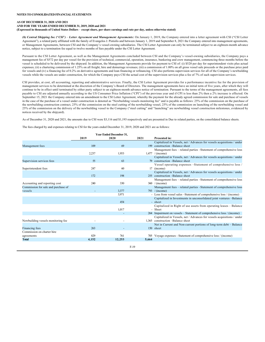*(b) Central Shipping Inc (*"*CSI*"*)* – *Letter Agreement and Management Agreements:* On January 1, 2019, the Company entered into a letter agreement with CSI ("CSI Letter Agreement"), a related party affiliated with the family of Evangelos J. Pistiolis and between January 1, 2019 and September 8, 2021 the Company entered into management agreements, or Management Agreements, between CSI and the Company's vessel-owning subsidiaries. The CSI Letter Agreement can only be terminated subject to an eighteen-month advance notice, subject to a termination fee equal to twelve months of fees payable under the CSI Letter Agreement.

Pursuant to the CSI Letter Agreement, as well as the Management Agreements concluded between CSI and the Company's vessel-owning subsidiaries, the Company pays a management fee of \$572 per day per vessel for the provision of technical, commercial, operation, insurance, bunkering and crew management, commencing three months before the vessel is scheduled to be delivered by the shipyard. In addition, the Management Agreements provide for payment to CSI of: (i) \$520 per day for superintendent visits plus actual expenses; (ii) a chartering commission of 1.25% on all freight, hire and demurrage revenues; (iii) a commission of 1.00% on all gross vessel sale proceeds or the purchase price paid for vessels and (iv) a financing fee of 0.2% on derivative agreements and loan financing or refinancing. CSI also performs supervision services for all of the Company's newbuilding vessels while the vessels are under construction, for which the Company pays CSI the actual cost of the supervision services plus a fee of 7% of such supervision services.

CSI provides, at cost, all accounting, reporting and administrative services. Finally, the CSI Letter Agreement provides for a performance incentive fee for the provision of management services to be determined at the discretion of the Company's Board of Directors. The management agreements have an initial term of five years, after which they will continue to be in effect until terminated by either party subject to an eighteen-month advance notice of termination. Pursuant to the terms of the management agreements, all fees payable to CSI are adjusted annually according to the US Consumer Price Inflation ("CPI") of the previous year and if CPI is less than 2% then a 2% increase is effected. On September 15, 2021 the Company entered into an amendment to the CSI Letter Agreement, whereby the payment for the already agreed commission for sale and purchase of vessels in the case of the purchase of a vessel under construction is denoted as "Newbuilding vessels monitoring fee" and is payable as follows: 25% of the commission on the purchase of the newbuilding construction contract, 25% of the commission on the steel cutting of the newbuilding vessel, 25% of the commission on launching of the newbuilding vessel and 25% of the commission on the delivery of the newbuilding vessel to the Company ("steel cutting" and "launching" are newbuilding vessel construction milestones, evidenced by notices received by the shipyard).

As of December 31, 2020 and 2021, the amounts due to CSI were \$3,116 and \$1,193 respectively and are presented in Due to related parties, on the consolidated balance sheets.

The fees charged by and expenses relating to CSI for the years ended December 31, 2019, 2020 and 2021 are as follows:

|                                              | <b>Year Ended December 31,</b> |        |       |                                                                         |
|----------------------------------------------|--------------------------------|--------|-------|-------------------------------------------------------------------------|
|                                              | 2019                           | 2020   | 2021  | <b>Presented in:</b>                                                    |
|                                              |                                |        |       | Capitalized in Vessels, net / Advances for vessels acquisitions / under |
| Management fees                              | 109                            | 69     |       | 199 construction – Balance sheet                                        |
|                                              |                                |        |       | Management fees - related parties -Statement of comprehensive loss      |
|                                              | 2,237                          | 1,953  |       | $1,477$ / (income)                                                      |
|                                              |                                |        |       | Capitalized in Vessels, net / Advances for vessels acquisitions / under |
| Supervision services fees                    | 55                             | 63     |       | 79 construction – Balance sheet                                         |
|                                              |                                |        |       | Vessel operating expenses - Statement of comprehensive loss /           |
| Superintendent fees                          | 247                            | 60     |       | 17 (income)                                                             |
|                                              |                                |        |       | Capitalized in Vessels, net / Advances for vessels acquisitions / under |
|                                              | 172                            | 198    |       | 255 construction –Balance sheet                                         |
|                                              |                                |        |       | Management fees – related parties –Statement of comprehensive loss      |
| Accounting and reporting cost                | 240                            | 330    |       | $360$ /(income)                                                         |
| Commission for sale and purchase of          |                                |        |       | Management fees – related parties –Statement of comprehensive loss      |
| vessels                                      |                                | 3,377  |       | 793 / (income)                                                          |
|                                              |                                | 3.971  |       | - Loss from vessel sales -Statement of comprehensive loss / (income)    |
|                                              |                                |        |       | Capitalized in Investments in unconsolidated joint ventures -Balance    |
|                                              |                                | 454    |       | - sheet                                                                 |
|                                              |                                |        |       | Capitalized in Right of use assets from operating leases – Balance      |
|                                              |                                | 1,017  |       | - Sheet                                                                 |
|                                              |                                |        |       | 264 Impairment on vessels – Statement of comprehensive loss / (income)  |
|                                              |                                |        |       | Capitalized in Vessels, net / Advances for vessels acquisitions / under |
| Newbuilding vessels monitoring fee           |                                |        |       | 1.365 construction -Balance sheet                                       |
|                                              |                                |        |       | Net in Current and Non-current portions of long-term debt – Balance     |
| Financing fees<br>Commission on charter hire | 263                            |        |       | 150 sheet                                                               |
|                                              | 829                            | 761    |       |                                                                         |
| agreements<br><b>Total</b>                   |                                | 12,253 | 5,664 | 705 Voyage expenses - Statement of comprehensive loss / (income)        |
|                                              | 4,152                          |        |       |                                                                         |
|                                              |                                |        |       |                                                                         |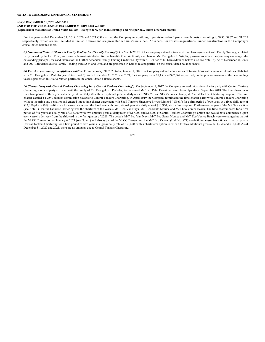For the years ended December 31, 2019, 2020 and 2021 CSI charged the Company newbuilding supervision related pass-through costs amounting to \$985, \$967 and \$1,207 respectively, which are not included in the table above and are presented within Vessels, net / Advances for vessels acquisitions / under construction in the Company's consolidated balance sheet.

*(c) Issuance of Series E Shares to Family Trading Inc (*"*Family Trading*"*):* On March 29, 2019 the Company entered into a stock purchase agreement with Family Trading, a related party owned by the Lax Trust, an irrevocable trust established for the benefit of certain family members of Mr. Evangelos J. Pistiolis, pursuant to which the Company exchanged the outstanding principal, fees and interest of the Further Amended Family Trading Credit Facility with 27,129 Series E Shares (defined below, also see Note 16). As of December 31, 2020 and 2021, dividends due to Family Trading were \$864 and \$968 and are presented in Due to related parties, on the consolidated balance sheets.

*(d) Vessel Acquisitions from affiliated entities:* From February 20, 2020 to September 8, 2021 the Company entered into a series of transactions with a number of entities affiliated with Mr. Evangelos J. Pistiolis (see Notes 1 and 5). As of December 31, 2020 and 2021, the Company owes \$1,150 and \$27,562 respectively to the previous owners of the newbuilding vessels presented in Due to related parties in the consolidated balance sheets.

*(e) Charter Party with Central Tankers Chartering Inc (*"*Central Tankers Chartering*"*):* On September 1, 2017 the Company entered into a time charter party with Central Tankers Chartering, a related party affiliated with the family of Mr. Evangelos J. Pistiolis, for the vessel M/T Eco Palm Desert delivered from Hyundai in September 2018. The time charter was for a firm period of three years at a daily rate of \$14,750 with two optional years at daily rates of \$15,250 and \$15,750 respectively, at Central Tankers Chartering's option. The time charter carried a 1.25% address commission payable to Central Tankers Chartering. In April 2019 the Company terminated the time charter party with Central Tankers Chartering without incurring any penalties and entered into a time charter agreement with Shell Tankers Singapore Private Limited ("Shell") for a firm period of two years at a fixed daily rate of \$13,300 plus a 50% profit share for earned rates over the fixed rate with one optional year at a daily rate of \$13,950, at charterers option. Furthermore, as part of the MR Transaction (see Note 1) Central Tankers Chartering was the charterer of the vessels M/T Eco Van Nuys, M/T Eco Santa Monica and M/T Eco Venice Beach. The time charters were for a firm period of five years at a daily rate of \$16,200 with two optional years at daily rates of \$17,200 and \$18,200 at Central Tankers Chartering's option and would have commenced upon each vessel's delivery from the shipyard in the first quarter of 2021. The vessels M/T Eco Van Nuys, M/T Eco Santa Monica and M/T Eco Venice Beach were exchanged as part of the VLCC Transaction on January 6, 2021 (see Note 1) and also as part of the VLCC Transaction, the M/T Eco Oceano (Hull No. 871) newbuilding vessel has a time charter party with Central Tankers Chartering for a firm period of five years at a gross daily rate of \$32,450, with a charterer's option to extend for two additional years at \$33,950 and \$35,450. As of December 31, 2020 and 2021, there are no amounts due to Central Tankers Chartering.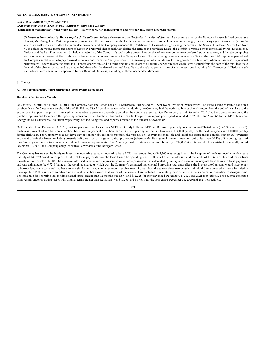(f) Personal Guarantees by Mr. Evangelos J. Pistiolis and Related Amendments to the Series D Preferred Shares: As a prerequisite for the Navigare Lease (defined below, see Note 6), Mr. Evangelos J. Pistiolis personally guaranteed the performance of the bareboat charters connected to the lease and in exchange, the Company agreed to indemnify him for any losses suffered as a result of the guarantee provided, and the Company amended the Certificate of Designations governing the terms of the Series D Preferred Shares (see Note 7), to adjust the voting rights per share of Series D Preferred Shares such that during the term of the Navigare Lease, the combined voting power controlled by Mr. Evangelos J. Pistiolis and the Lax Trust does not fall below a majority of the Company's total voting power, irrespective of any new common or preferred stock issuances, and thereby complying with a relevant covenant of the bareboat charters entered in connection with the Navigare Lease. This personal guarantee comes into effect in the case 120 days have passed and the Company is still unable to pay down all amounts due under the Navigare lease, with the exception of amounts due to Navigare due to a total loss, where in this case the personal guarantee will cover an amount equal to all unpaid charter hire and a further amount equivalent to all future charter hire that would have accrued from the date of the total loss up to the end of the charter period and is callable 200 days after the date of the total loss. Due to the related party nature of the transactions involving Mr. Evangelos J. Pistiolis, such transactions were unanimously approved by our Board of Directors, including all three independent directors.

**6. Leases**

#### **A. Lease arrangements, under which the Company acts as the lessee**

#### **Bareboat Chartered-in Vessels:**

On January 29, 2015 and March 31, 2015, the Company sold and leased back M/T Stenaweco Energy and M/T Stenaweco Evolution respectively. The vessels were chartered back on a bareboat basis for 7 years at a bareboat hire of \$8,586 and \$8,625 per day respectively. In addition, the Company had the option to buy back each vessel from the end of year 3 up to the end of year 7 at purchase prices stipulated in the bareboat agreement depending on when the option is exercised. On December, 18 and December 20, 2019, the Company exercised the purchase options and terminated the operating leases on its two bareboat chartered in vessels. The purchase option prices paid amounted to \$23,871 and \$24,063 for the M/T Stenaweco Energy the M/T Stenaweco Evolution respectively, not including fees and expenses related to the transfer of ownership.

On December 1 and December 10, 2020, the Company sold and leased back M/T Eco Beverly Hills and M/T Eco Bel Air respectively to a third non-affiliated party (the "Navigare Lease"). Each vessel was chartered back on a bareboat basis for five years at a bareboat hire of \$16,750 per day for the first two years, \$14,000 per day for the next two years and \$10,000 per day for the fifth year. The Company does not have any option nor obligation to buy back the vessels. The abovementioned sale and leaseback transactions contain, customary covenants and event of default clauses, including cross-default provisions, change of control provisions (whereby Mr. Evangelos J. Pistiolis may not control less than 50.1% of the voting rights of the Company) and restrictive covenants and performance requirements. The Company must maintain a minimum liquidity of \$4,000 at all times which is certified bi-annually. As of December 31, 2021, the Company complied with all covenants of the Navigare Lease.

The Company has treated the Navigare lease as an operating lease. An operating lease ROU asset amounting to \$45,765 was recognized at the inception of the lease together with a lease liability of \$43,759 based on the present value of lease payments over the lease term. The operating lease ROU asset also includes initial direct costs of \$1,666 and deferred losses from the sale of the vessels of \$340. The discount rate used to calculate the present value of lease payments was calculated by taking into account the original lease term and lease payments and was estimated to be 6.72% (same as the weighted average), which was the Company's estimated incremental borrowing rate, that reflects the interest the Company would have to pay to borrow funds on a collateralized basis over a similar term and similar economic environment. Losses from the sale of these two vessels and initial direct costs which were included in the respective ROU assets are amortized on a straight-line basis over the duration of the lease and are included in operating lease expense in the statement of consolidated (loss)/income. The cash paid for operating leases with original terms greater than 12 months was \$877 and \$12,228 for the year ended December 31, 2020 and 2021 respectively. The revenue generated from vessels under operating leases with original terms greater than 12 months was \$17,288 and \$ 17,887 for the year ended December 31, 2020 and 2021 respectively.

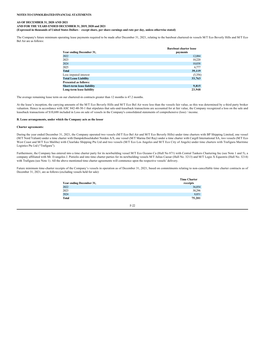# **AS OF DECEMBER 31, 2020 AND 2021 AND FOR THE YEARS ENDED DECEMBER 31, 2019, 2020 and 2021 (Expressed in thousands of United States Dollars** – **except share, per share earnings and rate per day, unless otherwise stated)**

The Company's future minimum operating lease payments required to be made after December 31, 2021, relating to the bareboat chartered-in vessels M/T Eco Beverly Hills and M/T Eco Bel Air are as follows:

|                              | <b>Bareboat charter lease</b> |
|------------------------------|-------------------------------|
| Year ending December 31,     | payments                      |
| 2022                         | 12,084                        |
| 2023                         | 10,220                        |
| 2024                         | 10,038                        |
| 2025                         | 6,777                         |
| <b>Total</b>                 | 39,119                        |
| Less imputed interest        | (5,356)                       |
| <b>Total Lease Liability</b> | 33,763                        |
| <b>Presented as follows:</b> |                               |
| Short-term lease liability   | 9,815                         |
| Long-term lease liability    | 23,948                        |

The average remaining lease term on our chartered-in contracts greater than 12 months is 47.2 months.

At the lease's inception, the carrying amounts of the M/T Eco Beverly Hills and M/T Eco Bel Air were less than the vessels fair value, as this was determined by a third party broker valuation. Hence in accordance with ASC 842-40-30-1 that stipulates that sale-and-leaseback transactions are accounted for at fair value, the Company recognized a loss on the sale and leaseback transactions of \$10,688 included in Loss on sale of vessels in the Company's consolidated statements of comprehensive (loss) / income.

### **B. Lease arrangements, under which the Company acts as the lessor**

#### **Charter agreements:**

During the year ended December 31, 2021, the Company operated two vessels (M/T Eco Bel Air and M/T Eco Beverly Hills) under time charters with BP Shipping Limited, one vessel (M/T Nord Valiant) under a time charter with Dampskibsselskabet Norden A/S, one vessel (M/T Marina Del Ray) under a time charter with Cargill International SA, two vessels (M/T Eco West Coast and M/T Eco Malibu) with Clearlake Shipping Pte Ltd and two vessels (M/T Eco Los Angeles and M/T Eco City of Angels) under time charters with Trafigura Maritime Logistics Pte Ltd ("Trafigura").

Furthermore, the Company has entered into a time charter party for its newbuilding vessel M/T Eco Oceano Ca (Hull No 871) with Central Tankers Chartering Inc (see Note 1 and 5), a company affiliated with Mr. Evangelos J. Pistiolis and into time charter parties for its newbuilding vessels M/T Julius Caesar (Hull No. 3213) and M/T Legio X Equestris (Hull No. 3214) with Trafigura (see Note 1). All the above mentioned time charter agreements will commence upon the respective vessels' delivery.

Future minimum time-charter receipts of the Company's vessels in operation as of December 31, 2021, based on commitments relating to non-cancellable time charter contracts as of December 31, 2021, are as follows (excluding vessels held for sale):

|                          | <b>Time Charter</b> |
|--------------------------|---------------------|
| Year ending December 31, | receipts            |
| 2022                     | 36,054              |
| 2023                     | 30,296              |
| 2024                     | 8,851               |
| <b>Total</b>             | 75,201              |
|                          |                     |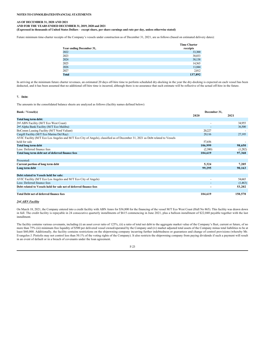# **AS OF DECEMBER 31, 2020 AND 2021 AND FOR THE YEARS ENDED DECEMBER 31, 2019, 2020 and 2021 (Expressed in thousands of United States Dollars** – **except share, per share earnings and rate per day, unless otherwise stated)**

Future minimum time-charter receipts of the Company's vessels under construction as of December 31, 2021, are as follows (based on estimated delivery dates):

|                          | <b>Time Charter</b> |
|--------------------------|---------------------|
| Year ending December 31, | receipts            |
| 2022                     | 33,300              |
| 2023                     | 38,033              |
| 2024                     | 38,138              |
| 2025                     | 14,565              |
| 2026                     | 11,844              |
| 2027                     | 2,012               |
| <b>Total</b>             | 137,892             |

In arriving at the minimum future charter revenues, an estimated 20 days off-hire time to perform scheduled dry-docking in the year the dry-docking is expected on each vessel has been deducted, and it has been assumed that no additional off-hire time is incurred, although there is no assurance that such estimate will be reflective of the actual off-hire in the future.

# **7. Debt:**

The amounts in the consolidated balance sheets are analyzed as follows (facility names defined below):

| <b>Bank / Vessel(s)</b>                                                                                                       | December 31,             |         |  |
|-------------------------------------------------------------------------------------------------------------------------------|--------------------------|---------|--|
|                                                                                                                               | 2020                     | 2021    |  |
| Total long term debt:                                                                                                         |                          |         |  |
| 2nd ABN Facility (M/T Eco West Coast)                                                                                         | $\overline{a}$           | 34,955  |  |
| 2nd Alpha Bank Facility (M/T Eco Malibu)                                                                                      |                          | 36,500  |  |
| BoComm Leasing Facility (M/T Nord Valiant)                                                                                    | 20,227                   |         |  |
| Cargill Facility (M/T Eco Marina Del Ray)                                                                                     | 29,116                   | 27,195  |  |
| AVIC Facility (M/T Eco Los Angeles and M/T Eco City of Angels), classified as of December 31, 2021 as Debt related to Vessels |                          |         |  |
| held for sale                                                                                                                 | 57,656                   |         |  |
| <b>Total long term debt</b>                                                                                                   | 106,999                  | 98.650  |  |
| Less: Deferred finance fees                                                                                                   | (2,380)                  | (1,282) |  |
| Total long term debt net of deferred finance fees                                                                             | 104,619                  | 97,368  |  |
|                                                                                                                               |                          |         |  |
| Presented:                                                                                                                    |                          |         |  |
| <b>Current portion of long term debt</b>                                                                                      | 5,324                    | 7,205   |  |
| Long term debt                                                                                                                | 99,295                   | 90,163  |  |
|                                                                                                                               |                          |         |  |
| Debt related to Vessels held for sale:                                                                                        |                          |         |  |
| AVIC Facility (M/T Eco Los Angeles and M/T Eco City of Angels)                                                                | $\overline{\phantom{0}}$ | 54,665  |  |
| Less: Deferred finance fees                                                                                                   |                          | (1,463) |  |
| Debt related to Vessels held for sale net of deferred finance fees                                                            | ٠                        | 53,202  |  |
|                                                                                                                               |                          |         |  |
| <b>Total Debt net of deferred finance fees</b>                                                                                | 104,619                  | 150,570 |  |

# *2nd ABN Facility*

On March 18, 2021, the Company entered into a credit facility with ABN Amro for \$36,800 for the financing of the vessel M/T Eco West Coast (Hull No 865). This facility was drawn down in full. The credit facility is repayable in 24 consecutive quarterly installments of \$615 commencing in June 2021, plus a balloon installment of \$22,040 payable together with the last installment.

The facility contains various covenants, including (i) an asset cover ratio of 125%, (ii) a ratio of total net debt to the aggregate market value of the Company's fleet, current or future, of no more than 75% (iii) minimum free liquidity of \$500 per delivered vessel owned/operated by the Company and (iv) market adjusted total assets of the Company minus total liabilities to be at least \$60,000. Additionally, the facility contains restrictions on the shipowning company incurring further indebtedness or guarantees and change of control provisions (whereby Mr. Evangelos J. Pistiolis may not control less than 50.1% of the voting rights of the Company). It also restricts the shipowning company from paying dividends if such a payment will result in an event of default or in a breach of covenants under the loan agreement.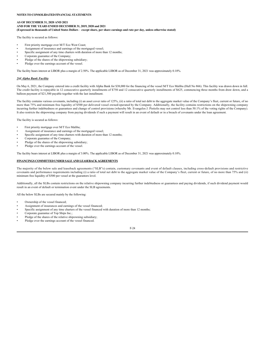# **AS OF DECEMBER 31, 2020 AND 2021 AND FOR THE YEARS ENDED DECEMBER 31, 2019, 2020 and 2021 (Expressed in thousands of United States Dollars** – **except share, per share earnings and rate per day, unless otherwise stated)**

The facility is secured as follows:

- First priority mortgage over M/T Eco West Coast;
- Assignment of insurance and earnings of the mortgaged vessel;
- Specific assignment of any time charters with duration of more than 12 months;
- Corporate guarantee of the Company;
- Pledge of the shares of the shipowning subsidiary;
- Pledge over the earnings account of the vessel.

The facility bears interest at LIBOR plus a margin of 2.50%. The applicable LIBOR as of December 31, 2021 was approximately 0.10%.

### *2nd Alpha Bank Facility*

On May 6, 2021, the Company entered into a credit facility with Alpha Bank for \$38,000 for the financing of the vessel M/T Eco Malibu (Hull No 866). This facility was drawn down in full. The credit facility is repayable in 12 consecutive quarterly installments of \$750 and 12 consecutive quarterly installments of \$625, commencing three months from draw down, and a balloon payment of \$21,500 payable together with the last installment.

The facility contains various covenants, including (i) an asset cover ratio of 125%, (ii) a ratio of total net debt to the aggregate market value of the Company's fleet, current or future, of no more than 75% and minimum free liquidity of \$500 per delivered vessel owned/operated by the Company. Additionally, the facility contains restrictions on the shipowning company incurring further indebtedness or guarantees and change of control provisions (whereby Mr. Evangelos J. Pistiolis may not control less than 50.1% of the voting rights of the Company). It also restricts the shipowning company from paying dividends if such a payment will result in an event of default or in a breach of covenants under the loan agreement.

The facility is secured as follows:

- First priority mortgage over M/T Eco Malibu;
- Assignment of insurance and earnings of the mortgaged vessel;
- Specific assignment of any time charters with duration of more than 12 months;
- Corporate guarantee of the Company;
- Pledge of the shares of the shipowning subsidiary;
- Pledge over the earnings account of the vessel.

The facility bears interest at LIBOR plus a margin of 3.00%. The applicable LIBOR as of December 31, 2021 was approximately 0.10%.

# **FINANCINGS COMMITTED UNDER SALE AND LEASEBACK AGREEMENTS**

The majority of the below sale and leaseback agreements ("SLB"s) contain, customary covenants and event of default clauses, including cross-default provisions and restrictive covenants and performance requirements including (i) a ratio of total net debt to the aggregate market value of the Company's fleet, current or future, of no more than 75% and (ii) minimum free liquidity of \$500 per vessel at the guarantors level.

Additionally, all the SLBs contain restrictions on the relative shipowning company incurring further indebtedness or guarantees and paying dividends, if such dividend payment would result in an event of default or termination event under the SLB agreements.

All the below SLBs are secured mainly by the following:

- Ownership of the vessel financed:
- Assignment of insurances and earnings of the vessel financed;
- Specific assignment of any time charters of the vessel financed with duration of more than 12 months;
- Corporate guarantee of Top Ships Inc.;
- Pledge of the shares of the relative shipowning subsidiary;
- Pledge over the earnings account of the vessel financed.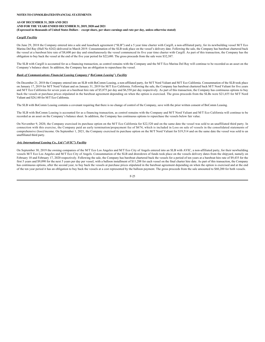# *Cargill Facility*

On June 29, 2018 the Company entered into a sale and leaseback agreement ("SLB") and a 5 year time charter with Cargill, a non-affiliated party, for its newbuilding vessel M/T Eco Marina Del Ray (Hull No 8242) delivered in March 2019. Consummation of the SLB took place on the vessel's delivery date. Following the sale, the Company has bareboat chartered back the vessel at a bareboat hire rate of \$8,600 per day and simultaneously the vessel commenced its five year time charter with Cargill. As part of this transaction, the Company has the obligation to buy back the vessel at the end of the five year period for \$22,680. The gross proceeds from the sale were \$32,387.

The SLB with Cargill is accounted for as a financing transaction, as control remains with the Company and the M/T Eco Marina Del Ray will continue to be recorded as an asset on the Company's balance sheet. In addition, the Company has an obligation to repurchase the vessel.

# *Bank of Communications Financial Leasing Company (*"*BoComm Leasing*"*) Facility*

On December 21, 2018 the Company entered into an SLB with BoComm Leasing, a non-affiliated party, for M/T Nord Valiant and M/T Eco California. Consummation of the SLB took place on January 17, 2019 for M/T Nord Valiant and on January 31, 2019 for M/T Eco California. Following the sale, the Company has bareboat chartered back M/T Nord Valiant for five years and M/T Eco California for seven years at a bareboat hire rate of \$5,875 per day and \$6,550 per day respectively. As part of this transaction, the Company has continuous options to buy back the vessels at purchase prices stipulated in the bareboat agreement depending on when the option is exercised. The gross proceeds from the SLBs were \$21,655 for M/T Nord Valiant and \$24,140 for M/T Eco California.

The SLB with BoComm Leasing contains a covenant requiring that there is no change of control of the Company, save with the prior written consent of BoComm Leasing.

The SLB with BoComm Leasing is accounted for as a financing transaction, as control remains with the Company and M/T Nord Valiant and M/T Eco California will continue to be recorded as an asset on the Company's balance sheet. In addition, the Company has continuous options to repurchase the vessels below fair value.

On November 9, 2020, the Company exercised its purchase option on the M/T Eco California for \$22,520 and on the same date the vessel was sold to an unaffiliated third party. In connection with this exercise, the Company paid an early termination/prepayment fee of \$674, which is included in Loss on sale of vessels in the consolidated statements of comprehensive (loss)/income. On September 1, 2021, the Company exercised its purchase option on the M/T Nord Valiant for \$19,514 and on the same date the vessel was sold to an unaffiliated third party.

# *Avic International Leasing Co., Ltd ("AVIC") Facility*

On September 30, 2019 the owning companies of the M/T Eco Los Angeles and M/T Eco City of Angels entered into an SLB with AVIC, a non-affiliated party, for their newbuilding vessels M/T Eco Los Angeles and M/T Eco City of Angels. Consummation of the SLB and drawdown of funds took place on the vessels delivery dates from the shipyard, namely on February 10 and February 17, 2020 respectively. Following the sale, the Company has bareboat chartered back the vessels for a period of ten years at a bareboat hire rate of \$9,435 for the first 5 years and \$9,090 for the next 5 years per day per vessel, with a balloon installment of \$11,288 for each vessel on the final charter hire date. As part of this transaction, the Company has continuous options, after the second year, to buy back the vessels at purchase prices stipulated in the bareboat agreement depending on when the option is exercised and at the end of the ten year period it has an obligation to buy back the vessels at a cost represented by the balloon payment. The gross proceeds from the sale amounted to \$60,200 for both vessels.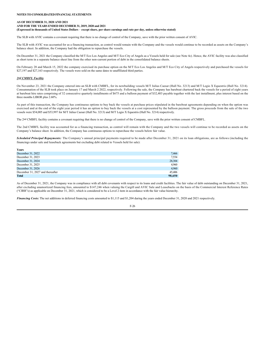The SLB with AVIC contains a covenant requiring that there is no change of control of the Company, save with the prior written consent of AVIC.

The SLB with AVIC was accounted for as a financing transaction, as control would remain with the Company and the vessels would continue to be recorded as assets on the Company's balance sheet. In addition, the Company had the obligation to repurchase the vessels.

On December 31, 2021 the Company classified the M/T Eco Los Angeles and M/T Eco City of Angels as a Vessels held for sale (see Note 4c). Hence, the AVIC facility was also classified as short term in a separate balance sheet line from the other non-current portion of debt in the consolidated balance sheets.

On February 28 and March 15, 2022 the company exercised its purchase option on the M/T Eco Los Angeles and M/T Eco City of Angels respectively and purchased the vessels for \$27,197 and \$27,163 respectively. The vessels were sold on the same dates to unaffiliated third parties.

# *2nd CMBFL Facility*

On November 23, 2021 the Company entered into an SLB with CMBFL, for its newbuilding vessels M/T Julius Caesar (Hull No. 3213) and M/T Legio X Equestris (Hull No. 3214). Consummation of the SLB took place on January 17 and March 2 2022, respectively. Following the sale, the Company has bareboat chartered back the vessels for a period of eight years at bareboat hire rates comprising of 32 consecutive quarterly installments of \$675 and a balloon payment of \$32,403 payable together with the last installment, plus interest based on the three months LIBOR plus 2.60%.

As part of this transaction, the Company has continuous options to buy back the vessels at purchase prices stipulated in the bareboat agreements depending on when the option was exercised and at the end of the eight year period it has an option to buy back the vessels at a cost represented by the balloon payment. The gross proceeds from the sale of the two vessels were \$54,005 and \$53,997 for M/T Julius Caesar (Hull No. 3213) and M/T Legio X Equestris (Hull No. 3214) respectively.

The 2nd CMBFL facility contains a covenant requiring that there is no change of control of the Company, save with the prior written consent of CMBFL.

The 2nd CMBFL facility was accounted for as a financing transaction, as control will remain with the Company and the two vessels will continue to be recorded as assets on the Company's balance sheet. In addition, the Company has continuous options to repurchase the vessels below fair value.

Scheduled Principal Repayments: The Company's annual principal payments required to be made after December 31, 2021 on its loan obligations, are as follows (including the financings under sale and leaseback agreements but excluding debt related to Vessels held for sale):

| <b>Years</b>                     |        |
|----------------------------------|--------|
| December 31, 2022                | 7,466  |
| December 31, 2023                | 7.554  |
| December 31, 2024                | 28,304 |
| December 31, 2025                | 4.960  |
| December 31, 2026                | 4,960  |
| December 31, 2027 and thereafter | 45,406 |
| Total                            | 98,650 |

As of December 31, 2021, the Company was in compliance with all debt covenants with respect to its loans and credit facilities. The fair value of debt outstanding on December 31, 2021, after excluding unamortized financing fees, amounted to \$147,246 when valuing the Cargill and AVIC Sale and Leasebacks on the basis of the Commercial Interest Reference Rates ("CIRR"s) as applicable on December 31, 2021, which is considered to be a Level 2 item in accordance with the fair value hierarchy.

Financing Costs: The net additions in deferred financing costs amounted to \$1,115 and \$1,204 during the years ended December 31, 2020 and 2021 respectively.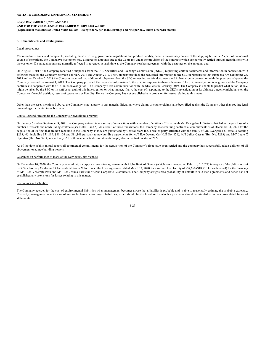#### **8. Commitments and Contingencies:**

#### Legal proceedings:

Various claims, suits, and complaints, including those involving government regulations and product liability, arise in the ordinary course of the shipping business. As part of the normal course of operations, the Company's customers may disagree on amounts due to the Company under the provision of the contracts which are normally settled through negotiations with the customer. Disputed amounts are normally reflected in revenues at such time as the Company reaches agreement with the customer on the amounts due.

On August 1, 2017, the Company received a subpoena from the U.S. Securities and Exchange Commission ("SEC") requesting certain documents and information in connection with offerings made by the Company between February 2017 and August 2017. The Company provided the requested information to the SEC in response to that subpoena. On September 26, 2018 and on October 5, 2018 the Company received two additional subpoenas from the SEC requesting certain documents and information in connection with the previous subpoena the Company received on August 1, 2017. The Company provided the requested information to the SEC in response to these subpoenas. The SEC investigation is ongoing and the Company continues to cooperate with the SEC in its investigation. The Company's last communication with the SEC was in February 2019. The Company is unable to predict what action, if any, might be taken by the SEC or its staff as a result of this investigation or what impact, if any, the cost of responding to the SEC's investigation or its ultimate outcome might have on the Company's financial position, results of operations or liquidity. Hence the Company has not established any provision for losses relating to this matter.

Other than the cases mentioned above, the Company is not a party to any material litigation where claims or counterclaims have been filed against the Company other than routine legal proceedings incidental to its business.

# Capital Expenditures under the Company's Newbuilding program:

On January 6 and on September 8, 2021 the Company entered into a series of transactions with a number of entities affiliated with Mr. Evangelos J. Pistiolis that led to the purchase of a number of vessels and newbuilding contracts (see Notes 1 and 5). As a result of these transactions, the Company has remaining contractual commitments as of December 31, 2021 for the acquisition of its fleet that are non-recourse to the Company as they are guaranteed by Central Mare Inc, a related party affiliated with the family of Mr. Evangelos J. Pistiolis, totaling \$213,405, including \$51,189, \$81,108 and \$81,108 pursuant to newbuilding agreements for M/T Eco Oceano Ca (Hull No. 871), M/T Julius Caesar (Hull No. 3213) and M/T Legio X Equestris (Hull No. 3214) respectively. All of these contractual commitments are payable in the first quarter of 2022.

As of the date of this annual report all contractual commitments for the acquisition of the Company's fleet have been settled and the company has successfully taken delivery of all abovementioned newbuilding vessels.

### Guarantee on performance of loans of the New 2020 Joint Venture

On December 10, 2020, the Company entered into a corporate guarantee agreement with Alpha Bank of Greece (which was amended on February 2, 2022) in respect of the obligations of its 50% subsidiary California 19 Inc. and California 20 Inc. under the Loan Agreement dated March 12, 2020 for a secured loan facility of \$37,660 (\$18,830 for each vessel) for the financing of M/T Eco Yosemite Park and M/T Eco Joshua Park (the "Alpha Corporate Guarantee"). The Company assigns zero probability of default to said loan agreements and hence has not established any provisions for losses relating to this matter.

#### Environmental Liabilities:

The Company accrues for the cost of environmental liabilities when management becomes aware that a liability is probable and is able to reasonably estimate the probable exposure. Currently, management is not aware of any such claims or contingent liabilities, which should be disclosed, or for which a provision should be established in the consolidated financial statements.

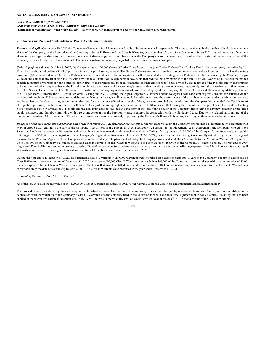### **9. Common and Preferred Stock, Additional Paid-In Capital and Dividends:**

*Reverse stock split:* On August 10, 2020 the Company effected a 1-for-25 reverse stock split of its common stock respectively. There was no change in the number of authorized common shares of the Company, or the floor price of the Company's Series E Shares and the Class B Warrants, or the number of votes of the Company's Series D Shares. All numbers of common share and earnings per share amounts, as well as warrant shares eligible for purchase under the Company's warrants, exercise price of said warrants and conversion prices of the Company's Series E Shares, in these financial statements have been retroactively adjusted to reflect these reverse stock splits.

Series D preferred shares: On May 8, 2017, the Company issued 100,000 shares of Series D preferred shares (the "Series D shares") to Tankers Family Inc., a company controlled by Lax Trust for one thousand dollars (\$1,000) pursuant to a stock purchase agreement. The Series D shares are not convertible into common shares and each Series D share has the voting power of 1,000 common shares. The Series D shares have no dividend or distribution rights and shall expire and all outstanding Series D shares shall be redeemed by the Company for par value on the date that any financing facility with any financial institution, which contain covenants that require that any member of the family of Mr. Evangelos J. Pistiolis maintain a specific minimum ownership or voting interest (either directly and/or indirectly through companies or other entities beneficially owned by any member of the Pistiolis family and/or trusts or foundations of which any member of the Pistiolis family are beneficiaries) of the Company's issued and outstanding common shares, respectively, are fully repaid or reach their maturity date. The Series D shares shall not be otherwise redeemable and upon any liquidation, dissolution or winding up of the Company, the Series D shares shall have a liquidation preference of \$0.01 per share. Currently the SLBs with BoComm Leasing and AVIC Leasing, the Alpha Corporate Guarantee and the Navigare Lease have similar provisions that are satisfied via the existence of the Series D Shares. As a prerequisite for the Navigare Lease, Mr. Evangelos J. Pistiolis guaranteed the performance of the bareboat charters, under certain circumstances, and in exchange, the Company agreed to indemnify him for any losses suffered as a result of the guarantee provided and in addition, the Company has amended the Certificate of Designation governing the terms of the Series D Shares, to adjust the voting rights per share of Series D Shares such that during the term of the Navigare Lease, the combined voting power controlled by Mr. Evangelos J. Pistiolis and the Lax Trust does not fall below a majority of the total voting power of the Company, irrespective of any new common or preferred stock issuances, and thereby complying with a relevant covenant of the bareboat charters entered in connection with the Navigare Lease. Due to the related party nature of the transactions involving Mr. Evangelos J. Pistiolis, such transactions were unanimously approved by the Company's Board of Directors, including all three independent directors.

Issuance of common stock and warrants as part of the November 2019 Registered Direct Offering: On November 6, 2019, the Company entered into a placement agent agreement with Maxim Group LLC relating to the sale of the Company's securities, or the Placement Agent Agreement. Pursuant to the Placement Agent Agreement, the Company entered into a Securities Purchase Agreement, with certain institutional investors in connection with a registered direct offering of an aggregate of 168,000 of the Company's common shares at a public offering price of \$50.00 per share, registered on the Company's Registration Statement on Form F-3 (333-215577), or the Registered Offering. Concurrently with the Registered Offering and pursuant to the Purchase Agreement, the Company also commenced a private placement whereby the Company issued and sold class A warrants (or the "Class A Warrants") to purchase up to 168,000 of the Company's common shares and class B warrants (or the "Class B Warrants") to purchase up to 168,000 of the Company's common shares. The November 2019 Registered Direct Offering resulted in gross proceeds of \$8,400 before deducting underwriting discounts, commissions and other offering expenses. The Class A Warrants and Class B Warrants were registered via a registration statement in form F1 that became effective on January 21, 2020.

During the year ended December 31, 2020, all outstanding Class A warrants (4,200,000 warrants) were exercised on a cashless basis into 67,200 of the Company's common shares and no Class B Warrants were exercised. As of December 31, 2020 there were 4,200,000 Class B Warrants exercisable into 168,000 of the Company's common shares with an exercise price of \$1.00, that corresponded to the Class A Warrants floor price. The Class B Warrants entitled their holders to purchase 0.040 common shares upon a cash exercise. Each Class B Warrant was exercisable from the date of issuance up to May 7, 2021. No Class B Warrants were exercised in the year ended December 31, 2021.

# *Accounting Treatment of the Class B Warrants*

As of the issuance date the fair value of the 4,200,000 Class B Warrants amounted to \$0.2373 per warrant, using the Cox, Ross and Rubinstein Binomial methodology.

The fair value was considered by the Company to be classified as Level 3 in the fair value hierarchy since it was derived by unobservable inputs. The major unobservable input in connection with the valuation of the Company's Class B Warrants was the volatility used in the valuation model. The annualized eighteen-month daily historical volatility that has been applied in the warrant valuation at inception was 134%. A 5% increase in the volatility applied would have led to an increase of 14% in the fair value of the Class B Warrants.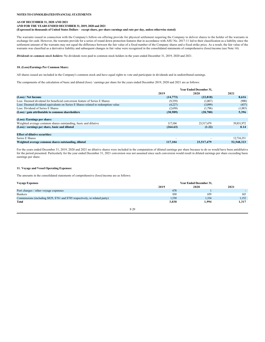The warrants issued in connection with the Company's follow-on offering provide for physical settlement requiring the Company to deliver shares to the holder of the warrants in exchange for cash. However, the warrants provide for a series of round down protection features that in accordance with ASU No. 2017-11 led to their classification as a liability since the settlement amount of the warrants may not equal the difference between the fair value of a fixed number of the Company shares and a fixed strike price. As a result, the fair value of the warrants was classified as a derivative liability and subsequent changes in fair value were recognized in the consolidated statements of comprehensive (loss)/income (see Note 14).

*Dividends to common stock holders:* No dividends were paid to common stock holders in the years ended December 31, 2019, 2020 and 2021.

# **10. (Loss)/Earnings Per Common Share:**

All shares issued are included in the Company's common stock and have equal rights to vote and participate in dividends and in undistributed earnings.

The components of the calculation of basic and diluted (loss) / earnings per share for the years ended December 2019, 2020 and 2021 are as follows:

|                                                                                  | <b>Year Ended December 31,</b> |            |              |
|----------------------------------------------------------------------------------|--------------------------------|------------|--------------|
|                                                                                  | 2019                           | 2020       | 2021         |
| (Loss) / Net Income                                                              | (14, 773)                      | (22, 818)  | 8,616        |
| Less: Deemed dividend for beneficial conversion feature of Series E Shares       | (9,339)                        | (1,067)    | (900)        |
| Less: Deemed dividend equivalents on Series E Shares related to redemption value | (4,227)                        | (3,099)    | (437)        |
| Less: Dividend of Series E Shares                                                | (2,650)                        | (1,796)    | (1,883)      |
| (Loss) / gain attributable to common shareholders                                | (30,989)                       | (28, 780)  | 5,396        |
|                                                                                  |                                |            |              |
| (Loss) /Earnings per share:                                                      |                                |            |              |
| Weighted average common shares outstanding, basic and dilutive                   | 117.104                        | 23.517.479 | 39,831,972   |
| (Loss) / earnings per share, basic and diluted                                   | (264.63)                       | (1.22)     | 0.14         |
|                                                                                  |                                |            |              |
| <b>Effect of dilutive securities:</b>                                            |                                |            |              |
| Series E Shares                                                                  |                                |            | 12,716,351   |
| Weighted average common shares outstanding, diluted                              | 117,104                        | 23,517,479 | 52, 548, 323 |
|                                                                                  |                                |            |              |

For the years ended December 31, 2019, 2020 and 2021 no dilutive shares were included in the computation of diluted earnings per share because to do so would have been antidilutive for the period presented. Particularly for the year ended December 31, 2021 conversion was not assumed since such conversion would result in diluted earnings per share exceeding basic earnings per share.

# **11. Voyage and Vessel Operating Expenses:**

The amounts in the consolidated statements of comprehensive (loss)/income are as follows:

| <b>Voyage Expenses</b>                                                        |       | <b>Year Ended December 31.</b> |       |  |  |
|-------------------------------------------------------------------------------|-------|--------------------------------|-------|--|--|
|                                                                               | 2019  | 2020                           | 2021  |  |  |
| Port charges / other voyage expenses                                          | 678   |                                |       |  |  |
| Bunkers                                                                       | 830   | 659                            | 165   |  |  |
| Commissions (including \$829, \$761 and \$705 respectively, to related party) | 1,530 | 1,334                          | 1,152 |  |  |
| <b>Total</b>                                                                  | 3,038 | 1,994                          | 1,317 |  |  |
| $F-2Q$                                                                        |       |                                |       |  |  |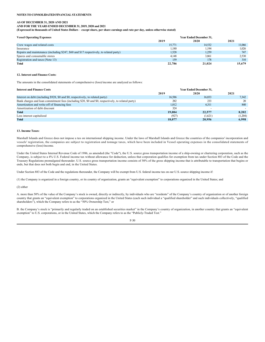# **AS OF DECEMBER 31, 2020 AND 2021**

# **AND FOR THE YEARS ENDED DECEMBER 31, 2019, 2020 and 2021**

**(Expressed in thousands of United States Dollars** – **except share, per share earnings and rate per day, unless otherwise stated)**

| <b>Vessel Operating Expenses</b>                                                        | <b>Year Ended December 31.</b> |        |        |  |
|-----------------------------------------------------------------------------------------|--------------------------------|--------|--------|--|
|                                                                                         | 2019                           | 2020   | 2021   |  |
| Crew wages and related costs                                                            | 15,771                         | 14.532 | 11.066 |  |
| Insurance                                                                               | 1.180                          | 1,194  | 1.026  |  |
| Repairs and maintenance (including \$247, \$60 and \$17 respectively, to related party) | 1,528                          | 1,259  | 747    |  |
| Spares and consumable stores                                                            | 4.148                          | 3,861  | 2,530  |  |
| Registration and taxes (Note 13)                                                        | 159                            | 178    | 310    |  |
| Total                                                                                   | 22,786                         | 21,024 | 15.679 |  |

### **12. Interest and Finance Costs:**

The amounts in the consolidated statements of comprehensive (loss)/income are analyzed as follows:

# **Interest and Finance Costs Year Ended December 31,**

|                                                                                                     | 2019   | 2020    | 2021    |
|-----------------------------------------------------------------------------------------------------|--------|---------|---------|
| Interest on debt (including \$928, \$0 and \$0, respectively, to related party)                     | 16,586 | 16.033  | 7.342   |
| Bank charges and loan commitment fees (including \$20, \$0 and \$0, respectively, to related party) | 282    | 233     | 20      |
| Amortization and write-off of financing fees                                                        | 1,812  | 6.311   | 840     |
| Amortization of debt discount                                                                       | 324    |         |         |
| <b>Total</b>                                                                                        | 19.004 | 22,577  | 8.202   |
| Less interest capitalized                                                                           | (927)  | (1,621) | (1,204) |
| <b>Total</b>                                                                                        | 18.077 | 20,956  | 6.998   |

### **13. Income Taxes:**

Marshall Islands and Greece does not impose a tax on international shipping income. Under the laws of Marshall Islands and Greece the countries of the companies' incorporation and vessels' registration, the companies are subject to registration and tonnage taxes, which have been included in Vessel operating expenses in the consolidated statements of comprehensive (loss)/income.

Under the United States Internal Revenue Code of 1986, as amended (the "Code"), the U.S. source gross transportation income of a ship-owning or chartering corporation, such as the Company, is subject to a 4% U.S. Federal income tax without allowance for deduction, unless that corporation qualifies for exemption from tax under Section 883 of the Code and the Treasury Regulations promulgated thereunder. U.S. source gross transportation income consists of 50% of the gross shipping income that is attributable to transportation that begins or ends, but that does not both begin and end, in the United States.

Under Section 883 of the Code and the regulations thereunder, the Company will be exempt from U.S. federal income tax on our U.S.-source shipping income if:

(1) the Company is organized in a foreign country, or its country of organization, grants an "equivalent exemption" to corporations organized in the United States; and

#### (2) either

A. more than 50% of the value of the Company's stock is owned, directly or indirectly, by individuals who are "residents" of the Company's country of organization or of another foreign country that grants an "equivalent exemption" to corporations organized in the United States (each such individual a "qualified shareholder" and such individuals collectively, "qualified shareholders"), which the Company refers to as the "50% Ownership Test," or

B. the Company's stock is "primarily and regularly traded on an established securities market" in the Company's country of organization, in another country that grants an "equivalent exemption" to U.S. corporations, or in the United States, which the Company refers to as the "Publicly-Traded Test."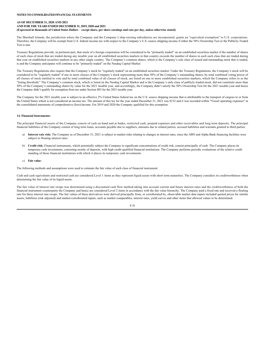The Marshall Islands, the jurisdiction where the Company and the Company's ship-owning subsidiaries are incorporated, grants an "equivalent exemption" to U.S. corporations. Therefore, the Company will be exempt from U.S. federal income tax with respect to the Company's U.S.-source shipping income if either the 50% Ownership Test or the Publicly-Traded Test is met.

Treasury Regulations provide, in pertinent part, that stock of a foreign corporation will be considered to be "primarily traded" on an established securities market if the number of shares of each class of stock that are traded during any taxable year on all established securities markets in that country exceeds the number of shares in each such class that are traded during that year on established securities markets in any other single country. The Company's common shares, which is the Company's sole class of issued and outstanding stock that is traded, is and the Company anticipates will continue to be "primarily traded" on the Nasdaq Capital Market.

The Treasury Regulations also require that the Company's stock be "regularly traded" on an established securities market. Under the Treasury Regulations, the Company's stock will be considered to be "regularly traded" if one or more classes of the Company's stock representing more than 50% of the Company's outstanding shares, by total combined voting power of all classes of stock entitled to vote and by total combined value of all classes of stock, are listed on one or more established securities markets, which the Company refers to as the "listing threshold." The Company's common stock, which is listed on the Nasdaq Capital Market and is the Company's only class of publicly-traded stock, did not constitute more than 50% of the Company's outstanding shares by value for the 2021 taxable year, and accordingly, the Company didn't satisfy the 50% Ownership Test for the 2021 taxable year and hence the Company didn't qualify for exemption from tax under Section 883 for the 2021 taxable year.

The Company for the 2021 taxable year is subject to an effective 2% United States federal tax on the U.S. source shipping income that is attributable to the transport of cargoes to or from the United States which is not considered an income tax. The amount of this tax for the year ended December 31, 2021 was \$152 and it was recorded within "Vessel operating expenses" in the consolidated statements of comprehensive (loss)/income. For 2019 and 2020 the Company qualified for this exemption.

### **14. Financial Instruments:**

The principal financial assets of the Company consist of cash on hand and at banks, restricted cash, prepaid expenses and other receivables and long term deposits. The principal financial liabilities of the Company consist of long term loans, accounts payable due to suppliers, amounts due to related parties, accrued liabilities and warrants granted to third parties.

- a) Interest rate risk: The Company as of December 31, 2021 is subject to market risks relating to changes in interest rates, since the ABN and Alpha Bank financing facilities were subject to floating interest rates.
- b) Credit risk: Financial instruments, which potentially subject the Company to significant concentrations of credit risk, consist principally of cash. The Company places its temporary cash investments, consisting mostly of deposits, with high credit qualified financial institutions. The Company performs periodic evaluations of the relative credit standing of those financial institutions with which it places its temporary cash investments.

#### c) **Fair value:**

The following methods and assumptions were used to estimate the fair value of each class of financial instrument:

Cash and cash equivalents and restricted cash are considered Level 1 items as they represent liquid assets with short term maturities. The Company considers its creditworthiness when determining the fair value of its liquid assets.

The fair value of interest rate swaps was determined using a discounted cash flow method taking into account current and future interest rates and the creditworthiness of both the financial instrument counterparty the Company and hence are considered Level 2 items in accordance with the fair value hierarchy. The Company paid a fixed rate and received a floating rate for these interest rate swaps. The fair values of these derivatives were derived principally from, or corroborated by, observable market data inputs included quoted prices for similar assets, liabilities (risk adjusted) and market-corroborated inputs, such as market comparables, interest rates, yield curves and other items that allowed values to be determined.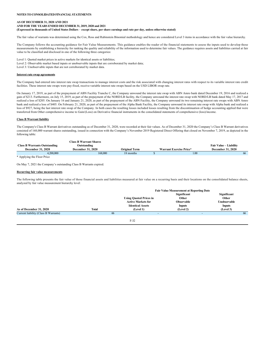# **AS OF DECEMBER 31, 2020 AND 2021 AND FOR THE YEARS ENDED DECEMBER 31, 2019, 2020 and 2021 (Expressed in thousands of United States Dollars** – **except share, per share earnings and rate per day, unless otherwise stated)**

The fair value of warrants was determined using the Cox, Ross and Rubinstein Binomial methodology and hence are considered Level 3 items in accordance with the fair value hierarchy.

The Company follows the accounting guidance for Fair Value Measurements. This guidance enables the reader of the financial statements to assess the inputs used to develop those measurements by establishing a hierarchy for ranking the quality and reliability of the information used to determine fair values. The guidance requires assets and liabilities carried at fair value to be classified and disclosed in one of the following three categories:

- Level 1: Quoted market prices in active markets for identical assets or liabilities;
- Level 2: Observable market based inputs or unobservable inputs that are corroborated by market data;
- Level 3: Unobservable inputs that are not corroborated by market data.

### **Interest rate swap agreements**

The Company had entered into interest rate swap transactions to manage interest costs and the risk associated with changing interest rates with respect to its variable interest rate credit facilities. These interest rate swaps were pay-fixed, receive-variable interest rate swaps based on the USD LIBOR swap rate.

On January 17, 2019, as part of the prepayment of ABN Facility Tranche C, the Company unwound the interest rate swap with ABN Amro bank dated December 19, 2016 and realized a gain of \$213. Furthermore, on July 15, 2019, as part of the prepayment of the NORD/LB facility, the Company unwound the interest rate swap with NORD/LB bank dated May 17, 2017 and realized a loss of \$205. On January 16 and January 21, 2020, as part of the prepayment of the ABN Facility, the Company unwound its two remaining interest rate swaps with ABN Amro bank and realized a loss of \$405. On February 21, 2020, as part of the prepayment of the Alpha Bank Facility, the Company unwound its interest rate swap with Alpha bank and realized a loss of \$927, being the last interest rate swap of the Company. In both cases the resulting losses included losses resulting from the discontinuation of hedge accounting applied that were transferred from Other comprehensive income to Gain/(Loss) on Derivative financial instruments in the consolidated statements of comprehensive (loss)/income.

### **Class B Warrant liability**

The Company's Class B Warrant derivatives outstanding as of December 31, 2020, were recorded at their fair values. As of December 31, 2020 the Company's Class B Warrant derivatives consisted of 168,000 warrant shares outstanding, issued in connection with the Company's November 2019 Registered Direct Offering that closed on November 7, 2019, as depicted in the following table:

|                                     | <b>Class B Warrant Shares</b> |                      |                                |                               |
|-------------------------------------|-------------------------------|----------------------|--------------------------------|-------------------------------|
| <b>Class B Warrants Outstanding</b> | Outstanding                   |                      |                                | <b>Fair Value – Liability</b> |
| <b>December 31, 2020</b>            | December 31, 2020             | <b>Original Term</b> | <b>Warrant Exercise Price*</b> | <b>December 31, 2020</b>      |
| 4.200.000                           | 168,000                       | 18 months            | 00.1                           | 66                            |

\* Applying the Floor Price

On May 7, 2021 the Company's outstanding Class B Warrants expired.

### **Recurring fair value measurements**

The following table presents the fair value of those financial assets and liabilities measured at fair value on a recurring basis and their locations on the consolidated balance sheets, analyzed by fair value measurement hierarchy level:

|                                      |       |                               | <b>Fair Value Measurement at Reporting Date</b> |               |  |  |
|--------------------------------------|-------|-------------------------------|-------------------------------------------------|---------------|--|--|
|                                      |       |                               | Significant                                     |               |  |  |
|                                      |       | <b>Using Quoted Prices in</b> | Other                                           | Other         |  |  |
|                                      |       | <b>Active Markets for</b>     | <b>Observable</b>                               | Unobservable  |  |  |
|                                      |       | <b>Identical Assets</b>       | <b>Inputs</b>                                   | <b>Inputs</b> |  |  |
| As of December 31, 2020              | Total | (Level 1)                     | (Level 2)                                       | (Level 3)     |  |  |
| Current liability (Class B Warrants) | 66    |                               | $\overline{\phantom{a}}$                        | 66            |  |  |
|                                      |       |                               |                                                 |               |  |  |
|                                      |       | $F-32$                        |                                                 |               |  |  |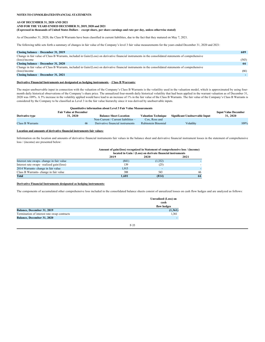As of December 31, 2020, the Class B Warrants have been classified in current liabilities, due to the fact that they matured on May 7, 2021.

The following table sets forth a summary of changes in fair value of the Company's level 3 fair value measurements for the years ended December 31, 2020 and 2021:

| Closing balance – December 31, 2019                                                                                                                   | 609   |
|-------------------------------------------------------------------------------------------------------------------------------------------------------|-------|
| Change in fair value of Class B Warrants, included in Gain/(Loss) on derivative financial instruments in the consolidated statements of comprehensive |       |
| $(\text{loss})/ \text{income}$                                                                                                                        | (543) |
| Closing balance – December 31, 2020                                                                                                                   | 66    |
| Change in fair value of Class B Warrants, included in Gain/(Loss) on derivative financial instruments in the consolidated statements of comprehensive |       |
| $(\text{loss})/ \text{income}$                                                                                                                        | (66)  |
| Closing balance – December 31, 2021                                                                                                                   |       |
|                                                                                                                                                       |       |

### **Derivative Financial Instruments not designated as hedging instruments** – **Class B Warrants:**

The major unobservable input in connection with the valuation of the Company's Class B Warrants is the volatility used in the valuation model, which is approximated by using fourmonth daily historical observations of the Company's share price. The annualized four-month daily historical volatility that had been applied in the warrant valuation as of December 31, 2020 was 109%. A 5% increase in the volatility applied would have lead to an increase of 1% in the fair value of the Class B Warrants. The fair value of the Company's Class B Warrants is considered by the Company to be classified as Level 3 in the fair value hierarchy since it was derived by unobservable inputs.

|                        |                               | <b>Ouantitative information about Level 3 Fair Value Measurements</b> |                            |                                |                             |
|------------------------|-------------------------------|-----------------------------------------------------------------------|----------------------------|--------------------------------|-----------------------------|
|                        | <b>Fair Value at December</b> |                                                                       |                            |                                | <b>Input Value December</b> |
| <b>Derivative type</b> | <b>31. 2020</b>               | <b>Balance Sheet Location</b>                                         | <b>Valuation Technique</b> | Significant Unobservable Input | 31, 2020                    |
|                        |                               | Non-Current / Current liabilities $-$                                 | Cox. Ross and              |                                |                             |
| Class B Warrants       |                               | Derivative financial instruments                                      | Rubinstein Binomial        | Volatility                     | 109%                        |

# **Location and amounts of derivative financial instruments fair values:**

Information on the location and amounts of derivative financial instruments fair values in the balance sheet and derivative financial instrument losses in the statement of comprehensive loss / (income) are presented below:

# **Amount of gain/(loss) recognized in Statement of comprehensive loss / (income)**

| located in Gain / (Loss) on derivate financial instruments |  |
|------------------------------------------------------------|--|
|------------------------------------------------------------|--|

|                                          | 2019  | 2020    | 2021 |
|------------------------------------------|-------|---------|------|
| Interest rate swaps-change in fair value | (841) | (1,332) |      |
| Interest rate swaps-realized gain/(loss) | 139   | (25)    |      |
| 2014 Warrants-change in fair value       | 1.915 |         |      |
| Class B Warrants-change in fair value    | 388   | 543     | 66   |
| <b>Total</b>                             | 1.601 | (814)   | 66   |

### **Derivative Financial Instruments designated as hedging instruments:**

The components of accumulated other comprehensive loss included in the consolidated balance sheets consist of unrealized losses on cash flow hedges and are analyzed as follows:

|                                             | Unrealized (Loss) on |
|---------------------------------------------|----------------------|
|                                             | cash                 |
|                                             | flow hedges          |
| <b>Balance, December 31, 2019</b>           | (1,361)              |
| Termination of interest rate swap contracts | 1,361                |
| <b>Balance, December 31, 2020</b>           |                      |
|                                             |                      |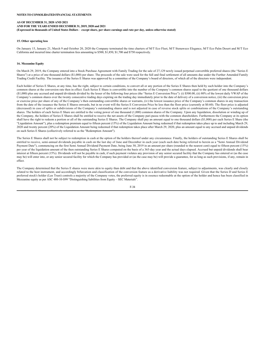### **15. Other operating loss**

On January 15, January 21, March 9 and October 20, 2020 the Company terminated the time charters of M/T Eco Fleet, M/T Econeyeco Elegance, M/T Eco Palm Desert and M/T Eco California and incurred time charter termination fees amounting to \$500, \$1,850, \$1,700 and \$750 respectively.

### **16. Mezzanine Equity**

On March 29, 2019, the Company entered into a Stock Purchase Agreement with Family Trading for the sale of 27,129 newly issued perpetual convertible preferred shares (the "Series E Shares") at a price of one thousand dollars (\$1,000) per share. The proceeds of the sale were used for the full and final settlement of all amounts due under the Further Amended Family Trading Credit Facility. The issuance of the Series E Shares was approved by a committee of the Company's board of directors, of which all of the directors were independent.

Each holder of Series E Shares, at any time, has the right, subject to certain conditions, to convert all or any portion of the Series E Shares then held by such holder into the Company's common shares at the conversion rate then in effect. Each Series E Share is convertible into the number of the Company's common shares equal to the quotient of one thousand dollars (\$1,000) plus any accrued and unpaid dividends divided by the lesser of the following four prices (the "Series E Conversion Price"): (i) \$500.00, (ii) 80% of the lowest daily VWAP of the Company's common shares over the twenty consecutive trading days expiring on the trading day immediately prior to the date of delivery of a conversion notice, (iii) the conversion price or exercise price per share of any of the Company's then outstanding convertible shares or warrants, (iv) the lowest issuance price of the Company's common shares in any transaction from the date of the issuance the Series E Shares onwards, but in no event will the Series E Conversion Price be less than the floor price (currently at \$0.60). The floor price is adjusted (decreased) in case of splits or subdivisions of the Company's outstanding shares and is not adjusted in case of reverse stock splits or combinations of the Company's outstanding shares. The holders of each Series E Share are entitled to the voting power of one thousand (1,000) common shares of the Company. Upon any liquidation, dissolution or winding up of the Company, the holders of Series E Shares shall be entitled to receive the net assets of the Company pari-passu with the common shareholders. Furthermore the Company at its option shall have the right to redeem a portion or all of the outstanding Series E Shares. The Company shall pay an amount equal to one thousand dollars (\$1,000) per each Series E Share (the "Liquidation Amount"), plus a redemption premium equal to fifteen percent (15%) of the Liquidation Amount being redeemed if that redemption takes place up to and including March 29, 2020 and twenty percent (20%) of the Liquidation Amount being redeemed if that redemption takes place after March 29, 2020, plus an amount equal to any accrued and unpaid dividends on such Series E Shares (collectively referred to as the "Redemption Amount").

The Series E Shares shall not be subject to redemption in cash at the option of the holders thereof under any circumstance. Finally, the holders of outstanding Series E Shares shall be entitled to receive, semi-annual dividends payable in cash on the last day of June and December in each year (each such date being referred to herein as a "Semi Annual Dividend Payment Date"), commencing on the first Semi Annual Dividend Payment Date, being June 30, 2019 in an amount per share (rounded to the nearest cent) equal to fifteen percent (15%) per year of the liquidation amount of the then outstanding Series E Shares computed on the basis of a 365-day year and the actual days elapsed. Accrued but unpaid dividends shall bear interest at fifteen percent (15%). Dividends will not be payable in cash, if such payment violates any provision of any senior secured facility that the Company has entered or (as the case may be) will enter into, or any senior secured facility for which the Company has provided or (as the case may be) will provide a guarantee, for as long as such provisions, if any, remain in effect.

The Company determined that the Series E shares were more akin to equity than debt and that the above identified conversion feature, subject to adjustments, was clearly and closely related to the host instrument, and accordingly bifurcation and classification of the conversion feature as a derivative liability was not required. Given that the Series D and Series E preferred stock's holder (Lax Trust) controls a majority of the Company votes, the preferred equity is in essence redeemable at the option of the holder and hence has been classified in Mezzanine equity as per ASC 480-10-S99 "Distinguishing liabilities from Equity – SEC Materials".

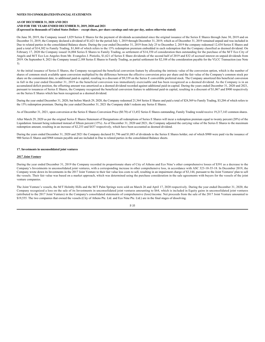On June 30, 2019, the Company issued 1,029 Series E Shares for the payment of dividends accumulated since the original issuance of the Series E Shares through June 30, 2019 and on December 31, 2019, the Company declared a dividend of \$1,621 for the period July 1, 2019 through December 31, 2019, which as of December 31, 2019 remained unpaid and was included in Due to related parties in the consolidated Balance sheets. During the year ended December 31, 2019 from July 25 to December 2, 2019 the company redeemed 12,434 Series E Shares and paid a total of \$14,302 to Family Trading, \$1,868 of which refers to the 15% redemption premium embedded in each redemption that the Company classified as deemed dividend. On February 17, 2020 the Company issued 16,004 Series E Shares to Family Trading, as settlement of \$14,350 of consideration then outstanding for the purchase of the M/T Eco City of Angels and M/T Eco Los Angeles from Mr. Evangelos J. Pistiolis, \$1,621 of Series E Share dividends of the second half of 2019 and \$32 of accrued interest on unpaid dividends from 2019. On September 8, 2021 the Company issued 2,188 Series E Shares to Family Trading, as partial settlement for \$2,188 of the consideration payable for the VLCC Transaction (see Note 1).

At the initial issuance of Series E Shares, the Company recognized the beneficial conversion feature by allocating the intrinsic value of the conversion option, which is the number of shares of common stock available upon conversion multiplied by the difference between the effective conversion price per share and the fair value of the Company's common stock per share on the commitment date, to additional paid-in capital, resulting in a discount of \$9,339 on the Series E convertible preferred stock. The Company amortized this beneficial conversion in full in the year ended December 31, 2019 as the beneficial conversion was immediately exercisable and has been recognized as a deemed dividend. As the Company is in an accumulated deficit position, the offsetting amount was amortized as a deemed dividend recorded against additional paid-in-capital. During the years ended December 31, 2020 and 2021, pursuant to issuances of Series E Shares, the Company recognized the beneficial conversion feature to additional paid-in capital, resulting in a discount of \$1,067 and \$900 respectively on the Series E Shares which has been recognized as a deemed dividend.

During the year ended December 31, 2020, but before March 29, 2020, the Company redeemed 21,364 Series E Shares and paid a total of \$24,569 to Family Trading, \$3,204 of which refers to the 15% redemption premium. During the year ended December 31, 2021 the Company didn't redeem any Series E Shares.

As of December 31, 2021, upon conversion at the Series E Shares Conversion Price (\$0.70) of 13,452 Series E Shares outstanding, Family Trading would receive 19,217,143 common shares.

After March 29, 2020 as per the original Series E Shares Statement of Designations all redemptions of Series E Shares will incur a redemption premium equal to twenty percent (20%) of the Liquidation Amount being redeemed instead of fifteen percent (15%). As of December 31, 2020 and 2021, the Company adjusted the carrying value of the Series E Shares to the maximum redemption amount, resulting in an increase of \$2,253 and \$437 respectively, which have been accounted as deemed dividend.

During the years ended December 31, 2020 and 2021 the Company declared \$1,796 and \$1,883 of dividends to the Series E Shares holder, out of which \$900 were paid via the issuance of 900 Series E Shares and \$968 remain payable and are included in Due to related parties in the consolidated Balance sheets.

#### **17. Investments in unconsolidated joint ventures**

#### *2017 Joint Venture*

During the year ended December 31, 2019 the Company recorded its proportionate share of City of Athens and Eco Nine's other comprehensive losses of \$391 as a decrease to the Company's Investments in unconsolidated joint ventures, with a corresponding increase in other comprehensive loss, in accordance with ASC 323-10-35-18. In December 2019, the Company wrote down its Investments in the 2017 Joint Venture to their fair value less costs to sell, resulting in an impairment charge of \$3,144, pursuant to the Joint Ventures' plan to sell the vessels. Their fair value was based on a market approach, which was determined using the purchase consideration in the sale agreements with buyers for the vessels of the joint venture companies.

The Joint Venture's vessels, the M/T Holmby Hills and the M/T Palm Springs were sold on March 26 and April 17, 2020 respectively. During the year ended December 31, 2020, the Company recognized a loss on the sale of its Investments in unconsolidated joint ventures amounting to \$64, which is included in Equity gains in unconsolidated joint ventures (attributed to the 2017 Joint Venture) in the Company's consolidated statements of comprehensive (loss)/income. Net proceeds from the sale of the 2017 Joint Venture amounted to \$19,555. The two companies that owned the vessels (City of Athens Pte. Ltd. and Eco Nine Pte. Ltd.) are in the final stages of dissolving.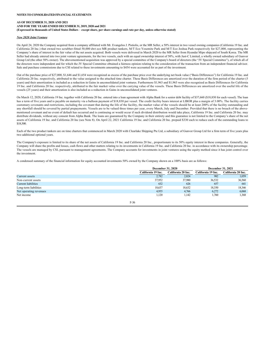### *New 2020 Joint Venture*

On April 24, 2020 the Company acquired from a company affiliated with Mr. Evangelos J. Pistiolis, or the MR Seller, a 50% interest in two vessel owning companies (California 19 Inc. and California 20 Inc.) that owned two scrubber-fitted 50,000 dwt eco MR product tankers, M/T Eco Yosemite Park and M/T Eco Joshua Park respectively for \$27,000, representing the Company's share of interest in the fair value of the net assets acquired. Both vessels were delivered in March 2020 to the MR Seller from Hyundai Mipo shipyard of South Korea. The MR Seller had already entered into two joint venture agreements, for the two vessels, each with an equal ownership interest of 50%, with Just-C Limited, a wholly owned subsidiary of Gunvor Group Ltd (the other 50% owner). The abovementioned acquisition was approved by a special committee of the Company's board of directors (the "JV Special Committee"), of which all of the directors were independent and for which the JV Special Committee obtained a fairness opinion relating to the consideration of the transaction from an independent financial advisor. Sale and purchase commissions due to CSI related to these investments amounting to \$454 were accounted for as part of the investment.

Out of the purchase price of \$27,000, \$1,646 and \$1,654 were recognized as excess of the purchase price over the underlying net book value ("Basis Differences") for California 19 Inc. and California 20 Inc. respectively, attributed to the value assigned to the attached time charter. These Basis Differences are amortized over the duration of the firm period of the charter (5 years) and their amortization is included as a reduction in Gains in unconsolidated joint ventures. Furthermore \$1,963 and \$1,963 were also recognized as Basis Differences for California 19 Inc. and California 20 Inc. respectively, attributed to the fair market value over the carrying value of the vessels. These Basis Differences are amortized over the useful life of the vessels (25 years) and their amortization is also included as a reduction in Gains in unconsolidated joint ventures.

On March 12, 2020, California 19 Inc. together with California 20 Inc. entered into a loan agreement with Alpha Bank for a senior debt facility of \$37,660 (\$18,830 for each vessel). The loan has a term of five years and is payable on maturity via a balloon payment of \$18,830 per vessel. The credit facility bears interest at LIBOR plus a margin of 3.00%. The facility carries customary covenants and restrictions, including the covenant that during the life of the facility, the market value of the vessels should be at least 200% of the facility outstanding and any shortfall should be covered by partial prepayments. Vessels are to be valued three times per year, every March, July and December. Provided that there is no breach of the abovementioned covenant and no event of default has occurred and is continuing or would occur if such dividend distribution would take place, California 19 Inc. and California 20 Inc. may distribute dividends, without any consent from Alpha Bank. The loans are guaranteed by the Company in their entirety and this guarantee is not limited to the Company's share of the net assets of California 19 Inc. and California 20 Inc (see Note 8). On April 22, 2021 California 19 Inc. and California 20 Inc. prepaid \$330 each to reduce each of the outstanding loans to \$18,500.

Each of the two product tankers are on time charters that commenced in March 2020 with Clearlake Shipping Pte Ltd, a subsidiary of Gunvor Group Ltd for a firm term of five years plus two additional optional years.

The Company's exposure is limited to its share of the net assets of California 19 Inc. and California 20 Inc., proportionate to its 50% equity interest in these companies. Generally, the Company will share the profits and losses, cash flows and other matters relating to its investments in California 19 Inc. and California 20 Inc. in accordance with its ownership percentage. The vessels are managed by CSI, pursuant to management agreements. The Company accounts for investments in joint ventures using the equity method since it has joint control over the investment.

A condensed summary of the financial information for equity accounted investments 50% owned by the Company shown on a 100% basis are as follows:

|                            | <b>December 31, 2020</b> |                    | <b>December 31, 2021</b> |                    |
|----------------------------|--------------------------|--------------------|--------------------------|--------------------|
|                            | California 19 Inc.       | California 20 Inc. | California 19 Inc.       | California 20 Inc. |
| Current assets             | 2,782                    | 2,824              | 982                      | 1,059              |
| Non-current assets         | 37.952                   | 37,980             | 36,532                   | 36,560             |
| <b>Current liabilities</b> | 632                      | 626                | 657                      | 641                |
| Long-term liabilities      | 18,637                   | 18,632             | 18,350                   | 18,346             |
| Net operating revenues     | 4.955                    | 4,766              | 6,272                    | 6,068              |
| Net income                 | 1,120                    | 1,142              | 1,760                    | 1,368              |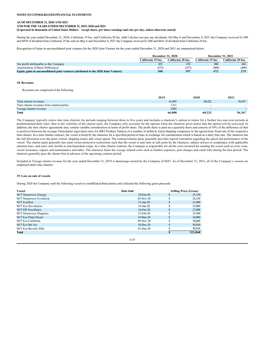During the year ended December 31, 2020, California 19 Inc. and California 20 Inc. didn't declare nor pay any dividends. On May 6 and November 4, 2021 the Company received \$1,500 and \$859 of dividend from California 19 Inc and on May 6 and November 4, 2021 the Company received \$1,500 and \$641 of dividend from California 20 Inc..

Recognition of Gains in unconsolidated joint ventures for the 2020 Joint Venture for the years ended December 31, 2020 and 2021 are summarized below:

|                                                                                      | December 31, 2020  |                    | December 31, 2021  |                    |
|--------------------------------------------------------------------------------------|--------------------|--------------------|--------------------|--------------------|
|                                                                                      | California 19 Inc. | California 20 Inc. | California 19 Inc. | California 20 Inc. |
| Net profit attributable to the Company                                               | 652                | 670                | 880                | 684                |
| Amortization of Basis Differences                                                    | (272)              | (273)              | (408)              | (409)              |
| Equity gains in unconsolidated joint ventures (attributed to the 2020 Joint Venture) | 380                | 397                | 472                | 275                |

### **18. Revenues**

Revenues are comprised of the following:

|                                            | 2019   | 2020   | 2021   |
|--------------------------------------------|--------|--------|--------|
| Time charter revenues                      | 61.695 | 60.222 | 56,367 |
| Time charter revenues from related parties | 1.311  |        |        |
| Voyage charter revenue                     | 3,082  |        |        |
| Total                                      | 66.088 | 60.222 | 56,367 |

The Company typically enters into time charters for periods ranging between three to five years and includes a charterer's option to renew for a further two one-year periods at predetermined daily rates. Due to the volatility of the charter rates, the Company only accounts for the options when the charterer gives notice that the option will be exercised. In addition, the time charter agreements may contain variable consideration in terms of profit share. The profit share is paid on a quarterly basis and consists of 50% of the difference (if that is positive) between the average Timecharter equivalent rates for MR2 Product Tankers of a number of publicly listed shipping companies to the agreed base fixed rate of the respective time charter. In a time charter contract, the vessel is hired by the charterer for a specified period of time in exchange for consideration which is based on a daily hire rate. The charterer has the full discretion over the ports visited, shipping routes and vessel speed. The contract/charter party generally provides typical warranties regarding the speed and performance of the vessel. The charter party generally has some owner protective restrictions such that the vessel is sent only to safe ports by the charterer, subject always to compliance with applicable sanction laws, and carry only lawful or non-hazardous cargo. In a time charter contract, the Company is responsible for all the costs incurred for running the vessel such as crew costs, vessel insurance, repairs and maintenance and lubes. The charterer bears the voyage related costs such as bunker expenses, port charges and canal tolls during the hire period. The charterer generally pays the charter hire in advance of the upcoming contract period.

Included in Voyage charter revenue for the year ended December 31, 2019 is demurrage earned by the Company of \$687. As of December 31, 2021, all of the Company's vessels are employed under time charters.

### **19. Loss on sale of vessels:**

During 2020 the Company sold the following vessels to unaffiliated third parties and collected the following gross proceeds:

| <b>Vessel</b>           | <b>Date Sold</b> |   | <b>Selling Price (Gross)</b> |
|-------------------------|------------------|---|------------------------------|
| M/T Stenaweco Energy    | $29$ -Oct- $20$  | S | 25,150                       |
| M/T Stenaweco Evolution | $03-Nov-20$      |   | 26,150                       |
| M/T Ecofleet            | $21$ -Jan- $20$  | ъ | 21,000                       |
| M/T Eco Revolution      | $14$ -Jan-20     |   | 23,000                       |
| M/T SW Excellence       | $14-Oct-20$      |   | 27,008                       |
| M/T Stenaweco Elegance  | $21$ -Feb- $20$  |   | 33,500                       |
| M/T Eco Palm Desert     | $19-Mar-20$      |   | 34,800                       |
| M/T Eco California      | $09-Nov-20$      |   | 30,600                       |
| M/T Eco Bel Air         | $10$ -Dec-20     |   | 50,830                       |
| M/T Eco Beverly Hills   | $01$ -Dec-20     |   | 50,830                       |
| Total                   |                  | æ | 322,868                      |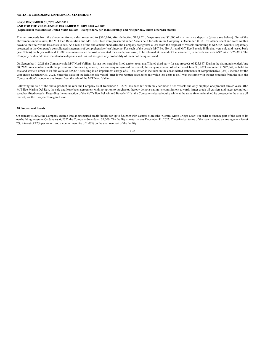The net proceeds from the abovementioned sales amounted to \$310,016, after deducting \$10,852 of expenses and \$2,000 of maintenance deposits (please see below). Out of the abovementioned vessels, the M/T Eco Revolution and M/T Eco Fleet were presented under Assets held for sale in the Company's December 31, 2019 Balance sheet and were written down to their fair value less costs to sell. As a result of the abovementioned sales the Company recognized a loss from the disposal of vessels amounting to \$12,355, which is separately presented in the Company's consolidated statements of comprehensive (loss)/income. For each of the vessels M/T Eco Bel Air and M/T Eco Beverly Hills that were sold and leased back (see Note 6) the buyer withheld \$1,000 as a maintenance deposit, accounted for as a deposit asset, to be released at the end of the lease term, in accordance with ASC 840-10-25-39B. The Company evaluated these maintenance deposits and has not assigned any probability of them not being returned.

On September 1, 2021 the Company sold M/T Nord Valliant, its last non-scrubber fitted tanker, to an unaffiliated third party for net proceeds of \$25,887. During the six months ended June 30, 2021, in accordance with the provisions of relevant guidance, the Company recognized the vessel, the carrying amount of which as of June 30, 2021 amounted to \$27,047, as held for sale and wrote it down to its fair value of \$25,887, resulting in an impairment charge of \$1,160, which is included in the consolidated statements of comprehensive (loss) / income for the year ended December 31, 2021. Since the value of the held for sale vessel (after it was written down to its fair value less costs to sell) was the same with the net proceeds from the sale, the Company didn't recognize any losses from the sale of the M/T Nord Valiant.

Following the sale of the above product tankers, the Company as of December 31, 2021 has been left with only scrubber fitted vessels and only employs one product tanker vessel (the M/T Eco Marina Del Ray, the sale and lease back agreement with no option to purchase), thereby demonstrating its commitment towards larger crude oil carriers and latest technology scrubber fitted-vessels. Regarding the transaction of the M/T's Eco Bel Air and Beverly Hills, the Company released equity while at the same time maintained its presence in the crude oil market, via the five-year Navigare Lease.

### **20. Subsequent Events**

On January 5, 2022 the Company entered into an unsecured credit facility for up to \$20,000 with Central Mare (the "Central Mare Bridge Loan") in order to finance part of the cost of its newbuilding program. On January 6, 2022 the Company drew down \$9,000. The facility's maturity was December 31, 2022. The principal terms of the loan included an arrangement fee of 2%, interest of 12% per annum and a commitment fee of 1.00% on the undrawn part of the facility